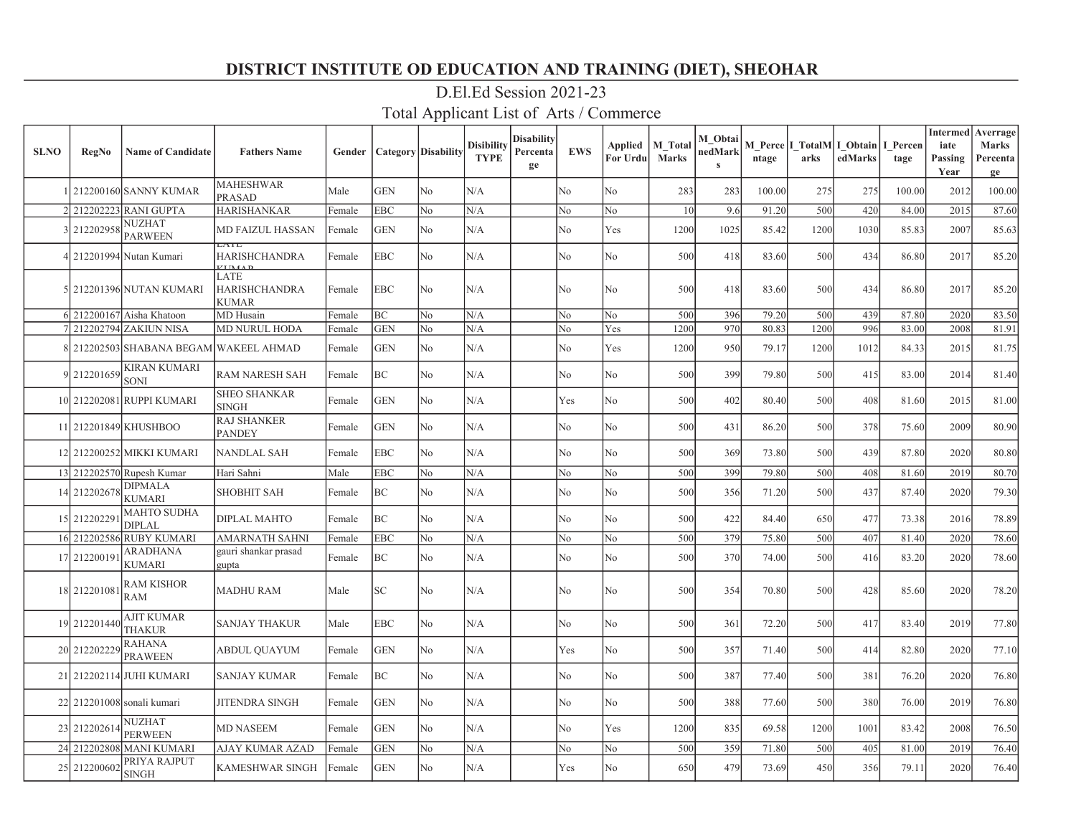| <b>SLNO</b> | <b>RegNo</b> | <b>Name of Candidate</b>               | <b>Fathers Name</b>                                       | Gender |            | <b>Category</b> Disability | <b>Disibility</b><br><b>TYPE</b> | <b>Disability</b><br>Percenta<br>ge | <b>EWS</b> | <b>Applied</b><br>For Urdu | <b>M</b> Total<br><b>Marks</b> | M Obtai<br>nedMark<br>$\mathbf{s}$ | ntage  | arks | M Perce I TotalM I Obtain<br>edMarks | I Percen<br>tage | <b>Intermed</b><br>iate<br>Passing<br>Year | Averrage<br><b>Marks</b><br>Percenta<br>ge |
|-------------|--------------|----------------------------------------|-----------------------------------------------------------|--------|------------|----------------------------|----------------------------------|-------------------------------------|------------|----------------------------|--------------------------------|------------------------------------|--------|------|--------------------------------------|------------------|--------------------------------------------|--------------------------------------------|
|             |              | 1 212200160 SANNY KUMAR                | <b>MAHESHWAR</b><br><b>PRASAD</b>                         | Male   | <b>GEN</b> | No.                        | N/A                              |                                     | No         | No                         | 283                            | 283                                | 100.00 | 275  | 275                                  | 100.00           | 2012                                       | 100.00                                     |
|             |              | 2 212202223 RANI GUPTA                 | <b>HARISHANKAR</b>                                        | Female | <b>EBC</b> | No                         | N/A                              |                                     | No         | No                         | 10 <sup>1</sup>                | 9.6                                | 91.20  | 500  | 420                                  | 84.00            | 2015                                       | 87.60                                      |
|             | 3 212202958  | NUZHAT<br><b>PARWEEN</b>               | <b>MD FAIZUL HASSAN</b><br>ATL                            | Female | <b>GEN</b> | No.                        | N/A                              |                                     | No         | Yes                        | 1200                           | 1025                               | 85.42  | 1200 | 1030                                 | 85.83            | 2007                                       | 85.63                                      |
|             |              | 4 212201994 Nutan Kumari               | <b>HARISHCHANDRA</b><br>$\overline{r}$ the $\overline{r}$ | Female | <b>EBC</b> | No                         | N/A                              |                                     | No         | No                         | 500                            | 418                                | 83.60  | 500  | 434                                  | 86.80            | 2017                                       | 85.20                                      |
|             |              | 5 212201396 NUTAN KUMARI               | LATE<br><b>HARISHCHANDRA</b><br><b>KUMAR</b>              | Female | EBC        | No                         | N/A                              |                                     | No         | No                         | 500                            | 418                                | 83.60  | 500  | 434                                  | 86.80            | 2017                                       | 85.20                                      |
|             |              | 6 212200167 Aisha Khatoon              | MD Husain                                                 | Female | BC         | No                         | N/A                              |                                     | No         | No                         | 500                            | 396                                | 79.20  | 500  | 439                                  | 87.80            | 2020                                       | 83.50                                      |
|             |              | 7 212202794 ZAKIUN NISA                | <b>MD NURUL HODA</b>                                      | Female | <b>GEN</b> | No                         | N/A                              |                                     | No         | Yes                        | 1200                           | 970                                | 80.83  | 1200 | 996                                  | 83.00            | 2008                                       | 81.91                                      |
|             |              | 8 212202503 SHABANA BEGAM WAKEEL AHMAD |                                                           | Female | <b>GEN</b> | No                         | N/A                              |                                     | No         | Yes                        | 1200                           | 950                                | 79.17  | 1200 | 1012                                 | 84.33            | 2015                                       | 81.75                                      |
|             | 9 212201659  | KIRAN KUMARI<br><b>SONI</b>            | <b>RAM NARESH SAH</b>                                     | Female | <b>BC</b>  | N <sub>0</sub>             | N/A                              |                                     | No         | No                         | 500                            | 399                                | 79.80  | 500  | 415                                  | 83.00            | 2014                                       | 81.40                                      |
|             |              | 10 212202081 RUPPI KUMARI              | <b>SHEO SHANKAR</b><br><b>SINGH</b>                       | Female | <b>GEN</b> | No.                        | N/A                              |                                     | Yes        | No                         | 500                            | 402                                | 80.40  | 500  | 408                                  | 81.60            | 2015                                       | 81.00                                      |
|             |              | 11 212201849 KHUSHBOO                  | <b>RAJ SHANKER</b><br><b>PANDEY</b>                       | Female | <b>GEN</b> | No.                        | N/A                              |                                     | No         | No                         | 500                            | 431                                | 86.20  | 500  | 378                                  | 75.60            | 2009                                       | 80.90                                      |
|             |              | 12 212200252 MIKKI KUMARI              | <b>NANDLAL SAH</b>                                        | Female | <b>EBC</b> | No                         | N/A                              |                                     | No         | No                         | 500                            | 369                                | 73.80  | 500  | 439                                  | 87.80            | 2020                                       | 80.80                                      |
|             |              | 13 212202570 Rupesh Kumar              | Hari Sahni                                                | Male   | <b>EBC</b> | No                         | N/A                              |                                     | No         | No                         | 500                            | 399                                | 79.80  | 500  | 408                                  | 81.60            | 2019                                       | 80.70                                      |
|             | 14 212202678 | <b>DIPMALA</b><br><b>KUMARI</b>        | <b>SHOBHIT SAH</b>                                        | Female | BC         | N <sub>0</sub>             | N/A                              |                                     | No         | No                         | 500                            | 356                                | 71.20  | 500  | 437                                  | 87.40            | 2020                                       | 79.30                                      |
|             | 15 21220229  | <b>MAHTO SUDHA</b><br><b>DIPLAL</b>    | <b>DIPLAL MAHTO</b>                                       | Female | <b>BC</b>  | No                         | N/A                              |                                     | No         | No                         | 500                            | 422                                | 84.40  | 650  | 477                                  | 73.38            | 2016                                       | 78.89                                      |
|             | 16 212202586 | <b>RUBY KUMARI</b>                     | <b>AMARNATH SAHNI</b>                                     | Female | <b>EBC</b> | N <sub>o</sub>             | N/A                              |                                     | No         | No                         | 500                            | 379                                | 75.80  | 500  | 407                                  | 81.40            | 2020                                       | 78.60                                      |
|             | 17 212200191 | <b>ARADHANA</b><br>KUMARI              | gauri shankar prasad<br>gupta                             | Female | BC         | No                         | N/A                              |                                     | No         | No                         | 500                            | 370                                | 74.00  | 500  | 416                                  | 83.20            | 2020                                       | 78.60                                      |
|             | 18 21220108  | RAM KISHOR<br>RAM                      | <b>MADHU RAM</b>                                          | Male   | SC         | No                         | N/A                              |                                     | No         | No                         | 500                            | 354                                | 70.80  | 500  | 428                                  | 85.60            | 2020                                       | 78.20                                      |
|             | 19 212201440 | AJIT KUMAR<br>THAKUR                   | <b>SANJAY THAKUR</b>                                      | Male   | <b>EBC</b> | No                         | N/A                              |                                     | No         | No                         | 500                            | 361                                | 72.20  | 500  | 417                                  | 83.40            | 2019                                       | 77.80                                      |
|             | 20 212202229 | RAHANA<br>PRAWEEN                      | <b>ABDUL QUAYUM</b>                                       | Female | <b>GEN</b> | No.                        | N/A                              |                                     | Yes        | No                         | 500                            | 357                                | 71.40  | 500  | 414                                  | 82.80            | 2020                                       | 77.10                                      |
|             |              | 21 212202114 JUHI KUMARI               | <b>SANJAY KUMAR</b>                                       | Female | BC         | No                         | N/A                              |                                     | No         | No                         | 500                            | 387                                | 77.40  | 500  | 381                                  | 76.20            | 2020                                       | 76.80                                      |
|             |              | 22 212201008 sonali kumari             | <b>JITENDRA SINGH</b>                                     | Female | <b>GEN</b> | No                         | N/A                              |                                     | No         | No                         | 500                            | 388                                | 77.60  | 500  | 380                                  | 76.00            | 2019                                       | 76.80                                      |
|             | 23 212202614 | NUZHAT<br>PERWEEN                      | <b>MD NASEEM</b>                                          | Female | <b>GEN</b> | No                         | N/A                              |                                     | No         | Yes                        | 1200                           | 835                                | 69.58  | 1200 | 1001                                 | 83.42            | 2008                                       | 76.50                                      |
|             | 24 212202808 | <b>MANI KUMARI</b>                     | <b>AJAY KUMAR AZAD</b>                                    | Female | <b>GEN</b> | No                         | N/A                              |                                     | No         | No                         | 500                            | 359                                | 71.80  | 500  | 405                                  | 81.00            | 2019                                       | 76.40                                      |
|             | 25 212200602 | PRIYA RAJPUT<br><b>SINGH</b>           | <b>KAMESHWAR SINGH</b>                                    | Female | <b>GEN</b> | No.                        | N/A                              |                                     | Yes        | No                         | 650                            | 479                                | 73.69  | 450  | 356                                  | 79.11            | 2020                                       | 76.40                                      |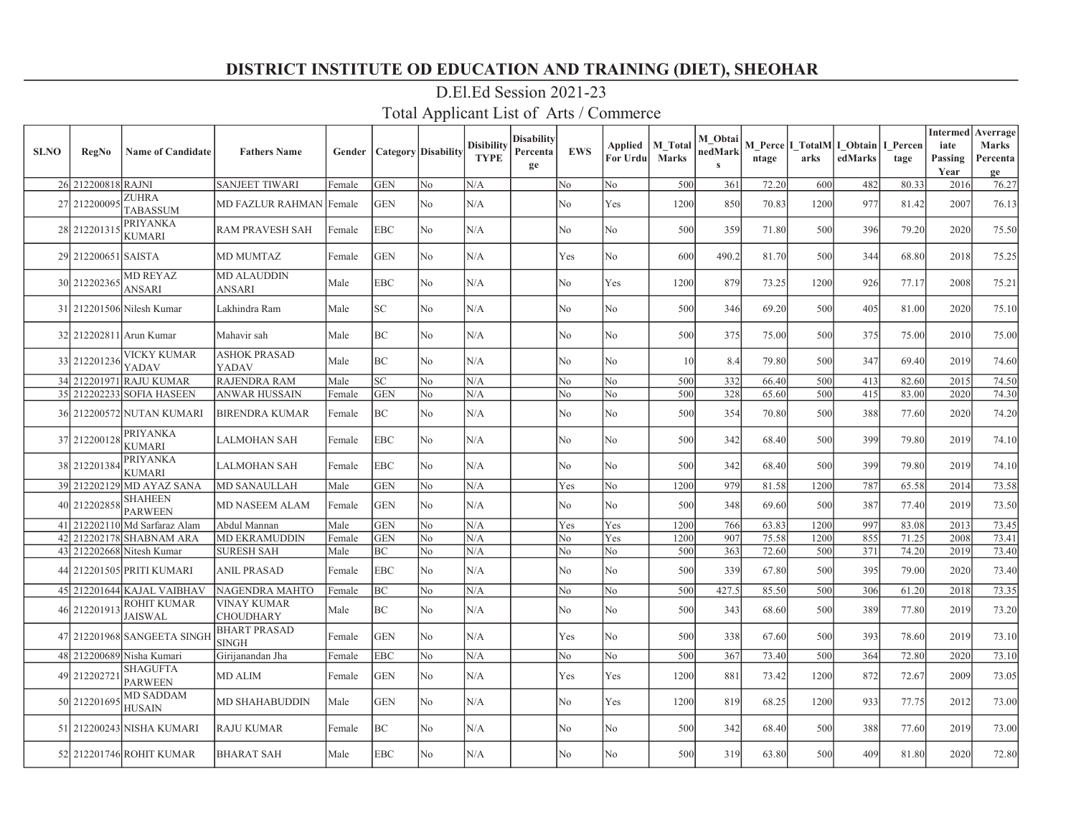| <b>SLNO</b> | <b>RegNo</b>        | <b>Name of Candidate</b>         | <b>Fathers Name</b>                    | Gender | <b>Category Disability</b> |                | Disibility<br><b>TYPE</b> | Disability<br>Percenta<br>ge | <b>EWS</b>     | Applied<br>For Urdu | <b>M</b> Total<br><b>Marks</b> | M Obtai<br>nedMark<br>$\mathbf{s}$ | ntage | arks | M Perce   I TotalM   I Obtain  <br>edMarks | I Percen<br>tage | <b>Intermed</b><br>iate<br>Passing<br>Year | Averrage<br><b>Marks</b><br>Percenta<br>ge |
|-------------|---------------------|----------------------------------|----------------------------------------|--------|----------------------------|----------------|---------------------------|------------------------------|----------------|---------------------|--------------------------------|------------------------------------|-------|------|--------------------------------------------|------------------|--------------------------------------------|--------------------------------------------|
|             | 26 212200818 RAJNI  |                                  | <b>SANJEET TIWARI</b>                  | Female | <b>GEN</b>                 | No             | N/A                       |                              | No             | No                  | 500                            | 361                                | 72.20 | 600  | 482                                        | 80.33            | 2016                                       | 76.27                                      |
|             | 27 21220009:        | ZUHRA<br><b>TABASSUM</b>         | MD FAZLUR RAHMAN Female                |        | <b>GEN</b>                 | No             | N/A                       |                              | No             | Yes                 | 1200                           | 850                                | 70.83 | 1200 | 977                                        | 81.42            | 2007                                       | 76.13                                      |
|             | 28 21220131:        | PRIYANKA<br>KUMARI               | <b>RAM PRAVESH SAH</b>                 | Female | <b>EBC</b>                 | No             | N/A                       |                              | No             | No                  | 500                            | 359                                | 71.80 | 500  | 396                                        | 79.20            | 2020                                       | 75.50                                      |
|             | 29 212200651 SAISTA |                                  | <b>MD MUMTAZ</b>                       | Female | <b>GEN</b>                 | No             | N/A                       |                              | Yes            | No                  | 600                            | 490.2                              | 81.70 | 500  | 344                                        | 68.80            | 2018                                       | 75.25                                      |
|             | 30 21220236:        | <b>MD REYAZ</b><br>ANSARI        | MD ALAUDDIN<br>ANSARI                  | Male   | EBC                        | No             | N/A                       |                              | No             | Yes                 | 1200                           | 879                                | 73.25 | 1200 | 926                                        | 77.17            | 2008                                       | 75.21                                      |
|             |                     | 31 212201506 Nilesh Kumar        | Lakhindra Ram                          | Male   | $_{\rm SC}$                | No             | N/A                       |                              | No             | No                  | 500                            | 346                                | 69.20 | 500  | 405                                        | 81.00            | 2020                                       | 75.10                                      |
|             |                     | 32 212202811 Arun Kumar          | Mahavir sah                            | Male   | BC                         | No             | N/A                       |                              | N <sub>o</sub> | No                  | 500                            | 375                                | 75.00 | 500  | 375                                        | 75.00            | 2010                                       | 75.00                                      |
|             | 33 212201236        | VICKY KUMAR<br>YADAV             | <b>ASHOK PRASAD</b><br>YADAV           | Male   | BC                         | N <sub>o</sub> | N/A                       |                              | N <sub>o</sub> | No                  | 10                             | 8.4                                | 79.80 | 500  | 347                                        | 69.40            | 2019                                       | 74.60                                      |
|             |                     | 34 212201971 RAJU KUMAR          | <b>RAJENDRA RAM</b>                    | Male   | <b>SC</b>                  | No             | N/A                       |                              | No             | No                  | 500                            | 332                                | 66.40 | 500  | 413                                        | 82.60            | 2015                                       | 74.50                                      |
|             |                     | 35 212202233 SOFIA HASEEN        | <b>ANWAR HUSSAIN</b>                   | Female | <b>GEN</b>                 | No             | N/A                       |                              | No             | No                  | 500                            | 328                                | 65.60 | 500  | 415                                        | 83.00            | 2020                                       | 74.30                                      |
|             |                     | 36 212200572 NUTAN KUMARI        | <b>BIRENDRA KUMAR</b>                  | Female | BC                         | No             | N/A                       |                              | No             | No                  | 500                            | 354                                | 70.80 | 500  | 388                                        | 77.60            | 2020                                       | 74.20                                      |
|             | 37 212200128        | <b>PRIYANKA</b><br>KUMARI        | LALMOHAN SAH                           | Female | <b>EBC</b>                 | No             | N/A                       |                              | No             | No                  | 500                            | 342                                | 68.40 | 500  | 399                                        | 79.80            | 2019                                       | 74.10                                      |
|             | 38 212201384        | PRIYANKA<br>KUMARI               | LALMOHAN SAH                           | Female | <b>EBC</b>                 | No             | N/A                       |                              | No             | No                  | 500                            | 342                                | 68.40 | 500  | 399                                        | 79.80            | 2019                                       | 74.10                                      |
|             | 39 212202129        | MD AYAZ SANA                     | <b>MD SANAULLAH</b>                    | Male   | <b>GEN</b>                 | No             | N/A                       |                              | Yes            | No                  | 1200                           | 979                                | 81.58 | 1200 | 787                                        | 65.58            | 2014                                       | 73.58                                      |
|             | 40 212202858        | <b>SHAHEEN</b><br><b>PARWEEN</b> | <b>MD NASEEM ALAM</b>                  | Female | <b>GEN</b>                 | No             | N/A                       |                              | No             | No                  | 500                            | 348                                | 69.60 | 500  | 387                                        | 77.40            | 2019                                       | 73.50                                      |
|             | 41 212202110        | Md Sarfaraz Alam                 | Abdul Mannan                           | Male   | <b>GEN</b>                 | No             | N/A                       |                              | Yes            | Yes                 | 1200                           | 766                                | 63.83 | 1200 | 997                                        | 83.08            | 2013                                       | 73.45                                      |
|             | 42 212202178        | <b>SHABNAM ARA</b>               | <b>MD EKRAMUDDIN</b>                   | Female | <b>GEN</b>                 | No             | N/A                       |                              | No             | Yes                 | 1200                           | 907                                | 75.58 | 1200 | 855                                        | 71.25            | 2008                                       | 73.41                                      |
|             |                     | 43 212202668 Nitesh Kumar        | <b>SURESH SAH</b>                      | Male   | BC                         | No             | N/A                       |                              | No             | No                  | 500                            | 363                                | 72.60 | 500  | 371                                        | 74.20            | 2019                                       | 73.40                                      |
|             |                     | 44 212201505 PRITI KUMARI        | <b>ANIL PRASAD</b>                     | Female | EBC                        | No             | N/A                       |                              | No             | No                  | 500                            | 339                                | 67.80 | 500  | 395                                        | 79.00            | 2020                                       | 73.40                                      |
|             |                     | 45 212201644 KAJAL VAIBHAV       | NAGENDRA MAHTO                         | Female | BC                         | No             | N/A                       |                              | No             | No                  | 500                            | 427.5                              | 85.50 | 500  | 306                                        | 61.20            | 2018                                       | 73.35                                      |
|             | 46 212201913        | ROHIT KUMAR<br><b>JAISWAL</b>    | <b>VINAY KUMAR</b><br><b>CHOUDHARY</b> | Male   | BC                         | No             | N/A                       |                              | No             | No                  | 500                            | 343                                | 68.60 | 500  | 389                                        | 77.80            | 2019                                       | 73.20                                      |
|             |                     | 47 212201968 SANGEETA SINGH      | <b>BHART PRASAD</b><br><b>SINGH</b>    | Female | <b>GEN</b>                 | No.            | N/A                       |                              | Yes            | No                  | 500                            | 338                                | 67.60 | 500  | 393                                        | 78.60            | 2019                                       | 73.10                                      |
|             | 48 212200689        | Nisha Kumari                     | Girijanandan Jha                       | Female | <b>EBC</b>                 | No             | N/A                       |                              | No             | No                  | 500                            | 367                                | 73.40 | 500  | 364                                        | 72.80            | 2020                                       | 73.10                                      |
|             | 49 21220272         | SHAGUFTA<br><b>PARWEEN</b>       | <b>MD ALIM</b>                         | Female | <b>GEN</b>                 | No             | N/A                       |                              | Yes            | Yes                 | 1200                           | 881                                | 73.42 | 1200 | 872                                        | 72.67            | 2009                                       | 73.05                                      |
|             | 50 21220169:        | MD SADDAM<br>HUSAIN              | <b>MD SHAHABUDDIN</b>                  | Male   | <b>GEN</b>                 | No             | N/A                       |                              | No             | Yes                 | 1200                           | 819                                | 68.25 | 1200 | 933                                        | 77.75            | 2012                                       | 73.00                                      |
|             |                     | 51 212200243 NISHA KUMARI        | <b>RAJU KUMAR</b>                      | Female | ВC                         | No             | N/A                       |                              | No             | No                  | 500                            | 342                                | 68.40 | 500  | 388                                        | 77.60            | 2019                                       | 73.00                                      |
|             |                     | 52 212201746 ROHIT KUMAR         | <b>BHARAT SAH</b>                      | Male   | <b>EBC</b>                 | No             | N/A                       |                              | No             | No                  | 500                            | 319                                | 63.80 | 500  | 409                                        | 81.80            | 2020                                       | 72.80                                      |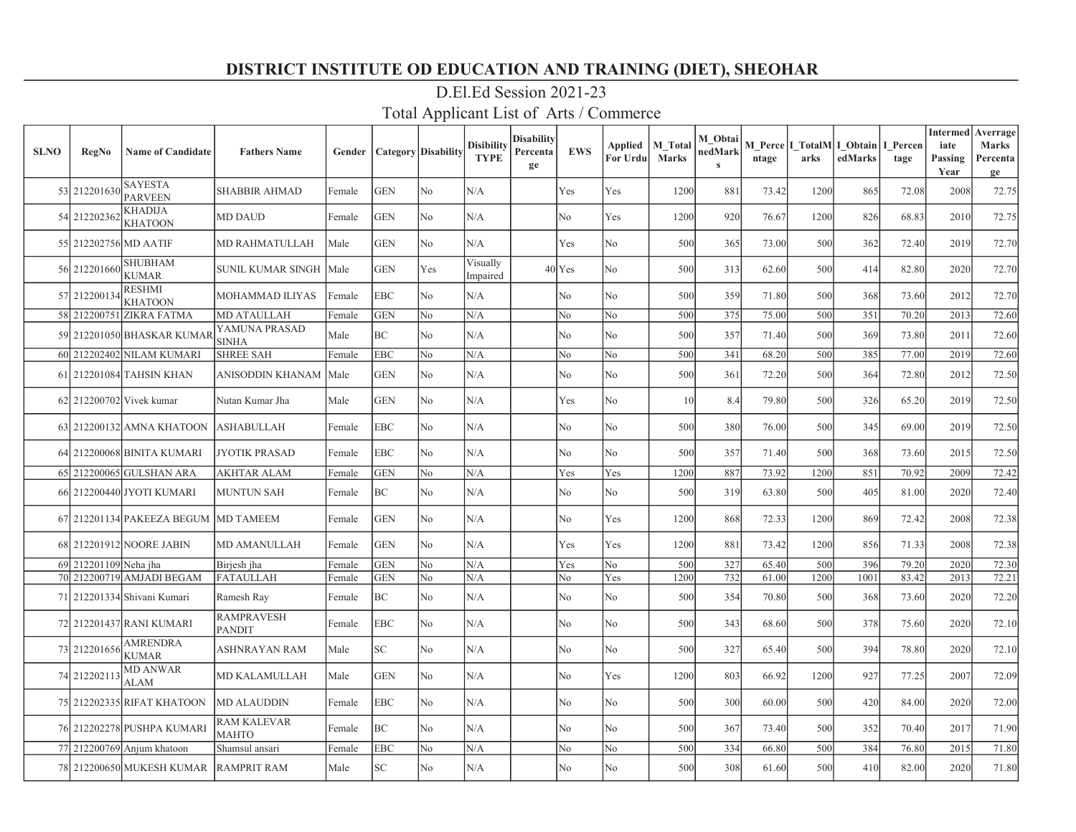| <b>SLNO</b> | <b>RegNo</b>          | <b>Name of Candidate</b>         | <b>Fathers Name</b>                | Gender |            | <b>Category</b> Disability | <b>Disibility</b><br><b>TYPE</b> | Disability<br>Percenta<br>ge | <b>EWS</b>     | <b>Applied</b><br>For Urdu | <b>M</b> Total<br><b>Marks</b> | M Obtai<br>nedMark<br>$\mathbf{s}$ | ntage | arks | M Perce  I TotalM I Obtain   I Percen<br>edMarks | tage  | <b>Intermed</b><br>iate<br>Passing<br>Year | Averrage<br><b>Marks</b><br>Percenta<br>ge |
|-------------|-----------------------|----------------------------------|------------------------------------|--------|------------|----------------------------|----------------------------------|------------------------------|----------------|----------------------------|--------------------------------|------------------------------------|-------|------|--------------------------------------------------|-------|--------------------------------------------|--------------------------------------------|
|             | 53 212201630          | <b>SAYESTA</b><br><b>PARVEEN</b> | <b>SHABBIR AHMAD</b>               | Female | <b>GEN</b> | No                         | N/A                              |                              | Yes            | Yes                        | 1200                           | 881                                | 73.42 | 1200 | 865                                              | 72.08 | 2008                                       | 72.75                                      |
|             | 54 212202362          | <b>KHADIJA</b><br><b>KHATOON</b> | <b>MD DAUD</b>                     | Female | <b>GEN</b> | N <sub>o</sub>             | N/A                              |                              | N <sub>o</sub> | Yes                        | 1200                           | 920                                | 76.67 | 1200 | 826                                              | 68.83 | 2010                                       | 72.75                                      |
|             | 55 212202756 MD AATIF |                                  | MD RAHMATULLAH                     | Male   | <b>GEN</b> | No                         | N/A                              |                              | Yes            | No                         | 500                            | 365                                | 73.00 | 500  | 362                                              | 72.40 | 2019                                       | 72.70                                      |
|             | 56 212201660          | <b>SHUBHAM</b><br><b>KUMAR</b>   | SUNIL KUMAR SINGH                  | Male   | <b>GEN</b> | Yes                        | Visually<br>Impaired             |                              | $40$ Yes       | No                         | 500                            | 313                                | 62.60 | 500  | 414                                              | 82.80 | 2020                                       | 72.70                                      |
|             | 57 212200134          | <b>RESHMI</b><br><b>KHATOON</b>  | MOHAMMAD ILIYAS                    | Female | <b>EBC</b> | N <sub>o</sub>             | N/A                              |                              | N <sub>o</sub> | No                         | 500                            | 359                                | 71.80 | 500  | 368                                              | 73.60 | 2012                                       | 72.70                                      |
|             |                       | 58 212200751 ZIKRA FATMA         | <b>MD ATAULLAH</b>                 | Female | <b>GEN</b> | No                         | N/A                              |                              | No             | No                         | 500                            | 375                                | 75.00 | 500  | 351                                              | 70.20 | 2013                                       | 72.60                                      |
|             |                       | 59 212201050 BHASKAR KUMAR       | YAMUNA PRASAD<br><b>SINHA</b>      | Male   | ВC         | No                         | N/A                              |                              | No             | N <sub>o</sub>             | 500                            | 357                                | 71.40 | 500  | 369                                              | 73.80 | 2011                                       | 72.60                                      |
|             |                       | 60 212202402 NILAM KUMARI        | <b>SHREE SAH</b>                   | Female | <b>EBC</b> | No                         | N/A                              |                              | No             | N <sub>o</sub>             | 500                            | 341                                | 68.20 | 500  | 385                                              | 77.00 | 2019                                       | 72.60                                      |
|             |                       | 61 212201084 TAHSIN KHAN         | ANISODDIN KHANAM                   | Male   | <b>GEN</b> | No                         | N/A                              |                              | No             | No                         | 500                            | 361                                | 72.20 | 500  | 364                                              | 72.80 | 2012                                       | 72.50                                      |
|             |                       | 62 212200702 Vivek kumar         | Nutan Kumar Jha                    | Male   | <b>GEN</b> | N <sub>o</sub>             | N/A                              |                              | Yes            | No                         | 10                             | 8.4                                | 79.80 | 500  | 326                                              | 65.20 | 2019                                       | 72.50                                      |
|             |                       | 63 212200132 AMNA KHATOON        | ASHABULLAH                         | Female | EBC        | No                         | N/A                              |                              | No             | No                         | 500                            | 380                                | 76.00 | 500  | 345                                              | 69.00 | 2019                                       | 72.50                                      |
|             |                       | 64 212200068 BINITA KUMARI       | <b>JYOTIK PRASAD</b>               | Female | EBC        | N <sub>o</sub>             | N/A                              |                              | N <sub>o</sub> | No                         | 500                            | 357                                | 71.40 | 500  | 368                                              | 73.60 | 2015                                       | 72.50                                      |
|             |                       | 65 212200065 GULSHAN ARA         | <b>AKHTAR ALAM</b>                 | Female | <b>GEN</b> | No                         | N/A                              |                              | Yes            | Yes                        | 1200                           | 887                                | 73.92 | 1200 | 851                                              | 70.92 | 2009                                       | 72.42                                      |
|             |                       | 66 212200440 JYOTI KUMARI        | <b>MUNTUN SAH</b>                  | Female | ВC         | No                         | N/A                              |                              | No             | No                         | 500                            | 319                                | 63.80 | 500  | 405                                              | 81.00 | 2020                                       | 72.40                                      |
|             |                       | 67 212201134 PAKEEZA BEGUM       | <b>MD TAMEEM</b>                   | Female | <b>GEN</b> | No                         | N/A                              |                              | No             | Yes                        | 1200                           | 868                                | 72.33 | 1200 | 869                                              | 72.42 | 2008                                       | 72.38                                      |
|             |                       | 68 212201912 NOORE JABIN         | <b>MD AMANULLAH</b>                | Female | <b>GEN</b> | N <sub>o</sub>             | N/A                              |                              | Yes            | Yes                        | 1200                           | 881                                | 73.42 | 1200 | 856                                              | 71.33 | 2008                                       | 72.38                                      |
|             | 69 212201109 Neha jha |                                  | Birjesh jha                        | Female | <b>GEN</b> | No                         | N/A                              |                              | Yes            | No                         | 500                            | 327                                | 65.40 | 500  | 396                                              | 79.20 | 2020                                       | 72.30                                      |
|             |                       | 70 212200719 AMJADI BEGAM        | FATAULLAH                          | Female | <b>GEN</b> | No                         | N/A                              |                              | No             | Yes                        | 1200                           | 732                                | 61.00 | 1200 | 1001                                             | 83.42 | 2013                                       | 72.21                                      |
|             |                       | 71 212201334 Shivani Kumari      | Ramesh Ray                         | Female | ВC         | N <sub>o</sub>             | N/A                              |                              | No             | No                         | 500                            | 354                                | 70.80 | 500  | 368                                              | 73.60 | 2020                                       | 72.20                                      |
|             |                       | 72 212201437 RANI KUMARI         | <b>RAMPRAVESH</b><br><b>PANDIT</b> | Female | <b>EBC</b> | No                         | N/A                              |                              | No             | No                         | 500                            | 343                                | 68.60 | 500  | 378                                              | 75.60 | 2020                                       | 72.10                                      |
|             | 73 212201656          | <b>AMRENDRA</b><br><b>KUMAR</b>  | ASHNRAYAN RAM                      | Male   | SC.        | No                         | N/A                              |                              | No             | No                         | 500                            | 327                                | 65.40 | 500  | 394                                              | 78.80 | 2020                                       | 72.10                                      |
|             | 74 212202113          | <b>MD ANWAR</b><br><b>ALAM</b>   | MD KALAMULLAH                      | Male   | GEN        | No                         | N/A                              |                              | No             | Yes                        | 1200                           | 803                                | 66.92 | 1200 | 927                                              | 77.25 | 2007                                       | 72.09                                      |
|             |                       | 75 212202335 RIFAT KHATOON       | <b>MD ALAUDDIN</b>                 | Female | EBC        | N <sub>o</sub>             | N/A                              |                              | No             | No                         | 500                            | 300                                | 60.00 | 500  | 420                                              | 84.00 | 2020                                       | 72.00                                      |
|             |                       | 76 212202278 PUSHPA KUMARI       | RAM KALEVAR<br><b>MAHTO</b>        | Female | ВC         | No                         | N/A                              |                              | No             | No                         | 500                            | 367                                | 73.40 | 500  | 352                                              | 70.40 | 2017                                       | 71.90                                      |
|             |                       | 77 212200769 Anjum khatoon       | Shamsul ansari                     | Female | <b>EBC</b> | No                         | N/A                              |                              | No             | No                         | 500                            | 334                                | 66.80 | 500  | 384                                              | 76.80 | 2015                                       | 71.80                                      |
|             |                       | 78 212200650 MUKESH KUMAR        | <b>RAMPRIT RAM</b>                 | Male   | SC         | N <sub>o</sub>             | N/A                              |                              | No             | No                         | 500                            | 308                                | 61.60 | 500  | 410                                              | 82.00 | 2020                                       | 71.80                                      |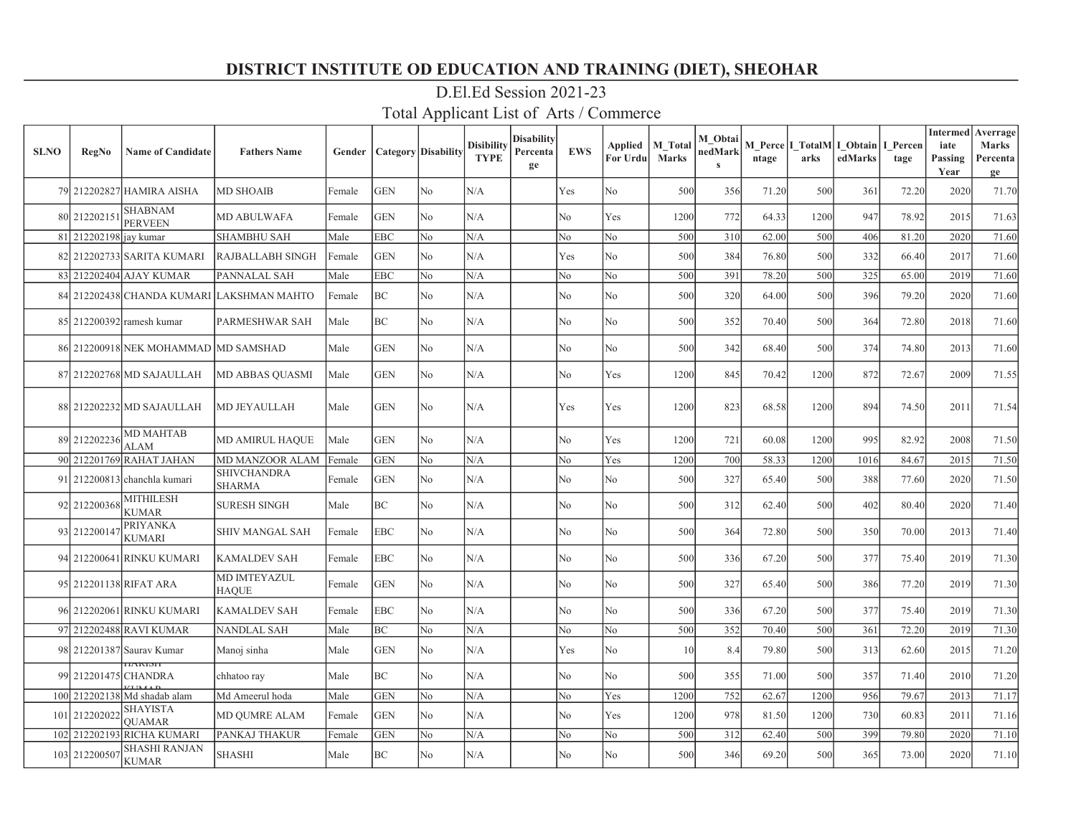| <b>SLNO</b> | <b>RegNo</b>           | <b>Name of Candidate</b>                  | <b>Fathers Name</b>          | Gender | <b>Category</b> Disability |                | <b>Disibility</b><br><b>TYPE</b> | <b>Disability</b><br>Percenta<br>ge | <b>EWS</b>     | Applied<br>For Urdu | M Total<br><b>Marks</b> | M Obtai<br>nedMark<br>$\mathbf{s}$ | ntage | arks | M Perce I TotalM I Obtain<br>edMarks | I Percen<br>tage | <b>Intermed</b><br>iate<br>Passing<br>Year | Averrage<br>Marks<br>Percenta<br>ge |
|-------------|------------------------|-------------------------------------------|------------------------------|--------|----------------------------|----------------|----------------------------------|-------------------------------------|----------------|---------------------|-------------------------|------------------------------------|-------|------|--------------------------------------|------------------|--------------------------------------------|-------------------------------------|
|             |                        | 79 212202827 HAMIRA AISHA                 | <b>MD SHOAIB</b>             | Female | <b>GEN</b>                 | N <sub>o</sub> | N/A                              |                                     | Yes            | No                  | 500                     | 356                                | 71.20 | 500  | 361                                  | 72.20            | 2020                                       | 71.70                               |
|             | 80 212202151           | <b>SHABNAM</b><br><b>PERVEEN</b>          | <b>MD ABULWAFA</b>           | Female | <b>GEN</b>                 | N <sub>o</sub> | N/A                              |                                     | No             | Yes                 | 1200                    | 772                                | 64.33 | 1200 | 947                                  | 78.92            | 2015                                       | 71.63                               |
|             | 81 212202198 jay kumar |                                           | <b>SHAMBHU SAH</b>           | Male   | <b>EBC</b>                 | N <sub>o</sub> | N/A                              |                                     | No             | No                  | 500                     | 310                                | 62.00 | 500  | 406                                  | 81.20            | 2020                                       | 71.60                               |
|             |                        | 82 212202733 SARITA KUMARI                | <b>RAJBALLABH SINGH</b>      | Female | <b>GEN</b>                 | N <sub>o</sub> | N/A                              |                                     | Yes            | No                  | 500                     | 384                                | 76.80 | 500  | 332                                  | 66.40            | 2017                                       | 71.60                               |
|             |                        | 83 212202404 AJAY KUMAR                   | PANNALAL SAH                 | Male   | <b>EBC</b>                 | No             | N/A                              |                                     | No             | No                  | 500                     | 391                                | 78.20 | 500  | 325                                  | 65.00            | 2019                                       | 71.60                               |
|             |                        | 84 212202438 CHANDA KUMARI                | <b>LAKSHMAN MAHTO</b>        | Female | ВC                         | N <sub>o</sub> | N/A                              |                                     | No             | No                  | 500                     | 320                                | 64.00 | 500  | 396                                  | 79.20            | 2020                                       | 71.60                               |
|             |                        | 85 212200392 ramesh kumar                 | <b>PARMESHWAR SAH</b>        | Male   | BC                         | N <sub>o</sub> | N/A                              |                                     | No             | No                  | 500                     | 352                                | 70.40 | 500  | 364                                  | 72.80            | 2018                                       | 71.60                               |
|             |                        | 86 212200918 NEK MOHAMMAD                 | <b>MD SAMSHAD</b>            | Male   | <b>GEN</b>                 | No             | N/A                              |                                     | N <sub>o</sub> | No                  | 500                     | 342                                | 68.40 | 500  | 374                                  | 74.80            | 2013                                       | 71.60                               |
|             |                        | 87 212202768 MD SAJAULLAH                 | <b>MD ABBAS QUASMI</b>       | Male   | <b>GEN</b>                 | N <sub>o</sub> | N/A                              |                                     | N <sub>o</sub> | Yes                 | 1200                    | 845                                | 70.42 | 1200 | 872                                  | 72.67            | 2009                                       | 71.55                               |
|             |                        | 88 212202232 MD SAJAULLAH                 | MD JEYAULLAH                 | Male   | GEN                        | No             | N/A                              |                                     | Yes            | Yes                 | 1200                    | 823                                | 68.58 | 1200 | 894                                  | 74.50            | 2011                                       | 71.54                               |
|             | 89 212202236           | <b>MD MAHTAB</b><br><b>ALAM</b>           | <b>MD AMIRUL HAQUE</b>       | Male   | <b>GEN</b>                 | N <sub>o</sub> | N/A                              |                                     | No             | Yes                 | 1200                    | 721                                | 60.08 | 1200 | 995                                  | 82.92            | 2008                                       | 71.50                               |
|             |                        | 90 212201769 RAHAT JAHAN                  | MD MANZOOR ALAM              | Female | <b>GEN</b>                 | N <sub>o</sub> | N/A                              |                                     | N <sub>o</sub> | Yes                 | 1200                    | 700                                | 58.33 | 1200 | 1016                                 | 84.67            | 2015                                       | 71.50                               |
|             |                        | 91 212200813 chanchla kumari              | SHIVCHANDRA<br><b>SHARMA</b> | Female | <b>GEN</b>                 | N <sub>o</sub> | N/A                              |                                     | No             | No                  | 500                     | 327                                | 65.40 | 500  | 388                                  | 77.60            | 2020                                       | 71.50                               |
|             | 92 212200368           | <b>MITHILESH</b><br><b>KUMAR</b>          | <b>SURESH SINGH</b>          | Male   | BC                         | N <sub>o</sub> | N/A                              |                                     | No             | No                  | 500                     | 312                                | 62.40 | 500  | 402                                  | 80.40            | 2020                                       | 71.40                               |
|             | 93 212200147           | <b>PRIYANKA</b><br><b>KUMARI</b>          | SHIV MANGAL SAH              | Female | <b>EBC</b>                 | N <sub>o</sub> | N/A                              |                                     | No             | No                  | 500                     | 364                                | 72.80 | 500  | 350                                  | 70.00            | 2013                                       | 71.40                               |
|             |                        | 94 212200641 RINKU KUMARI                 | <b>KAMALDEV SAH</b>          | Female | <b>EBC</b>                 | N <sub>o</sub> | N/A                              |                                     | No             | No                  | 500                     | 336                                | 67.20 | 500  | 377                                  | 75.40            | 2019                                       | 71.30                               |
|             |                        | 95 212201138 RIFAT ARA                    | MD IMTEYAZUL<br><b>HAQUE</b> | Female | <b>GEN</b>                 | N <sub>o</sub> | N/A                              |                                     | No             | No                  | 500                     | 327                                | 65.40 | 500  | 386                                  | 77.20            | 2019                                       | 71.30                               |
|             |                        | 96 212202061 RINKU KUMARI                 | <b>KAMALDEV SAH</b>          | Female | EBC                        | No             | N/A                              |                                     | No             | No                  | 500                     | 336                                | 67.20 | 500  | 377                                  | 75.40            | 2019                                       | 71.30                               |
|             |                        | 97 212202488 RAVI KUMAR                   | <b>NANDLAL SAH</b>           | Male   | ВC                         | No             | N/A                              |                                     | No             | No                  | 500                     | 352                                | 70.40 | 500  | 361                                  | 72.20            | 2019                                       | 71.30                               |
|             |                        | 98 212201387 Saurav Kumar<br><b>TANDI</b> | Manoj sinha                  | Male   | <b>GEN</b>                 | No             | N/A                              |                                     | Yes            | No                  | 10                      | 8.4                                | 79.80 | 500  | 313                                  | 62.60            | 2015                                       | 71.20                               |
|             | 99 212201475 CHANDRA   |                                           | chhatoo ray                  | Male   | ВC                         | No             | N/A                              |                                     | No             | No                  | 500                     | 355                                | 71.00 | 500  | 357                                  | 71.40            | 2010                                       | 71.20                               |
|             |                        | 100 212202138 Md shadab alam              | Md Ameerul hoda              | Male   | <b>GEN</b>                 | N <sub>o</sub> | N/A                              |                                     | No             | Yes                 | 1200                    | 752                                | 62.67 | 1200 | 956                                  | 79.67            | 2013                                       | 71.17                               |
|             | 101 212202022          | <b>SHAYISTA</b><br><b>OUAMAR</b>          | <b>MD OUMRE ALAM</b>         | Female | <b>GEN</b>                 | No             | N/A                              |                                     | No             | Yes                 | 1200                    | 978                                | 81.50 | 1200 | 730                                  | 60.83            | 2011                                       | 71.16                               |
|             |                        | 102 212202193 RICHA KUMARI                | PANKAJ THAKUR                | Female | <b>GEN</b>                 | N <sub>o</sub> | N/A                              |                                     | No             | No                  | 500                     | 312                                | 62.40 | 500  | 399                                  | 79.80            | 2020                                       | 71.10                               |
|             | 103 212200507          | <b>SHASHI RANJAN</b><br><b>KUMAR</b>      | <b>SHASHI</b>                | Male   | BС                         | N <sub>o</sub> | N/A                              |                                     | No             | No                  | 500                     | 346                                | 69.20 | 500  | 365                                  | 73.00            | 2020                                       | 71.10                               |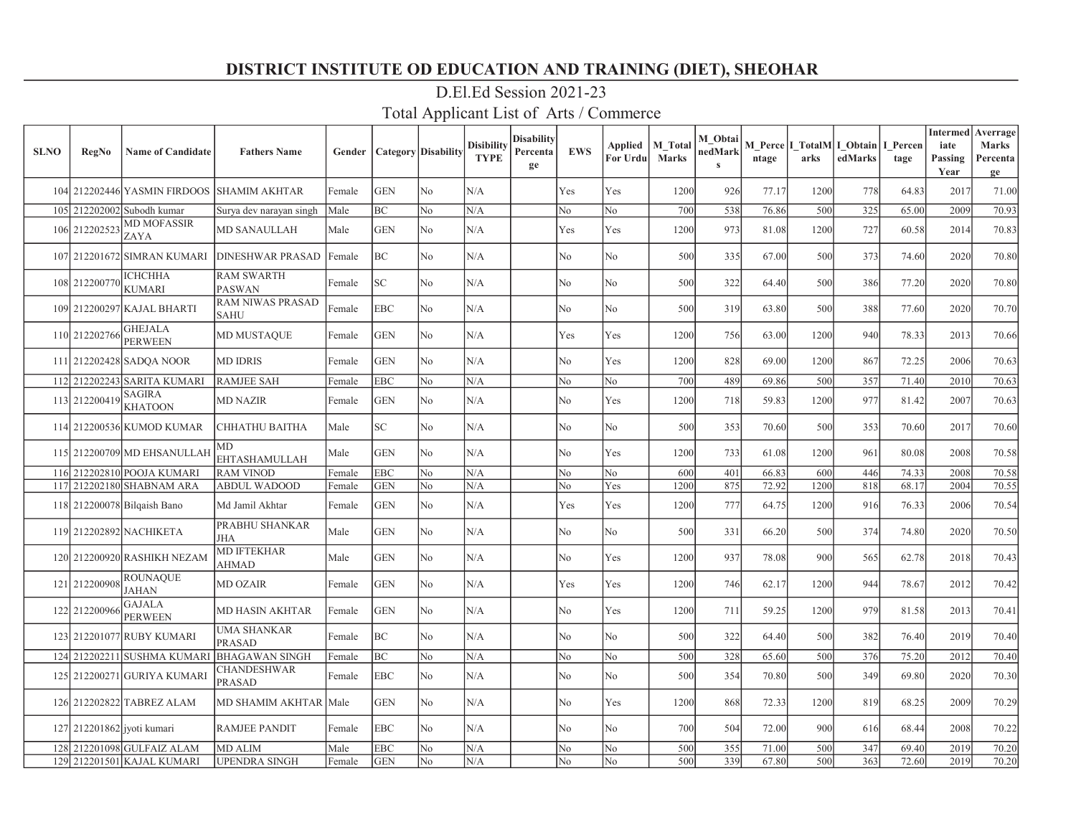| <b>SLNO</b> | <b>RegNo</b>               | <b>Name of Candidate</b>         | <b>Fathers Name</b>                    | Gender | <b>Category</b> Disability |                | <b>Disibility</b><br><b>TYPE</b> | Disabilitv<br>Percenta<br>ge | <b>EWS</b>     | Applied<br>For Urdu | M Total<br><b>Marks</b> | M Obtai<br>nedMark<br>$\mathbf{s}$ | ntage | arks | M Perce   I TotalM   I Obtain  <br>edMarks | I Percen<br>tage | <b>Intermed</b><br>iate<br>Passing<br>Year | Averrage<br>Marks<br>Percenta<br>ge |
|-------------|----------------------------|----------------------------------|----------------------------------------|--------|----------------------------|----------------|----------------------------------|------------------------------|----------------|---------------------|-------------------------|------------------------------------|-------|------|--------------------------------------------|------------------|--------------------------------------------|-------------------------------------|
|             |                            | 104 212202446 YASMIN FIRDOOS     | <b>SHAMIM AKHTAR</b>                   | Female | <b>GEN</b>                 | N <sub>o</sub> | N/A                              |                              | Yes            | Yes                 | 1200                    | 926                                | 77.17 | 1200 | 778                                        | 64.83            | 2017                                       | 71.00                               |
|             |                            | 105 212202002 Subodh kumar       | Surya dev narayan singh                | Male   | BC                         | N <sub>o</sub> | N/A                              |                              | No             | N <sub>o</sub>      | 700                     | 538                                | 76.86 | 500  | 325                                        | 65.00            | 2009                                       | 70.93                               |
|             | 106 212202523              | <b>MD MOFASSIR</b><br>ZAYA       | <b>MD SANAULLAH</b>                    | Male   | <b>GEN</b>                 | No             | N/A                              |                              | Yes            | Yes                 | 1200                    | 973                                | 81.08 | 1200 | 727                                        | 60.58            | 2014                                       | 70.83                               |
|             |                            | 107 212201672 SIMRAN KUMARI      | <b>DINESHWAR PRASAD</b>                | Female | BC                         | N <sub>o</sub> | N/A                              |                              | N <sub>o</sub> | No                  | 500                     | 335                                | 67.00 | 500  | 373                                        | 74.60            | 2020                                       | 70.80                               |
|             | 108 212200770              | <b>ICHCHHA</b><br><b>KUMARI</b>  | <b>RAM SWARTH</b><br><b>PASWAN</b>     | Female | SC.                        | N <sub>o</sub> | N/A                              |                              | No             | No                  | 500                     | 322                                | 64.40 | 500  | 386                                        | 77.20            | 2020                                       | 70.80                               |
|             |                            | 109 212200297 KAJAL BHARTI       | <b>RAM NIWAS PRASAD</b><br><b>SAHU</b> | Female | <b>EBC</b>                 | N <sub>o</sub> | N/A                              |                              | No             | No                  | 500                     | 319                                | 63.80 | 500  | 388                                        | 77.60            | 2020                                       | 70.70                               |
|             | 110 212202766              | <b>GHEJALA</b><br><b>PERWEEN</b> | MD MUSTAQUE                            | Female | <b>GEN</b>                 | No             | N/A                              |                              | Yes            | Yes                 | 1200                    | 756                                | 63.00 | 1200 | 940                                        | 78.33            | 2013                                       | 70.66                               |
|             |                            | 111 212202428 SADOA NOOR         | <b>MD IDRIS</b>                        | Female | <b>GEN</b>                 | No             | N/A                              |                              | No             | Yes                 | 1200                    | 828                                | 69.00 | 1200 | 867                                        | 72.25            | 2006                                       | 70.63                               |
|             |                            | 112 212202243 SARITA KUMARI      | <b>RAMJEE SAH</b>                      | Female | <b>EBC</b>                 | N <sub>o</sub> | N/A                              |                              | No             | No                  | 700                     | 489                                | 69.86 | 500  | 357                                        | 71.40            | 2010                                       | 70.63                               |
|             | 113 212200419              | <b>SAGIRA</b><br><b>KHATOON</b>  | <b>MD NAZIR</b>                        | Female | <b>GEN</b>                 | N <sub>o</sub> | N/A                              |                              | No             | Yes                 | 1200                    | 718                                | 59.83 | 1200 | 977                                        | 81.42            | 2007                                       | 70.63                               |
|             |                            | 114 212200536 KUMOD KUMAR        | <b>CHHATHU BAITHA</b>                  | Male   | SC                         | N <sub>o</sub> | N/A                              |                              | No             | No                  | 500                     | 353                                | 70.60 | 500  | 353                                        | 70.60            | 2017                                       | 70.60                               |
|             |                            | 115 212200709 MD EHSANULLAH      | МD<br><b>EHTASHAMULLAH</b>             | Male   | <b>GEN</b>                 | N <sub>o</sub> | N/A                              |                              | No             | Yes                 | 1200                    | 733                                | 61.08 | 1200 | 961                                        | 80.08            | 2008                                       | 70.58                               |
|             |                            | 116 212202810 POOJA KUMARI       | <b>RAM VINOD</b>                       | Female | EBC                        | No             | N/A                              |                              | No             | No                  | 600                     | 401                                | 66.83 | 600  | 446                                        | 74.33            | 2008                                       | 70.58                               |
|             |                            | 117 212202180 SHABNAM ARA        | ABDUL WADOOD                           | Female | <b>GEN</b>                 | No             | N/A                              |                              | No             | Yes                 | 1200                    | 875                                | 72.92 | 1200 | 818                                        | 68.17            | 2004                                       | 70.55                               |
|             |                            | 118 212200078 Bilgaish Bano      | Md Jamil Akhtar                        | Female | <b>GEN</b>                 | No             | N/A                              |                              | Yes            | Yes                 | 1200                    | 777                                | 64.75 | 1200 | 916                                        | 76.33            | 2006                                       | 70.54                               |
|             |                            | 119 212202892 NACHIKETA          | PRABHU SHANKAR<br><b>JHA</b>           | Male   | <b>GEN</b>                 | No             | N/A                              |                              | No             | No                  | 500                     | 331                                | 66.20 | 500  | 374                                        | 74.80            | 2020                                       | 70.50                               |
|             |                            | 120 212200920 RASHIKH NEZAM      | <b>MD IFTEKHAR</b><br><b>AHMAD</b>     | Male   | <b>GEN</b>                 | N <sub>o</sub> | N/A                              |                              | N <sub>o</sub> | Yes                 | 1200                    | 937                                | 78.08 | 900  | 565                                        | 62.78            | 2018                                       | 70.43                               |
|             | 121 212200908              | <b>ROUNAQUE</b><br><b>JAHAN</b>  | <b>MD OZAIR</b>                        | Female | <b>GEN</b>                 | N <sub>o</sub> | N/A                              |                              | Yes            | Yes                 | 1200                    | 746                                | 62.17 | 1200 | 944                                        | 78.67            | 2012                                       | 70.42                               |
|             | 122 212200966              | <b>GAJALA</b><br><b>PERWEEN</b>  | MD HASIN AKHTAR                        | Female | <b>GEN</b>                 | N <sub>o</sub> | N/A                              |                              | N <sub>o</sub> | Yes                 | 1200                    | 711                                | 59.25 | 1200 | 979                                        | 81.58            | 2013                                       | 70.41                               |
|             |                            | 123 212201077 RUBY KUMARI        | <b>UMA SHANKAR</b><br>PRASAD           | Female | ВC                         | N <sub>o</sub> | N/A                              |                              | No             | No                  | 500                     | 322                                | 64.40 | 500  | 382                                        | 76.40            | 2019                                       | 70.40                               |
|             |                            | 124 212202211 SUSHMA KUMARI      | <b>BHAGAWAN SINGH</b>                  | Female | BC                         | No             | N/A                              |                              | No             | No                  | 500                     | 328                                | 65.60 | 500  | 376                                        | 75.20            | 2012                                       | 70.40                               |
|             |                            | 125 212200271 GURIYA KUMARI      | CHANDESHWAR<br>PRASAD                  | Female | EBC                        | N <sub>o</sub> | N/A                              |                              | No             | No                  | 500                     | 354                                | 70.80 | 500  | 349                                        | 69.80            | 2020                                       | 70.30                               |
|             |                            | 126 212202822 TABREZ ALAM        | <b>MD SHAMIM AKHTAR</b>                | Male   | <b>GEN</b>                 | No             | N/A                              |                              | N <sub>o</sub> | Yes                 | 1200                    | 868                                | 72.33 | 1200 | 819                                        | 68.25            | 2009                                       | 70.29                               |
|             | 127 212201862 jyoti kumari |                                  | <b>RAMJEE PANDIT</b>                   | Female | <b>EBC</b>                 | No             | N/A                              |                              | N <sub>o</sub> | No                  | 700                     | 504                                | 72.00 | 900  | 616                                        | 68.44            | 2008                                       | 70.22                               |
|             |                            | 128 212201098 GULFAIZ ALAM       | <b>MD ALIM</b>                         | Male   | <b>EBC</b>                 | No             | N/A                              |                              | No             | N <sub>o</sub>      | 500                     | 355                                | 71.00 | 500  | 347                                        | 69.40            | 2019                                       | 70.20                               |
|             |                            | 129 212201501 KAJAL KUMARI       | <b>UPENDRA SINGH</b>                   | Female | <b>GEN</b>                 | No             | N/A                              |                              | No             | No                  | 500                     | 339                                | 67.80 | 500  | 363                                        | 72.60            | 2019                                       | 70.20                               |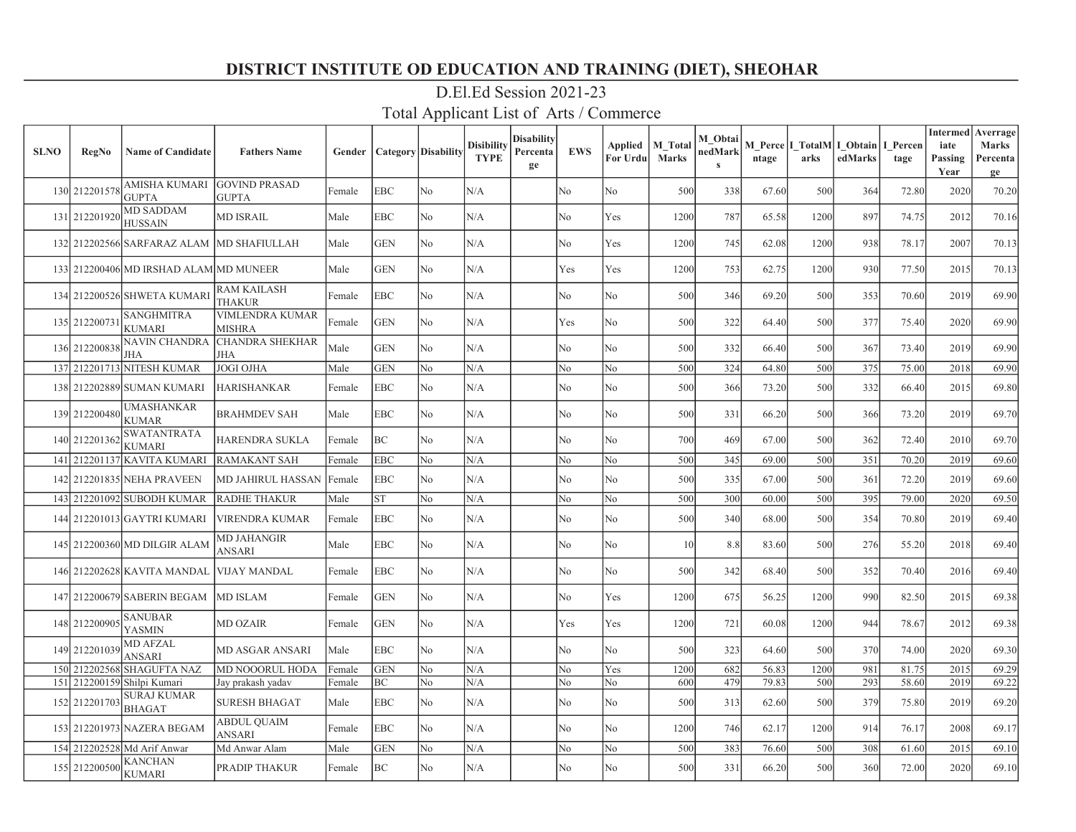| <b>SLNO</b> | <b>RegNo</b>  | <b>Name of Candidate</b>                  | <b>Fathers Name</b>                     | Gender |            | Category   Disability | <b>Disibility</b><br><b>TYPE</b> | <b>Disability</b><br>Percenta<br>ge | <b>EWS</b>     | Applied<br>For Urdu | M Total<br><b>Marks</b> | M Obtai<br>nedMark<br>$\mathbf{s}$ | ntage | arks | M Perce   I TotalM  I Obtain<br>edMarks | I Percen<br>tage | iate<br>Passing<br>Year | <b>Intermed</b> Averrage<br><b>Marks</b><br>Percenta<br>ge |
|-------------|---------------|-------------------------------------------|-----------------------------------------|--------|------------|-----------------------|----------------------------------|-------------------------------------|----------------|---------------------|-------------------------|------------------------------------|-------|------|-----------------------------------------|------------------|-------------------------|------------------------------------------------------------|
|             | 130 212201578 | <b>AMISHA KUMARI</b><br><b>GUPTA</b>      | <b>GOVIND PRASAD</b><br><b>GUPTA</b>    | Female | <b>EBC</b> | No                    | N/A                              |                                     | No             | No                  | 500                     | 338                                | 67.60 | 500  | 364                                     | 72.80            | 2020                    | 70.20                                                      |
|             | 131 212201920 | <b>MD SADDAM</b><br><b>HUSSAIN</b>        | <b>MD ISRAIL</b>                        | Male   | <b>EBC</b> | No                    | N/A                              |                                     | N <sub>o</sub> | Yes                 | 1200                    | 787                                | 65.58 | 1200 | 897                                     | 74.75            | 2012                    | 70.16                                                      |
|             |               | 132 212202566 SARFARAZ ALAM MD SHAFIULLAH |                                         | Male   | <b>GEN</b> | No                    | N/A                              |                                     | No             | Yes                 | 1200                    | 745                                | 62.08 | 1200 | 938                                     | 78.17            | 2007                    | 70.13                                                      |
|             |               | 133 212200406 MD IRSHAD ALAM MD MUNEER    |                                         | Male   | <b>GEN</b> | No                    | N/A                              |                                     | Yes            | Yes                 | 1200                    | 753                                | 62.75 | 1200 | 930                                     | 77.50            | 2015                    | 70.13                                                      |
|             |               | 134 212200526 SHWETA KUMARI               | <b>RAM KAILASH</b><br><b>THAKUR</b>     | Female | <b>EBC</b> | No                    | N/A                              |                                     | N <sub>o</sub> | No                  | 500                     | 346                                | 69.20 | 500  | 353                                     | 70.60            | 2019                    | 69.90                                                      |
|             | 135 212200731 | <b>SANGHMITRA</b><br>KUMARI               | <b>VIMLENDRA KUMAR</b><br><b>MISHRA</b> | Female | <b>GEN</b> | No                    | N/A                              |                                     | Yes            | No                  | 500                     | 322                                | 64.40 | 500  | 377                                     | 75.40            | 2020                    | 69.90                                                      |
|             | 136 212200838 | NAVIN CHANDRA<br>JHA                      | <b>CHANDRA SHEKHAR</b><br>JHA           | Male   | <b>GEN</b> | No                    | N/A                              |                                     | No             | No                  | 500                     | 332                                | 66.40 | 500  | 367                                     | 73.40            | 2019                    | 69.90                                                      |
|             |               | 137 212201713 NITESH KUMAR                | <b>JOGI OJHA</b>                        | Male   | <b>GEN</b> | No                    | N/A                              |                                     | No             | No                  | 500                     | 324                                | 64.80 | 500  | 375                                     | 75.00            | 2018                    | 69.90                                                      |
|             |               | 138 212202889 SUMAN KUMARI                | <b>HARISHANKAR</b>                      | Female | <b>EBC</b> | No                    | N/A                              |                                     | No             | No                  | 500                     | 366                                | 73.20 | 500  | 332                                     | 66.40            | 2015                    | 69.80                                                      |
|             | 139 212200480 | <b>UMASHANKAR</b><br><b>KUMAR</b>         | <b>BRAHMDEV SAH</b>                     | Male   | <b>EBC</b> | No                    | N/A                              |                                     | No             | No                  | 500                     | 331                                | 66.20 | 500  | 366                                     | 73.20            | 2019                    | 69.70                                                      |
|             | 140 212201362 | <b>SWATANTRATA</b><br>KUMARI              | HARENDRA SUKLA                          | Female | BC         | No                    | N/A                              |                                     | No             | No                  | 700                     | 469                                | 67.00 | 500  | 362                                     | 72.40            | 2010                    | 69.70                                                      |
|             |               | 141 212201137 KAVITA KUMARI               | RAMAKANT SAH                            | Female | <b>EBC</b> | No                    | N/A                              |                                     | No             | No                  | 500                     | 345                                | 69.00 | 500  | 351                                     | 70.20            | 2019                    | 69.60                                                      |
|             |               | 142 212201835 NEHA PRAVEEN                | MD JAHIRUL HASSAN                       | Female | <b>EBC</b> | No                    | N/A                              |                                     | No             | No                  | 500                     | 335                                | 67.00 | 500  | 361                                     | 72.20            | 2019                    | 69.60                                                      |
|             |               | 143 212201092 SUBODH KUMAR                | <b>RADHE THAKUR</b>                     | Male   | <b>ST</b>  | No                    | N/A                              |                                     | No             | No                  | 500                     | 300                                | 60.00 | 500  | 395                                     | 79.00            | 2020                    | 69.50                                                      |
|             |               | 144 212201013 GAYTRI KUMARI               | <b>VIRENDRA KUMAR</b>                   | Female | <b>EBC</b> | No                    | N/A                              |                                     | No             | No                  | 500                     | 340                                | 68.00 | 500  | 354                                     | 70.80            | 2019                    | 69.40                                                      |
|             |               | 145 212200360 MD DILGIR ALAM              | MD JAHANGIR<br><b>ANSARI</b>            | Male   | <b>EBC</b> | No                    | N/A                              |                                     | No             | No                  | 10                      | 8.8                                | 83.60 | 500  | 276                                     | 55.20            | 2018                    | 69.40                                                      |
|             |               | 146 212202628 KAVITA MANDAL               | <b>VIJAY MANDAL</b>                     | Female | <b>EBC</b> | No                    | N/A                              |                                     | No             | No                  | 500                     | 342                                | 68.40 | 500  | 352                                     | 70.40            | 2016                    | 69.40                                                      |
|             |               | 147 212200679 SABERIN BEGAM               | <b>MD ISLAM</b>                         | Female | <b>GEN</b> | No.                   | N/A                              |                                     | No             | Yes                 | 1200                    | 675                                | 56.25 | 1200 | 990                                     | 82.50            | 2015                    | 69.38                                                      |
|             | 148 21220090: | <b>SANUBAR</b><br>YASMIN                  | <b>MD OZAIR</b>                         | Female | <b>GEN</b> | No                    | N/A                              |                                     | Yes            | Yes                 | 1200                    | 721                                | 60.08 | 1200 | 944                                     | 78.67            | 2012                    | 69.38                                                      |
|             | 149 212201039 | <b>MD AFZAL</b><br>ANSARI                 | MD ASGAR ANSARI                         | Male   | <b>EBC</b> | No                    | N/A                              |                                     | No             | No                  | 500                     | 323                                | 64.60 | 500  | 370                                     | 74.00            | 2020                    | 69.30                                                      |
|             | 150 212202568 | <b>SHAGUFTA NAZ</b>                       | <b>MD NOOORUL HODA</b>                  | Female | <b>GEN</b> | No                    | N/A                              |                                     | No             | Yes                 | 1200                    | 682                                | 56.83 | 1200 | 981                                     | 81.75            | 2015                    | 69.29                                                      |
|             |               | 151 212200159 Shilpi Kumari               | Jay prakash yadav                       | Female | BC         | No                    | N/A                              |                                     | No             | No                  | 600                     | 479                                | 79.83 | 500  | 293                                     | 58.60            | 2019                    | 69.22                                                      |
|             | 152 212201703 | <b>SURAJ KUMAR</b><br><b>BHAGAT</b>       | <b>SURESH BHAGAT</b>                    | Male   | <b>EBC</b> | No                    | N/A                              |                                     | No             | No                  | 500                     | 313                                | 62.60 | 500  | 379                                     | 75.80            | 2019                    | 69.20                                                      |
|             |               | 153 212201973 NAZERA BEGAM                | <b>ABDUL QUAIM</b><br>ANSARI            | Female | <b>EBC</b> | No                    | N/A                              |                                     | No             | No                  | 1200                    | 746                                | 62.17 | 1200 | 914                                     | 76.17            | 2008                    | 69.17                                                      |
|             |               | 154 212202528 Md Arif Anwar               | Md Anwar Alam                           | Male   | <b>GEN</b> | No                    | N/A                              |                                     | No             | No                  | 500                     | 383                                | 76.60 | 500  | 308                                     | 61.60            | 2015                    | 69.10                                                      |
|             | 155 212200500 | KANCHAN<br><b>KUMARI</b>                  | PRADIP THAKUR                           | Female | BC         | No                    | N/A                              |                                     | No             | No                  | 500                     | 331                                | 66.20 | 500  | 360                                     | 72.00            | 2020                    | 69.10                                                      |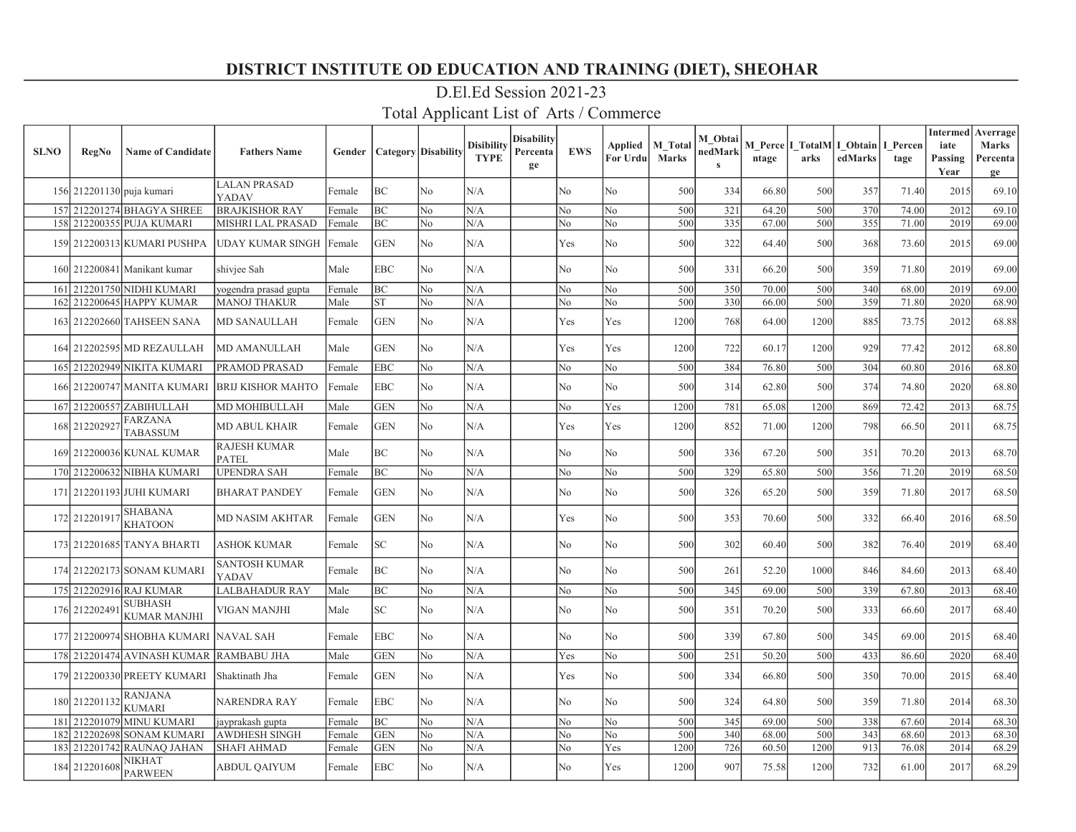| <b>SLNO</b> | <b>RegNo</b>              | <b>Name of Candidate</b>              | <b>Fathers Name</b>                 | Gender |                 | <b>Category Disability</b> | <b>Disibility</b><br><b>TYPE</b> | <b>Disability</b><br>Percenta<br>ge | <b>EWS</b>     | Applied<br>For Urdu | M Total<br><b>Marks</b> | M Obtai<br>nedMark<br>$\mathbf{s}$ | ntage | arks | M Perce I TotalM I Obtain<br>edMarks | I Percen<br>tage | iate<br>Passing<br>Year | <b>Intermed</b> Averrage<br><b>Marks</b><br>Percenta<br>ge |
|-------------|---------------------------|---------------------------------------|-------------------------------------|--------|-----------------|----------------------------|----------------------------------|-------------------------------------|----------------|---------------------|-------------------------|------------------------------------|-------|------|--------------------------------------|------------------|-------------------------|------------------------------------------------------------|
|             | 156 212201130 puja kumari |                                       | <b>LALAN PRASAD</b><br>YADAV        | Female | BC              | No.                        | N/A                              |                                     | No             | No                  | 500                     | 334                                | 66.80 | 500  | 357                                  | 71.40            | 2015                    | 69.10                                                      |
|             |                           | 157 212201274 BHAGYA SHREE            | <b>BRAJKISHOR RAY</b>               | Female | <b>BC</b>       | N <sub>0</sub>             | N/A                              |                                     | No             | No                  | 500                     | 321                                | 64.20 | 500  | 370                                  | 74.00            | 2012                    | 69.10                                                      |
|             |                           | 158 212200355 PUJA KUMARI             | <b>MISHRI LAL PRASAD</b>            | Female | BC              | No                         | N/A                              |                                     | No             | No                  | 500                     | 335                                | 67.00 | 500  | 355                                  | 71.00            | 2019                    | 69.00                                                      |
|             |                           | 159 212200313 KUMARI PUSHPA           | UDAY KUMAR SINGH                    | Female | <b>GEN</b>      | No                         | N/A                              |                                     | Yes            | No                  | 500                     | 322                                | 64.40 | 500  | 368                                  | 73.60            | 2015                    | 69.00                                                      |
|             |                           | 160 212200841 Manikant kumar          | shivjee Sah                         | Male   | <b>EBC</b>      | No                         | N/A                              |                                     | No             | No                  | 500                     | 331                                | 66.20 | 500  | 359                                  | 71.80            | 2019                    | 69.00                                                      |
|             |                           | 161 212201750 NIDHI KUMARI            | yogendra prasad gupta               | Female | BС              | N <sub>o</sub>             | N/A                              |                                     | No             | No                  | 500                     | 350                                | 70.00 | 500  | 340                                  | 68.00            | 2019                    | 69.00                                                      |
|             |                           | 162 212200645 HAPPY KUMAR             | <b>MANOJ THAKUR</b>                 | Male   | ST              | No                         | N/A                              |                                     | No             | No                  | 500                     | 330                                | 66.00 | 500  | 359                                  | 71.80            | 2020                    | 68.90                                                      |
|             |                           | 163 212202660 TAHSEEN SANA            | <b>MD SANAULLAH</b>                 | Female | <b>GEN</b>      | No                         | N/A                              |                                     | Yes            | Yes                 | 1200                    | 768                                | 64.00 | 1200 | 885                                  | 73.75            | 2012                    | 68.88                                                      |
|             |                           | 164 212202595 MD REZAULLAH            | <b>MD AMANULLAH</b>                 | Male   | <b>GEN</b>      | No                         | N/A                              |                                     | Yes            | Yes                 | 1200                    | 722                                | 60.17 | 1200 | 929                                  | 77.42            | 2012                    | 68.80                                                      |
|             |                           | 165 212202949 NIKITA KUMARI           | PRAMOD PRASAD                       | Female | <b>EBC</b>      | No                         | N/A                              |                                     | N <sub>o</sub> | No                  | 500                     | 384                                | 76.80 | 500  | 304                                  | 60.80            | 2016                    | 68.80                                                      |
|             |                           | 166 212200747 MANITA KUMARI           | <b>BRIJ KISHOR MAHTO</b>            | Female | <b>EBC</b>      | No                         | N/A                              |                                     | No             | No                  | 500                     | 314                                | 62.80 | 500  | 374                                  | 74.80            | 2020                    | 68.80                                                      |
|             |                           | 167 212200557 ZABIHULLAH              | MD MOHIBULLAH                       | Male   | <b>GEN</b>      | No                         | N/A                              |                                     | No             | Yes                 | 1200                    | 781                                | 65.08 | 1200 | 869                                  | 72.42            | 2013                    | 68.75                                                      |
|             | 168 212202927             | FARZANA<br>TABASSUM                   | <b>MD ABUL KHAIR</b>                | Female | <b>GEN</b>      | No                         | N/A                              |                                     | Yes            | Yes                 | 1200                    | 852                                | 71.00 | 1200 | 798                                  | 66.50            | 2011                    | 68.75                                                      |
|             |                           | 169 212200036 KUNAL KUMAR             | <b>RAJESH KUMAR</b><br><b>PATEL</b> | Male   | BС              | No                         | N/A                              |                                     | No             | No                  | 500                     | 336                                | 67.20 | 500  | 351                                  | 70.20            | 2013                    | 68.70                                                      |
|             |                           | 170 212200632 NIBHA KUMARI            | <b>UPENDRA SAH</b>                  | Female | ВC              | No                         | N/A                              |                                     | No             | No                  | 500                     | 329                                | 65.80 | 500  | 356                                  | 71.20            | 2019                    | 68.50                                                      |
|             |                           | 171 212201193 JUHI KUMARI             | <b>BHARAT PANDEY</b>                | Female | <b>GEN</b>      | N <sub>0</sub>             | N/A                              |                                     | No             | No                  | 500                     | 326                                | 65.20 | 500  | 359                                  | 71.80            | 2017                    | 68.50                                                      |
|             | 172 212201917             | <b>SHABANA</b><br><b>KHATOON</b>      | <b>MD NASIM AKHTAR</b>              | Female | <b>GEN</b>      | No                         | N/A                              |                                     | Yes            | No                  | 500                     | 353                                | 70.60 | 500  | 332                                  | 66.40            | 2016                    | 68.50                                                      |
|             |                           | 173 212201685 TANYA BHARTI            | <b>ASHOK KUMAR</b>                  | Female | SC <sub>1</sub> | No                         | N/A                              |                                     | N <sub>o</sub> | No                  | 500                     | 302                                | 60.40 | 500  | 382                                  | 76.40            | 2019                    | 68.40                                                      |
|             |                           | 174 212202173 SONAM KUMARI            | <b>SANTOSH KUMAR</b><br>YADAV       | Female | ВC              | N <sub>o</sub>             | N/A                              |                                     | No             | No                  | 500                     | 261                                | 52.20 | 1000 | 846                                  | 84.60            | 2013                    | 68.40                                                      |
|             |                           | 175 212202916 RAJ KUMAR               | <b>LALBAHADUR RAY</b>               | Male   | ВC              | No                         | N/A                              |                                     | No             | No                  | 500                     | 345                                | 69.00 | 500  | 339                                  | 67.80            | 2013                    | 68.40                                                      |
|             | 176 212202491             | SUBHASH<br>KUMAR MANJHI               | VIGAN MANJHI                        | Male   | SC              | No                         | N/A                              |                                     | No             | No                  | 500                     | 351                                | 70.20 | 500  | 333                                  | 66.60            | 2017                    | 68.40                                                      |
|             |                           | 177 212200974 SHOBHA KUMARI NAVAL SAH |                                     | Female | <b>EBC</b>      | No                         | N/A                              |                                     | N <sub>o</sub> | No                  | 500                     | 339                                | 67.80 | 500  | 345                                  | 69.00            | 2015                    | 68.40                                                      |
|             |                           | 178 212201474 AVINASH KUMAR           | <b>RAMBABU JHA</b>                  | Male   | <b>GEN</b>      | No                         | N/A                              |                                     | Yes            | No                  | 500                     | 251                                | 50.20 | 500  | 433                                  | 86.60            | 2020                    | 68.40                                                      |
|             |                           | 179 212200330 PREETY KUMARI           | Shaktinath Jha                      | Female | <b>GEN</b>      | No                         | N/A                              |                                     | Yes            | No                  | 500                     | 334                                | 66.80 | 500  | 350                                  | 70.00            | 2015                    | 68.40                                                      |
|             | 180 212201132             | RANJANA<br>KUMARI                     | <b>NARENDRA RAY</b>                 | Female | <b>EBC</b>      | No                         | N/A                              |                                     | No             | No                  | 500                     | 324                                | 64.80 | 500  | 359                                  | 71.80            | 2014                    | 68.30                                                      |
|             | 181 212201079             | <b>MINU KUMARI</b>                    | jayprakash gupta                    | Female | ВC              | N <sub>o</sub>             | N/A                              |                                     | No             | No                  | 500                     | 345                                | 69.00 | 500  | 338                                  | 67.60            | 2014                    | 68.30                                                      |
|             | 182 212202698             | <b>SONAM KUMARI</b>                   | <b>AWDHESH SINGH</b>                | Female | <b>GEN</b>      | No                         | N/A                              |                                     | No             | No                  | 500                     | 340                                | 68.00 | 500  | 343                                  | 68.60            | 2013                    | 68.30                                                      |
|             | 183 21220 1742            | RAUNAO JAHAN                          | <b>SHAFI AHMAD</b>                  | Female | <b>GEN</b>      | No                         | N/A                              |                                     | No             | Yes                 | 1200                    | 726                                | 60.50 | 1200 | 913                                  | 76.08            | 2014                    | 68.29                                                      |
|             | 184 212201608             | NIKHAT<br>PARWEEN                     | <b>ABDUL QAIYUM</b>                 | Female | <b>EBC</b>      | N <sub>0</sub>             | N/A                              |                                     | No             | <b>Yes</b>          | 1200                    | 907                                | 75.58 | 1200 | 732                                  | 61.00            | 2017                    | 68.29                                                      |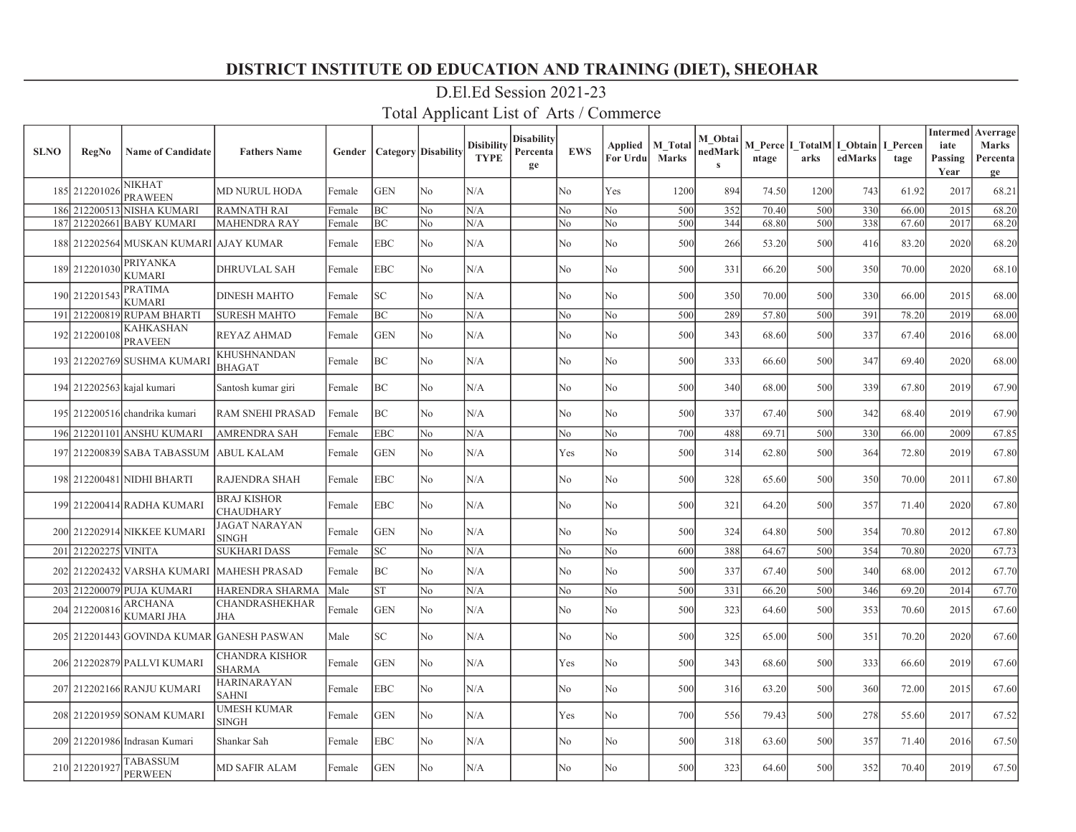| <b>SLNO</b> | <b>RegNo</b>         | <b>Name of Candidate</b>            | <b>Fathers Name</b>                 | Gender |            | <b>Category Disability</b> | <b>Disibility</b><br><b>TYPE</b> | <b>Disability</b><br>Percenta<br>ge | <b>EWS</b>     | Applied<br>For Urdu | <b>M</b> Total<br><b>Marks</b> | M Obtai<br>nedMark<br>$\mathbf{s}$ | ntage | arks | M Perce   I TotalM   I Obtain  <br>edMarks | I Percen<br>tage | <b>Intermed</b><br>iate<br>Passing<br>Year | Averrage<br><b>Marks</b><br>Percenta<br>ge |
|-------------|----------------------|-------------------------------------|-------------------------------------|--------|------------|----------------------------|----------------------------------|-------------------------------------|----------------|---------------------|--------------------------------|------------------------------------|-------|------|--------------------------------------------|------------------|--------------------------------------------|--------------------------------------------|
|             | 185 212201026        | <b>NIKHAT</b><br><b>PRAWEEN</b>     | <b>MD NURUL HODA</b>                | Female | <b>GEN</b> | N <sub>o</sub>             | N/A                              |                                     | No             | Yes                 | 1200                           | 894                                | 74.50 | 1200 | 743                                        | 61.92            | 2017                                       | 68.21                                      |
|             |                      | 186 212200513 NISHA KUMARI          | <b>RAMNATH RAI</b>                  | Female | BС         | N <sub>o</sub>             | N/A                              |                                     | No             | N <sub>o</sub>      | 500                            | 352                                | 70.40 | 500  | 330                                        | 66.00            | 2015                                       | 68.20                                      |
| 187         |                      | 212202661 BABY KUMARI               | <b>MAHENDRA RAY</b>                 | Female | BС         | N <sub>o</sub>             | N/A                              |                                     | No             | N <sub>o</sub>      | 500                            | 344                                | 68.80 | 500  | 338                                        | 67.60            | 2017                                       | 68.20                                      |
|             |                      | 188 212202564 MUSKAN KUMARI         | <b>AJAY KUMAR</b>                   | Female | EBC        | No                         | N/A                              |                                     | No             | No                  | 500                            | 266                                | 53.20 | 500  | 416                                        | 83.20            | 2020                                       | 68.20                                      |
|             | 189 212201030        | <b>PRIYANKA</b><br><b>KUMARI</b>    | <b>DHRUVLAL SAH</b>                 | Female | EBC        | No                         | N/A                              |                                     | No             | No                  | 500                            | 331                                | 66.20 | 500  | 350                                        | 70.00            | 2020                                       | 68.10                                      |
|             | 190 212201543        | <b>PRATIMA</b><br><b>KUMARI</b>     | <b>DINESH MAHTO</b>                 | Female | SC         | No                         | N/A                              |                                     | No             | No                  | 500                            | 350                                | 70.00 | 500  | 330                                        | 66.00            | 2015                                       | 68.00                                      |
|             |                      | 191 212200819 RUPAM BHARTI          | <b>SURESH MAHTO</b>                 | Female | ВC         | No                         | N/A                              |                                     | No             | No                  | 500                            | 289                                | 57.80 | 500  | 391                                        | 78.20            | 2019                                       | 68.00                                      |
|             | 192 212200108        | <b>KAHKASHAN</b><br><b>PRAVEEN</b>  | <b>REYAZ AHMAD</b>                  | Female | <b>GEN</b> | No                         | N/A                              |                                     | No             | No                  | 500                            | 343                                | 68.60 | 500  | 337                                        | 67.40            | 2016                                       | 68.00                                      |
|             |                      | 193 212202769 SUSHMA KUMARI         | KHUSHNANDAN<br><b>BHAGAT</b>        | Female | BC         | N <sub>o</sub>             | N/A                              |                                     | No             | No                  | 500                            | 333                                | 66.60 | 500  | 347                                        | 69.40            | 2020                                       | 68.00                                      |
|             |                      | 194 212202563 kajal kumari          | Santosh kumar giri                  | Female | BC         | N <sub>o</sub>             | N/A                              |                                     | No             | No                  | 500                            | 340                                | 68.00 | 500  | 339                                        | 67.80            | 2019                                       | 67.90                                      |
|             |                      | 195 212200516 chandrika kumari      | RAM SNEHI PRASAD                    | Female | BC         | N <sub>o</sub>             | N/A                              |                                     | No             | No                  | 500                            | 337                                | 67.40 | 500  | 342                                        | 68.40            | 2019                                       | 67.90                                      |
|             |                      | 196 212201101 ANSHU KUMARI          | AMRENDRA SAH                        | Female | <b>EBC</b> | No                         | N/A                              |                                     | No             | No                  | 700                            | 488                                | 69.71 | 500  | 330                                        | 66.00            | 2009                                       | 67.85                                      |
|             |                      | 197 212200839 SABA TABASSUM         | <b>ABUL KALAM</b>                   | Female | <b>GEN</b> | No                         | N/A                              |                                     | Yes            | No                  | 500                            | 314                                | 62.80 | 500  | 364                                        | 72.80            | 2019                                       | 67.80                                      |
|             |                      | 198 212200481 NIDHI BHARTI          | <b>RAJENDRA SHAH</b>                | Female | <b>EBC</b> | No                         | N/A                              |                                     | No             | No                  | 500                            | 328                                | 65.60 | 500  | 350                                        | 70.00            | 2011                                       | 67.80                                      |
|             |                      | 199 212200414 RADHA KUMARI          | <b>BRAJ KISHOR</b><br>CHAUDHARY     | Female | <b>EBC</b> | N <sub>o</sub>             | N/A                              |                                     | No             | No                  | 500                            | 321                                | 64.20 | 500  | 357                                        | 71.40            | 2020                                       | 67.80                                      |
|             |                      | 200 212202914 NIKKEE KUMARI         | <b>AGAT NARAYAN</b><br><b>SINGH</b> | Female | <b>GEN</b> | N <sub>o</sub>             | N/A                              |                                     | No             | N <sub>o</sub>      | 500                            | 324                                | 64.80 | 500  | 354                                        | 70.80            | 2012                                       | 67.80                                      |
|             | 201 212202275 VINITA |                                     | <b>SUKHARI DASS</b>                 | Female | SC         | No                         | N/A                              |                                     | No             | No                  | 600                            | 388                                | 64.67 | 500  | 354                                        | 70.80            | 2020                                       | 67.73                                      |
|             |                      | 202 212202432 VARSHA KUMARI         | <b>MAHESH PRASAD</b>                | Female | ВC         | No                         | N/A                              |                                     | No             | No                  | 500                            | 337                                | 67.40 | 500  | 340                                        | 68.00            | 2012                                       | 67.70                                      |
|             |                      | 203 212200079 PUJA KUMARI           | <b>HARENDRA SHARMA</b>              | Male   | ST         | No                         | N/A                              |                                     | No             | No                  | 500                            | 331                                | 66.20 | 500  | 346                                        | 69.20            | 2014                                       | 67.70                                      |
|             | 204 212200816        | <b>ARCHANA</b><br><b>KUMARI JHA</b> | <b>CHANDRASHEKHAR</b><br><b>JHA</b> | Female | <b>GEN</b> | No                         | N/A                              |                                     | No             | No                  | 500                            | 323                                | 64.60 | 500  | 353                                        | 70.60            | 2015                                       | 67.60                                      |
|             |                      | 205 212201443 GOVINDA KUMAR         | <b>GANESH PASWAN</b>                | Male   | SC         | N <sub>o</sub>             | N/A                              |                                     | N <sub>o</sub> | No                  | 500                            | 325                                | 65.00 | 500  | 351                                        | 70.20            | 2020                                       | 67.60                                      |
|             |                      | 206 212202879 PALLVI KUMARI         | CHANDRA KISHOR<br>SHARMA            | Female | <b>GEN</b> | N <sub>o</sub>             | N/A                              |                                     | Yes            | No                  | 500                            | 343                                | 68.60 | 500  | 333                                        | 66.60            | 2019                                       | 67.60                                      |
|             |                      | 207 212202166 RANJU KUMARI          | HARINARAYAN<br><b>SAHNI</b>         | Female | EBC        | N <sub>o</sub>             | N/A                              |                                     | No             | No                  | 500                            | 316                                | 63.20 | 500  | 360                                        | 72.00            | 2015                                       | 67.60                                      |
|             |                      | 208 212201959 SONAM KUMARI          | UMESH KUMAR<br><b>SINGH</b>         | Female | <b>GEN</b> | N <sub>o</sub>             | N/A                              |                                     | Yes            | No                  | 700                            | 556                                | 79.43 | 500  | 278                                        | 55.60            | 2017                                       | 67.52                                      |
|             |                      | 209 212201986 Indrasan Kumari       | Shankar Sah                         | Female | EBC        | No                         | N/A                              |                                     | No             | No                  | 500                            | 318                                | 63.60 | 500  | 357                                        | 71.40            | 2016                                       | 67.50                                      |
|             | 210 212201927        | <b>TABASSUM</b><br><b>PERWEEN</b>   | <b>MD SAFIR ALAM</b>                | Female | <b>GEN</b> | N <sub>0</sub>             | N/A                              |                                     | No             | No                  | 500                            | 323                                | 64.60 | 500  | 352                                        | 70.40            | 2019                                       | 67.50                                      |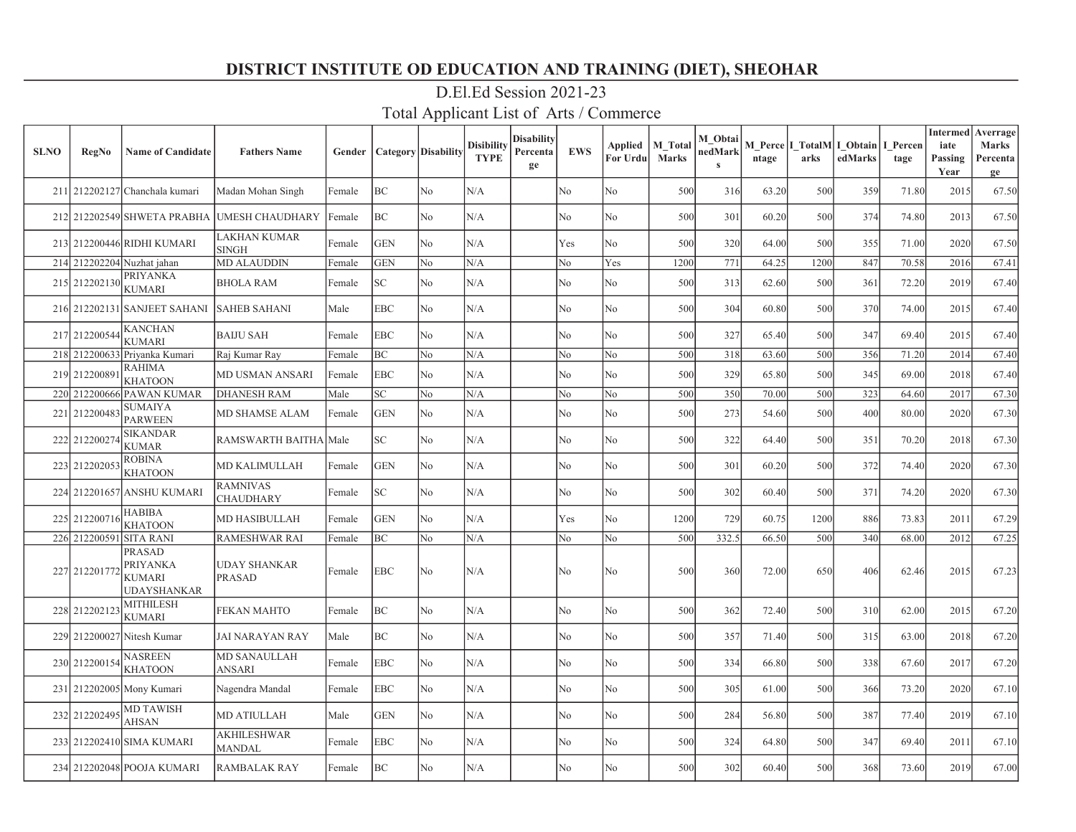| <b>SLNO</b> | <b>RegNo</b>            | <b>Name of Candidate</b>                                                | <b>Fathers Name</b>                  | Gender |            | <b>Category</b> Disability | <b>Disibility</b><br><b>TYPE</b> | <b>Disability</b><br>Percenta<br>ge | <b>EWS</b>     | Applied<br>For Urdu | M Total<br><b>Marks</b> | M Obtai<br>nedMark<br>$\mathbf{s}$ | ntage | arks | M Perce   I TotalM   I_Obtain<br>edMarks | I Percen<br>tage | <b>Intermed</b><br>iate<br>Passing<br>Year | Averrage<br><b>Marks</b><br>Percenta<br>ge |
|-------------|-------------------------|-------------------------------------------------------------------------|--------------------------------------|--------|------------|----------------------------|----------------------------------|-------------------------------------|----------------|---------------------|-------------------------|------------------------------------|-------|------|------------------------------------------|------------------|--------------------------------------------|--------------------------------------------|
|             |                         | 211 212202127 Chanchala kumari                                          | Madan Mohan Singh                    | Female | ВC         | No                         | N/A                              |                                     | No             | No                  | 500                     | 316                                | 63.20 | 500  | 359                                      | 71.80            | 2015                                       | 67.50                                      |
|             |                         | 212 212202549 SHWETA PRABHA                                             | <b>UMESH CHAUDHARY</b>               | Female | ВC         | No                         | N/A                              |                                     | No             | No                  | 500                     | 301                                | 60.20 | 500  | 374                                      | 74.80            | 2013                                       | 67.50                                      |
|             |                         | 213 212200446 RIDHI KUMARI                                              | LAKHAN KUMAR<br>SINGH                | Female | <b>GEN</b> | No                         | N/A                              |                                     | Yes            | No                  | 500                     | 320                                | 64.00 | 500  | 355                                      | 71.00            | 2020                                       | 67.50                                      |
|             |                         | 214 212202204 Nuzhat jahan                                              | <b>MD ALAUDDIN</b>                   | Female | <b>GEN</b> | No                         | N/A                              |                                     | No             | Yes                 | 1200                    | 771                                | 64.25 | 1200 | 847                                      | 70.58            | 2016                                       | 67.41                                      |
|             | 215 212202130           | <b>PRIYANKA</b><br><b>KUMARI</b>                                        | <b>BHOLA RAM</b>                     | Female | SC         | No                         | N/A                              |                                     | No             | No                  | 500                     | 313                                | 62.60 | 500  | 361                                      | 72.20            | 2019                                       | 67.40                                      |
|             |                         | 216 212202131 SANJEET SAHANI                                            | <b>SAHEB SAHANI</b>                  | Male   | <b>EBC</b> | No                         | N/A                              |                                     | No             | No                  | 500                     | 304                                | 60.80 | 500  | 370                                      | 74.00            | 2015                                       | 67.40                                      |
|             | 217 212200544           | <b>KANCHAN</b><br><b>KUMARI</b>                                         | <b>BAIJU SAH</b>                     | Female | <b>EBC</b> | N <sub>o</sub>             | N/A                              |                                     | N <sub>o</sub> | N <sub>o</sub>      | 500                     | 327                                | 65.40 | 500  | 347                                      | 69.40            | 2015                                       | 67.40                                      |
| 218         |                         | 212200633 Priyanka Kumari                                               | Raj Kumar Ray                        | Female | BС         | N <sub>o</sub>             | N/A                              |                                     | No             | No                  | 500                     | 318                                | 63.60 | 500  | 356                                      | 71.20            | 2014                                       | 67.40                                      |
|             | 219 212200891           | <b>RAHIMA</b><br><b>KHATOON</b>                                         | MD USMAN ANSARI                      | Female | <b>EBC</b> | N <sub>o</sub>             | N/A                              |                                     | N <sub>o</sub> | No                  | 500                     | 329                                | 65.80 | 500  | 345                                      | 69.00            | 2018                                       | 67.40                                      |
|             |                         | 220 212200666 PAWAN KUMAR                                               | <b>DHANESH RAM</b>                   | Male   | SC         | No                         | N/A                              |                                     | No             | No                  | 500                     | 350                                | 70.00 | 500  | 323                                      | 64.60            | 2017                                       | 67.30                                      |
|             | 221 212200483           | <b>SUMAIYA</b><br><b>PARWEEN</b>                                        | MD SHAMSE ALAM                       | Female | <b>GEN</b> | No                         | N/A                              |                                     | No             | No                  | 500                     | 273                                | 54.60 | 500  | 400                                      | 80.00            | 2020                                       | 67.30                                      |
|             | 222 212200274           | <b>SIKANDAR</b><br><b>KUMAR</b>                                         | <b>RAMSWARTH BAITHA</b>              | Male   | SC.        | No                         | N/A                              |                                     | No             | No                  | 500                     | 322                                | 64.40 | 500  | 351                                      | 70.20            | 2018                                       | 67.30                                      |
|             | 223 212202053           | <b>ROBINA</b><br><b>KHATOON</b>                                         | <b>MD KALIMULLAH</b>                 | Female | <b>GEN</b> | No                         | N/A                              |                                     | No             | No                  | 500                     | 301                                | 60.20 | 500  | 372                                      | 74.40            | 2020                                       | 67.30                                      |
|             |                         | 224 212201657 ANSHU KUMARI                                              | <b>RAMNIVAS</b><br>CHAUDHARY         | Female | SC         | N <sub>o</sub>             | N/A                              |                                     | No             | No                  | 500                     | 302                                | 60.40 | 500  | 371                                      | 74.20            | 2020                                       | 67.30                                      |
|             | 225 212200716           | <b>HABIBA</b><br><b>KHATOON</b>                                         | <b>MD HASIBULLAH</b>                 | Female | <b>GEN</b> | No                         | N/A                              |                                     | Yes            | No                  | 1200                    | 729                                | 60.75 | 1200 | 886                                      | 73.83            | 2011                                       | 67.29                                      |
|             | 226 212200591 SITA RANI |                                                                         | <b>RAMESHWAR RAI</b>                 | Female | ВC         | No                         | N/A                              |                                     | No             | No                  | 500                     | 332.5                              | 66.50 | 500  | 340                                      | 68.00            | 2012                                       | 67.25                                      |
|             | 227 212201772           | <b>PRASAD</b><br><b>PRIYANKA</b><br><b>KUMARI</b><br><b>UDAYSHANKAR</b> | <b>UDAY SHANKAR</b><br><b>PRASAD</b> | Female | <b>EBC</b> | N <sub>o</sub>             | N/A                              |                                     | No             | No                  | 500                     | 360                                | 72.00 | 650  | 406                                      | 62.46            | 2015                                       | 67.23                                      |
|             | 228 212202123           | <b>MITHILESH</b><br><b>KUMARI</b>                                       | <b>FEKAN MAHTO</b>                   | Female | BС         | N <sub>o</sub>             | N/A                              |                                     | No             | No                  | 500                     | 362                                | 72.40 | 500  | 310                                      | 62.00            | 2015                                       | 67.20                                      |
|             |                         | 229 212200027 Nitesh Kumar                                              | <b>JAI NARAYAN RAY</b>               | Male   | BС         | N <sub>o</sub>             | N/A                              |                                     | N <sub>o</sub> | No                  | 500                     | 357                                | 71.40 | 500  | 315                                      | 63.00            | 2018                                       | 67.20                                      |
|             | 230 212200154           | <b>NASREEN</b><br><b>KHATOON</b>                                        | <b>MD SANAULLAH</b><br>ANSARI        | Female | EBC        | No                         | N/A                              |                                     | No             | No                  | 500                     | 334                                | 66.80 | 500  | 338                                      | 67.60            | 2017                                       | 67.20                                      |
|             |                         | 231 212202005 Mony Kumari                                               | Nagendra Mandal                      | Female | EBC        | No                         | N/A                              |                                     | No             | No                  | 500                     | 305                                | 61.00 | 500  | 366                                      | 73.20            | 2020                                       | 67.10                                      |
|             | 232 212202495           | <b>MD TAWISH</b><br>AHSAN                                               | <b>MD ATIULLAH</b>                   | Male   | <b>GEN</b> | No                         | N/A                              |                                     | No             | No                  | 500                     | 284                                | 56.80 | 500  | 387                                      | 77.40            | 2019                                       | 67.10                                      |
|             |                         | 233 212202410 SIMA KUMARI                                               | <b>AKHILESHWAR</b><br>MANDAL         | Female | EBC        | No                         | N/A                              |                                     | No             | No                  | 500                     | 324                                | 64.80 | 500  | 347                                      | 69.40            | 2011                                       | 67.10                                      |
|             |                         | 234 212202048 POOJA KUMARI                                              | <b>RAMBALAK RAY</b>                  | Female | ВC         | No                         | N/A                              |                                     | No             | No                  | 500                     | 302                                | 60.40 | 500  | 368                                      | 73.60            | 2019                                       | 67.00                                      |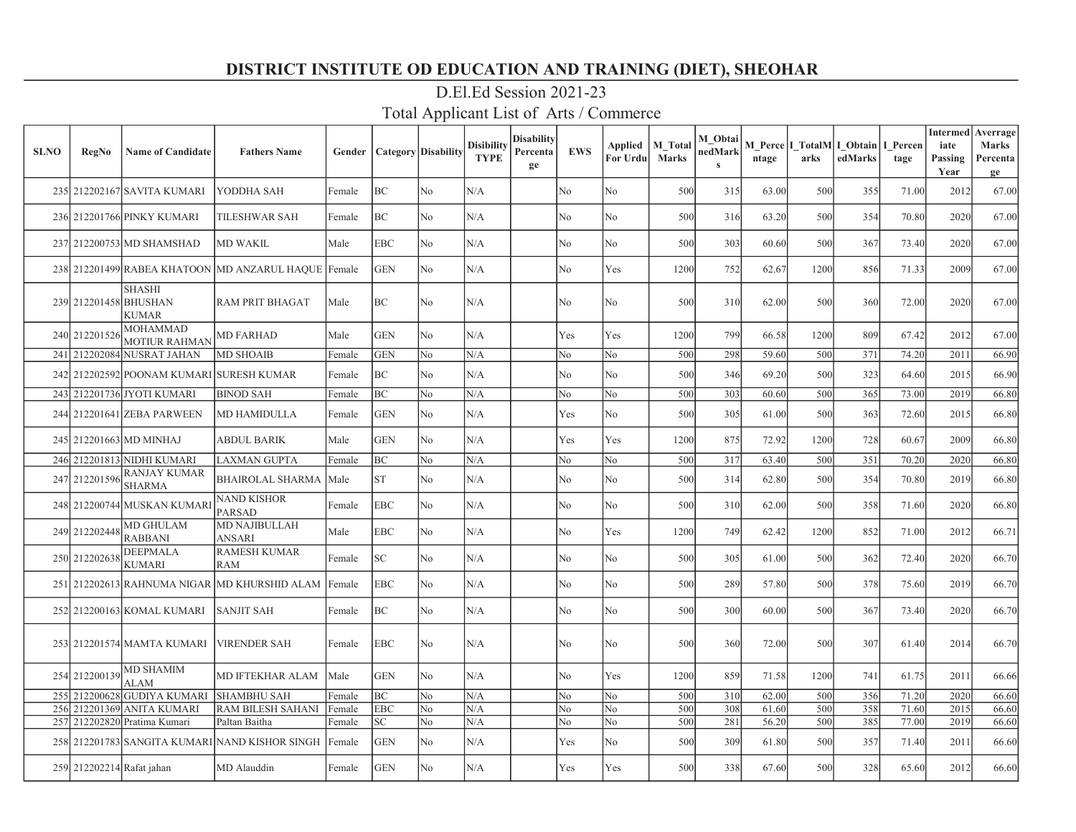| <b>SLNO</b> | RegNo                     | <b>Name of Candidate</b>                | <b>Fathers Name</b>                            | Gender |            | <b>Category</b> Disability | Disibility<br><b>TYPE</b> | Disability<br>Percenta<br>ge | <b>EWS</b>     | Applied<br>For Urdu | <b>M</b> Total<br><b>Marks</b> | M Obtai<br>nedMark<br>$\bf s$ | ntage | M Perce I TotalM I Obtain<br>arks | edMarks | I Percen<br>tage | iate<br>Passing<br>Year | <b>Intermed</b> Averrage<br><b>Marks</b><br>Percenta<br>ge |
|-------------|---------------------------|-----------------------------------------|------------------------------------------------|--------|------------|----------------------------|---------------------------|------------------------------|----------------|---------------------|--------------------------------|-------------------------------|-------|-----------------------------------|---------|------------------|-------------------------|------------------------------------------------------------|
|             |                           | 235 212202167 SAVITA KUMARI             | YODDHA SAH                                     | Female | ВC         | No                         | N/A                       |                              | No             | No                  | 500                            | 315                           | 63.00 | 500                               | 355     | 71.00            | 2012                    | 67.00                                                      |
|             |                           | 236 212201766 PINKY KUMARI              | <b>TILESHWAR SAH</b>                           | Female | BC         | No                         | N/A                       |                              | N <sub>o</sub> | No                  | 500                            | 316                           | 63.20 | 500                               | 354     | 70.80            | 2020                    | 67.00                                                      |
|             |                           | 237 212200753 MD SHAMSHAD               | <b>MD WAKIL</b>                                | Male   | <b>EBC</b> | No                         | N/A                       |                              | No             | No                  | 500                            | 303                           | 60.60 | 500                               | 367     | 73.40            | 2020                    | 67.00                                                      |
|             |                           | 238 212201499 RABEA KHATOON             | MD ANZARUL HAQUE Female                        |        | <b>GEN</b> | N <sub>o</sub>             | N/A                       |                              | No             | Yes                 | 1200                           | 752                           | 62.67 | 1200                              | 856     | 71.33            | 2009                    | 67.00                                                      |
|             | 239 212201458 BHUSHAN     | <b>SHASHI</b><br><b>KUMAR</b>           | <b>RAM PRIT BHAGAT</b>                         | Male   | ВC         | No                         | N/A                       |                              | No             | No                  | 500                            | 310                           | 62.00 | 500                               | 360     | 72.00            | 2020                    | 67.00                                                      |
|             | 240 212201526             | <b>MOHAMMAD</b><br><b>MOTIUR RAHMAN</b> | <b>MD FARHAD</b>                               | Male   | <b>GEN</b> | N <sub>o</sub>             | N/A                       |                              | Yes            | Yes                 | 1200                           | 799                           | 66.58 | 1200                              | 809     | 67.42            | 2012                    | 67.00                                                      |
|             |                           | 241 212202084 NUSRAT JAHAN              | <b>MD SHOAIB</b>                               | Female | <b>GEN</b> | No                         | N/A                       |                              | No             | No                  | 500                            | 298                           | 59.60 | 500                               | 371     | 74.20            | 2011                    | 66.90                                                      |
|             |                           | 242 212202592 POONAM KUMARI             | <b>SURESH KUMAR</b>                            | Female | BС         | No                         | N/A                       |                              | No             | No                  | 500                            | 346                           | 69.20 | 500                               | 323     | 64.60            | 2015                    | 66.90                                                      |
|             |                           | 243 212201736 JYOTI KUMARI              | <b>BINOD SAH</b>                               | Female | ВC         | No                         | N/A                       |                              | No             | No                  | 500                            | 303                           | 60.60 | 500                               | 365     | 73.00            | 2019                    | 66.80                                                      |
|             |                           | 244 212201641 ZEBA PARWEEN              | <b>MD HAMIDULLA</b>                            | Female | <b>GEN</b> | No                         | N/A                       |                              | Yes            | No                  | 500                            | 305                           | 61.00 | 500                               | 363     | 72.60            | 2015                    | 66.80                                                      |
|             |                           | 245 212201663 MD MINHAJ                 | <b>ABDUL BARIK</b>                             | Male   | <b>GEN</b> | N <sub>o</sub>             | N/A                       |                              | Yes            | Yes                 | 1200                           | 875                           | 72.92 | 1200                              | 728     | 60.67            | 2009                    | 66.80                                                      |
|             |                           | 246 212201813 NIDHI KUMARI              | <b>LAXMAN GUPTA</b>                            | Female | BC         | No                         | N/A                       |                              | No             | No                  | 500                            | 317                           | 63.40 | 500                               | 351     | 70.20            | 2020                    | 66.80                                                      |
|             | 247 212201596             | <b>RANJAY KUMAR</b><br><b>SHARMA</b>    | <b>BHAIROLAL SHARMA</b>                        | Male   | ST         | No                         | N/A                       |                              | No             | No                  | 500                            | 314                           | 62.80 | 500                               | 354     | 70.80            | 2019                    | 66.80                                                      |
|             |                           | 248 212200744 MUSKAN KUMARI             | NAND KISHOR<br>PARSAD                          | Female | EBC        | No                         | N/A                       |                              | No             | No                  | 500                            | 310                           | 62.00 | 500                               | 358     | 71.60            | 2020                    | 66.80                                                      |
|             | 249 212202448             | <b>MD GHULAM</b><br><b>RABBANI</b>      | <b>MD NAJIBULLAH</b><br>ANSARI                 | Male   | EBC        | No                         | N/A                       |                              | No             | Yes                 | 1200                           | 749                           | 62.42 | 1200                              | 852     | 71.00            | 2012                    | 66.71                                                      |
|             | 250 212202638             | <b>DEEPMALA</b><br><b>KUMARI</b>        | <b>RAMESH KUMAR</b><br><b>RAM</b>              | Female | SC         | No                         | N/A                       |                              | No             | No                  | 500                            | 305                           | 61.00 | 500                               | 362     | 72.40            | 2020                    | 66.70                                                      |
|             |                           |                                         | 251 212202613 RAHNUMA NIGAR MD KHURSHID ALAM   | Female | <b>EBC</b> | N <sub>o</sub>             | N/A                       |                              | No             | No                  | 500                            | 289                           | 57.80 | 500                               | 378     | 75.60            | 2019                    | 66.70                                                      |
|             |                           | 252 212200163 KOMAL KUMARI              | ISANJIT SAH                                    | Female | ВC         | No                         | N/A                       |                              | No             | No                  | 500                            | 300                           | 60.00 | 500                               | 367     | 73.40            | 2020                    | 66.70                                                      |
|             |                           | 253 212201574 MAMTA KUMARI              | <b>VIRENDER SAH</b>                            | Female | <b>EBC</b> | No                         | N/A                       |                              | No             | No                  | 500                            | 360                           | 72.00 | 500                               | 307     | 61.40            | 2014                    | 66.70                                                      |
|             | 254 212200139             | <b>MD SHAMIM</b><br><b>ALAM</b>         | MD IFTEKHAR ALAM                               | Male   | <b>GEN</b> | No                         | N/A                       |                              | No             | Yes                 | 1200                           | 859                           | 71.58 | 1200                              | 741     | 61.75            | 2011                    | 66.66                                                      |
|             |                           | 255 212200628 GUDIYA KUMARI             | <b>SHAMBHU SAH</b>                             | Female | BC         | N <sub>o</sub>             | N/A                       |                              | No             | No                  | 500                            | 310                           | 62.00 | 500                               | 356     | 71.20            | 2020                    | 66.60                                                      |
|             |                           | 256 212201369 ANITA KUMARI              | <b>RAM BILESH SAHANI</b>                       | Female | <b>EBC</b> | No                         | N/A                       |                              | No             | No                  | 500                            | 308                           | 61.60 | 500                               | 358     | 71.60            | 2015                    | 66.60                                                      |
|             |                           | 257 212202820 Pratima Kumari            | Paltan Baitha                                  | Female | SC         | No.                        | N/A                       |                              | No             | No                  | 500                            | 281                           | 56.20 | 500                               | 385     | 77.00            | 2019                    | 66.60                                                      |
|             |                           |                                         | 258 212201783 SANGITA KUMARI NAND KISHOR SINGH | Female | <b>GEN</b> | No                         | N/A                       |                              | Yes            | No                  | 500                            | 309                           | 61.80 | 500                               | 357     | 71.40            | 2011                    | 66.60                                                      |
|             | 259 212202214 Rafat jahan |                                         | MD Alauddin                                    | Female | <b>GEN</b> | No                         | N/A                       |                              | Yes            | Yes                 | 500                            | 338                           | 67.60 | 500                               | 328     | 65.60            | 2012                    | 66.60                                                      |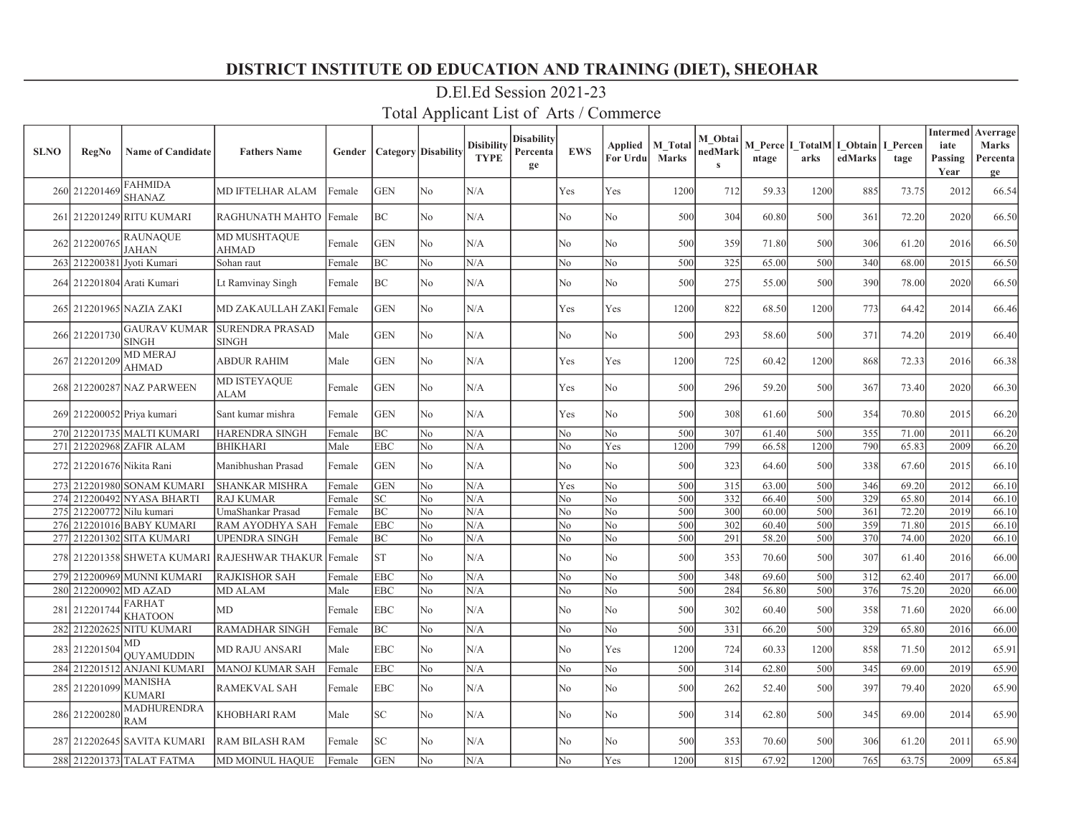| <b>SLNO</b> | <b>RegNo</b>              | <b>Name of Candidate</b>            | <b>Fathers Name</b>                                 | Gender | <b>Category</b> Disability |                | <b>Disibility</b><br><b>TYPE</b> | <b>Disability</b><br>Percenta<br>ge | <b>EWS</b>     | Applied<br>For Urdu | M Total<br><b>Marks</b> | M Obtai<br>nedMark<br>$\mathbf{s}$ | ntage | arks | M Perce I TotalM I Obtain<br>edMarks | I Percen<br>tage | <b>Intermed</b><br>iate<br>Passing<br>Year | Averrage<br>Marks<br>Percenta<br>ge |
|-------------|---------------------------|-------------------------------------|-----------------------------------------------------|--------|----------------------------|----------------|----------------------------------|-------------------------------------|----------------|---------------------|-------------------------|------------------------------------|-------|------|--------------------------------------|------------------|--------------------------------------------|-------------------------------------|
|             | 260 212201469             | <b>FAHMIDA</b><br><b>SHANAZ</b>     | <b>MD IFTELHAR ALAM</b>                             | Female | <b>GEN</b>                 | N <sub>o</sub> | N/A                              |                                     | Yes            | Yes                 | 1200                    | 712                                | 59.33 | 1200 | 885                                  | 73.75            | 2012                                       | 66.54                               |
|             |                           | 261 212201249 RITU KUMARI           | RAGHUNATH MAHTO                                     | Female | BC                         | N <sub>o</sub> | N/A                              |                                     | N <sub>o</sub> | No                  | 500                     | 304                                | 60.80 | 500  | 361                                  | 72.20            | 2020                                       | 66.50                               |
|             | 262 212200765             | <b>RAUNAQUE</b><br><b>JAHAN</b>     | MD MUSHTAQUE<br>AHMAD                               | Female | <b>GEN</b>                 | N <sub>o</sub> | N/A                              |                                     | No             | No                  | 500                     | 359                                | 71.80 | 500  | 306                                  | 61.20            | 2016                                       | 66.50                               |
| 263         |                           | 212200381 Jyoti Kumari              | Sohan raut                                          | Female | ВC                         | No             | N/A                              |                                     | No             | No                  | 500                     | 325                                | 65.00 | 500  | 340                                  | 68.00            | 2015                                       | 66.50                               |
|             |                           | 264 212201804 Arati Kumari          | Lt Ramvinay Singh                                   | Female | BC                         | No             | N/A                              |                                     | No             | No                  | 500                     | 275                                | 55.00 | 500  | 390                                  | 78.00            | 2020                                       | 66.50                               |
|             |                           | 265 212201965 NAZIA ZAKI            | MD ZAKAULLAH ZAKI Female                            |        | <b>GEN</b>                 | No             | N/A                              |                                     | Yes            | Yes                 | 1200                    | 822                                | 68.50 | 1200 | 773                                  | 64.42            | 2014                                       | 66.46                               |
|             | 266 212201730             | <b>GAURAV KUMAR</b><br><b>SINGH</b> | <b>SURENDRA PRASAD</b><br><b>SINGH</b>              | Male   | <b>GEN</b>                 | No             | N/A                              |                                     | No             | No                  | 500                     | 293                                | 58.60 | 500  | 371                                  | 74.20            | 2019                                       | 66.40                               |
|             | 267 212201209             | <b>MD MERAJ</b><br><b>AHMAD</b>     | <b>ABDUR RAHIM</b>                                  | Male   | <b>GEN</b>                 | No             | N/A                              |                                     | Yes            | Yes                 | 1200                    | 725                                | 60.42 | 1200 | 868                                  | 72.33            | 2016                                       | 66.38                               |
|             |                           | 268 212200287 NAZ PARWEEN           | MD ISTEYAQUE<br>ALAM                                | Female | <b>GEN</b>                 | No             | N/A                              |                                     | Yes            | No.                 | 500                     | 296                                | 59.20 | 500  | 367                                  | 73.40            | 2020                                       | 66.30                               |
|             |                           | 269 212200052 Priya kumari          | Sant kumar mishra                                   | Female | <b>GEN</b>                 | N <sub>o</sub> | N/A                              |                                     | Yes            | No                  | 500                     | 308                                | 61.60 | 500  | 354                                  | 70.80            | 2015                                       | 66.20                               |
|             |                           | 270 212201735 MALTI KUMARI          | <b>HARENDRA SINGH</b>                               | Female | BC                         | N <sub>o</sub> | N/A                              |                                     | No             | No                  | 500                     | 307                                | 61.40 | 500  | 355                                  | 71.00            | 2011                                       | 66.20                               |
|             |                           | 271 212202968 ZAFIR ALAM            | <b>BHIKHARI</b>                                     | Male   | <b>EBC</b>                 | No             | N/A                              |                                     | No             | Yes                 | 1200                    | 799                                | 66.58 | 1200 | 790                                  | 65.83            | 2009                                       | 66.20                               |
|             | 272 212201676 Nikita Rani |                                     | Manibhushan Prasad                                  | Female | <b>GEN</b>                 | N <sub>o</sub> | N/A                              |                                     | No             | No                  | 500                     | 323                                | 64.60 | 500  | 338                                  | 67.60            | 2015                                       | 66.10                               |
|             |                           | 273 212201980 SONAM KUMARI          | <b>SHANKAR MISHRA</b>                               | Female | <b>GEN</b>                 | N <sub>o</sub> | N/A                              |                                     | Yes            | No                  | 500                     | $\overline{315}$                   | 63.00 | 500  | 346                                  | 69.20            | 2012                                       | 66.10                               |
|             |                           | 274 212200492 NYASA BHARTI          | <b>RAJ KUMAR</b>                                    | Female | SC                         | No             | N/A                              |                                     | No             | N <sub>o</sub>      | 500                     | 332                                | 66.40 | 500  | 329                                  | 65.80            | 2014                                       | 66.10                               |
|             | 275 212200772 Nilu kumari |                                     | UmaShankar Prasad                                   | Female | ВC                         | No             | N/A                              |                                     | No             | No                  | 500                     | 300                                | 60.00 | 500  | 361                                  | 72.20            | 2019                                       | 66.10                               |
|             |                           | 276 212201016 BABY KUMARI           | RAM AYODHYA SAH                                     | Female | EBC                        | No             | N/A                              |                                     | No             | N <sub>o</sub>      | 500                     | 302                                | 60.40 | 500  | 359                                  | 71.80            | 2015                                       | 66.10                               |
|             |                           | 277 212201302 SITA KUMARI           | <b>UPENDRA SINGH</b>                                | Female | ВC                         | No             | N/A                              |                                     | No             | No                  | 500                     | 291                                | 58.20 | 500  | 370                                  | 74.00            | 2020                                       | 66.10                               |
|             |                           |                                     | 278 212201358 SHWETA KUMARI RAJESHWAR THAKUR Female |        | <b>ST</b>                  | No             | N/A                              |                                     | No             | No                  | 500                     | 353                                | 70.60 | 500  | 307                                  | 61.40            | 2016                                       | 66.00                               |
|             |                           | 279 212200969 MUNNI KUMARI          | <b>RAJKISHOR SAH</b>                                | Female | <b>EBC</b>                 | No             | N/A                              |                                     | No             | No                  | 500                     | 348                                | 69.60 | 500  | 312                                  | 62.40            | 2017                                       | 66.00                               |
|             | 280 212200902 MD AZAD     |                                     | <b>MD ALAM</b>                                      | Male   | <b>EBC</b>                 | No             | N/A                              |                                     | No             | No                  | 500                     | 284                                | 56.80 | 500  | 376                                  | 75.20            | 2020                                       | 66.00                               |
| 281         | 212201744                 | <b>FARHAT</b><br><b>KHATOON</b>     | <b>MD</b>                                           | Female | <b>EBC</b>                 | N <sub>o</sub> | N/A                              |                                     | No             | No                  | 500                     | 302                                | 60.40 | 500  | 358                                  | 71.60            | 2020                                       | 66.00                               |
|             |                           | 282 212202625 NITU KUMARI           | <b>RAMADHAR SINGH</b>                               | Female | ВC                         | No             | N/A                              |                                     | No             | No                  | 500                     | 331                                | 66.20 | 500  | 329                                  | 65.80            | 2016                                       | 66.00                               |
|             | 283 212201504             | MD<br><b>OUYAMUDDIN</b>             | <b>MD RAJU ANSARI</b>                               | Male   | EBC                        | No             | N/A                              |                                     | No             | Yes                 | 1200                    | 724                                | 60.33 | 1200 | 858                                  | 71.50            | 2012                                       | 65.91                               |
| 284         |                           | 212201512 ANJANI KUMARI             | <b>MANOJ KUMAR SAH</b>                              | Female | <b>EBC</b>                 | No             | N/A                              |                                     | No             | No                  | 500                     | 314                                | 62.80 | 500  | 345                                  | 69.00            | 2019                                       | 65.90                               |
|             | 285 212201099             | <b>MANISHA</b><br><b>KUMARI</b>     | <b>RAMEKVAL SAH</b>                                 | Female | EBC                        | No             | N/A                              |                                     | No             | No                  | 500                     | 262                                | 52.40 | 500  | 397                                  | 79.40            | 2020                                       | 65.90                               |
|             | 286 212200280             | <b>MADHURENDRA</b><br><b>RAM</b>    | KHOBHARI RAM                                        | Male   | SC                         | No             | N/A                              |                                     | No             | No                  | 500                     | 314                                | 62.80 | 500  | 345                                  | 69.00            | 2014                                       | 65.90                               |
|             |                           | 287 212202645 SAVITA KUMARI         | <b>RAM BILASH RAM</b>                               | Female | SC                         | No             | N/A                              |                                     | No             | No                  | 500                     | 353                                | 70.60 | 500  | 306                                  | 61.20            | 2011                                       | 65.90                               |
|             |                           | 288 212201373 TALAT FATMA           | MD MOINUL HAQUE                                     | Female | <b>GEN</b>                 | No             | N/A                              |                                     | No             | Yes                 | 1200                    | 815                                | 67.92 | 1200 | 765                                  | 63.75            | 2009                                       | 65.84                               |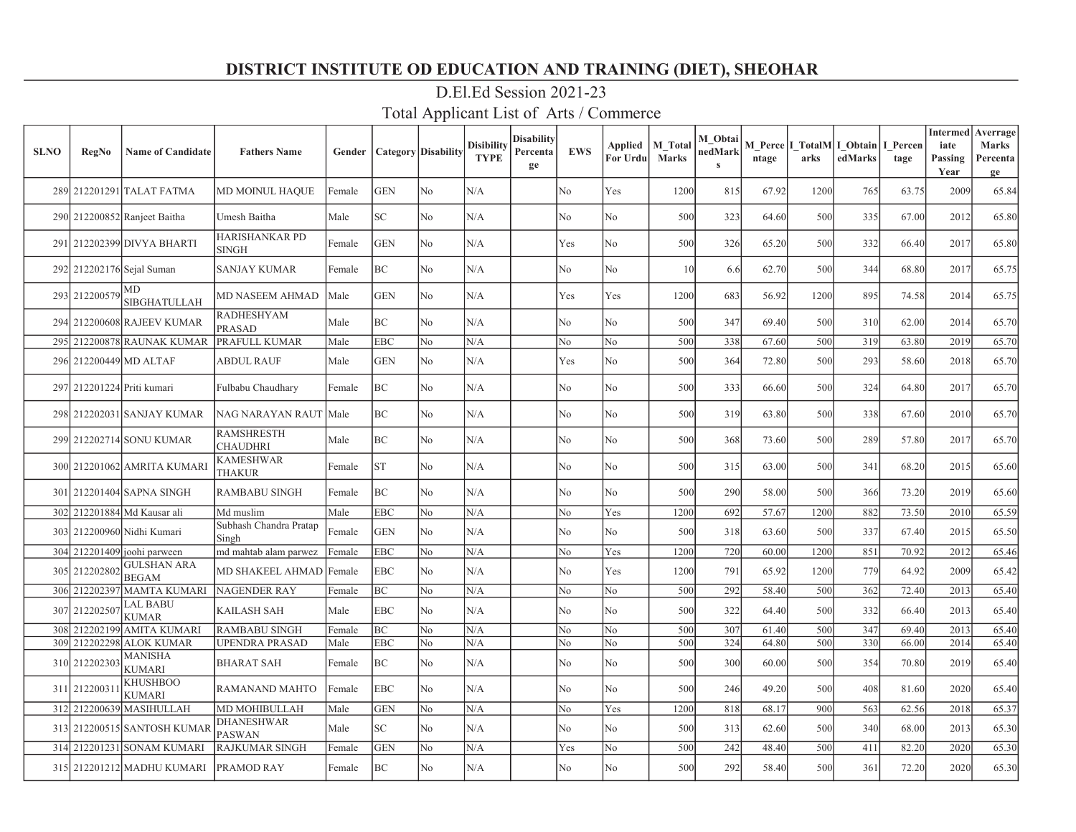| <b>SLNO</b> | <b>RegNo</b>               | <b>Name of Candidate</b>                  | <b>Fathers Name</b>                  | Gender |            | <b>Category</b> Disability | <b>Disibility</b><br><b>TYPE</b> | Disability<br>Percenta<br>ge | <b>EWS</b>     | Applied<br>For Urdu | <b>M</b> Total<br><b>Marks</b> | M Obtai<br>nedMark<br>$\mathbf{s}$ | ntage | arks | M Perce   I TotalM   I Obtain  <br>edMarks | I Percen<br>tage | <b>Intermed</b><br>iate<br>Passing<br>Year | Averrage<br><b>Marks</b><br>Percenta<br>ge |
|-------------|----------------------------|-------------------------------------------|--------------------------------------|--------|------------|----------------------------|----------------------------------|------------------------------|----------------|---------------------|--------------------------------|------------------------------------|-------|------|--------------------------------------------|------------------|--------------------------------------------|--------------------------------------------|
|             |                            | 289 212201291 TALAT FATMA                 | MD MOINUL HAQUE                      | Female | <b>GEN</b> | No                         | N/A                              |                              | N <sub>o</sub> | Yes                 | 1200                           | 815                                | 67.92 | 1200 | 765                                        | 63.75            | 2009                                       | 65.84                                      |
|             |                            | 290 212200852 Ranjeet Baitha              | Umesh Baitha                         | Male   | SC         | No                         | N/A                              |                              | N <sub>o</sub> | No                  | 500                            | 323                                | 64.60 | 500  | 335                                        | 67.00            | 2012                                       | 65.80                                      |
|             |                            | 291 212202399 DIVYA BHARTI                | <b>HARISHANKAR PD</b><br>SINGH       | Female | <b>GEN</b> | N <sub>o</sub>             | N/A                              |                              | Yes            | No                  | 500                            | 326                                | 65.20 | 500  | 332                                        | 66.40            | 2017                                       | 65.80                                      |
|             |                            | 292 212202176 Sejal Suman                 | <b>SANJAY KUMAR</b>                  | Female | BC         | N <sub>o</sub>             | N/A                              |                              | No             | No                  | 10                             | 6.6                                | 62.70 | 500  | 344                                        | 68.80            | 2017                                       | 65.75                                      |
|             | 293 212200579              | MD<br>SIBGHATULLAH                        | <b>MD NASEEM AHMAD</b>               | Male   | <b>GEN</b> | N <sub>o</sub>             | N/A                              |                              | Yes            | Yes                 | 1200                           | 683                                | 56.92 | 1200 | 895                                        | 74.58            | 2014                                       | 65.75                                      |
|             |                            | 294 212200608 RAJEEV KUMAR                | <b>RADHESHYAM</b><br>PRASAD          | Male   | ВC         | N <sub>o</sub>             | N/A                              |                              | N <sub>o</sub> | No                  | 500                            | 347                                | 69.40 | 500  | 310                                        | 62.00            | 2014                                       | 65.70                                      |
|             |                            | 295 212200878 RAUNAK KUMAR                | PRAFULL KUMAR                        | Male   | <b>EBC</b> | No                         | N/A                              |                              | No             | No                  | 500                            | 338                                | 67.60 | 500  | 319                                        | 63.80            | 2019                                       | 65.70                                      |
|             |                            | 296 212200449 MD ALTAF                    | <b>ABDUL RAUF</b>                    | Male   | <b>GEN</b> | N <sub>o</sub>             | N/A                              |                              | Yes            | No                  | 500                            | 364                                | 72.80 | 500  | 293                                        | 58.60            | 2018                                       | 65.70                                      |
|             | 297 212201224 Priti kumari |                                           | Fulbabu Chaudhary                    | Female | BC         | No                         | N/A                              |                              | N <sub>o</sub> | No                  | 500                            | 333                                | 66.60 | 500  | 324                                        | 64.80            | 2017                                       | 65.70                                      |
|             |                            | 298 212202031 SANJAY KUMAR                | <b>NAG NARAYAN RAUT</b>              | Male   | ВC         | No                         | N/A                              |                              | No             | No                  | 500                            | 319                                | 63.80 | 500  | 338                                        | 67.60            | 2010                                       | 65.70                                      |
|             |                            | 299 212202714 SONU KUMAR                  | <b>RAMSHRESTH</b><br><b>CHAUDHRI</b> | Male   | ВC         | No                         | N/A                              |                              | No             | No                  | 500                            | 368                                | 73.60 | 500  | 289                                        | 57.80            | 2017                                       | 65.70                                      |
|             |                            | 300 212201062 AMRITA KUMARI               | <b>KAMESHWAR</b><br>THAKUR           | Female | <b>ST</b>  | No                         | N/A                              |                              | N <sub>o</sub> | No                  | 500                            | 315                                | 63.00 | 500  | 341                                        | 68.20            | 2015                                       | 65.60                                      |
|             |                            | 301 212201404 SAPNA SINGH                 | <b>RAMBABU SINGH</b>                 | Female | BC         | N <sub>o</sub>             | N/A                              |                              | No             | No                  | 500                            | 290                                | 58.00 | 500  | 366                                        | 73.20            | 2019                                       | 65.60                                      |
|             |                            | 302 212201884 Md Kausar ali               | Md muslim                            | Male   | <b>EBC</b> | No                         | N/A                              |                              | No             | Yes                 | 1200                           | 692                                | 57.67 | 1200 | 882                                        | 73.50            | 2010                                       | 65.59                                      |
|             |                            | 303 212200960 Nidhi Kumari                | Subhash Chandra Pratap<br>Singh      | Female | <b>GEN</b> | No                         | N/A                              |                              | No             | No                  | 500                            | 318                                | 63.60 | 500  | 337                                        | 67.40            | 2015                                       | 65.50                                      |
|             |                            | 304 212201409 joohi parween               | md mahtab alam parwez                | Female | <b>EBC</b> | No                         | N/A                              |                              | No             | Yes                 | 1200                           | 720                                | 60.00 | 1200 | 851                                        | 70.92            | 2012                                       | 65.46                                      |
|             |                            | 305 212202802 GULSHAN ARA<br><b>BEGAM</b> | MD SHAKEEL AHMAD                     | Female | EBC        | N <sub>o</sub>             | N/A                              |                              | No             | Yes                 | 1200                           | 791                                | 65.92 | 1200 | 779                                        | 64.92            | 2009                                       | 65.42                                      |
| 306         |                            | 212202397 MAMTA KUMARI                    | <b>NAGENDER RAY</b>                  | Female | ВC         | No                         | N/A                              |                              | No             | No                  | 500                            | 292                                | 58.40 | 500  | 362                                        | 72.40            | 2013                                       | 65.40                                      |
| 307         | 212202507                  | <b>LAL BABU</b><br><b>KUMAR</b>           | <b>KAILASH SAH</b>                   | Male   | EBC        | N <sub>o</sub>             | N/A                              |                              | No             | No                  | 500                            | 322                                | 64.40 | 500  | 332                                        | 66.40            | 2013                                       | 65.40                                      |
|             |                            | 308 212202199 AMITA KUMARI                | <b>RAMBABU SINGH</b>                 | Female | BC         | N <sub>o</sub>             | N/A                              |                              | No             | No                  | 500                            | 307                                | 61.40 | 500  | 347                                        | 69.40            | 2013                                       | 65.40                                      |
| 309         |                            | 212202298 ALOK KUMAR                      | <b>UPENDRA PRASAD</b>                | Male   | <b>EBC</b> | No                         | N/A                              |                              | No             | No                  | 500                            | 324                                | 64.80 | 500  | 330                                        | 66.00            | 2014                                       | 65.40                                      |
|             | 310 212202303              | <b>MANISHA</b><br><b>KUMARI</b>           | <b>BHARAT SAH</b>                    | Female | ВC         | No                         | N/A                              |                              | No             | No                  | 500                            | 300                                | 60.00 | 500  | 354                                        | 70.80            | 2019                                       | 65.40                                      |
|             | 311 212200311              | <b>KHUSHBOO</b><br><b>KUMARI</b>          | RAMANAND MAHTO                       | Female | <b>EBC</b> | N <sub>o</sub>             | N/A                              |                              | No             | No                  | 500                            | 246                                | 49.20 | 500  | 408                                        | 81.60            | 2020                                       | 65.40                                      |
|             |                            | 312 212200639 MASIHULLAH                  | MD MOHIBULLAH                        | Male   | <b>GEN</b> | No                         | N/A                              |                              | No             | Yes                 | 1200                           | 818                                | 68.17 | 900  | 563                                        | 62.56            | 2018                                       | 65.37                                      |
|             |                            | 313 212200515 SANTOSH KUMAR               | DHANESHWAR<br><b>PASWAN</b>          | Male   | SC         | N <sub>o</sub>             | N/A                              |                              | No             | No                  | 500                            | 313                                | 62.60 | 500  | 340                                        | 68.00            | 2013                                       | 65.30                                      |
|             |                            | 314 212201231 SONAM KUMARI                | <b>RAJKUMAR SINGH</b>                | Female | <b>GEN</b> | No                         | N/A                              |                              | Yes            | No                  | 500                            | 242                                | 48.40 | 500  | 411                                        | 82.20            | 2020                                       | 65.30                                      |
|             |                            | 315 212201212 MADHU KUMARI                | PRAMOD RAY                           | Female | BC         | No                         | N/A                              |                              | No             | No                  | 500                            | 292                                | 58.40 | 500  | 361                                        | 72.20            | 2020                                       | 65.30                                      |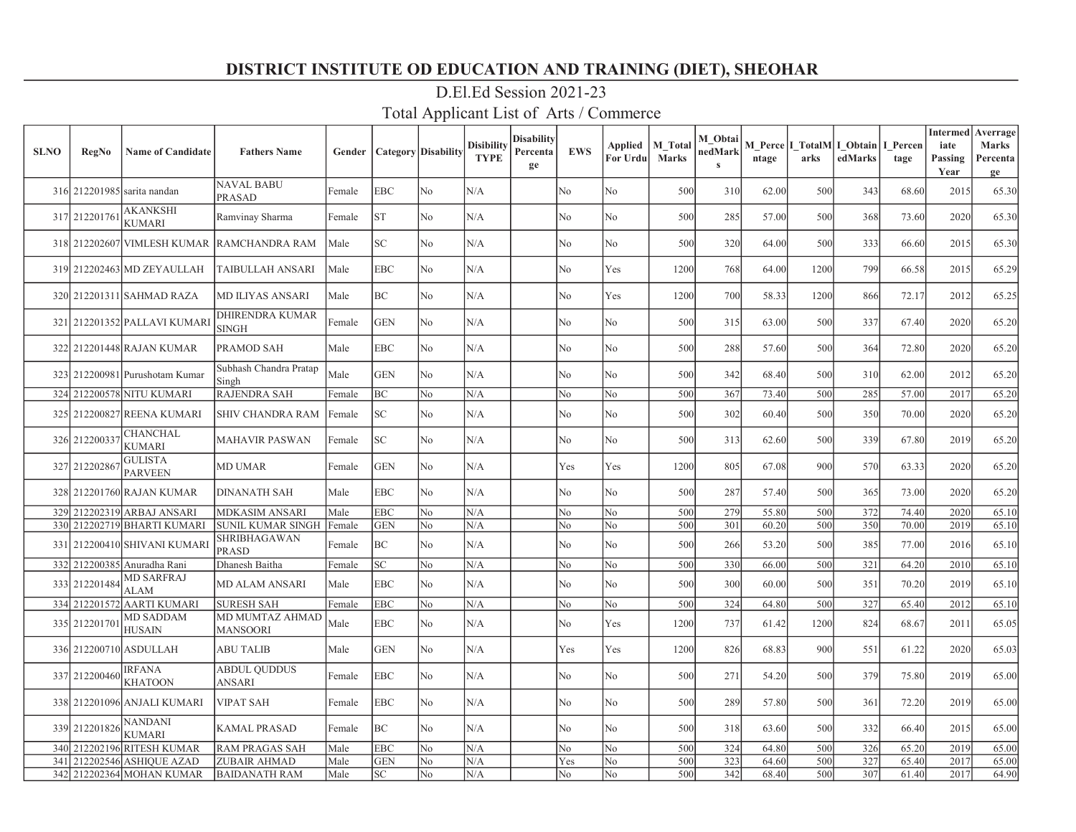| <b>SLNO</b> | <b>RegNo</b>  | <b>Name of Candidate</b>          | <b>Fathers Name</b>                        | Gender | <b>Category</b> Disability |                | <b>Disibility</b><br><b>TYPE</b> | Disabilitv<br>Percenta<br>ge | <b>EWS</b>     | For Urdu | Applied   M Total<br><b>Marks</b> | M Obtai<br>nedMark<br>$\mathbf{s}$ | ntage | arks | M Perce I TotalM I Obtain I Percen<br>edMarks | tage  | <b>Intermed</b><br>iate<br>Passing<br>Year | Averrage<br>Marks<br>Percenta<br>ge |
|-------------|---------------|-----------------------------------|--------------------------------------------|--------|----------------------------|----------------|----------------------------------|------------------------------|----------------|----------|-----------------------------------|------------------------------------|-------|------|-----------------------------------------------|-------|--------------------------------------------|-------------------------------------|
|             |               | 316 212201985 sarita nandan       | <b>NAVAL BABU</b><br>PRASAD                | Female | EBC                        | No             | N/A                              |                              | No             | No       | 500                               | 310                                | 62.00 | 500  | 343                                           | 68.60 | 2015                                       | 65.30                               |
|             | 317 212201761 | <b>AKANKSHI</b><br><b>KUMARI</b>  | Ramvinay Sharma                            | Female | <b>ST</b>                  | N <sub>o</sub> | N/A                              |                              | N <sub>o</sub> | No       | 500                               | 285                                | 57.00 | 500  | 368                                           | 73.60 | 2020                                       | 65.30                               |
|             |               |                                   | 318 212202607 VIMLESH KUMAR RAMCHANDRA RAM | Male   | SC.                        | N <sub>o</sub> | N/A                              |                              | No             | No       | 500                               | 320                                | 64.00 | 500  | 333                                           | 66.60 | 2015                                       | 65.30                               |
|             |               | 319 212202463 MD ZEYAULLAH        | TAIBULLAH ANSARI                           | Male   | EBC                        | N <sub>o</sub> | N/A                              |                              | N <sub>o</sub> | Yes      | 1200                              | 768                                | 64.00 | 1200 | 799                                           | 66.58 | 2015                                       | 65.29                               |
|             |               | 320 212201311 SAHMAD RAZA         | MD ILIYAS ANSARI                           | Male   | BС                         | N <sub>o</sub> | N/A                              |                              | No             | Yes      | 1200                              | 700                                | 58.33 | 1200 | 866                                           | 72.17 | 2012                                       | 65.25                               |
|             |               | 321 212201352 PALLAVI KUMARI      | DHIRENDRA KUMAR<br><b>SINGH</b>            | Female | <b>GEN</b>                 | N <sub>o</sub> | N/A                              |                              | N <sub>o</sub> | No       | 500                               | 315                                | 63.00 | 500  | 337                                           | 67.40 | 2020                                       | 65.20                               |
|             |               | 322 212201448 RAJAN KUMAR         | PRAMOD SAH                                 | Male   | EBC                        | N <sub>o</sub> | N/A                              |                              | No             | No       | 500                               | 288                                | 57.60 | 500  | 364                                           | 72.80 | 2020                                       | 65.20                               |
|             |               | 323 212200981 Purushotam Kumar    | Subhash Chandra Pratap<br>Singh            | Male   | <b>GEN</b>                 | No             | N/A                              |                              | No             | No       | 500                               | 342                                | 68.40 | 500  | 310                                           | 62.00 | 2012                                       | 65.20                               |
|             |               | 324 212200578 NITU KUMARI         | <b>RAJENDRA SAH</b>                        | Female | BС                         | N <sub>o</sub> | N/A                              |                              | No             | No       | 500                               | 367                                | 73.40 | 500  | 285                                           | 57.00 | 2017                                       | 65.20                               |
|             |               | 325 212200827 REENA KUMARI        | SHIV CHANDRA RAM                           | Female | SC                         | N <sub>o</sub> | N/A                              |                              | N <sub>o</sub> | No       | 500                               | 302                                | 60.40 | 500  | 350                                           | 70.00 | 2020                                       | 65.20                               |
|             | 326 212200337 | <b>CHANCHAL</b><br><b>KUMARI</b>  | <b>MAHAVIR PASWAN</b>                      | Female | SC                         | N <sub>o</sub> | N/A                              |                              | No             | No       | 500                               | 313                                | 62.60 | 500  | 339                                           | 67.80 | 2019                                       | 65.20                               |
|             | 327 212202867 | <b>GULISTA</b><br><b>PARVEEN</b>  | <b>MD UMAR</b>                             | Female | <b>GEN</b>                 | No             | N/A                              |                              | Yes            | Yes      | 1200                              | 805                                | 67.08 | 900  | 570                                           | 63.33 | 2020                                       | 65.20                               |
|             |               | 328 212201760 RAJAN KUMAR         | <b>DINANATH SAH</b>                        | Male   | EBC                        | N <sub>o</sub> | N/A                              |                              | No             | No       | 500                               | 287                                | 57.40 | 500  | 365                                           | 73.00 | 2020                                       | 65.20                               |
|             |               | 329 212202319 ARBAJ ANSARI        | <b>MDKASIM ANSARI</b>                      | Male   | <b>EBC</b>                 | No             | N/A                              |                              | No             | No       | 500                               | 279                                | 55.80 | 500  | 372                                           | 74.40 | 2020                                       | 65.10                               |
|             |               | 330 212202719 BHARTI KUMARI       | <b>SUNIL KUMAR SINGH</b>                   | Female | <b>GEN</b>                 | No             | N/A                              |                              | No             | No       | 500                               | 301                                | 60.20 | 500  | 350                                           | 70.00 | 2019                                       | 65.10                               |
|             |               | 331 212200410 SHIVANI KUMARI      | SHRIBHAGAWAN<br>PRASD                      | Female | ВC                         | No             | N/A                              |                              | No             | No       | 500                               | 266                                | 53.20 | 500  | 385                                           | 77.00 | 2016                                       | 65.10                               |
|             |               | 332 212200385 Anuradha Rani       | Dhanesh Baitha                             | Female | SC                         | N <sub>o</sub> | N/A                              |                              | No             | No       | 500                               | 330                                | 66.00 | 500  | 321                                           | 64.20 | 2010                                       | 65.10                               |
|             | 333 212201484 | <b>MD SARFRAJ</b><br><b>ALAM</b>  | <b>MD ALAM ANSARI</b>                      | Male   | <b>EBC</b>                 | N <sub>o</sub> | N/A                              |                              | No             | No       | 500                               | 300                                | 60.00 | 500  | 351                                           | 70.20 | 2019                                       | 65.10                               |
|             |               | 334 212201572 AARTI KUMARI        | <b>SURESH SAH</b>                          | Female | <b>EBC</b>                 | N <sub>o</sub> | N/A                              |                              | No             | No       | 500                               | 324                                | 64.80 | 500  | 327                                           | 65.40 | 2012                                       | 65.10                               |
|             | 335 212201701 | <b>MD SADDAM</b><br><b>HUSAIN</b> | MD MUMTAZ AHMAD<br><b>MANSOORI</b>         | Male   | <b>EBC</b>                 | N <sub>o</sub> | N/A                              |                              | N <sub>o</sub> | Yes      | 1200                              | 737                                | 61.42 | 1200 | 824                                           | 68.67 | 2011                                       | 65.05                               |
|             |               | 336 212200710 ASDULLAH            | <b>ABU TALIB</b>                           | Male   | <b>GEN</b>                 | N <sub>o</sub> | N/A                              |                              | Yes            | Yes      | 1200                              | 826                                | 68.83 | 900  | 551                                           | 61.22 | 2020                                       | 65.03                               |
|             | 337 212200460 | <b>IRFANA</b><br><b>KHATOON</b>   | <b>ABDUL QUDDUS</b><br>ANSARI              | Female | EBC                        | No             | N/A                              |                              | No             | No       | 500                               | 271                                | 54.20 | 500  | 379                                           | 75.80 | 2019                                       | 65.00                               |
|             |               | 338 212201096 ANJALI KUMARI       | <b>VIPAT SAH</b>                           | Female | <b>EBC</b>                 | No             | N/A                              |                              | No             | No       | 500                               | 289                                | 57.80 | 500  | 361                                           | 72.20 | 2019                                       | 65.00                               |
|             | 339 212201826 | <b>NANDANI</b><br><b>KUMARI</b>   | <b>KAMAL PRASAD</b>                        | Female | BC                         | N <sub>o</sub> | N/A                              |                              | No             | No       | 500                               | 318                                | 63.60 | 500  | 332                                           | 66.40 | 2015                                       | 65.00                               |
|             |               | 340 212202196 RITESH KUMAR        | <b>RAM PRAGAS SAH</b>                      | Male   | EBC                        | No             | N/A                              |                              | No             | No       | 500                               | 324                                | 64.80 | 500  | 326                                           | 65.20 | 2019                                       | 65.00                               |
|             |               | 341 212202546 ASHIQUE AZAD        | <b>ZUBAIR AHMAD</b>                        | Male   | <b>GEN</b>                 | No             | N/A                              |                              | Yes            | No       | 500                               | 323                                | 64.60 | 500  | 327                                           | 65.40 | 2017                                       | 65.00                               |
|             |               | 342 212202364 MOHAN KUMAR         | <b>BAIDANATH RAM</b>                       | Male   | SC                         | N <sub>o</sub> | N/A                              |                              | No             | No       | 500                               | 342                                | 68.40 | 500  | 307                                           | 61.40 | 2017                                       | 64.90                               |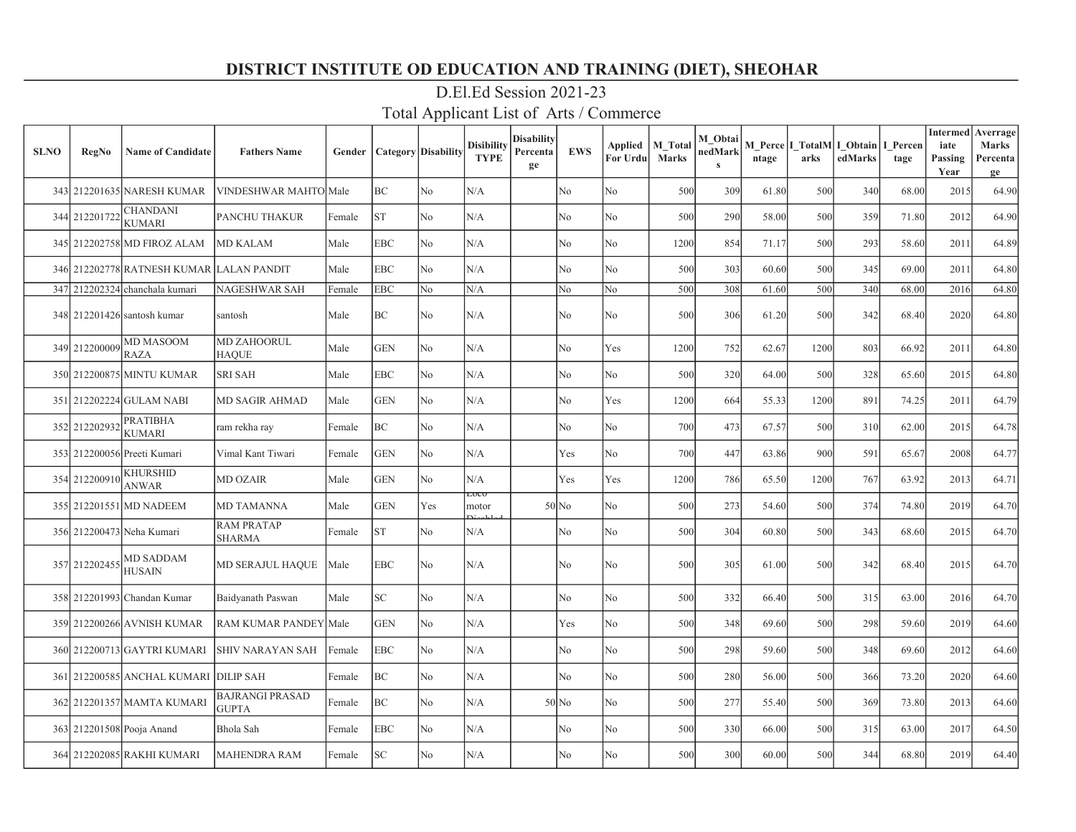| <b>SLNO</b> | <b>RegNo</b>  | <b>Name of Candidate</b>              | <b>Fathers Name</b>                    | Gender |            | <b>Category</b> Disability | <b>Disibility</b><br><b>TYPE</b> | <b>Disability</b><br>Percenta<br>ge | <b>EWS</b>     | Applied<br>For Urdul | M Total<br><b>Marks</b> | M Obtai<br>nedMark<br>$\mathbf{s}$ | ntage | arks | M Perce I TotalM I Obtain<br>edMarks | I Percen<br>tage | <b>Intermed</b><br>iate<br>Passing<br>Year | Averrage<br><b>Marks</b><br>Percenta<br>ge |
|-------------|---------------|---------------------------------------|----------------------------------------|--------|------------|----------------------------|----------------------------------|-------------------------------------|----------------|----------------------|-------------------------|------------------------------------|-------|------|--------------------------------------|------------------|--------------------------------------------|--------------------------------------------|
|             |               | 343 212201635 NARESH KUMAR            | VINDESHWAR MAHTO Male                  |        | BC         | N <sub>o</sub>             | N/A                              |                                     | No             | No                   | 500                     | 309                                | 61.80 | 500  | 340                                  | 68.00            | 2015                                       | 64.90                                      |
|             | 344 212201722 | <b>CHANDANI</b><br><b>KUMARI</b>      | <b>PANCHU THAKUR</b>                   | Female | <b>ST</b>  | N <sub>o</sub>             | N/A                              |                                     | No             | No                   | 500                     | 290                                | 58.00 | 500  | 359                                  | 71.80            | 2012                                       | 64.90                                      |
|             |               | 345 212202758 MD FIROZ ALAM           | <b>MD KALAM</b>                        | Male   | <b>EBC</b> | N <sub>o</sub>             | N/A                              |                                     | No             | No                   | 1200                    | 854                                | 71.17 | 500  | 293                                  | 58.60            | 2011                                       | 64.89                                      |
|             |               | 346 212202778 RATNESH KUMAR           | <b>LALAN PANDIT</b>                    | Male   | <b>EBC</b> | No                         | N/A                              |                                     | No             | No                   | 500                     | 303                                | 60.60 | 500  | 345                                  | 69.00            | 2011                                       | 64.80                                      |
|             |               | 347 212202324 chanchala kumari        | <b>NAGESHWAR SAH</b>                   | Female | <b>EBC</b> | No                         | N/A                              |                                     | No             | No                   | 500                     | 308                                | 61.60 | 500  | 340                                  | 68.00            | 2016                                       | 64.80                                      |
|             |               | 348 212201426 santosh kumar           | santosh                                | Male   | ВC         | N <sub>o</sub>             | N/A                              |                                     | No             | No                   | 500                     | 306                                | 61.20 | 500  | 342                                  | 68.40            | 2020                                       | 64.80                                      |
|             | 349 212200009 | <b>MD MASOOM</b><br><b>RAZA</b>       | <b>MD ZAHOORUL</b><br><b>HAQUE</b>     | Male   | <b>GEN</b> | N <sub>o</sub>             | N/A                              |                                     | No             | Yes                  | 1200                    | 752                                | 62.67 | 1200 | 803                                  | 66.92            | 2011                                       | 64.80                                      |
|             |               | 350 212200875 MINTU KUMAR             | <b>SRI SAH</b>                         | Male   | <b>EBC</b> | No                         | N/A                              |                                     | No             | ${\rm No}$           | 500                     | 320                                | 64.00 | 500  | 328                                  | 65.60            | 2015                                       | 64.80                                      |
|             |               | 351 212202224 GULAM NABI              | MD SAGIR AHMAD                         | Male   | <b>GEN</b> | N <sub>o</sub>             | $\rm N/A$                        |                                     | No             | Yes                  | 1200                    | 664                                | 55.33 | 1200 | 891                                  | 74.25            | 2011                                       | 64.79                                      |
|             | 352 212202932 | <b>PRATIBHA</b><br><b>KUMARI</b>      | ram rekha ray                          | Female | BC         | No                         | N/A                              |                                     | No             | No                   | 700                     | 473                                | 67.57 | 500  | 310                                  | 62.00            | 2015                                       | 64.78                                      |
|             |               | 353 212200056 Preeti Kumari           | Vimal Kant Tiwari                      | Female | <b>GEN</b> | N <sub>o</sub>             | N/A                              |                                     | Yes            | No                   | 700                     | 447                                | 63.86 | 900  | 591                                  | 65.67            | 2008                                       | 64.77                                      |
|             | 354 212200910 | <b>KHURSHID</b><br><b>ANWAR</b>       | <b>MD OZAIR</b>                        | Male   | <b>GEN</b> | N <sub>o</sub>             | N/A                              |                                     | Yes            | Yes                  | 1200                    | 786                                | 65.50 | 1200 | 767                                  | 63.92            | 2013                                       | 64.71                                      |
|             |               | 355 212201551 MD NADEEM               | <b>MD TAMANNA</b>                      | Male   | <b>GEN</b> | Yes                        | LOCO<br>motor                    |                                     | $50$ No        | No                   | 500                     | 273                                | 54.60 | 500  | 374                                  | 74.80            | 2019                                       | 64.70                                      |
|             |               | 356 212200473 Neha Kumari             | <b>RAM PRATAP</b><br><b>SHARMA</b>     | Female | ST         | No                         | N/A                              |                                     | No             | No                   | 500                     | 304                                | 60.80 | 500  | 343                                  | 68.60            | 2015                                       | 64.70                                      |
|             | 357 212202455 | <b>MD SADDAM</b><br><b>HUSAIN</b>     | <b>MD SERAJUL HAQUE</b>                | Male   | EBC        | N <sub>o</sub>             | N/A                              |                                     | No             | No                   | 500                     | 305                                | 61.00 | 500  | 342                                  | 68.40            | 2015                                       | 64.70                                      |
|             |               | 358 212201993 Chandan Kumar           | Baidyanath Paswan                      | Male   | SC         | N <sub>o</sub>             | N/A                              |                                     | N <sub>o</sub> | N <sub>o</sub>       | 500                     | 332                                | 66.40 | 500  | 315                                  | 63.00            | 2016                                       | 64.70                                      |
|             |               | 359 212200266 AVNISH KUMAR            | RAM KUMAR PANDEY Male                  |        | <b>GEN</b> | No                         | N/A                              |                                     | Yes            | No                   | 500                     | 348                                | 69.60 | 500  | 298                                  | 59.60            | 2019                                       | 64.60                                      |
|             |               | 360 212200713 GAYTRI KUMARI           | SHIV NARAYAN SAH                       | Female | EBC        | N <sub>o</sub>             | N/A                              |                                     | No             | No                   | 500                     | 298                                | 59.60 | 500  | 348                                  | 69.60            | 2012                                       | 64.60                                      |
|             |               | 361 212200585 ANCHAL KUMARI DILIP SAH |                                        | Female | BC         | No                         | N/A                              |                                     | No             | No                   | 500                     | 280                                | 56.00 | 500  | 366                                  | 73.20            | 2020                                       | 64.60                                      |
|             |               | 362 212201357 MAMTA KUMARI            | <b>BAJRANGI PRASAD</b><br><b>GUPTA</b> | Female | BC         | N <sub>o</sub>             | N/A                              |                                     | $50$ No        | No                   | 500                     | 277                                | 55.40 | 500  | 369                                  | 73.80            | 2013                                       | 64.60                                      |
|             |               | 363 212201508 Pooja Anand             | Bhola Sah                              | Female | EBC        | No                         | N/A                              |                                     | No             | No                   | 500                     | 330                                | 66.00 | 500  | 315                                  | 63.00            | 2017                                       | 64.50                                      |
|             |               | 364 212202085 RAKHI KUMARI            | MAHENDRA RAM                           | Female | SC         | No                         | N/A                              |                                     | No.            | No                   | 500                     | 300                                | 60.00 | 500  | 344                                  | 68.80            | 2019                                       | 64.40                                      |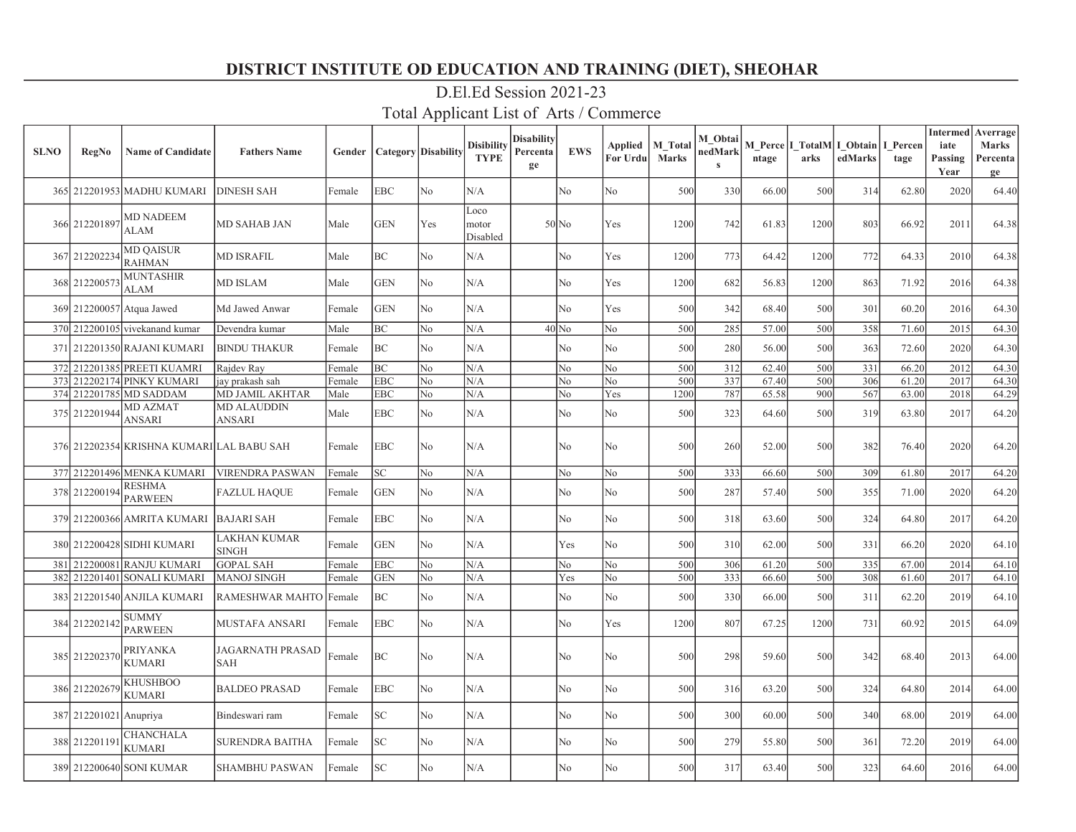| <b>SLNO</b> | <b>RegNo</b>           | <b>Name of Candidate</b>                  | <b>Fathers Name</b>            |        | <b>Gender   Category   Disability</b> |                | <b>Disibility</b><br><b>TYPE</b> | <b>Disability</b><br>Percenta<br>ge | <b>EWS</b>     | Applied   M Total<br>For Urdu | <b>Marks</b> | M Obtai<br>nedMark<br>$\mathbf{s}$ | ntage | arks | M Perce   I TotalM   I Obtain   I Percen<br>edMarks | tage  | iate<br>Passing<br>Year | <b>Intermed</b> Averrage<br><b>Marks</b><br>Percenta<br>ge |
|-------------|------------------------|-------------------------------------------|--------------------------------|--------|---------------------------------------|----------------|----------------------------------|-------------------------------------|----------------|-------------------------------|--------------|------------------------------------|-------|------|-----------------------------------------------------|-------|-------------------------|------------------------------------------------------------|
|             |                        | 365 212201953 MADHU KUMARI                | <b>DINESH SAH</b>              | Female | <b>EBC</b>                            | No             | N/A                              |                                     | No             | No                            | 500          | 330                                | 66.00 | 500  | 314                                                 | 62.80 | 2020                    | 64.40                                                      |
|             | 366 212201897          | <b>MD NADEEM</b><br>ALAM                  | MD SAHAB JAN                   | Male   | <b>GEN</b>                            | Yes            | Loco<br>motor<br>Disabled        |                                     | $50$ No        | Yes                           | 1200         | 742                                | 61.83 | 1200 | 803                                                 | 66.92 | 2011                    | 64.38                                                      |
|             | 367 212202234          | <b>MD QAISUR</b><br><b>RAHMAN</b>         | <b>MD ISRAFIL</b>              | Male   | BC                                    | No             | N/A                              |                                     | No             | Yes                           | 1200         | 773                                | 64.42 | 1200 | 772                                                 | 64.33 | 2010                    | 64.38                                                      |
|             | 368 212200573          | <b>MUNTASHIR</b><br><b>ALAM</b>           | <b>MD ISLAM</b>                | Male   | <b>GEN</b>                            | No             | N/A                              |                                     | No             | Yes                           | 1200         | 682                                | 56.83 | 1200 | 863                                                 | 71.92 | 2016                    | 64.38                                                      |
|             |                        | 369 212200057 Atqua Jawed                 | Md Jawed Anwar                 | Female | <b>GEN</b>                            | No             | N/A                              |                                     | N <sub>o</sub> | Yes                           | 500          | 342                                | 68.40 | 500  | 301                                                 | 60.20 | 2016                    | 64.30                                                      |
|             |                        | 370 212200105 vivekanand kumar            | Devendra kumar                 | Male   | BC                                    | No             | N/A                              |                                     | $40$ No        | No                            | 500          | 285                                | 57.00 | 500  | 358                                                 | 71.60 | 2015                    | 64.30                                                      |
|             |                        | 371 212201350 RAJANI KUMARI               | BINDU THAKUR                   | Female | BC                                    | No             | N/A                              |                                     | No             | No                            | 500          | 280                                | 56.00 | 500  | 363                                                 | 72.60 | 2020                    | 64.30                                                      |
|             |                        | 372 212201385 PREETI KUAMRI               | Rajdev Ray                     | Female | lвc                                   | No             | N/A                              |                                     | No             | No                            | 500          | 312                                | 62.40 | 500  | 331                                                 | 66.20 | 2012                    | 64.30                                                      |
|             |                        | 373 212202174 PINKY KUMARI                | ay prakash sah                 | Female | <b>EBC</b>                            | No             | N/A                              |                                     | No             | No                            | 500          | 337                                | 67.40 | 500  | 306                                                 | 61.20 | 2017                    | 64.30                                                      |
|             |                        | 374 212201785 MD SADDAM                   | MD JAMIL AKHTAR                | Male   | <b>EBC</b>                            | No             | N/A                              |                                     | No             | Yes                           | 1200         | 787                                | 65.58 | 900  | 567                                                 | 63.00 | 2018                    | 64.29                                                      |
|             | 375 212201944          | MD AZMAT<br>ANSARI                        | MD ALAUDDIN<br>ANSARI          | Male   | <b>EBC</b>                            | No             | N/A                              |                                     | No             | No                            | 500          | 323                                | 64.60 | 500  | 319                                                 | 63.80 | 2017                    | 64.20                                                      |
|             |                        | 376 212202354 KRISHNA KUMARI LAL BABU SAH |                                | Female | <b>EBC</b>                            | No             | N/A                              |                                     | No             | No                            | 500          | 260                                | 52.00 | 500  | 382                                                 | 76.40 | 2020                    | 64.20                                                      |
|             |                        | 377 212201496 MENKA KUMARI                | <b>VIRENDRA PASWAN</b>         | Female | $\ensuremath{\mathbf{SC}}$            | No             | N/A                              |                                     | No             | No                            | 500          | 333                                | 66.60 | 500  | 309                                                 | 61.80 | 2017                    | 64.20                                                      |
|             | 378 212200194          | <b>RESHMA</b><br><b>PARWEEN</b>           | <b>FAZLUL HAQUE</b>            | Female | <b>GEN</b>                            | No             | N/A                              |                                     | No             | No                            | 500          | 287                                | 57.40 | 500  | 355                                                 | 71.00 | 2020                    | 64.20                                                      |
|             |                        | 379 212200366 AMRITA KUMARI               | <b>BAJARI SAH</b>              | Female | <b>EBC</b>                            | N <sub>o</sub> | N/A                              |                                     | N <sub>o</sub> | No                            | 500          | 318                                | 63.60 | 500  | 324                                                 | 64.80 | 2017                    | 64.20                                                      |
|             |                        | 380 212200428 SIDHI KUMARI                | LAKHAN KUMAR<br><b>SINGH</b>   | Female | <b>GEN</b>                            | N <sub>o</sub> | N/A                              |                                     | Yes            | No                            | 500          | 310                                | 62.00 | 500  | 331                                                 | 66.20 | 2020                    | 64.10                                                      |
| 381         |                        | 212200081 RANJU KUMARI                    | <b>GOPAL SAH</b>               | Female | <b>EBC</b>                            | No             | N/A                              |                                     | N <sub>o</sub> | No                            | 500          | 306                                | 61.20 | 500  | 335                                                 | 67.00 | 2014                    | 64.10                                                      |
|             |                        | 382 212201401 SONALI KUMARI               | <b>MANOJ SINGH</b>             | Female | IGEN                                  | No             | N/A                              |                                     | Yes            | No                            | 500          | 333                                | 66.60 | 500  | 308                                                 | 61.60 | 2017                    | 64.10                                                      |
| 383         |                        | 212201540 ANJILA KUMARI                   | RAMESHWAR MAHTO Female         |        | BC                                    | No             | N/A                              |                                     | No             | No                            | 500          | 330                                | 66.00 | 500  | 311                                                 | 62.20 | 2019                    | 64.10                                                      |
|             | 384 212202142          | <b>SUMMY</b><br><b>PARWEEN</b>            | MUSTAFA ANSARI                 | Female | <b>EBC</b>                            | No             | N/A                              |                                     | No             | Yes                           | 1200         | 807                                | 67.25 | 1200 | 731                                                 | 60.92 | 2015                    | 64.09                                                      |
|             | 385 212202370          | <b>PRIYANKA</b><br>KUMARI                 | JAGARNATH PRASAD<br><b>SAH</b> | Female | BC                                    | No             | N/A                              |                                     | No             | No                            | 500          | 298                                | 59.60 | 500  | 342                                                 | 68.40 | 2013                    | 64.00                                                      |
|             | 386 212202679          | <b>KHUSHBOO</b><br><b>KUMARI</b>          | <b>BALDEO PRASAD</b>           | Female | <b>EBC</b>                            | No             | N/A                              |                                     | No             | No.                           | 500          | 316                                | 63.20 | 500  | 324                                                 | 64.80 | 2014                    | 64.00                                                      |
|             | 387 212201021 Anupriya |                                           | Bindeswari ram                 | Female | SC                                    | No             | N/A                              |                                     | No             | No                            | 500          | 300                                | 60.00 | 500  | 340                                                 | 68.00 | 2019                    | 64.00                                                      |
|             | 388 21220119           | CHANCHALA<br><b>KUMARI</b>                | <b>SURENDRA BAITHA</b>         | Female | SC                                    | N <sub>0</sub> | N/A                              |                                     | No             | No.                           | 500          | 279                                | 55.80 | 500  | 361                                                 | 72.20 | 2019                    | 64.00                                                      |
|             |                        | 389 212200640 SONI KUMAR                  | <b>SHAMBHU PASWAN</b>          | Female | <b>SC</b>                             | N <sub>0</sub> | N/A                              |                                     | N <sub>o</sub> | No.                           | 500          | 317                                | 63.40 | 500  | 323                                                 | 64.60 | 2016                    | 64.00                                                      |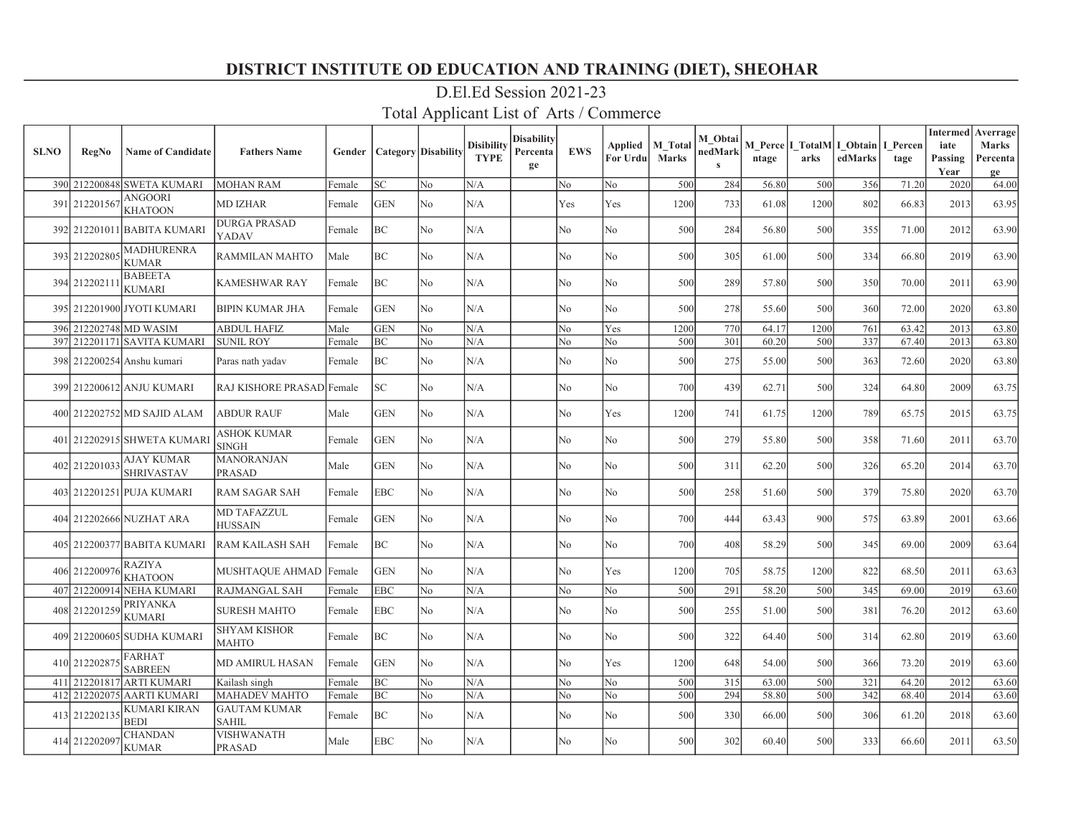| <b>SLNO</b> | <b>RegNo</b>  | <b>Name of Candidate</b>        | <b>Fathers Name</b>                 | Gender | <b>Category Disability</b> |                | <b>Disibility</b><br><b>TYPE</b> | <b>Disability</b><br>Percenta<br>ge | <b>EWS</b>     | <b>Applied</b><br>For Urdu | <b>M</b> Total<br><b>Marks</b> | M Obtai<br>nedMark | ntage | arks | M Perce   I TotalM   I Obtain  <br>edMarks | I Percen<br>tage | <b>Intermed</b><br>iate<br>Passing<br>Year | Averrage<br><b>Marks</b><br>Percenta<br>ge |
|-------------|---------------|---------------------------------|-------------------------------------|--------|----------------------------|----------------|----------------------------------|-------------------------------------|----------------|----------------------------|--------------------------------|--------------------|-------|------|--------------------------------------------|------------------|--------------------------------------------|--------------------------------------------|
|             |               | 390 212200848 SWETA KUMARI      | <b>MOHAN RAM</b>                    | Female | <b>SC</b>                  | N <sub>o</sub> | N/A                              |                                     | No             | No                         | 500                            | 284                | 56.80 | 500  | 356                                        | 71.20            | 2020                                       | 64.00                                      |
|             | 391 212201567 | ANGOORI<br><b>KHATOON</b>       | MD IZHAR                            | Female | GEN                        | No             | N/A                              |                                     | Yes            | Yes                        | 1200                           | 733                | 61.08 | 1200 | 802                                        | 66.83            | 2013                                       | 63.95                                      |
|             |               | 392 212201011 BABITA KUMARI     | <b>DURGA PRASAD</b><br>YADAV        | Female | BC                         | No.            | N/A                              |                                     | N <sub>o</sub> | No                         | 500                            | 284                | 56.80 | 500  | 355                                        | 71.00            | 2012                                       | 63.90                                      |
|             | 393 212202805 | <b>MADHURENRA</b><br>KUMAR      | RAMMILAN MAHTO                      | Male   | BC                         | No             | N/A                              |                                     | No             | No                         | 500                            | 305                | 61.00 | 500  | 334                                        | 66.80            | 2019                                       | 63.90                                      |
|             | 394 21220211  | <b>BABEETA</b><br><b>KUMARI</b> | <b>KAMESHWAR RAY</b>                | Female | BC                         | No             | N/A                              |                                     | No             | No                         | 500                            | 289                | 57.80 | 500  | 350                                        | 70.00            | 2011                                       | 63.90                                      |
|             |               | 395 212201900 JYOTI KUMARI      | <b>BIPIN KUMAR JHA</b>              | Female | <b>GEN</b>                 | N <sub>0</sub> | N/A                              |                                     | No             | No                         | 500                            | 278                | 55.60 | 500  | 360                                        | 72.00            | 2020                                       | 63.80                                      |
|             |               | 396 212202748 MD WASIM          | <b>ABDUL HAFIZ</b>                  | Male   | <b>GEN</b>                 | No             | N/A                              |                                     | No             | Yes                        | 1200                           | 770                | 64.17 | 1200 | 761                                        | 63.42            | 2013                                       | 63.80                                      |
| 397         |               | 212201171 SAVITA KUMARI         | <b>SUNIL ROY</b>                    | Female | BC                         | No             | N/A                              |                                     | No             | No                         | 500                            | 301                | 60.20 | 500  | 337                                        | 67.40            | 2013                                       | 63.80                                      |
|             |               | 398 212200254 Anshu kumari      | Paras nath yadav                    | Female | BC                         | No             | N/A                              |                                     | No             | No                         | 500                            | 275                | 55.00 | 500  | 363                                        | 72.60            | 2020                                       | 63.80                                      |
|             |               | 399 212200612 ANJU KUMARI       | RAJ KISHORE PRASAD Female           |        | <b>SC</b>                  | No             | N/A                              |                                     | No             | No                         | 700                            | 439                | 62.71 | 500  | 324                                        | 64.80            | 2009                                       | 63.75                                      |
|             |               | 400 212202752 MD SAJID ALAM     | <b>ABDUR RAUF</b>                   | Male   | <b>GEN</b>                 | No             | N/A                              |                                     | No             | Yes                        | 1200                           | 741                | 61.75 | 1200 | 789                                        | 65.75            | 2015                                       | 63.75                                      |
|             |               | 401 212202915 SHWETA KUMARI     | <b>ASHOK KUMAR</b><br><b>SINGH</b>  | Female | <b>GEN</b>                 | No             | N/A                              |                                     | No             | No                         | 500                            | 279                | 55.80 | 500  | 358                                        | 71.60            | 2011                                       | 63.70                                      |
|             | 402 212201033 | AJAY KUMAR<br><b>SHRIVASTAV</b> | <b>MANORANJAN</b><br><b>PRASAD</b>  | Male   | GEN                        | No             | N/A                              |                                     | No             | No                         | 500                            | 311                | 62.20 | 500  | 326                                        | 65.20            | 2014                                       | 63.70                                      |
|             |               | 403 212201251 PUJA KUMARI       | <b>RAM SAGAR SAH</b>                | Female | EBC                        | No             | N/A                              |                                     | N <sub>o</sub> | No                         | 500                            | 258                | 51.60 | 500  | 379                                        | 75.80            | 2020                                       | 63.70                                      |
|             |               | 404 212202666 NUZHAT ARA        | <b>MD TAFAZZUL</b><br>HUSSAIN       | Female | GEN                        | No             | N/A                              |                                     | No             | No                         | 700                            | 444                | 63.43 | 900  | 575                                        | 63.89            | 2001                                       | 63.66                                      |
|             |               | 405 212200377 BABITA KUMARI     | <b>RAM KAILASH SAH</b>              | Female | BC                         | No.            | N/A                              |                                     | No             | No                         | 700                            | 408                | 58.29 | 500  | 345                                        | 69.00            | 2009                                       | 63.64                                      |
|             | 406 21220097  | <b>RAZIYA</b><br><b>KHATOON</b> | MUSHTAQUE AHMAD                     | Female | <b>GEN</b>                 | No             | N/A                              |                                     | No             | Yes                        | 1200                           | 705                | 58.75 | 1200 | 822                                        | 68.50            | 2011                                       | 63.63                                      |
|             |               | 407 212200914 NEHA KUMARI       | <b>RAJMANGAL SAH</b>                | Female | EBC                        | No             | N/A                              |                                     | No             | No                         | 500                            | 291                | 58.20 | 500  | 345                                        | 69.00            | 2019                                       | 63.60                                      |
|             | 408 212201259 | PRIYANKA<br>KUMARI              | <b>SURESH MAHTO</b>                 | Female | <b>EBC</b>                 | No             | N/A                              |                                     | N <sub>o</sub> | No                         | 500                            | 255                | 51.00 | 500  | 381                                        | 76.20            | 2012                                       | 63.60                                      |
|             |               | 409 212200605 SUDHA KUMARI      | <b>SHYAM KISHOR</b><br>MAHTO        | Female | BC                         | No             | N/A                              |                                     | No             | No                         | 500                            | 322                | 64.40 | 500  | 314                                        | 62.80            | 2019                                       | 63.60                                      |
|             | 410 212202875 | <b>FARHAT</b><br><b>SABREEN</b> | <b>MD AMIRUL HASAN</b>              | Female | <b>GEN</b>                 | N <sub>o</sub> | N/A                              |                                     | No             | Yes                        | 1200                           | 648                | 54.00 | 500  | 366                                        | 73.20            | 2019                                       | 63.60                                      |
|             |               | 411 212201817 ARTI KUMARI       | Kailash singh                       | Female | BC                         | N <sub>0</sub> | N/A                              |                                     | No             | No                         | 500                            | 315                | 63.00 | 500  | 321                                        | 64.20            | 2012                                       | 63.60                                      |
|             | 412 212202075 | <b>AARTI KUMARI</b>             | <b>MAHADEV MAHTO</b>                | Female | BC                         | No             | N/A                              |                                     | No             | No                         | 500                            | 294                | 58.80 | 500  | 342                                        | 68.40            | 2014                                       | 63.60                                      |
|             | 413 21220213  | KUMARI KIRAN<br><b>BEDI</b>     | <b>GAUTAM KUMAR</b><br><b>SAHIL</b> | Female | BC                         | No             | N/A                              |                                     | No             | No                         | 500                            | 330                | 66.00 | 500  | 306                                        | 61.20            | 2018                                       | 63.60                                      |
|             | 414 21220209  | CHANDAN<br><b>KUMAR</b>         | <b>VISHWANATH</b><br><b>PRASAD</b>  | Male   | <b>EBC</b>                 | No             | N/A                              |                                     | No             | No                         | 500                            | 302                | 60.40 | 500  | 333                                        | 66.60            | 2011                                       | 63.50                                      |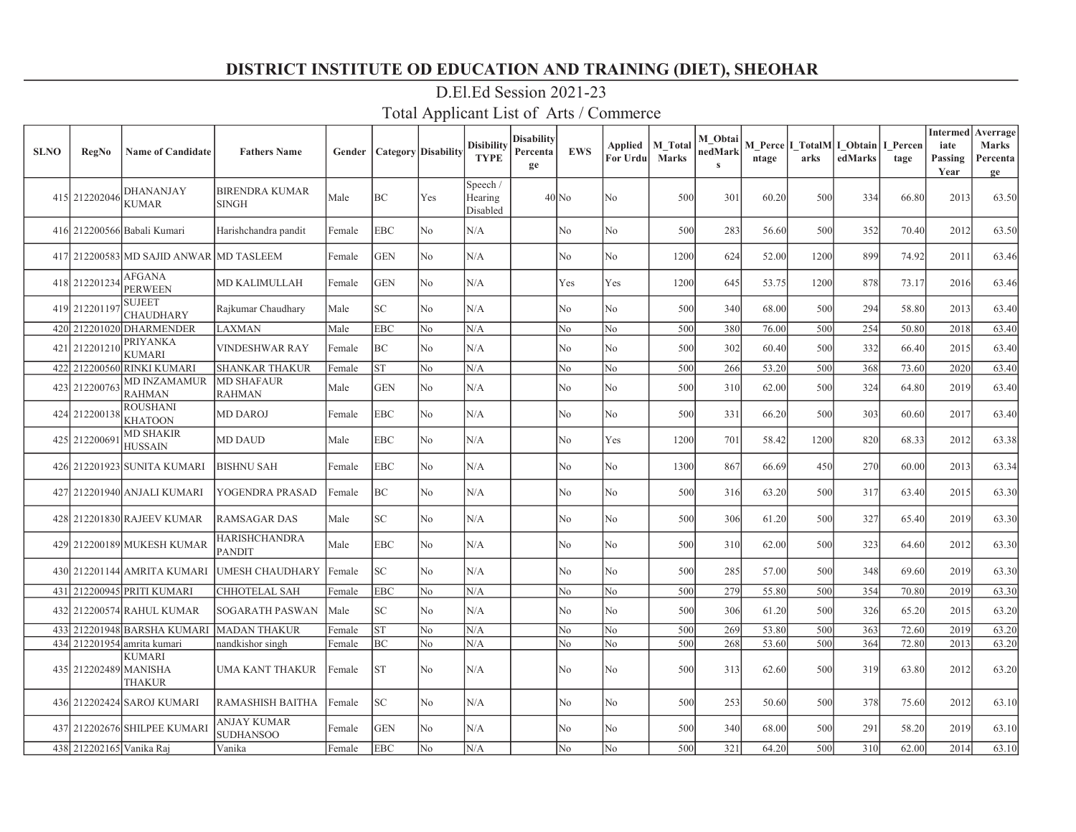| <b>SLNO</b> | <b>RegNo</b>             | <b>Name of Candidate</b>             | <b>Fathers Name</b>                   | Gender |            | <b>Category</b> Disability | Disibility<br><b>TYPE</b>       | <b>Disability</b><br>Percenta<br>ge | <b>EWS</b> | Applied<br>For Urdu | <b>M</b> Total<br><b>Marks</b> | M Obtai<br>nedMark<br>$\bf s$ | ntage | M Perce I TotalM I Obtain<br>arks | edMarks | I Percen<br>tage | iate<br>Passing<br>Year | <b>Intermed</b> Averrage<br><b>Marks</b><br>Percenta<br>ge |
|-------------|--------------------------|--------------------------------------|---------------------------------------|--------|------------|----------------------------|---------------------------------|-------------------------------------|------------|---------------------|--------------------------------|-------------------------------|-------|-----------------------------------|---------|------------------|-------------------------|------------------------------------------------------------|
|             | 415 212202046            | <b>DHANANJAY</b><br><b>KUMAR</b>     | <b>BIRENDRA KUMAR</b><br><b>SINGH</b> | Male   | BC         | Yes                        | Speech /<br>Hearing<br>Disabled |                                     | $40$ No    | No                  | 500                            | 301                           | 60.20 | 500                               | 334     | 66.80            | 2013                    | 63.50                                                      |
|             |                          | 416 212200566 Babali Kumari          | Harishchandra pandit                  | Female | <b>EBC</b> | No                         | N/A                             |                                     | No         | No                  | 500                            | 283                           | 56.60 | 500                               | 352     | 70.40            | 2012                    | 63.50                                                      |
|             |                          | 417 212200583 MD SAJID ANWAR         | <b>MD TASLEEM</b>                     | Female | <b>GEN</b> | No                         | N/A                             |                                     | No         | No                  | 1200                           | 624                           | 52.00 | 1200                              | 899     | 74.92            | 2011                    | 63.46                                                      |
|             | 418 212201234            | <b>AFGANA</b><br><b>PERWEEN</b>      | MD KALIMULLAH                         | Female | <b>GEN</b> | No                         | N/A                             |                                     | Yes        | Yes                 | 1200                           | 645                           | 53.75 | 1200                              | 878     | 73.17            | 2016                    | 63.46                                                      |
|             | 419 21220119             | <b>SUJEET</b><br><b>CHAUDHARY</b>    | Rajkumar Chaudhary                    | Male   | SC.        | N <sub>0</sub>             | N/A                             |                                     | No         | No                  | 500                            | 340                           | 68.00 | 500                               | 294     | 58.80            | 2013                    | 63.40                                                      |
|             |                          | 420 212201020 DHARMENDER             | <b>LAXMAN</b>                         | Male   | EBC        | No                         | N/A                             |                                     | No         | No                  | 500                            | 380                           | 76.00 | 500                               | 254     | 50.80            | 2018                    | 63.40                                                      |
|             | 421 212201210            | <b>PRIYANKA</b><br><b>KUMARI</b>     | <b>VINDESHWAR RAY</b>                 | Female | BС         | No                         | N/A                             |                                     | No         | No                  | 500                            | 302                           | 60.40 | 500                               | 332     | 66.40            | 2015                    | 63.40                                                      |
|             |                          | 422 212200560 RINKI KUMARI           | <b>SHANKAR THAKUR</b>                 | Female | <b>ST</b>  | No                         | N/A                             |                                     | No         | No                  | 500                            | 266                           | 53.20 | 500                               | 368     | 73.60            | 2020                    | 63.40                                                      |
|             | 423 212200763            | <b>MD INZAMAMUR</b><br><b>RAHMAN</b> | <b>MD SHAFAUR</b><br><b>RAHMAN</b>    | Male   | <b>GEN</b> | N <sub>o</sub>             | N/A                             |                                     | No         | No                  | 500                            | 310                           | 62.00 | 500                               | 324     | 64.80            | 2019                    | 63.40                                                      |
|             | 424 212200138            | <b>ROUSHANI</b><br><b>KHATOON</b>    | <b>MD DAROJ</b>                       | Female | <b>EBC</b> | No                         | N/A                             |                                     | No         | No                  | 500                            | 331                           | 66.20 | 500                               | 303     | 60.60            | 2017                    | 63.40                                                      |
|             | 425 212200691            | <b>MD SHAKIR</b><br><b>HUSSAIN</b>   | <b>MD DAUD</b>                        | Male   | <b>EBC</b> | N <sub>o</sub>             | N/A                             |                                     | No         | Yes                 | 1200                           | 701                           | 58.42 | 1200                              | 820     | 68.33            | 2012                    | 63.38                                                      |
|             |                          | 426 212201923 SUNITA KUMARI          | <b>BISHNU SAH</b>                     | Female | <b>EBC</b> | No                         | N/A                             |                                     | No         | No                  | 1300                           | 867                           | 66.69 | 450                               | 270     | 60.00            | 2013                    | 63.34                                                      |
|             |                          | 427 212201940 ANJALI KUMARI          | YOGENDRA PRASAD                       | Female | ВC         | No                         | N/A                             |                                     | No         | No                  | 500                            | 316                           | 63.20 | 500                               | 317     | 63.40            | 2015                    | 63.30                                                      |
|             |                          | 428 212201830 RAJEEV KUMAR           | <b>RAMSAGAR DAS</b>                   | Male   | SC         | No                         | N/A                             |                                     | No         | No                  | 500                            | 306                           | 61.20 | 500                               | 327     | 65.40            | 2019                    | 63.30                                                      |
|             |                          | 429 212200189 MUKESH KUMAR           | <b>HARISHCHANDRA</b><br><b>PANDIT</b> | Male   | <b>EBC</b> | <b>No</b>                  | N/A                             |                                     | No         | No                  | 500                            | 310                           | 62.00 | 500                               | 323     | 64.60            | 2012                    | 63.30                                                      |
|             |                          | 430 212201144 AMRITA KUMARI          | <b>UMESH CHAUDHARY</b>                | Female | SC         | No                         | N/A                             |                                     | No         | No                  | 500                            | 285                           | 57.00 | 500                               | 348     | 69.60            | 2019                    | 63.30                                                      |
|             |                          | 431 212200945 PRITI KUMARI           | <b>CHHOTELAL SAH</b>                  | Female | <b>EBC</b> | N <sub>o</sub>             | N/A                             |                                     | No         | No                  | 500                            | 279                           | 55.80 | 500                               | 354     | 70.80            | 2019                    | 63.30                                                      |
|             |                          | 432 212200574 RAHUL KUMAR            | SOGARATH PASWAN                       | Male   | SC         | No                         | N/A                             |                                     | No         | No                  | 500                            | 306                           | 61.20 | 500                               | 326     | 65.20            | 2015                    | 63.20                                                      |
|             |                          | 433 212201948 BARSHA KUMARI          | <b>MADAN THAKUR</b>                   | Female | <b>ST</b>  | No                         | N/A                             |                                     | No         | No                  | 500                            | 269                           | 53.80 | 500                               | 363     | 72.60            | 2019                    | 63.20                                                      |
|             |                          | 434 212201954 amrita kumari          | nandkishor singh                      | Female | BC         | N <sub>o</sub>             | N/A                             |                                     | No         | No                  | 500                            | 268                           | 53.60 | 500                               | 364     | 72.80            | 2013                    | 63.20                                                      |
|             | 435 212202489 MANISHA    | <b>KUMARI</b><br><b>THAKUR</b>       | UMA KANT THAKUR                       | Female | <b>ST</b>  | No                         | N/A                             |                                     | No         | No                  | 500                            | 313                           | 62.60 | 500                               | 319     | 63.80            | 2012                    | 63.20                                                      |
|             |                          | 436 212202424 SAROJ KUMARI           | RAMASHISH BAITHA                      | Female | SC         | No                         | N/A                             |                                     | No         | No                  | 500                            | 253                           | 50.60 | 500                               | 378     | 75.60            | 2012                    | 63.10                                                      |
|             |                          | 437 212202676 SHILPEE KUMARI         | ANJAY KUMAR<br><b>SUDHANSOO</b>       | Female | <b>GEN</b> | N <sub>o</sub>             | N/A                             |                                     | No         | No                  | 500                            | 340                           | 68.00 | 500                               | 291     | 58.20            | 2019                    | 63.10                                                      |
|             | 438 212202165 Vanika Raj |                                      | Vanika                                | Female | <b>EBC</b> | No                         | N/A                             |                                     | No         | No                  | 500                            | 321                           | 64.20 | 500                               | 310     | 62.00            | 2014                    | 63.10                                                      |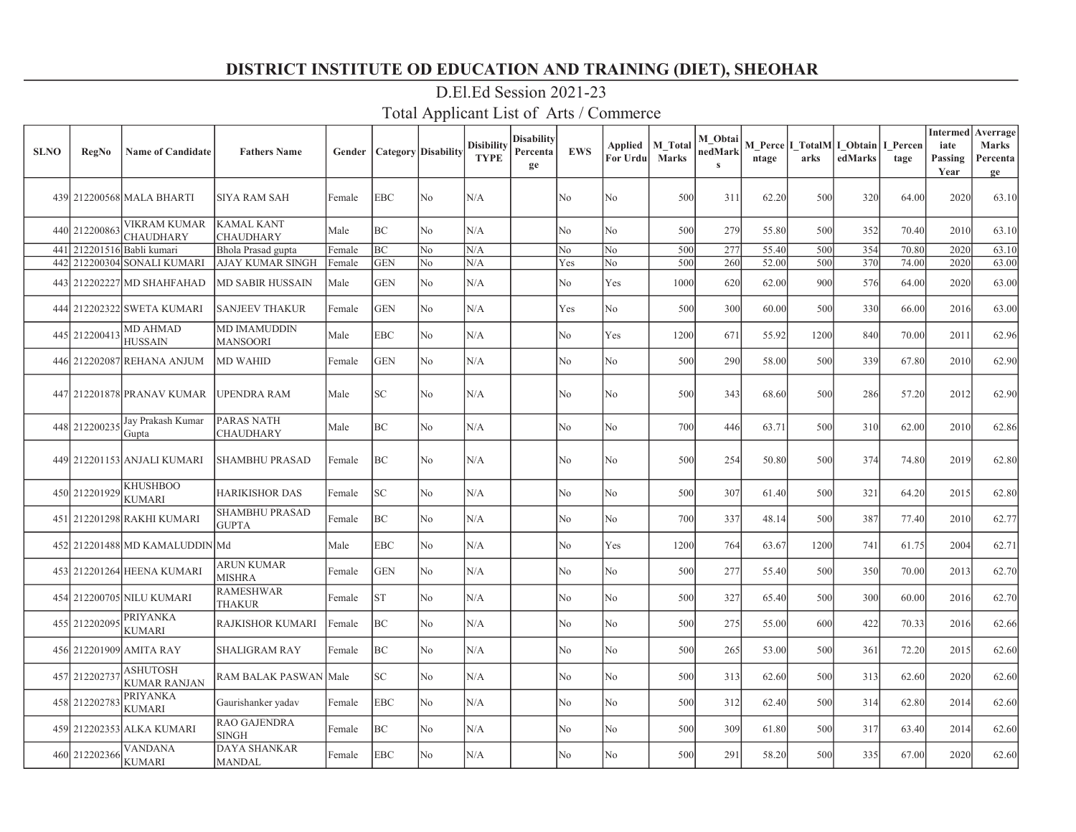| <b>SLNO</b> | <b>RegNo</b>  | <b>Name of Candidate</b>        | <b>Fathers Name</b>                    | Gender | <b>Category</b> Disability |                | <b>Disibility</b><br><b>TYPE</b> | <b>Disability</b><br>Percenta<br>ge | <b>EWS</b> | Applied<br>For Urdu | M Total<br><b>Marks</b> | M Obtai<br>nedMark<br>$\mathbf{s}$ | ntage | M Perce I TotalM I Obtain<br>arks | edMarks | I Percen<br>tage | <b>Intermed</b><br>iate<br>Passing<br>Year | Averrage<br>Marks<br>Percenta<br>ge |
|-------------|---------------|---------------------------------|----------------------------------------|--------|----------------------------|----------------|----------------------------------|-------------------------------------|------------|---------------------|-------------------------|------------------------------------|-------|-----------------------------------|---------|------------------|--------------------------------------------|-------------------------------------|
|             |               | 439 212200568 MALA BHARTI       | <b>SIYA RAM SAH</b>                    | Female | <b>EBC</b>                 | No             | N/A                              |                                     | No         | No                  | 500                     | 311                                | 62.20 | 500                               | 320     | 64.00            | 2020                                       | 63.10                               |
|             | 440 212200863 | VIKRAM KUMAR<br>CHAUDHARY       | <b>KAMAL KANT</b><br><b>CHAUDHARY</b>  | Male   | <b>BC</b>                  | No.            | N/A                              |                                     | No         | No                  | 500                     | 279                                | 55.80 | 500                               | 352     | 70.40            | 2010                                       | 63.10                               |
| 441         | 212201516     | Babli kumari                    | Bhola Prasad gupta                     | Female | BC                         | No             | N/A                              |                                     | No         | No                  | 500                     | 277                                | 55.40 | 500                               | 354     | 70.80            | 2020                                       | 63.10                               |
| 442         |               | 212200304 SONALI KUMARI         | AJAY KUMAR SINGH                       | Female | <b>GEN</b>                 | No             | N/A                              |                                     | Yes        | No                  | 500                     | 260                                | 52.00 | 500                               | 370     | 74.00            | 2020                                       | 63.00                               |
|             |               | 443 212202227 MD SHAHFAHAD      | MD SABIR HUSSAIN                       | Male   | GEN                        | No             | N/A                              |                                     | No         | Yes                 | 1000                    | 620                                | 62.00 | 900                               | 576     | 64.00            | 2020                                       | 63.00                               |
|             |               | 444 212202322 SWETA KUMARI      | <b>SANJEEV THAKUR</b>                  | Female | GEN                        | No             | N/A                              |                                     | Yes        | No                  | 500                     | 300                                | 60.00 | 500                               | 330     | 66.00            | 2016                                       | 63.00                               |
|             | 445 212200413 | MD AHMAD<br><b>HUSSAIN</b>      | <b>MD IMAMUDDIN</b><br><b>MANSOORI</b> | Male   | <b>EBC</b>                 | No             | N/A                              |                                     | No         | Yes                 | 1200                    | 671                                | 55.92 | 1200                              | 840     | 70.00            | 2011                                       | 62.96                               |
|             |               | 446 212202087 REHANA ANJUM      | <b>MD WAHID</b>                        | Female | GEN                        | No             | N/A                              |                                     | No         | No                  | 500                     | 290                                | 58.00 | 500                               | 339     | 67.80            | 2010                                       | 62.90                               |
|             |               | 447 212201878 PRANAV KUMAR      | UPENDRA RAM                            | Male   | SC.                        | No             | N/A                              |                                     | No         | No                  | 500                     | 343                                | 68.60 | 500                               | 286     | 57.20            | 2012                                       | 62.90                               |
|             | 448 212200235 | Jay Prakash Kumar<br>Gupta      | PARAS NATH<br><b>CHAUDHARY</b>         | Male   | BC                         | No             | N/A                              |                                     | No         | No                  | 700                     | 446                                | 63.71 | 500                               | 310     | 62.00            | 2010                                       | 62.86                               |
|             |               | 449 212201153 ANJALI KUMARI     | <b>SHAMBHU PRASAD</b>                  | Female | BC                         | No             | N/A                              |                                     | No         | No                  | 500                     | 254                                | 50.80 | 500                               | 374     | 74.80            | 2019                                       | 62.80                               |
|             | 450 212201929 | <b>KHUSHBOO</b><br>KUMARI       | <b>HARIKISHOR DAS</b>                  | Female | SC                         | No             | N/A                              |                                     | No         | No                  | 500                     | 307                                | 61.40 | 500                               | 321     | 64.20            | 2015                                       | 62.80                               |
|             |               | 451 212201298 RAKHI KUMARI      | <b>SHAMBHU PRASAD</b><br><b>GUPTA</b>  | Female | BC                         | No             | N/A                              |                                     | No         | No                  | 700                     | 337                                | 48.14 | 500                               | 387     | 77.40            | 2010                                       | 62.77                               |
|             |               | 452 212201488 MD KAMALUDDIN Md  |                                        | Male   | <b>EBC</b>                 | No.            | N/A                              |                                     | No         | Yes                 | 1200                    | 764                                | 63.67 | 1200                              | 741     | 61.75            | 2004                                       | 62.71                               |
|             |               | 453 212201264 HEENA KUMARI      | <b>ARUN KUMAR</b><br><b>MISHRA</b>     | Female | <b>GEN</b>                 | No.            | N/A                              |                                     | No         | No                  | 500                     | 277                                | 55.40 | 500                               | 350     | 70.00            | 2013                                       | 62.70                               |
|             |               | 454 212200705 NILU KUMARI       | <b>RAMESHWAR</b><br><b>THAKUR</b>      | Female | <b>ST</b>                  | No             | N/A                              |                                     | No         | No                  | 500                     | 327                                | 65.40 | 500                               | 300     | 60.00            | 2016                                       | 62.70                               |
|             | 455 21220209: | PRIYANKA<br>KUMARI              | RAJKISHOR KUMARI                       | Female | BC                         | No.            | N/A                              |                                     | No         | No                  | 500                     | 275                                | 55.00 | 600                               | 422     | 70.33            | 2016                                       | 62.66                               |
|             |               | 456 212201909 AMITA RAY         | <b>SHALIGRAM RAY</b>                   | Female | BC                         | No             | N/A                              |                                     | No         | No                  | 500                     | 265                                | 53.00 | 500                               | 361     | 72.20            | 2015                                       | 62.60                               |
|             | 457 21220273  | ASHUTOSH<br><b>KUMAR RANJAN</b> | RAM BALAK PASWAN Male                  |        | <b>SC</b>                  | No             | N/A                              |                                     | No         | No                  | 500                     | 313                                | 62.60 | 500                               | 313     | 62.60            | 2020                                       | 62.60                               |
|             | 458 212202783 | PRIYANKA<br>KUMARI              | Gaurishanker yadav                     | Female | EBC                        | No             | N/A                              |                                     | No         | No                  | 500                     | 312                                | 62.40 | 500                               | 314     | 62.80            | 2014                                       | 62.60                               |
|             |               | 459 212202353 ALKA KUMARI       | RAO GAJENDRA<br><b>SINGH</b>           | Female | BC                         | No             | N/A                              |                                     | No         | No                  | 500                     | 309                                | 61.80 | 500                               | 317     | 63.40            | 2014                                       | 62.60                               |
|             | 460 212202366 | VANDANA<br><b>KUMARI</b>        | DAYA SHANKAR<br><b>MANDAL</b>          | Female | <b>EBC</b>                 | N <sub>o</sub> | N/A                              |                                     | No         | No                  | 500                     | 291                                | 58.20 | 500                               | 335     | 67.00            | 2020                                       | 62.60                               |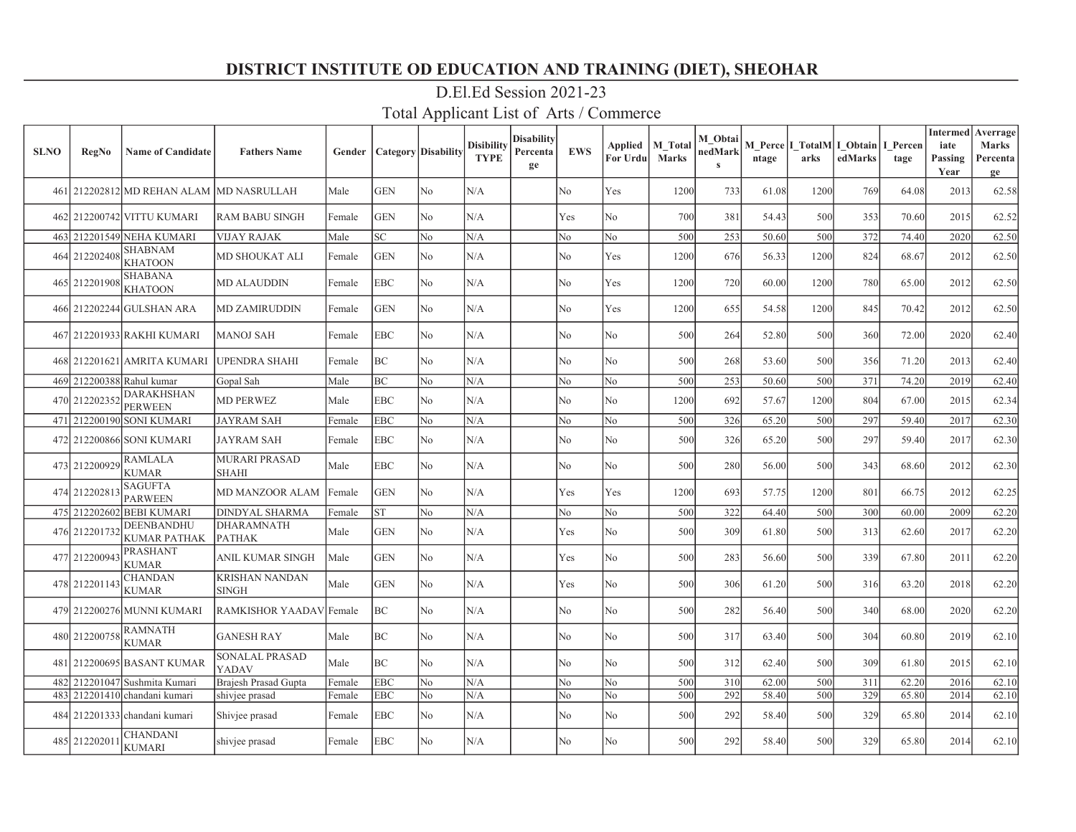| <b>SLNO</b> | <b>RegNo</b>  | <b>Name of Candidate</b>                 | <b>Fathers Name</b>                   | Gender | <b>Category</b> Disability |                | <b>Disibility</b><br><b>TYPE</b> | <b>Disability</b><br>Percenta<br>ge | <b>EWS</b>     | Applied<br>For Urdu | <b>M</b> Total<br><b>Marks</b> | M Obtai<br>nedMark<br>$\mathbf{s}$ | ntage | arks | M Perce   I TotalM   I Obtain  <br>edMarks | I Percen<br>tage | <b>Intermed</b><br>iate<br>Passing<br>Year | Averrage<br>Marks<br>Percenta<br>ge |
|-------------|---------------|------------------------------------------|---------------------------------------|--------|----------------------------|----------------|----------------------------------|-------------------------------------|----------------|---------------------|--------------------------------|------------------------------------|-------|------|--------------------------------------------|------------------|--------------------------------------------|-------------------------------------|
|             |               | 461 212202812 MD REHAN ALAM MD NASRULLAH |                                       | Male   | <b>GEN</b>                 | N <sub>o</sub> | N/A                              |                                     | No             | Yes                 | 1200                           | 733                                | 61.08 | 1200 | 769                                        | 64.08            | 2013                                       | 62.58                               |
|             |               | 462 212200742 VITTU KUMARI               | <b>RAM BABU SINGH</b>                 | Female | <b>GEN</b>                 | No             | N/A                              |                                     | Yes            | No                  | 700                            | 381                                | 54.43 | 500  | 353                                        | 70.60            | 2015                                       | 62.52                               |
|             |               | 463 212201549 NEHA KUMARI                | <b>VIJAY RAJAK</b>                    | Male   | SC                         | N <sub>o</sub> | N/A                              |                                     | No             | No                  | 500                            | 253                                | 50.60 | 500  | 372                                        | 74.40            | 2020                                       | 62.50                               |
| 464         | 212202408     | <b>SHABNAM</b><br><b>KHATOON</b>         | MD SHOUKAT ALI                        | Female | <b>GEN</b>                 | No             | N/A                              |                                     | No             | Yes                 | 1200                           | 676                                | 56.33 | 1200 | 824                                        | 68.67            | 2012                                       | 62.50                               |
|             | 465 212201908 | <b>SHABANA</b><br><b>KHATOON</b>         | <b>MD ALAUDDIN</b>                    | Female | <b>EBC</b>                 | N <sub>o</sub> | N/A                              |                                     | N <sub>o</sub> | Yes                 | 1200                           | 720                                | 60.00 | 1200 | 780                                        | 65.00            | 2012                                       | 62.50                               |
|             |               | 466 212202244 GULSHAN ARA                | <b>MD ZAMIRUDDIN</b>                  | Female | <b>GEN</b>                 | N <sub>o</sub> | N/A                              |                                     | No             | Yes                 | 1200                           | 655                                | 54.58 | 1200 | 845                                        | 70.42            | 2012                                       | 62.50                               |
|             |               | 467 212201933 RAKHI KUMARI               | <b>MANOJ SAH</b>                      | Female | <b>EBC</b>                 | No             | N/A                              |                                     | N <sub>o</sub> | No                  | 500                            | 264                                | 52.80 | 500  | 360                                        | 72.00            | 2020                                       | 62.40                               |
|             |               | 468 212201621 AMRITA KUMARI              | <b>UPENDRA SHAHI</b>                  | Female | BC                         | No             | N/A                              |                                     | No             | No                  | 500                            | 268                                | 53.60 | 500  | 356                                        | 71.20            | 2013                                       | 62.40                               |
|             |               | 469 212200388 Rahul kumar                | Gopal Sah                             | Male   | BС                         | N <sub>o</sub> | N/A                              |                                     | No             | No                  | 500                            | 253                                | 50.60 | 500  | 371                                        | 74.20            | 2019                                       | 62.40                               |
| 470         | 212202352     | <b>DARAKHSHAN</b><br><b>PERWEEN</b>      | <b>MD PERWEZ</b>                      | Male   | EBC                        | N <sub>o</sub> | N/A                              |                                     | No             | No                  | 1200                           | 692                                | 57.67 | 1200 | 804                                        | 67.00            | 2015                                       | 62.34                               |
|             |               | 471 212200190 SONI KUMARI                | <b>JAYRAM SAH</b>                     | Female | <b>EBC</b>                 | N <sub>o</sub> | N/A                              |                                     | No             | No                  | 500                            | 326                                | 65.20 | 500  | 297                                        | 59.40            | 2017                                       | 62.30                               |
|             |               | 472 212200866 SONI KUMARI                | JAYRAM SAH                            | Female | EBC                        | No             | N/A                              |                                     | No             | No                  | 500                            | 326                                | 65.20 | 500  | 297                                        | 59.40            | 2017                                       | 62.30                               |
|             | 473 212200929 | <b>RAMLALA</b><br><b>KUMAR</b>           | <b>MURARI PRASAD</b><br>SHAHI         | Male   | EBC                        | No             | N/A                              |                                     | N <sub>o</sub> | No                  | 500                            | 280                                | 56.00 | 500  | 343                                        | 68.60            | 2012                                       | 62.30                               |
|             | 474 212202813 | <b>SAGUFTA</b><br><b>PARWEEN</b>         | MD MANZOOR ALAM                       | Female | <b>GEN</b>                 | No             | $\rm N/A$                        |                                     | Yes            | Yes                 | 1200                           | 693                                | 57.75 | 1200 | 801                                        | 66.75            | 2012                                       | 62.25                               |
|             |               | 475 212202602 BEBI KUMARI                | <b>DINDYAL SHARMA</b>                 | Female | <b>ST</b>                  | No             | N/A                              |                                     | No             | No                  | 500                            | 322                                | 64.40 | 500  | 300                                        | 60.00            | 2009                                       | 62.20                               |
|             | 476 212201732 | DEENBANDHU<br><b>KUMAR PATHAK</b>        | <b>DHARAMNATH</b><br><b>PATHAK</b>    | Male   | <b>GEN</b>                 | N <sub>o</sub> | N/A                              |                                     | Yes            | No                  | 500                            | 309                                | 61.80 | 500  | 313                                        | 62.60            | 2017                                       | 62.20                               |
|             | 477 212200943 | <b>PRASHANT</b><br><b>KUMAR</b>          | ANIL KUMAR SINGH                      | Male   | GEN                        | No             | N/A                              |                                     | Yes            | No                  | 500                            | 283                                | 56.60 | 500  | 339                                        | 67.80            | 2011                                       | 62.20                               |
|             | 478 212201143 | <b>CHANDAN</b><br><b>KUMAR</b>           | <b>KRISHAN NANDAN</b><br><b>SINGH</b> | Male   | <b>GEN</b>                 | No             | N/A                              |                                     | Yes            | No                  | 500                            | 306                                | 61.20 | 500  | 316                                        | 63.20            | 2018                                       | 62.20                               |
|             |               | 479 212200276 MUNNI KUMARI               | <b>RAMKISHOR YAADAV</b>               | Female | BC                         | No             | N/A                              |                                     | No             | No                  | 500                            | 282                                | 56.40 | 500  | 340                                        | 68.00            | 2020                                       | 62.20                               |
|             | 480 212200758 | <b>RAMNATH</b><br><b>KUMAR</b>           | <b>GANESH RAY</b>                     | Male   | BC                         | N <sub>o</sub> | N/A                              |                                     | No             | No                  | 500                            | 317                                | 63.40 | 500  | 304                                        | 60.80            | 2019                                       | 62.10                               |
|             |               | 481 212200695 BASANT KUMAR               | SONALAL PRASAD<br>YADAV               | Male   | BC                         | N <sub>o</sub> | N/A                              |                                     | No             | No                  | 500                            | 312                                | 62.40 | 500  | 309                                        | 61.80            | 2015                                       | 62.10                               |
| 482         |               | 212201047 Sushmita Kumari                | Brajesh Prasad Gupta                  | Female | <b>EBC</b>                 | No             | N/A                              |                                     | No             | No                  | 500                            | 310                                | 62.00 | 500  | 311                                        | 62.20            | 2016                                       | 62.10                               |
|             |               | 483 212201410 chandani kumari            | shivjee prasad                        | Female | <b>EBC</b>                 | No             | N/A                              |                                     | No             | No                  | 500                            | 292                                | 58.40 | 500  | 329                                        | 65.80            | 2014                                       | 62.10                               |
|             |               | 484 212201333 chandani kumari            | Shivjee prasad                        | Female | EBC                        | N <sub>o</sub> | N/A                              |                                     | No             | No                  | 500                            | 292                                | 58.40 | 500  | 329                                        | 65.80            | 2014                                       | 62.10                               |
|             | 485 212202011 | <b>CHANDANI</b><br><b>KUMARI</b>         | shivjee prasad                        | Female | EBC                        | N <sub>o</sub> | N/A                              |                                     | No             | No                  | 500                            | 292                                | 58.40 | 500  | 329                                        | 65.80            | 2014                                       | 62.10                               |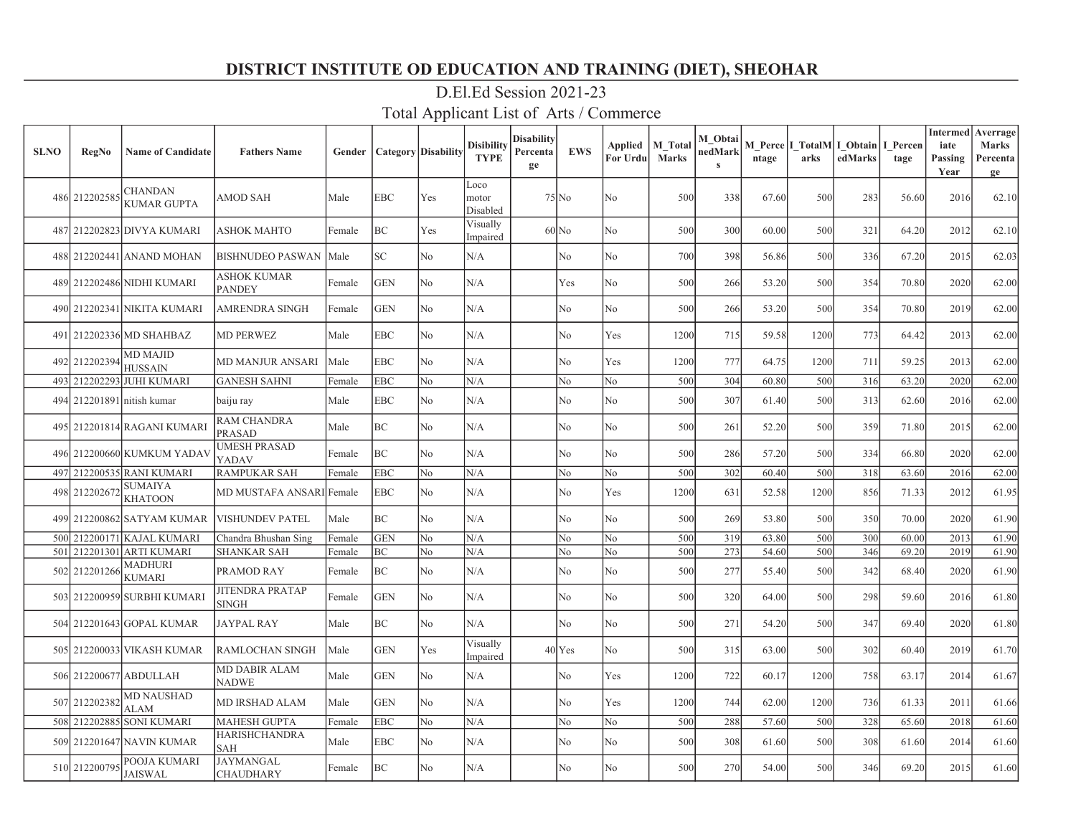| <b>SLNO</b> | <b>RegNo</b>  | <b>Name of Candidate</b>             | <b>Fathers Name</b>                    | Gender | Category   Disability |     | <b>Disibility</b><br><b>TYPE</b> | Disability<br>Percenta<br>ge | <b>EWS</b> | Applied<br>For Urdu | <b>M</b> Total<br>Marks | M Obtai<br>nedMark<br>$\mathbf{s}$ | ntage | arks | M Perce   I TotalM   I Obtain  <br>edMarks | I Percen<br>tage | <b>Intermed</b><br>iate<br>Passing<br>Year | Averrage<br><b>Marks</b><br>Percenta<br>ge |
|-------------|---------------|--------------------------------------|----------------------------------------|--------|-----------------------|-----|----------------------------------|------------------------------|------------|---------------------|-------------------------|------------------------------------|-------|------|--------------------------------------------|------------------|--------------------------------------------|--------------------------------------------|
|             | 486 212202585 | <b>CHANDAN</b><br><b>KUMAR GUPTA</b> | AMOD SAH                               | Male   | <b>EBC</b>            | Yes | Loco<br>motor<br>Disabled        |                              | $75$ No    | No                  | 500                     | 338                                | 67.60 | 500  | 283                                        | 56.60            | 2016                                       | 62.10                                      |
|             |               | 487 212202823 DIVYA KUMARI           | <b>ASHOK MAHTO</b>                     | Female | BC                    | Yes | Visually<br>Impaired             |                              | $60$ No    | No                  | 500                     | 300                                | 60.00 | 500  | 321                                        | 64.20            | 2012                                       | 62.10                                      |
|             |               | 488 212202441 ANAND MOHAN            | <b>BISHNUDEO PASWAN</b>                | Male   | SC <sub>1</sub>       | No  | N/A                              |                              | No         | No                  | 700                     | 398                                | 56.86 | 500  | 336                                        | 67.20            | 2015                                       | 62.03                                      |
|             |               | 489 212202486 NIDHI KUMARI           | <b>ASHOK KUMAR</b><br><b>PANDEY</b>    | Female | <b>GEN</b>            | No  | N/A                              |                              | Yes        | No                  | 500                     | 266                                | 53.20 | 500  | 354                                        | 70.80            | 2020                                       | 62.00                                      |
|             |               | 490 212202341 NIKITA KUMARI          | AMRENDRA SINGH                         | Female | <b>GEN</b>            | No  | N/A                              |                              | No         | No                  | 500                     | 266                                | 53.20 | 500  | 354                                        | 70.80            | 2019                                       | 62.00                                      |
|             |               | 491 212202336 MD SHAHBAZ             | <b>MD PERWEZ</b>                       | Male   | <b>EBC</b>            | No  | N/A                              |                              | No         | Yes                 | 1200                    | 715                                | 59.58 | 1200 | 773                                        | 64.42            | 2013                                       | 62.00                                      |
|             | 492 212202394 | <b>MD MAJID</b><br><b>HUSSAIN</b>    | <b>MD MANJUR ANSARI</b>                | Male   | <b>EBC</b>            | No  | N/A                              |                              | No         | Yes                 | 1200                    | 777                                | 64.75 | 1200 | 711                                        | 59.25            | 2013                                       | 62.00                                      |
| 493         |               | 212202293 JUHI KUMARI                | <b>GANESH SAHNI</b>                    | Female | <b>EBC</b>            | No  | N/A                              |                              | No         | No                  | 500                     | 304                                | 60.80 | 500  | 316                                        | 63.20            | 2020                                       | 62.00                                      |
|             |               | 494 212201891 nitish kumar           | baiju ray                              | Male   | EBC                   | No  | N/A                              |                              | No         | No                  | 500                     | 307                                | 61.40 | 500  | 313                                        | 62.60            | 2016                                       | 62.00                                      |
|             |               | 495 212201814 RAGANI KUMARI          | RAM CHANDRA<br><b>PRASAD</b>           | Male   | BC                    | No  | N/A                              |                              | No         | No                  | 500                     | 261                                | 52.20 | 500  | 359                                        | 71.80            | 2015                                       | 62.00                                      |
|             |               | 496 212200660 KUMKUM YADAV           | <b>JMESH PRASAD</b><br>YADAV           | Female | BC                    | No  | N/A                              |                              | No         | No                  | 500                     | 286                                | 57.20 | 500  | 334                                        | 66.80            | 2020                                       | 62.00                                      |
| 497         |               | 212200535 RANI KUMARI                | <b>RAMPUKAR SAH</b>                    | Female | <b>EBC</b>            | No  | N/A                              |                              | No         | No                  | 500                     | 302                                | 60.40 | 500  | 318                                        | 63.60            | 2016                                       | 62.00                                      |
|             | 498 21220267  | SUMAIYA<br><b>KHATOON</b>            | MD MUSTAFA ANSARI Female               |        | <b>EBC</b>            | No  | N/A                              |                              | No         | Yes                 | 1200                    | 631                                | 52.58 | 1200 | 856                                        | 71.33            | 2012                                       | 61.95                                      |
|             |               | 499 212200862 SATYAM KUMAR           | <b>VISHUNDEV PATEL</b>                 | Male   | BC                    | No  | N/A                              |                              | No         | No                  | 500                     | 269                                | 53.80 | 500  | 350                                        | 70.00            | 2020                                       | 61.90                                      |
|             |               | 500 212200171 KAJAL KUMARI           | Chandra Bhushan Sing                   | Female | <b>GEN</b>            | No  | N/A                              |                              | No         | No                  | 500                     | 319                                | 63.80 | 500  | 300                                        | 60.00            | 2013                                       | 61.90                                      |
|             |               | 501 212201301 ARTI KUMARI            | <b>SHANKAR SAH</b>                     | Female | BC                    | No  | N/A                              |                              | No         | No                  | 500                     | 273                                | 54.60 | 500  | 346                                        | 69.20            | 2019                                       | 61.90                                      |
|             | 502 212201266 | MADHURI<br>KUMARI                    | PRAMOD RAY                             | Female | BC                    | No  | N/A                              |                              | No         | No                  | 500                     | 277                                | 55.40 | 500  | 342                                        | 68.40            | 2020                                       | 61.90                                      |
|             |               | 503 212200959 SURBHI KUMARI          | <b>JITENDRA PRATAP</b><br><b>SINGH</b> | Female | <b>GEN</b>            | No  | N/A                              |                              | No         | No                  | 500                     | 320                                | 64.00 | 500  | 298                                        | 59.60            | 2016                                       | 61.80                                      |
|             |               | 504 212201643 GOPAL KUMAR            | <b>JAYPAL RAY</b>                      | Male   | $\rm BC$              | No  | N/A                              |                              | No         | No                  | 500                     | 271                                | 54.20 | 500  | 347                                        | 69.40            | 2020                                       | 61.80                                      |
|             |               | 505 212200033 VIKASH KUMAR           | <b>RAMLOCHAN SINGH</b>                 | Male   | <b>GEN</b>            | Yes | Visually<br>Impaired             |                              | $40$ Yes   | No                  | 500                     | 315                                | 63.00 | 500  | 302                                        | 60.40            | 2019                                       | 61.70                                      |
|             |               | 506 212200677 ABDULLAH               | <b>MD DABIR ALAM</b><br>NADWE          | Male   | <b>GEN</b>            | No  | N/A                              |                              | No         | Yes                 | 1200                    | 722                                | 60.17 | 1200 | 758                                        | 63.17            | 2014                                       | 61.67                                      |
| 507         | 212202382     | <b>MD NAUSHAD</b><br>ALAM            | <b>MD IRSHAD ALAM</b>                  | Male   | <b>GEN</b>            | No  | N/A                              |                              | No         | Yes                 | 1200                    | 744                                | 62.00 | 1200 | 736                                        | 61.33            | 2011                                       | 61.66                                      |
|             | 508 212202885 | <b>SONI KUMARI</b>                   | <b>MAHESH GUPTA</b>                    | Female | <b>EBC</b>            | No  | N/A                              |                              | No         | No                  | 500                     | 288                                | 57.60 | 500  | 328                                        | 65.60            | 2018                                       | 61.60                                      |
|             |               | 509 212201647 NAVIN KUMAR            | <b>HARISHCHANDRA</b><br><b>SAH</b>     | Male   | EBC                   | No  | N/A                              |                              | No         | No                  | 500                     | 308                                | 61.60 | 500  | 308                                        | 61.60            | 2014                                       | 61.60                                      |
|             | 510 21220079: | POOJA KUMARI<br><b>JAISWAL</b>       | JAYMANGAL<br><b>CHAUDHARY</b>          | Female | BC                    | No  | N/A                              |                              | No         | No                  | 500                     | 270                                | 54.00 | 500  | 346                                        | 69.20            | 2015                                       | 61.60                                      |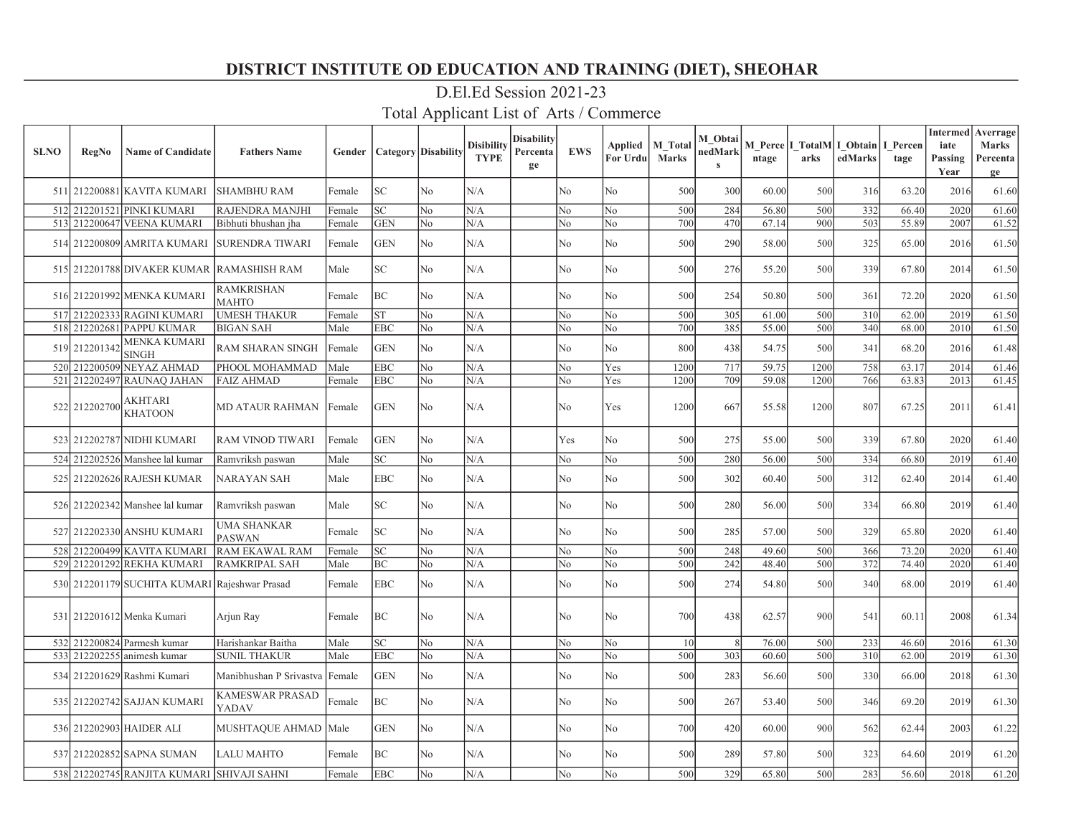| <b>SLNO</b> | <b>RegNo</b>  | <b>Name of Candidate</b>                      | <b>Fathers Name</b>               | Gender | Category   Disability |                | <b>Disibility</b><br><b>TYPE</b> | <b>Disability</b><br>Percenta<br>ge | <b>EWS</b>     | Applied<br>For Urdu | <b>M</b> Total<br><b>Marks</b> | M Obtai<br>nedMark<br>$\mathbf{s}$ | ntage | arks | M Perce   I TotalM   I Obtain  <br>edMarks | I Percen<br>tage | <b>Intermed</b><br>iate<br>Passing<br>Year | Averrage<br><b>Marks</b><br>Percenta<br>ge |
|-------------|---------------|-----------------------------------------------|-----------------------------------|--------|-----------------------|----------------|----------------------------------|-------------------------------------|----------------|---------------------|--------------------------------|------------------------------------|-------|------|--------------------------------------------|------------------|--------------------------------------------|--------------------------------------------|
|             |               | 511 212200881 KAVITA KUMARI                   | <b>SHAMBHU RAM</b>                | Female | SC                    | No             | N/A                              |                                     | No             | No                  | 500                            | 300                                | 60.00 | 500  | 316                                        | 63.20            | 2016                                       | 61.60                                      |
|             |               | 512 212201521 PINKI KUMARI                    | RAJENDRA MANJHI                   | Female | <b>SC</b>             | N <sub>0</sub> | N/A                              |                                     | No             | N <sub>0</sub>      | 500                            | 284                                | 56.80 | 500  | 332                                        | 66.40            | 2020                                       | 61.60                                      |
|             |               | 513 212200647 VEENA KUMARI                    | Bibhuti bhushan jha               | Female | <b>GEN</b>            | No             | N/A                              |                                     | No             | No                  | 700                            | 470                                | 67.14 | 900  | 503                                        | 55.89            | 2007                                       | 61.52                                      |
|             |               | 514 212200809 AMRITA KUMARI                   | <b>SURENDRA TIWARI</b>            | Female | <b>GEN</b>            | N <sub>o</sub> | N/A                              |                                     | N <sub>o</sub> | No                  | 500                            | 290                                | 58.00 | 500  | 325                                        | 65.00            | 2016                                       | 61.50                                      |
|             |               | 515 212201788 DIVAKER KUMAR                   | <b>RAMASHISH RAM</b>              | Male   | SC                    | No             | N/A                              |                                     | N <sub>o</sub> | No                  | 500                            | 276                                | 55.20 | 500  | 339                                        | 67.80            | 2014                                       | 61.50                                      |
|             |               | 516 212201992 MENKA KUMARI                    | <b>RAMKRISHAN</b><br><b>MAHTO</b> | Female | BC                    | No.            | N/A                              |                                     | No             | No                  | 500                            | 254                                | 50.80 | 500  | 361                                        | 72.20            | 2020                                       | 61.50                                      |
|             |               | 517 212202333 RAGINI KUMARI                   | <b>UMESH THAKUR</b>               | Female | ST                    | No             | N/A                              |                                     | No             | No                  | 500                            | 305                                | 61.00 | 500  | 310                                        | 62.00            | 2019                                       | 61.50                                      |
|             |               | 518 212202681 PAPPU KUMAR                     | <b>BIGAN SAH</b>                  | Male   | <b>EBC</b>            | No             | N/A                              |                                     | No             | No                  | 700                            | 385                                | 55.00 | 500  | 340                                        | 68.00            | 2010                                       | 61.50                                      |
|             | 519 212201342 | MENKA KUMARI<br><b>SINGH</b>                  | RAM SHARAN SINGH                  | Female | <b>GEN</b>            | No             | N/A                              |                                     | No             | No                  | 800                            | 438                                | 54.75 | 500  | 341                                        | 68.20            | 2016                                       | 61.48                                      |
|             |               | 520 212200509 NEYAZ AHMAD                     | PHOOL MOHAMMAD                    | Male   | <b>EBC</b>            | No             | N/A                              |                                     | No             | Yes                 | 1200                           | 717                                | 59.75 | 1200 | 758                                        | 63.17            | 2014                                       | 61.46                                      |
|             |               | 521 212202497 RAUNAQ JAHAN                    | <b>FAIZ AHMAD</b>                 | Female | <b>EBC</b>            | No             | N/A                              |                                     | No             | Yes                 | 1200                           | 709                                | 59.08 | 1200 | 766                                        | 63.83            | 2013                                       | 61.45                                      |
|             | 522 212202700 | AKHTARI<br><b>KHATOON</b>                     | <b>MD ATAUR RAHMAN</b>            | Female | <b>GEN</b>            | N <sub>o</sub> | N/A                              |                                     | No             | Yes                 | 1200                           | 667                                | 55.58 | 1200 | 807                                        | 67.25            | 2011                                       | 61.41                                      |
|             |               | 523 212202787 NIDHI KUMARI                    | RAM VINOD TIWARI                  | Female | <b>GEN</b>            | No             | N/A                              |                                     | Yes            | No                  | 500                            | 275                                | 55.00 | 500  | 339                                        | 67.80            | 2020                                       | 61.40                                      |
|             |               | 524 212202526 Manshee lal kumar               | Ramvriksh paswan                  | Male   | SC                    | No             | N/A                              |                                     | No             | No                  | 500                            | 280                                | 56.00 | 500  | 334                                        | 66.80            | 2019                                       | 61.40                                      |
|             |               | 525 212202626 RAJESH KUMAR                    | NARAYAN SAH                       | Male   | <b>EBC</b>            | No             | N/A                              |                                     | No             | No                  | 500                            | 302                                | 60.40 | 500  | 312                                        | 62.40            | 2014                                       | 61.40                                      |
|             |               | 526 212202342 Manshee lal kumar               | Ramvriksh paswan                  | Male   | SC.                   | No             | N/A                              |                                     | N <sub>o</sub> | No                  | 500                            | 280                                | 56.00 | 500  | 334                                        | 66.80            | 2019                                       | 61.40                                      |
|             |               | 527 212202330 ANSHU KUMARI                    | UMA SHANKAR<br><b>PASWAN</b>      | Female | SC.                   | No             | N/A                              |                                     | No             | No                  | 500                            | 285                                | 57.00 | 500  | 329                                        | 65.80            | 2020                                       | 61.40                                      |
|             |               | 528 212200499 KAVITA KUMARI                   | RAM EKAWAL RAM                    | Female | SC.                   | No             | N/A                              |                                     | No             | No                  | 500                            | 248                                | 49.60 | 500  | 366                                        | 73.20            | 2020                                       | 61.40                                      |
|             |               | 529 212201292 REKHA KUMARI                    | <b>RAMKRIPAL SAH</b>              | Male   | BC                    | No             | N/A                              |                                     | No             | No                  | 500                            | 242                                | 48.40 | 500  | 372                                        | 74.40            | 2020                                       | 61.40                                      |
|             |               | 530 212201179 SUCHITA KUMARI Rajeshwar Prasad |                                   | Female | <b>EBC</b>            | No             | N/A                              |                                     | No             | No                  | 500                            | 274                                | 54.80 | 500  | 340                                        | 68.00            | 2019                                       | 61.40                                      |
|             |               | 531 212201612 Menka Kumari                    | Arjun Ray                         | Female | BC                    | No             | N/A                              |                                     | No             | No                  | 700                            | 438                                | 62.57 | 900  | 541                                        | 60.11            | 2008                                       | 61.34                                      |
|             |               | 532 212200824 Parmesh kumar                   | Harishankar Baitha                | Male   | <b>SC</b>             | No             | N/A                              |                                     | No             | No                  | 10 <sup>1</sup>                | $\mathcal{R}$                      | 76.00 | 500  | 233                                        | 46.60            | 2016                                       | 61.30                                      |
|             |               | 533 212202255 animesh kumar                   | <b>SUNIL THAKUR</b>               | Male   | <b>EBC</b>            | No             | N/A                              |                                     | No             | No                  | 500                            | 303                                | 60.60 | 500  | 310                                        | 62.00            | 2019                                       | 61.30                                      |
|             |               | 534 212201629 Rashmi Kumari                   | Manibhushan P Srivastva           | Female | <b>GEN</b>            | No             | N/A                              |                                     | No             | No                  | 500                            | 283                                | 56.60 | 500  | 330                                        | 66.00            | 2018                                       | 61.30                                      |
|             |               | 535 212202742 SAJJAN KUMARI                   | KAMESWAR PRASAD<br>YADAV          | Female | BC                    | No             | N/A                              |                                     | No             | No                  | 500                            | 267                                | 53.40 | 500  | 346                                        | 69.20            | 2019                                       | 61.30                                      |
|             |               | 536 212202903 HAIDER ALI                      | MUSHTAQUE AHMAD                   | Male   | GEN                   | No             | N/A                              |                                     | No             | No                  | 700                            | 420                                | 60.00 | 900  | 562                                        | 62.44            | 2003                                       | 61.22                                      |
|             |               | 537 212202852 SAPNA SUMAN                     | <b>LALU MAHTO</b>                 | Female | BC                    | No             | $\rm N/A$                        |                                     | No             | No                  | 500                            | 289                                | 57.80 | 500  | 323                                        | 64.60            | 2019                                       | 61.20                                      |
|             |               | 538 212202745 RANJITA KUMARI SHIVAJI SAHNI    |                                   | Female | <b>EBC</b>            | N <sub>o</sub> | N/A                              |                                     | No             | No                  | 500                            | 329                                | 65.80 | 500  | 283                                        | 56.60            | 2018                                       | 61.20                                      |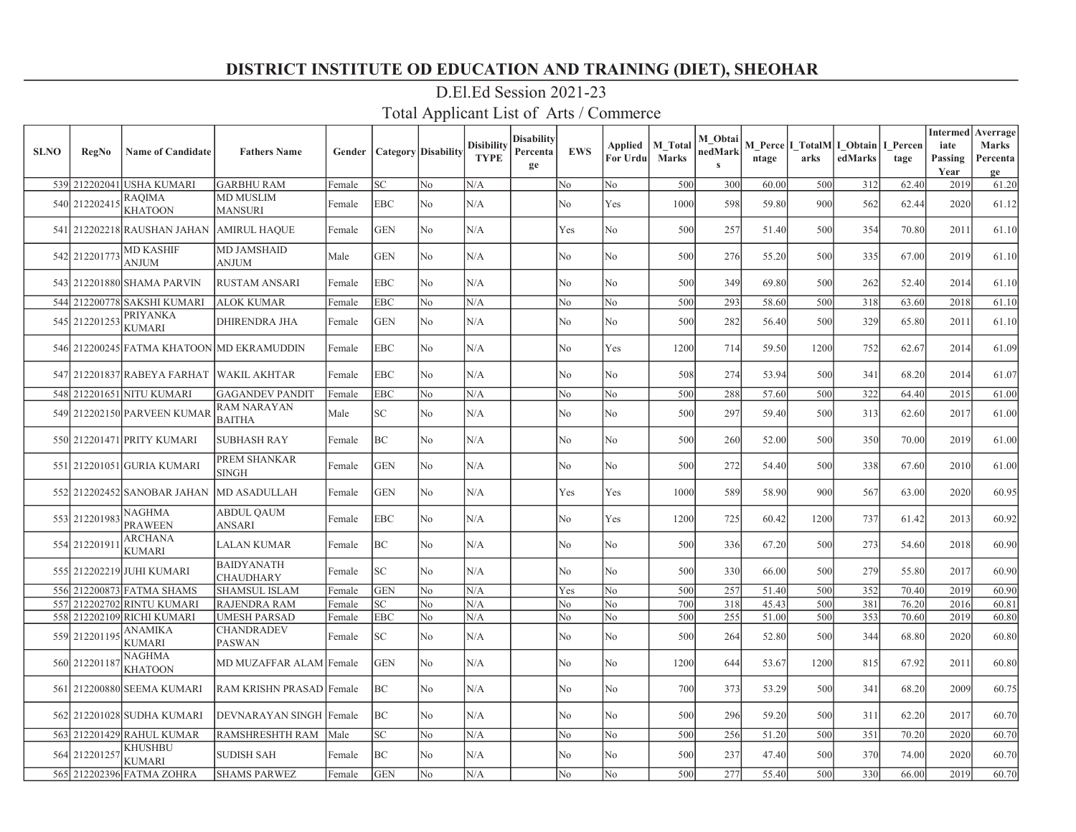| <b>SLNO</b> | <b>RegNo</b>  | <b>Name of Candidate</b>                  | <b>Fathers Name</b>                      | Gender           |                            | <b>Category</b> Disability | <b>Disibility</b><br><b>TYPE</b> | <b>Disability</b><br>Percenta<br>ge | <b>EWS</b> | Applied<br>For Urdu | <b>M</b> Total<br><b>Marks</b> | M Obtai<br>nedMark<br>$\mathbf{s}$ | ntage          | arks       | M Perce I TotalM I Obtain<br>edMarks | I Percen<br>tage | <b>Intermed</b><br>iate<br>Passing<br>Year | Averrage<br><b>Marks</b><br>Percenta<br>ge |
|-------------|---------------|-------------------------------------------|------------------------------------------|------------------|----------------------------|----------------------------|----------------------------------|-------------------------------------|------------|---------------------|--------------------------------|------------------------------------|----------------|------------|--------------------------------------|------------------|--------------------------------------------|--------------------------------------------|
|             | 539 212202041 | USHA KUMARI                               | <b>GARBHU RAM</b>                        | Female           | SC                         | No                         | N/A                              |                                     | No         | No                  | 500                            | 300                                | 60.00          | 500        | 312                                  | 62.40            | 2019                                       | 61.20                                      |
|             | 540 212202415 | RAQIMA<br><b>KHATOON</b>                  | <b>MD MUSLIM</b><br><b>MANSURI</b>       | Female           | <b>EBC</b>                 | No.                        | N/A                              |                                     | No         | Yes                 | 1000                           | 598                                | 59.80          | 900        | 562                                  | 62.44            | 2020                                       | 61.12                                      |
|             |               | 541 212202218 RAUSHAN JAHAN AMIRUL HAQUE  |                                          | Female           | <b>GEN</b>                 | No.                        | N/A                              |                                     | Yes        | No                  | 500                            | 257                                | 51.40          | 500        | 354                                  | 70.80            | 2011                                       | 61.10                                      |
|             | 542 212201773 | <b>MD KASHIF</b><br><b>ANJUM</b>          | <b>MD JAMSHAID</b><br><b>ANJUM</b>       | Male             | <b>GEN</b>                 | No                         | N/A                              |                                     | No         | No                  | 500                            | 276                                | 55.20          | 500        | 335                                  | 67.00            | 2019                                       | 61.10                                      |
|             |               | 543 212201880 SHAMA PARVIN                | <b>RUSTAM ANSARI</b>                     | Female           | <b>EBC</b>                 | No.                        | N/A                              |                                     | No         | No                  | 500                            | 349                                | 69.80          | 500        | 262                                  | 52.40            | 2014                                       | 61.10                                      |
|             |               | 544 212200778 SAKSHI KUMARI               | <b>ALOK KUMAR</b>                        | Female           | <b>EBC</b>                 | No                         | N/A                              |                                     | No         | No                  | 500                            | 293                                | 58.60          | 500        | 318                                  | 63.60            | 2018                                       | 61.10                                      |
|             | 545 212201253 | PRIYANKA<br>KUMARI                        | <b>DHIRENDRA JHA</b>                     | Female           | <b>GEN</b>                 | No                         | N/A                              |                                     | No         | No                  | 500                            | 282                                | 56.40          | 500        | 329                                  | 65.80            | 2011                                       | 61.10                                      |
|             |               | 546 212200245 FATMA KHATOON MD EKRAMUDDIN |                                          | Female           | <b>EBC</b>                 | No                         | N/A                              |                                     | No         | Yes                 | 1200                           | 714                                | 59.50          | 1200       | 752                                  | 62.67            | 2014                                       | 61.09                                      |
|             |               | 547 212201837 RABEYA FARHAT               | <b>WAKIL AKHTAR</b>                      | Female           | EBC                        | No                         | N/A                              |                                     | No         | No                  | 508                            | 274                                | 53.94          | 500        | 341                                  | 68.20            | 2014                                       | 61.07                                      |
|             |               | 548 212201651 NITU KUMARI                 | <b>GAGANDEV PANDIT</b>                   | Female           | <b>EBC</b>                 | No                         | N/A                              |                                     | No         | No                  | 500                            | 288                                | 57.60          | 500        | 322                                  | 64.40            | 2015                                       | 61.00                                      |
|             |               | 549 212202150 PARVEEN KUMAR               | <b>RAM NARAYAN</b><br><b>BAITHA</b>      | Male             | $\ensuremath{\mathbf{SC}}$ | No                         | N/A                              |                                     | No         | No                  | 500                            | 297                                | 59.40          | 500        | 313                                  | 62.60            | 2017                                       | 61.00                                      |
|             |               | 550 212201471 PRITY KUMARI                | <b>SUBHASH RAY</b>                       | Female           | BC                         | N <sub>0</sub>             | N/A                              |                                     | No         | No                  | 500                            | 260                                | 52.00          | 500        | 350                                  | 70.00            | 2019                                       | 61.00                                      |
|             |               | 551 212201051 GURIA KUMARI                | PREM SHANKAR<br><b>SINGH</b>             | Female           | <b>GEN</b>                 | No.                        | N/A                              |                                     | No         | No                  | 500                            | 272                                | 54.40          | 500        | 338                                  | 67.60            | 2010                                       | 61.00                                      |
|             |               | 552 212202452 SANOBAR JAHAN               | <b>MD ASADULLAH</b>                      | Female           | <b>GEN</b>                 | No.                        | N/A                              |                                     | Yes        | Yes                 | 1000                           | 589                                | 58.90          | 900        | 567                                  | 63.00            | 2020                                       | 60.95                                      |
|             | 553 212201983 | <b>NAGHMA</b><br><b>PRAWEEN</b>           | <b>ABDUL QAUM</b><br><b>ANSARI</b>       | Female           | <b>EBC</b>                 | No                         | N/A                              |                                     | No         | Yes                 | 1200                           | 725                                | 60.42          | 1200       | 737                                  | 61.42            | 2013                                       | 60.92                                      |
|             | 554 21220191  | <b>ARCHANA</b><br>KUMARI                  | <b>LALAN KUMAR</b>                       | Female           | BC                         | No                         | N/A                              |                                     | No         | No                  | 500                            | 336                                | 67.20          | 500        | 273                                  | 54.60            | 2018                                       | 60.90                                      |
|             |               | 555 212202219 JUHI KUMARI                 | <b>BAIDYANATH</b><br><b>CHAUDHARY</b>    | Female           | SC                         | No                         | N/A                              |                                     | No         | No                  | 500                            | 330                                | 66.00          | 500        | 279                                  | 55.80            | 2017                                       | 60.90                                      |
|             |               | 556 212200873 FATMA SHAMS                 | <b>SHAMSUL ISLAM</b>                     | Female           | <b>GEN</b>                 | No                         | N/A                              |                                     | Yes        | No                  | 500                            | 257                                | 51.40          | 500        | 352                                  | 70.40            | 2019                                       | 60.90                                      |
|             |               | 557 212202702 RINTU KUMARI                | <b>RAJENDRA RAM</b>                      | Female           | <b>SC</b>                  | No                         | N/A                              |                                     | No         | No                  | 700                            | 318                                | 45.43          | 500        | 381                                  | 76.20            | 2016                                       | 60.81                                      |
|             | 559 212201195 | 558 212202109 RICHI KUMARI<br>ANAMIKA     | <b>UMESH PARSAD</b><br><b>CHANDRADEV</b> | Female<br>Female | <b>EBC</b><br>SC           | N <sub>o</sub><br>No       | N/A<br>N/A                       |                                     | No<br>No   | No<br>No            | 500<br>500                     | 255<br>264                         | 51.00<br>52.80 | 500<br>500 | 353<br>344                           | 70.60<br>68.80   | 2019<br>2020                               | 60.80<br>60.80                             |
|             |               | KUMARI<br>NAGHMA                          | <b>PASWAN</b>                            |                  |                            |                            |                                  |                                     |            |                     |                                |                                    |                |            |                                      |                  |                                            |                                            |
|             | 560 212201187 | <b>KHATOON</b>                            | MD MUZAFFAR ALAM Female                  |                  | <b>GEN</b>                 | No.                        | N/A                              |                                     | No         | No                  | 1200                           | 644                                | 53.67          | 1200       | 815                                  | 67.92            | 2011                                       | 60.80                                      |
|             |               | 561 212200880 SEEMA KUMARI                | RAM KRISHN PRASAD Female                 |                  | BC                         | No                         | N/A                              |                                     | No         | No                  | 700                            | 373                                | 53.29          | 500        | 341                                  | 68.20            | 2009                                       | 60.75                                      |
|             |               | 562 212201028 SUDHA KUMARI                | DEVNARAYAN SINGH Female                  |                  | BC                         | No                         | N/A                              |                                     | No         | No                  | 500                            | 296                                | 59.20          | 500        | 311                                  | 62.20            | 2017                                       | 60.70                                      |
|             |               | 563 212201429 RAHUL KUMAR                 | <b>RAMSHRESHTH RAM</b>                   | Male             | SC                         | No                         | N/A                              |                                     | No         | No                  | 500                            | 256                                | 51.20          | 500        | 351                                  | 70.20            | 2020                                       | 60.70                                      |
| 564         | 212201257     | KHUSHBU<br>KUMARI                         | <b>SUDISH SAH</b>                        | Female           | BC                         | No                         | N/A                              |                                     | No         | No                  | 500                            | 237                                | 47.40          | 500        | 370                                  | 74.00            | 2020                                       | 60.70                                      |
|             |               | 565 212202396 FATMA ZOHRA                 | <b>SHAMS PARWEZ</b>                      | Female           | <b>GEN</b>                 | N <sub>o</sub>             | N/A                              |                                     | No         | No                  | 500                            | 277                                | 55.40          | 500        | 330                                  | 66.00            | 2019                                       | 60.70                                      |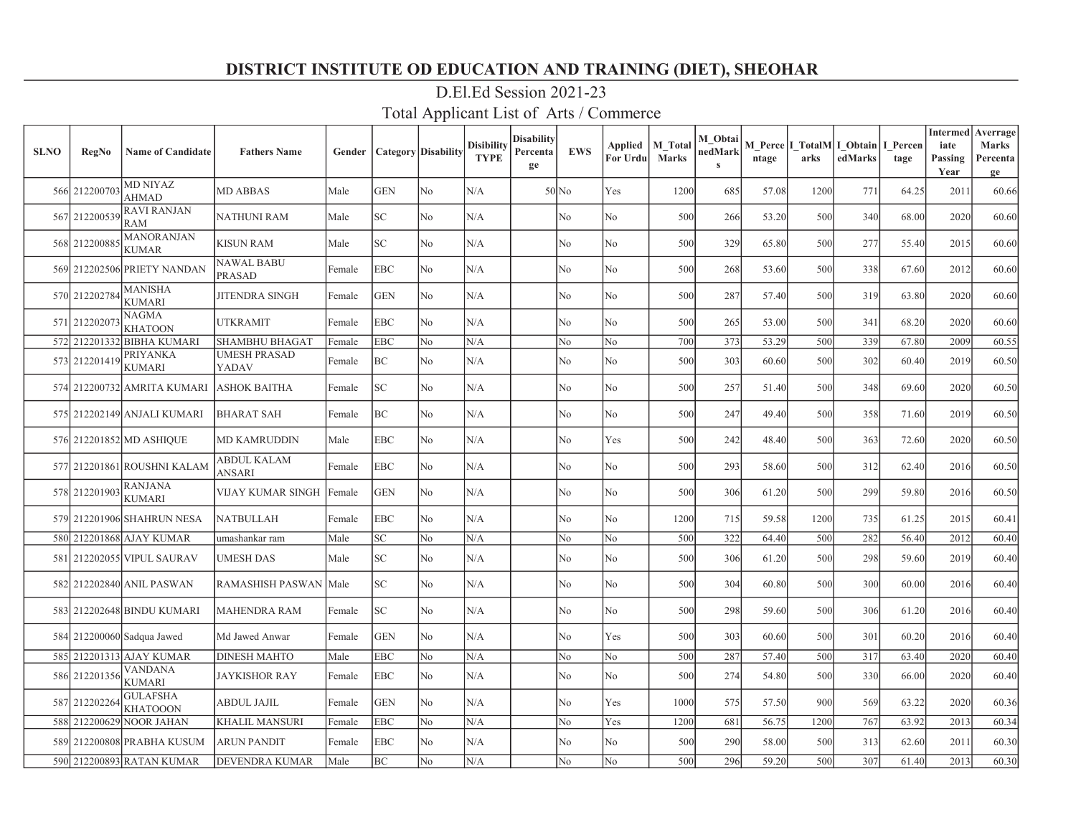| <b>SLNO</b> | <b>RegNo</b>  | <b>Name of Candidate</b>           | <b>Fathers Name</b>     | Gender | <b>Category</b> Disability  |                | <b>Disibility</b><br><b>TYPE</b> | Disability<br>Percenta<br>ge | <b>EWS</b>     | Applied<br>For Urdu | <b>M</b> Total<br><b>Marks</b> | M Obtai<br>nedMark<br>$\mathbf{s}$ | ntage | arks | M Perce   I TotalM   I Obtain  <br>edMarks | I Percen<br>tage | <b>Intermed</b><br>iate<br>Passing<br>Year | Averrage<br>Marks<br>Percenta<br>ge |
|-------------|---------------|------------------------------------|-------------------------|--------|-----------------------------|----------------|----------------------------------|------------------------------|----------------|---------------------|--------------------------------|------------------------------------|-------|------|--------------------------------------------|------------------|--------------------------------------------|-------------------------------------|
|             | 566 212200703 | <b>MD NIYAZ</b><br><b>AHMAD</b>    | <b>MD ABBAS</b>         | Male   | <b>GEN</b>                  | No             | N/A                              |                              | $50$ No        | Yes                 | 1200                           | 685                                | 57.08 | 1200 | 771                                        | 64.25            | 2011                                       | 60.66                               |
|             | 567 212200539 | <b>RAVI RANJAN</b><br><b>RAM</b>   | <b>NATHUNI RAM</b>      | Male   | $\protect\operatorname{SC}$ | No             | N/A                              |                              | No             | No                  | 500                            | 266                                | 53.20 | 500  | 340                                        | 68.00            | 2020                                       | 60.60                               |
|             | 568 21220088  | <b>MANORANJAN</b><br><b>KUMAR</b>  | <b>KISUN RAM</b>        | Male   | SC.                         | N <sub>o</sub> | N/A                              |                              | N <sub>o</sub> | No                  | 500                            | 329                                | 65.80 | 500  | 277                                        | 55.40            | 2015                                       | 60.60                               |
|             |               | 569 212202506 PRIETY NANDAN        | NAWAL BABU<br>PRASAD    | Female | <b>EBC</b>                  | N <sub>o</sub> | N/A                              |                              | N <sub>o</sub> | No                  | 500                            | 268                                | 53.60 | 500  | 338                                        | 67.60            | 2012                                       | 60.60                               |
|             | 570 21220278  | <b>MANISHA</b><br><b>KUMARI</b>    | <b>JITENDRA SINGH</b>   | Female | <b>GEN</b>                  | N <sub>o</sub> | N/A                              |                              | No             | No                  | 500                            | 287                                | 57.40 | 500  | 319                                        | 63.80            | 2020                                       | 60.60                               |
|             | 571 212202073 | <b>NAGMA</b><br><b>KHATOON</b>     | <b>UTKRAMIT</b>         | Female | EBC                         | N <sub>o</sub> | N/A                              |                              | No             | No                  | 500                            | 265                                | 53.00 | 500  | 341                                        | 68.20            | 2020                                       | 60.60                               |
|             |               | 572 212201332 BIBHA KUMARI         | <b>SHAMBHU BHAGAT</b>   | Female | <b>EBC</b>                  | No             | N/A                              |                              | No             | No                  | 700                            | 373                                | 53.29 | 500  | 339                                        | 67.80            | 2009                                       | 60.55                               |
|             | 573 212201419 | <b>PRIYANKA</b><br><b>KUMARI</b>   | UMESH PRASAD<br>YADAV   | Female | ВC                          | No             | N/A                              |                              | No             | No                  | 500                            | 303                                | 60.60 | 500  | 302                                        | 60.40            | 2019                                       | 60.50                               |
|             |               | 574 212200732 AMRITA KUMARI        | ASHOK BAITHA            | Female | SC                          | No             | N/A                              |                              | No             | No                  | 500                            | 257                                | 51.40 | 500  | 348                                        | 69.60            | 2020                                       | 60.50                               |
|             |               | 575 212202149 ANJALI KUMARI        | <b>BHARAT SAH</b>       | Female | ВC                          | No             | N/A                              |                              | No             | No                  | 500                            | 247                                | 49.40 | 500  | 358                                        | 71.60            | 2019                                       | 60.50                               |
|             |               | 576 212201852 MD ASHIQUE           | MD KAMRUDDIN            | Male   | EBC                         | No             | N/A                              |                              | N <sub>o</sub> | Yes                 | 500                            | 242                                | 48.40 | 500  | 363                                        | 72.60            | 2020                                       | 60.50                               |
|             |               | 577 212201861 ROUSHNI KALAM        | ABDUL KALAM<br>ANSARI   | Female | EBC                         | N <sub>o</sub> | N/A                              |                              | No             | No                  | 500                            | 293                                | 58.60 | 500  | 312                                        | 62.40            | 2016                                       | 60.50                               |
|             | 578 212201903 | <b>RANJANA</b><br><b>KUMARI</b>    | VIJAY KUMAR SINGH       | Female | <b>GEN</b>                  | No             | $\rm N/A$                        |                              | No             | No                  | 500                            | 306                                | 61.20 | 500  | 299                                        | 59.80            | 2016                                       | 60.50                               |
|             |               | 579 212201906 SHAHRUN NESA         | <b>NATBULLAH</b>        | Female | EBC                         | N <sub>o</sub> | N/A                              |                              | No             | No                  | 1200                           | 715                                | 59.58 | 1200 | 735                                        | 61.25            | 2015                                       | 60.41                               |
|             |               | 580 212201868 AJAY KUMAR           | umashankar ram          | Male   | SC                          | No             | N/A                              |                              | No             | No                  | 500                            | 322                                | 64.40 | 500  | 282                                        | 56.40            | 2012                                       | 60.40                               |
|             |               | 581 212202055 VIPUL SAURAV         | UMESH DAS               | Male   | SC                          | No             | N/A                              |                              | No             | No                  | 500                            | 306                                | 61.20 | 500  | 298                                        | 59.60            | 2019                                       | 60.40                               |
|             |               | 582 212202840 ANIL PASWAN          | <b>RAMASHISH PASWAN</b> | Male   | SC.                         | No             | N/A                              |                              | No             | No                  | 500                            | 304                                | 60.80 | 500  | 300                                        | 60.00            | 2016                                       | 60.40                               |
|             |               | 583 212202648 BINDU KUMARI         | MAHENDRA RAM            | Female | SC                          | No             | N/A                              |                              | No             | No                  | 500                            | 298                                | 59.60 | 500  | 306                                        | 61.20            | 2016                                       | 60.40                               |
|             |               | 584 212200060 Sadqua Jawed         | Md Jawed Anwar          | Female | <b>GEN</b>                  | N <sub>o</sub> | N/A                              |                              | No             | Yes                 | 500                            | 303                                | 60.60 | 500  | 301                                        | 60.20            | 2016                                       | 60.40                               |
|             |               | 585 212201313 AJAY KUMAR           | <b>DINESH MAHTO</b>     | Male   | <b>EBC</b>                  | No             | N/A                              |                              | No             | No                  | 500                            | 287                                | 57.40 | 500  | 317                                        | 63.40            | 2020                                       | 60.40                               |
|             | 586 212201356 | <b>VANDANA</b><br><b>KUMARI</b>    | JAYKISHOR RAY           | Female | EBC                         | No             | N/A                              |                              | No             | No                  | 500                            | 274                                | 54.80 | 500  | 330                                        | 66.00            | 2020                                       | 60.40                               |
|             | 587 212202264 | <b>GULAFSHA</b><br><b>KHATOOON</b> | ABDUL JAJIL             | Female | <b>GEN</b>                  | N <sub>o</sub> | N/A                              |                              | N <sub>o</sub> | Yes                 | 1000                           | 575                                | 57.50 | 900  | 569                                        | 63.22            | 2020                                       | 60.36                               |
| 588         |               | 212200629 NOOR JAHAN               | <b>KHALIL MANSURI</b>   | Female | EBC                         | No             | N/A                              |                              | No             | Yes                 | 1200                           | 681                                | 56.75 | 1200 | 767                                        | 63.92            | 2013                                       | 60.34                               |
|             |               | 589 212200808 PRABHA KUSUM         | ARUN PANDIT             | Female | EBC                         | No             | N/A                              |                              | No             | No                  | 500                            | 290                                | 58.00 | 500  | 313                                        | 62.60            | 2011                                       | 60.30                               |
|             |               | 590 212200893 RATAN KUMAR          | <b>DEVENDRA KUMAR</b>   | Male   | BC                          | No             | N/A                              |                              | No             | No                  | 500                            | 296                                | 59.20 | 500  | 307                                        | 61.40            | 2013                                       | 60.30                               |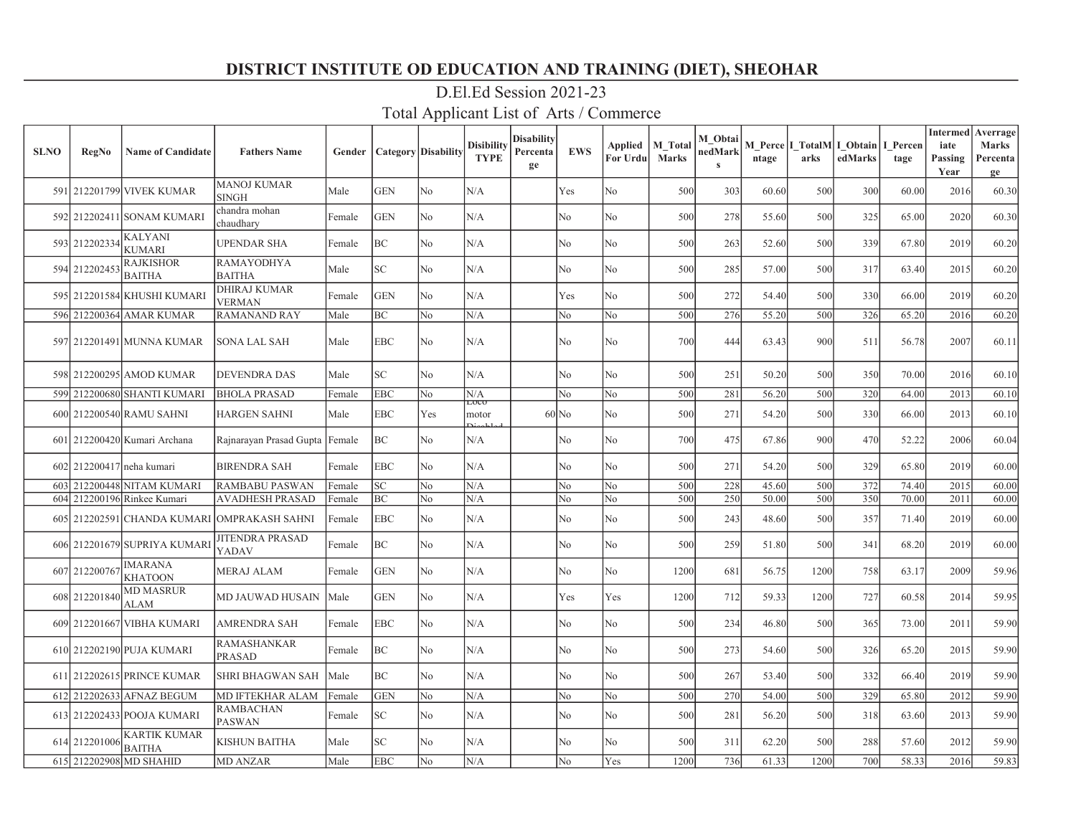| <b>SLNO</b> | <b>RegNo</b>  | <b>Name of Candidate</b>             | <b>Fathers Name</b>                 | Gender | <b>Category</b> Disability |                | <b>Disibility</b><br><b>TYPE</b> | Disabilitv<br>Percenta<br>ge | <b>EWS</b>         | Applied<br>For Urdu | M Total<br><b>Marks</b> | M Obtai<br>nedMark<br>$\mathbf{s}$ | ntage | arks | M Perce   I TotalM   I Obtain  <br>edMarks | I Percen<br>tage | <b>Intermed</b><br>iate<br>Passing<br>Year | Averrage<br>Marks<br>Percenta<br>ge |
|-------------|---------------|--------------------------------------|-------------------------------------|--------|----------------------------|----------------|----------------------------------|------------------------------|--------------------|---------------------|-------------------------|------------------------------------|-------|------|--------------------------------------------|------------------|--------------------------------------------|-------------------------------------|
|             |               | 591 212201799 VIVEK KUMAR            | <b>MANOJ KUMAR</b><br><b>SINGH</b>  | Male   | <b>GEN</b>                 | N <sub>o</sub> | N/A                              |                              | Yes                | No                  | 500                     | 303                                | 60.60 | 500  | 300                                        | 60.00            | 2016                                       | 60.30                               |
|             |               | 592 212202411 SONAM KUMARI           | chandra mohan<br>chaudhary          | Female | <b>GEN</b>                 | No             | N/A                              |                              | No                 | No                  | 500                     | 278                                | 55.60 | 500  | 325                                        | 65.00            | 2020                                       | 60.30                               |
|             | 593 212202334 | <b>KALYANI</b><br><b>KUMARI</b>      | UPENDAR SHA                         | Female | BС                         | N <sub>o</sub> | N/A                              |                              | No                 | No                  | 500                     | 263                                | 52.60 | 500  | 339                                        | 67.80            | 2019                                       | 60.20                               |
|             | 594 212202453 | <b>RAJKISHOR</b><br><b>BAITHA</b>    | <b>RAMAYODHYA</b><br><b>BAITHA</b>  | Male   | SC                         | No             | N/A                              |                              | No                 | No                  | 500                     | 285                                | 57.00 | 500  | 317                                        | 63.40            | 2015                                       | 60.20                               |
|             |               | 595 212201584 KHUSHI KUMARI          | DHIRAJ KUMAR<br><b>VERMAN</b>       | Female | <b>GEN</b>                 | N <sub>o</sub> | N/A                              |                              | Yes                | No                  | 500                     | 272                                | 54.40 | 500  | 330                                        | 66.00            | 2019                                       | 60.20                               |
|             |               | 596 212200364 AMAR KUMAR             | <b>RAMANAND RAY</b>                 | Male   | ВC                         | No             | N/A                              |                              | No                 | No                  | 500                     | 276                                | 55.20 | 500  | 326                                        | 65.20            | 2016                                       | 60.20                               |
|             |               | 597 212201491 MUNNA KUMAR            | <b>SONA LAL SAH</b>                 | Male   | <b>EBC</b>                 | N <sub>o</sub> | N/A                              |                              | No                 | No                  | 700                     | 444                                | 63.43 | 900  | 511                                        | 56.78            | 2007                                       | 60.11                               |
|             |               | 598 212200295 AMOD KUMAR             | <b>DEVENDRA DAS</b>                 | Male   | SC                         | No             | N/A                              |                              | No                 | No                  | 500                     | 251                                | 50.20 | 500  | 350                                        | 70.00            | 2016                                       | 60.10                               |
|             |               | 599 212200680 SHANTI KUMARI          | <b>BHOLA PRASAD</b>                 | Female | <b>EBC</b>                 | No             | N/A                              |                              | No                 | No                  | 500                     | 281                                | 56.20 | 500  | 320                                        | 64.00            | 2013                                       | 60.10                               |
|             |               | 600 212200540 RAMU SAHNI             | <b>HARGEN SAHNI</b>                 | Male   | EBC                        | Yes            | ದರರ<br>motor                     |                              | $60$ <sub>No</sub> | No                  | 500                     | 271                                | 54.20 | 500  | 330                                        | 66.00            | 2013                                       | 60.10                               |
|             |               | 601 212200420 Kumari Archana         | Rajnarayan Prasad Gupta   Female    |        | ВC                         | No             | N/A                              |                              | No                 | No                  | 700                     | 475                                | 67.86 | 900  | 470                                        | 52.22            | 2006                                       | 60.04                               |
|             |               | 602 212200417 neha kumari            | <b>BIRENDRA SAH</b>                 | Female | EBC                        | No             | N/A                              |                              | No                 | No                  | 500                     | 271                                | 54.20 | 500  | 329                                        | 65.80            | 2019                                       | 60.00                               |
| 603         |               | 212200448 NITAM KUMARI               | <b>RAMBABU PASWAN</b>               | Female | SC                         | No             | N/A                              |                              | No                 | No                  | 500                     | 228                                | 45.60 | 500  | 372                                        | 74.40            | 2015                                       | 60.00                               |
| 604         |               | 212200196 Rinkee Kumari              | AVADHESH PRASAD                     | Female | BC                         | N <sub>o</sub> | N/A                              |                              | No                 | No                  | 500                     | 250                                | 50.00 | 500  | 350                                        | 70.00            | 2011                                       | 60.00                               |
| 605         |               | 212202591 CHANDA KUMARI              | <b>OMPRAKASH SAHNI</b>              | Female | EBC                        | No             | N/A                              |                              | No                 | No                  | 500                     | 243                                | 48.60 | 500  | 357                                        | 71.40            | 2019                                       | 60.00                               |
|             |               | 606 212201679 SUPRIYA KUMAR          | <b>JITENDRA PRASAD</b><br>YADAV     | Female | ВC                         | N <sub>o</sub> | N/A                              |                              | N <sub>o</sub>     | No                  | 500                     | 259                                | 51.80 | 500  | 341                                        | 68.20            | 2019                                       | 60.00                               |
|             | 607 212200767 | <b>IMARANA</b><br><b>KHATOON</b>     | <b>MERAJ ALAM</b>                   | Female | <b>GEN</b>                 | N <sub>o</sub> | N/A                              |                              | N <sub>o</sub>     | No                  | 1200                    | 681                                | 56.75 | 1200 | 758                                        | 63.17            | 2009                                       | 59.96                               |
|             | 608 212201840 | <b>MD MASRUR</b><br><b>ALAM</b>      | MD JAUWAD HUSAIN                    | Male   | <b>GEN</b>                 | N <sub>o</sub> | N/A                              |                              | Yes                | Yes                 | 1200                    | 712                                | 59.33 | 1200 | 727                                        | 60.58            | 2014                                       | 59.95                               |
|             |               | 609 212201667 VIBHA KUMARI           | <b>AMRENDRA SAH</b>                 | Female | <b>EBC</b>                 | No             | N/A                              |                              | No                 | No                  | 500                     | 234                                | 46.80 | 500  | 365                                        | 73.00            | 2011                                       | 59.90                               |
|             |               | 610 212202190 PUJA KUMARI            | <b>RAMASHANKAR</b><br><b>PRASAD</b> | Female | ВC                         | No             | N/A                              |                              | No                 | No                  | 500                     | 273                                | 54.60 | 500  | 326                                        | 65.20            | 2015                                       | 59.90                               |
|             |               | 611 212202615 PRINCE KUMAR           | <b>SHRI BHAGWAN SAH</b>             | Male   | BC                         | No             | N/A                              |                              | No                 | No                  | 500                     | 267                                | 53.40 | 500  | 332                                        | 66.40            | 2019                                       | 59.90                               |
|             |               | 612 212202633 AFNAZ BEGUM            | MD IFTEKHAR ALAM                    | Female | <b>GEN</b>                 | No             | N/A                              |                              | No                 | No                  | 500                     | 270                                | 54.00 | 500  | 329                                        | 65.80            | 2012                                       | 59.90                               |
|             |               | 613 212202433 POOJA KUMARI           | <b>RAMBACHAN</b><br><b>PASWAN</b>   | Female | SC                         | No             | N/A                              |                              | No                 | No                  | 500                     | 281                                | 56.20 | 500  | 318                                        | 63.60            | 2013                                       | 59.90                               |
|             | 614 212201006 | <b>KARTIK KUMAR</b><br><b>BAITHA</b> | KISHUN BAITHA                       | Male   | SC                         | No             | N/A                              |                              | No                 | No                  | 500                     | 311                                | 62.20 | 500  | 288                                        | 57.60            | 2012                                       | 59.90                               |
|             |               | 615 212202908 MD SHAHID              | <b>MD ANZAR</b>                     | Male   | <b>EBC</b>                 | No             | N/A                              |                              | No                 | Yes                 | 1200                    | 736                                | 61.33 | 1200 | 700                                        | 58.33            | 2016                                       | 59.83                               |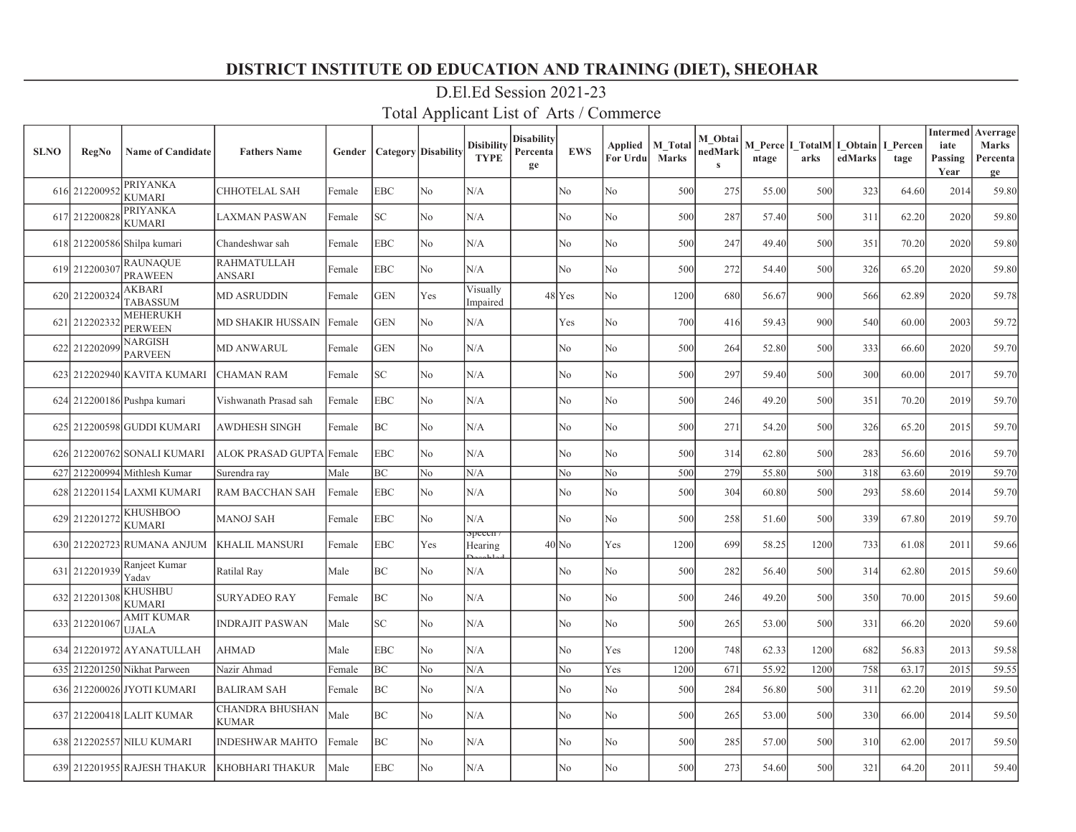| <b>SLNO</b> | <b>RegNo</b>  | <b>Name of Candidate</b>          | <b>Fathers Name</b>                    | Gender | <b>Category</b> Disability |     | <b>Disibility</b><br><b>TYPE</b> | Disability<br>Percenta<br>ge | <b>EWS</b>     | Applied<br>For Urdu | <b>M</b> Total<br><b>Marks</b> | M Obtai<br>nedMark<br>$\mathbf{s}$ | ntage | arks | M Perce   I TotalM   I Obtain<br>edMarks | I Percen<br>tage | <b>Intermed</b><br>iate<br>Passing<br>Year | Averrage<br>Marks<br>Percenta<br>ge |
|-------------|---------------|-----------------------------------|----------------------------------------|--------|----------------------------|-----|----------------------------------|------------------------------|----------------|---------------------|--------------------------------|------------------------------------|-------|------|------------------------------------------|------------------|--------------------------------------------|-------------------------------------|
|             | 616 212200952 | PRIYANKA<br><b>KUMARI</b>         | CHHOTELAL SAH                          | Female | EBC                        | No  | N/A                              |                              | No             | No                  | 500                            | 275                                | 55.00 | 500  | 323                                      | 64.60            | 2014                                       | 59.80                               |
|             | 617 212200828 | PRIYANKA<br>KUMARI                | <b>LAXMAN PASWAN</b>                   | Female | SC                         | No. | N/A                              |                              | N <sub>o</sub> | No                  | 500                            | 287                                | 57.40 | 500  | 311                                      | 62.20            | 2020                                       | 59.80                               |
|             |               | 618 212200586 Shilpa kumari       | Chandeshwar sah                        | Female | <b>EBC</b>                 | No  | N/A                              |                              | No             | No                  | 500                            | 247                                | 49.40 | 500  | 351                                      | 70.20            | 2020                                       | 59.80                               |
|             | 619 21220030  | <b>RAUNAQUE</b><br><b>PRAWEEN</b> | <b>RAHMATULLAH</b><br>ANSARI           | Female | <b>EBC</b>                 | No  | N/A                              |                              | No             | No                  | 500                            | 272                                | 54.40 | 500  | 326                                      | 65.20            | 2020                                       | 59.80                               |
|             | 620 212200324 | AKBARI<br><b>TABASSUM</b>         | <b>MD ASRUDDIN</b>                     | Female | <b>GEN</b>                 | Yes | Visually<br>Impaired             |                              | $48$ Yes       | No                  | 1200                           | 680                                | 56.67 | 900  | 566                                      | 62.89            | 2020                                       | 59.78                               |
|             | 621 212202332 | <b>MEHERUKH</b><br>PERWEEN        | MD SHAKIR HUSSAIN                      | Female | <b>GEN</b>                 | No  | N/A                              |                              | Yes            | No                  | 700                            | 416                                | 59.43 | 900  | 540                                      | 60.00            | 2003                                       | 59.72                               |
|             | 622 212202099 | NARGISH<br><b>PARVEEN</b>         | <b>MD ANWARUL</b>                      | Female | <b>GEN</b>                 | No  | N/A                              |                              | No             | No                  | 500                            | 264                                | 52.80 | 500  | 333                                      | 66.60            | 2020                                       | 59.70                               |
|             |               | 623 212202940 KAVITA KUMARI       | CHAMAN RAM                             | Female | SC                         | No  | N/A                              |                              | No             | No                  | 500                            | 297                                | 59.40 | 500  | 300                                      | 60.00            | 2017                                       | 59.70                               |
|             |               | 624 212200186 Pushpa kumari       | Vishwanath Prasad sah                  | Female | <b>EBC</b>                 | No  | N/A                              |                              | No             | No                  | 500                            | 246                                | 49.20 | 500  | 351                                      | 70.20            | 2019                                       | 59.70                               |
|             |               | 625 212200598 GUDDI KUMARI        | AWDHESH SINGH                          | Female | BС                         | No  | N/A                              |                              | No             | No                  | 500                            | 271                                | 54.20 | 500  | 326                                      | 65.20            | 2015                                       | 59.70                               |
|             |               | 626 212200762 SONALI KUMARI       | ALOK PRASAD GUPTA Female               |        | <b>EBC</b>                 | No  | N/A                              |                              | No             | No                  | 500                            | 314                                | 62.80 | 500  | 283                                      | 56.60            | 2016                                       | 59.70                               |
|             |               | 627 212200994 Mithlesh Kumar      | Surendra ray                           | Male   | BC                         | No  | N/A                              |                              | No             | No                  | 500                            | 279                                | 55.80 | 500  | 318                                      | 63.60            | 2019                                       | 59.70                               |
|             |               | 628 212201154 LAXMI KUMARI        | RAM BACCHAN SAH                        | Female | <b>EBC</b>                 | No  | N/A                              |                              | No             | No                  | 500                            | 304                                | 60.80 | 500  | 293                                      | 58.60            | 2014                                       | 59.70                               |
|             | 629 21220127  | KHUSHBOO<br><b>KUMARI</b>         | <b>MANOJ SAH</b>                       | Female | <b>EBC</b>                 | No  | N/A                              |                              | No             | No                  | 500                            | 258                                | 51.60 | 500  | 339                                      | 67.80            | 2019                                       | 59.70                               |
|             |               | 630 212202723 RUMANA ANJUM        | <b>KHALIL MANSURI</b>                  | Female | <b>EBC</b>                 | Yes | $_{\rm speccn}$<br>Hearing       |                              | $40$ No        | Yes                 | 1200                           | 699                                | 58.25 | 1200 | 733                                      | 61.08            | 2011                                       | 59.66                               |
|             | 631 212201939 | Ranjeet Kumar<br>Yadav            | Ratilal Ray                            | Male   | <b>BC</b>                  | No. | N/A                              |                              | No             | No                  | 500                            | 282                                | 56.40 | 500  | 314                                      | 62.80            | 2015                                       | 59.60                               |
|             | 632 21220130  | KHUSHBU<br><b>KUMARI</b>          | <b>SURYADEO RAY</b>                    | Female | BC                         | No. | N/A                              |                              | No             | No                  | 500                            | 246                                | 49.20 | 500  | 350                                      | 70.00            | 2015                                       | 59.60                               |
|             | 633 21220106  | AMIT KUMAR<br>UJALA               | <b>INDRAJIT PASWAN</b>                 | Male   | SC                         | No  | N/A                              |                              | No             | No                  | 500                            | 265                                | 53.00 | 500  | 331                                      | 66.20            | 2020                                       | 59.60                               |
|             |               | 634 212201972 AYANATULLAH         | <b>AHMAD</b>                           | Male   | <b>EBC</b>                 | No  | N/A                              |                              | No             | Yes                 | 1200                           | 748                                | 62.33 | 1200 | 682                                      | 56.83            | 2013                                       | 59.58                               |
|             |               | 635 212201250 Nikhat Parween      | Nazir Ahmad                            | Female | BC                         | No  | N/A                              |                              | No             | Yes                 | 1200                           | 671                                | 55.92 | 1200 | 758                                      | 63.17            | 2015                                       | 59.55                               |
|             |               | 636 212200026 JYOTI KUMARI        | <b>BALIRAM SAH</b>                     | Female | BC                         | No  | N/A                              |                              | No             | No                  | 500                            | 284                                | 56.80 | 500  | 311                                      | 62.20            | 2019                                       | 59.50                               |
|             |               | 637 212200418 LALIT KUMAR         | <b>CHANDRA BHUSHAN</b><br><b>KUMAR</b> | Male   | BC                         | No  | N/A                              |                              | No             | No                  | 500                            | 265                                | 53.00 | 500  | 330                                      | 66.00            | 2014                                       | 59.50                               |
|             |               | 638 212202557 NILU KUMARI         | <b>INDESHWAR MAHTO</b>                 | Female | BC                         | No  | N/A                              |                              | No             | No                  | 500                            | 285                                | 57.00 | 500  | 310                                      | 62.00            | 2017                                       | 59.50                               |
|             |               | 639 212201955 RAJESH THAKUR       | KHOBHARI THAKUR                        | Male   | <b>EBC</b>                 | No  | N/A                              |                              | No             | No                  | 500                            | 273                                | 54.60 | 500  | 321                                      | 64.20            | 2011                                       | 59.40                               |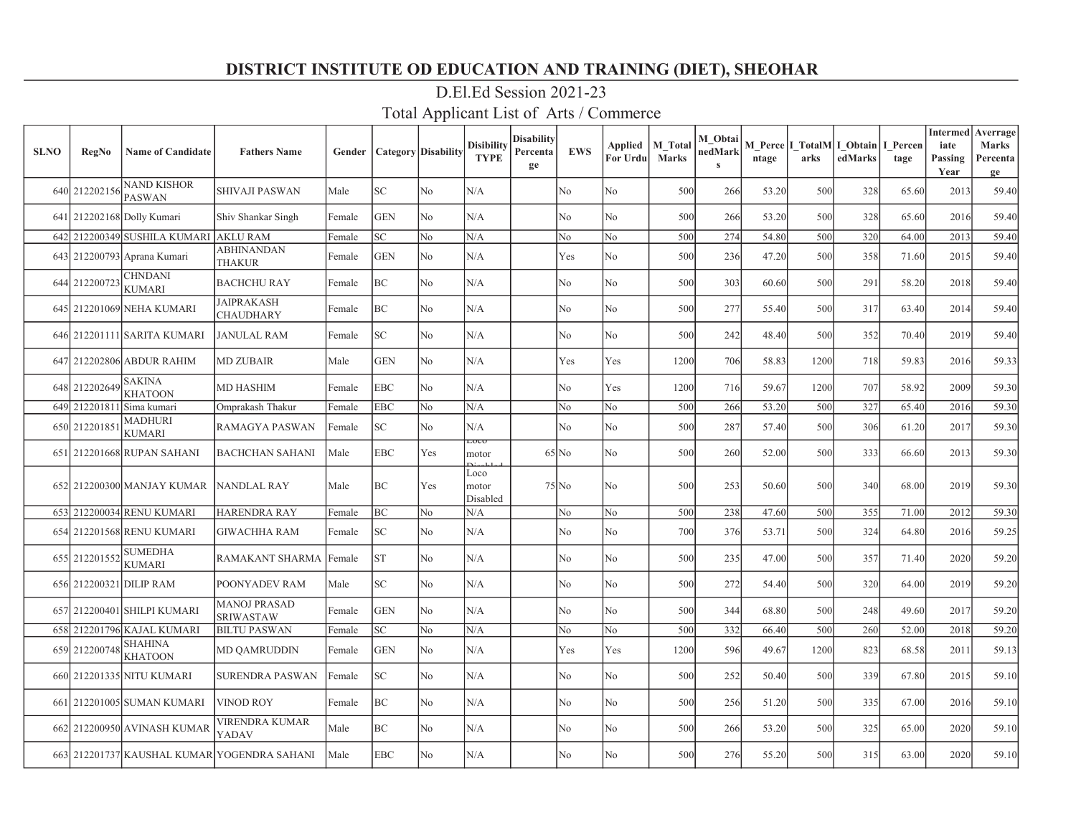| <b>SLNO</b> | RegNo         | <b>Name of Candidate</b>            | <b>Fathers Name</b>                         | Gender |            | <b>Category</b> Disability | <b>Disibility</b><br><b>TYPE</b> | Disabilitv<br>Percenta<br>ge | <b>EWS</b>     | Applied<br>For Urdu | <b>M</b> Total<br><b>Marks</b> | M Obtai<br>nedMark<br>$\mathbf{s}$ | ntage | arks | M Perce   I TotalM   I Obtain  <br>edMarks | I Percen<br>tage | <b>Intermed</b><br>iate<br>Passing<br>Year | Averrage<br><b>Marks</b><br>Percenta<br>ge |
|-------------|---------------|-------------------------------------|---------------------------------------------|--------|------------|----------------------------|----------------------------------|------------------------------|----------------|---------------------|--------------------------------|------------------------------------|-------|------|--------------------------------------------|------------------|--------------------------------------------|--------------------------------------------|
|             | 640 212202156 | <b>NAND KISHOR</b><br><b>PASWAN</b> | <b>SHIVAJI PASWAN</b>                       | Male   | SC         | No                         | N/A                              |                              | No             | No                  | 500                            | 266                                | 53.20 | 500  | 328                                        | 65.60            | 2013                                       | 59.40                                      |
|             |               | 641 212202168 Dolly Kumari          | Shiv Shankar Singh                          | Female | <b>GEN</b> | N <sub>o</sub>             | N/A                              |                              | N <sub>o</sub> | No                  | 500                            | 266                                | 53.20 | 500  | 328                                        | 65.60            | 2016                                       | 59.40                                      |
|             |               | 642 212200349 SUSHILA KUMARI        | <b>AKLU RAM</b>                             | Female | SC         | N <sub>o</sub>             | N/A                              |                              | No             | No                  | 500                            | 274                                | 54.80 | 500  | 320                                        | 64.00            | 2013                                       | 59.40                                      |
|             |               | 643 212200793 Aprana Kumari         | ABHINANDAN<br>THAKUR                        | Female | <b>GEN</b> | N <sub>o</sub>             | N/A                              |                              | Yes            | No                  | 500                            | 236                                | 47.20 | 500  | 358                                        | 71.60            | 2015                                       | 59.40                                      |
|             | 644 212200723 | <b>CHNDANI</b><br><b>KUMARI</b>     | <b>BACHCHU RAY</b>                          | Female | ВC         | No                         | N/A                              |                              | No             | No                  | 500                            | 303                                | 60.60 | 500  | 291                                        | 58.20            | 2018                                       | 59.40                                      |
|             |               | 645 212201069 NEHA KUMARI           | <b>JAIPRAKASH</b><br><b>CHAUDHARY</b>       | Female | BС         | No                         | N/A                              |                              | No             | No                  | 500                            | 277                                | 55.40 | 500  | 317                                        | 63.40            | 2014                                       | 59.40                                      |
|             |               | 646 212201111 SARITA KUMARI         | <b>JANULAL RAM</b>                          | Female | SC         | N <sub>o</sub>             | N/A                              |                              | N <sub>o</sub> | No                  | 500                            | 242                                | 48.40 | 500  | 352                                        | 70.40            | 2019                                       | 59.40                                      |
|             |               | 647 212202806 ABDUR RAHIM           | <b>MD ZUBAIR</b>                            | Male   | <b>GEN</b> | No                         | N/A                              |                              | Yes            | Yes                 | 1200                           | 706                                | 58.83 | 1200 | 718                                        | 59.83            | 2016                                       | 59.33                                      |
|             | 648 212202649 | <b>SAKINA</b><br><b>KHATOON</b>     | MD HASHIM                                   | Female | EBC        | N <sub>o</sub>             | N/A                              |                              | No             | Yes                 | 1200                           | 716                                | 59.67 | 1200 | 707                                        | 58.92            | 2009                                       | 59.30                                      |
|             |               | 649 212201811 Sima kumari           | Omprakash Thakur                            | Female | EBC        | N <sub>o</sub>             | N/A                              |                              | No             | No                  | 500                            | 266                                | 53.20 | 500  | 327                                        | 65.40            | 2016                                       | 59.30                                      |
|             | 650 212201851 | <b>MADHURI</b><br><b>KUMARI</b>     | <b>RAMAGYA PASWAN</b>                       | Female | SC         | No                         | N/A                              |                              | No             | No                  | 500                            | 287                                | 57.40 | 500  | 306                                        | 61.20            | 2017                                       | 59.30                                      |
|             |               | 651 212201668 RUPAN SAHANI          | <b>BACHCHAN SAHANI</b>                      | Male   | <b>EBC</b> | Yes                        | LUCC<br>motor                    |                              | $65$ No        | No                  | 500                            | 260                                | 52.00 | 500  | 333                                        | 66.60            | 2013                                       | 59.30                                      |
|             |               | 652 212200300 MANJAY KUMAR          | NANDLAL RAY                                 | Male   | ВC         | Yes                        | Loco<br>motor<br>Disabled        |                              | $75$ No        | No                  | 500                            | 253                                | 50.60 | 500  | 340                                        | 68.00            | 2019                                       | 59.30                                      |
|             |               | 653 212200034 RENU KUMARI           | <b>HARENDRA RAY</b>                         | Female | ВC         | No                         | N/A                              |                              | No             | No                  | 500                            | 238                                | 47.60 | 500  | 355                                        | 71.00            | 2012                                       | 59.30                                      |
|             |               | 654 212201568 RENU KUMARI           | GIWACHHA RAM                                | Female | SC         | No                         | N/A                              |                              | No             | No                  | 700                            | 376                                | 53.71 | 500  | 324                                        | 64.80            | 2016                                       | 59.25                                      |
|             | 655 212201552 | <b>SUMEDHA</b><br><b>KUMARI</b>     | RAMAKANT SHARMA                             | Female | ST         | No                         | N/A                              |                              | No             | No                  | 500                            | 235                                | 47.00 | 500  | 357                                        | 71.40            | 2020                                       | 59.20                                      |
|             |               | 656 212200321 DILIP RAM             | POONYADEV RAM                               | Male   | SC.        | N <sub>o</sub>             | N/A                              |                              | N <sub>o</sub> | No                  | 500                            | 272                                | 54.40 | 500  | 320                                        | 64.00            | 2019                                       | 59.20                                      |
|             |               | 657 212200401 SHILPI KUMARI         | <b>MANOJ PRASAD</b><br>SRIWASTAW            | Female | <b>GEN</b> | No                         | N/A                              |                              | No             | No                  | 500                            | 344                                | 68.80 | 500  | 248                                        | 49.60            | 2017                                       | 59.20                                      |
|             |               | 658 212201796 KAJAL KUMARI          | <b>BILTU PASWAN</b>                         | Female | SC         | No                         | N/A                              |                              | No             | No                  | 500                            | 332                                | 66.40 | 500  | 260                                        | 52.00            | 2018                                       | 59.20                                      |
|             | 659 212200748 | <b>SHAHINA</b><br><b>KHATOON</b>    | <b>MD QAMRUDDIN</b>                         | Female | <b>GEN</b> | N <sub>o</sub>             | N/A                              |                              | Yes            | Yes                 | 1200                           | 596                                | 49.67 | 1200 | 823                                        | 68.58            | 2011                                       | 59.13                                      |
|             |               | 660 212201335 NITU KUMARI           | <b>SURENDRA PASWAN</b>                      | Female | SC.        | No                         | N/A                              |                              | N <sub>o</sub> | No                  | 500                            | 252                                | 50.40 | 500  | 339                                        | 67.80            | 2015                                       | 59.10                                      |
|             |               | 661 212201005 SUMAN KUMARI          | <b>VINOD ROY</b>                            | Female | BC         | N <sub>o</sub>             | N/A                              |                              | N <sub>o</sub> | No                  | 500                            | 256                                | 51.20 | 500  | 335                                        | 67.00            | 2016                                       | 59.10                                      |
|             |               | 662 212200950 AVINASH KUMAR         | VIRENDRA KUMAR<br>YADAV                     | Male   | BС         | N <sub>o</sub>             | N/A                              |                              | No             | No                  | 500                            | 266                                | 53.20 | 500  | 325                                        | 65.00            | 2020                                       | 59.10                                      |
|             |               |                                     | 663 212201737 KAUSHAL KUMAR YOGENDRA SAHANI | Male   | EBC        | No                         | N/A                              |                              | No.            | No                  | 500                            | 276                                | 55.20 | 500  | 315                                        | 63.00            | 2020                                       | 59.10                                      |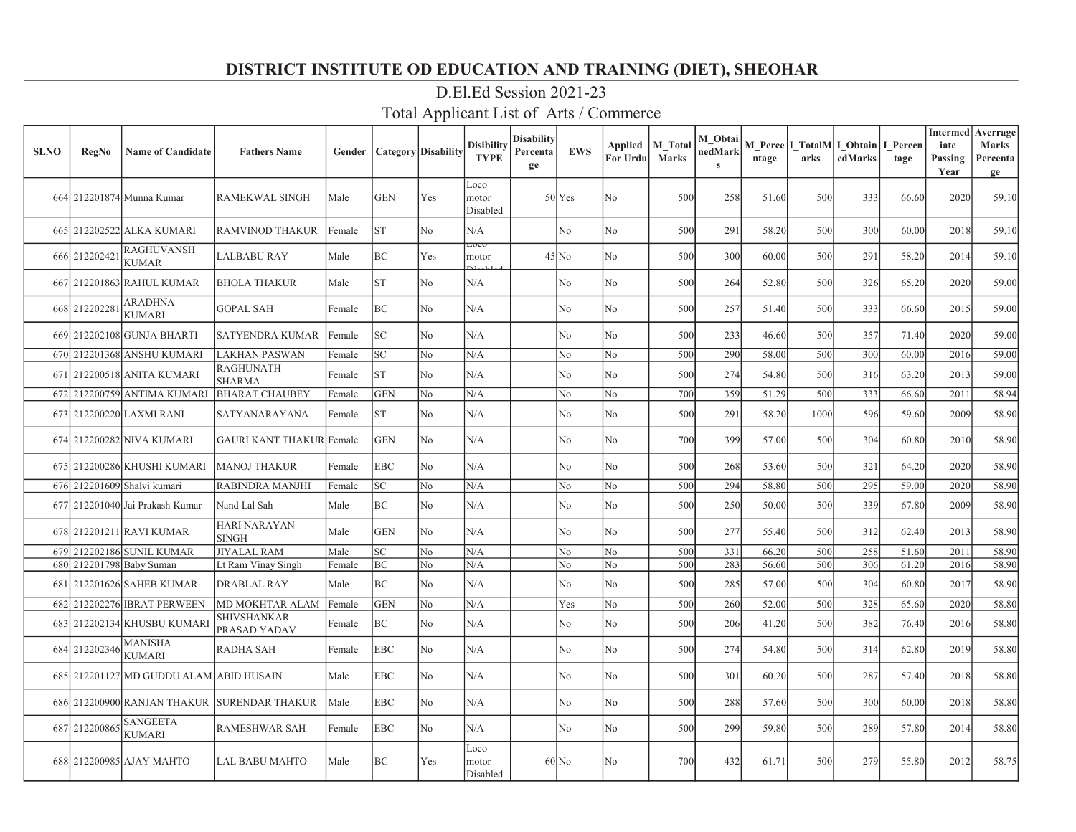| <b>SLNO</b> | <b>RegNo</b>  | <b>Name of Candidate</b>                | <b>Fathers Name</b>                 |        | <b>Gender   Category   Disability</b> |     | <b>Disibility</b><br><b>TYPE</b> | Disabilitv<br>Percenta<br>ge | <b>EWS</b>          | Applied<br>For Urdu | M Total<br><b>Marks</b> | M Obtai<br>nedMark | ntage | arks | M Perce   I TotalM   I Obtain  <br>edMarks | I Percen<br>tage | <b>Intermed</b><br>iate<br>Passing<br>Year | Averrage<br><b>Marks</b><br>Percenta<br>ge |
|-------------|---------------|-----------------------------------------|-------------------------------------|--------|---------------------------------------|-----|----------------------------------|------------------------------|---------------------|---------------------|-------------------------|--------------------|-------|------|--------------------------------------------|------------------|--------------------------------------------|--------------------------------------------|
|             |               | 664 212201874 Munna Kumar               | <b>RAMEKWAL SINGH</b>               | Male   | <b>GEN</b>                            | Yes | Loco<br>motor<br>Disabled        |                              | 50 <sub>l</sub> Yes | No                  | 500                     | 258                | 51.60 | 500  | 333                                        | 66.60            | 2020                                       | 59.10                                      |
|             |               | 665 212202522 ALKA KUMARI               | <b>RAMVINOD THAKUR</b>              | Female | ST                                    | No  | N/A                              |                              | No                  | No                  | 500                     | 291                | 58.20 | 500  | 300                                        | 60.00            | 2018                                       | 59.10                                      |
|             | 666 212202421 | <b>RAGHUVANSH</b><br><b>KUMAR</b>       | LALBABU RAY                         | Male   | BC                                    | Yes | ᠊ᡂᠧ<br>motor                     |                              | $45$ No             | No                  | 500                     | 300                | 60.00 | 500  | 291                                        | 58.20            | 2014                                       | 59.10                                      |
|             |               | 667 212201863 RAHUL KUMAR               | <b>BHOLA THAKUR</b>                 | Male   | <b>ST</b>                             | No  | N/A                              |                              | No                  | No                  | 500                     | 264                | 52.80 | 500  | 326                                        | 65.20            | 2020                                       | 59.00                                      |
|             | 668 21220228  | <b>ARADHNA</b><br><b>KUMARI</b>         | <b>GOPAL SAH</b>                    | Female | BC                                    | No  | N/A                              |                              | No                  | No                  | 500                     | 257                | 51.40 | 500  | 333                                        | 66.60            | 2015                                       | 59.00                                      |
|             |               | 669 212202108 GUNJA BHARTI              | <b>SATYENDRA KUMAR</b>              | Female | <b>SC</b>                             | No  | N/A                              |                              | No                  | No                  | 500                     | 233                | 46.60 | 500  | 357                                        | 71.40            | 2020                                       | 59.00                                      |
|             |               | 670 212201368 ANSHU KUMARI              | <b>LAKHAN PASWAN</b>                | Female | SC                                    | No  | N/A                              |                              | No                  | No                  | 500                     | 290                | 58.00 | 500  | 300                                        | 60.00            | 2016                                       | 59.00                                      |
|             |               | 671 212200518 ANITA KUMARI              | <b>RAGHUNATH</b><br><b>SHARMA</b>   | Female | lst.                                  | No  | N/A                              |                              | No                  | No                  | 500                     | 274                | 54.80 | 500  | 316                                        | 63.20            | 2013                                       | 59.00                                      |
|             |               | 672 212200759 ANTIMA KUMARI             | <b>BHARAT CHAUBEY</b>               | Female | <b>GEN</b>                            | No  | N/A                              |                              | No                  | No                  | 700                     | 359                | 51.29 | 500  | 333                                        | 66.60            | 2011                                       | 58.94                                      |
|             |               | 673 212200220 LAXMI RANI                | SATYANARAYANA                       | Female | ST                                    | No  | N/A                              |                              | No                  | No                  | 500                     | 291                | 58.20 | 1000 | 596                                        | 59.60            | 2009                                       | 58.90                                      |
|             |               | 674 212200282 NIVA KUMARI               | <b>GAURI KANT THAKUR Female</b>     |        | <b>GEN</b>                            | No  | N/A                              |                              | No                  | No                  | 700                     | 399                | 57.00 | 500  | 304                                        | 60.80            | 2010                                       | 58.90                                      |
|             |               | 675 212200286 KHUSHI KUMARI             | <b>MANOJ THAKUR</b>                 | Female | <b>EBC</b>                            | No  | N/A                              |                              | No                  | No                  | 500                     | 268                | 53.60 | 500  | 321                                        | 64.20            | 2020                                       | 58.90                                      |
|             |               | 676 212201609 Shalvi kumari             | RABINDRA MANJHI                     | Female | SC                                    | No  | N/A                              |                              | No                  | No                  | 500                     | 294                | 58.80 | 500  | 295                                        | 59.00            | 2020                                       | 58.90                                      |
|             |               | 677 212201040 Jai Prakash Kumar         | Nand Lal Sah                        | Male   | BC                                    | No  | N/A                              |                              | No                  | No                  | 500                     | 250                | 50.00 | 500  | 339                                        | 67.80            | 2009                                       | 58.90                                      |
|             |               | 678 212201211 RAVI KUMAR                | <b>HARI NARAYAN</b><br><b>SINGH</b> | Male   | <b>GEN</b>                            | No  | N/A                              |                              | No                  | N <sub>o</sub>      | 500                     | 277                | 55.40 | 500  | 312                                        | 62.40            | 2013                                       | 58.90                                      |
|             |               | 679 212202186 SUNIL KUMAR               | <b>JIYALAL RAM</b>                  | Male   | $\ensuremath{\mathbf{SC}}$            | No  | N/A                              |                              | No                  | No                  | 500                     | 331                | 66.20 | 500  | 258                                        | 51.60            | 2011                                       | 58.90                                      |
|             |               | 680 212201798 Baby Suman                | Lt Ram Vinay Singh                  | Female | BC                                    | No  | N/A                              |                              | No                  | No                  | 500                     | 283                | 56.60 | 500  | 306                                        | 61.20            | 2016                                       | 58.90                                      |
|             |               | 681 212201626 SAHEB KUMAR               | DRABLAL RAY                         | Male   | BC                                    | No  | N/A                              |                              | No                  | No                  | 500                     | 285                | 57.00 | 500  | 304                                        | 60.80            | 2017                                       | 58.90                                      |
|             |               | 682 212202276 IBRAT PERWEEN             | MD MOKHTAR ALAM                     | Female | <b>GEN</b>                            | No  | N/A                              |                              | Yes                 | No                  | 500                     | 260                | 52.00 | 500  | 328                                        | 65.60            | 2020                                       | 58.80                                      |
|             |               | 683 212202134 KHUSBU KUMARI             | SHIVSHANKAR<br>PRASAD YADAV         | Female | BC                                    | No  | N/A                              |                              | No                  | No                  | 500                     | 206                | 41.20 | 500  | 382                                        | 76.40            | 2016                                       | 58.80                                      |
|             | 684 212202346 | MANISHA<br>KUMARI                       | <b>RADHA SAH</b>                    | Female | <b>EBC</b>                            | No  | N/A                              |                              | No                  | No                  | 500                     | 274                | 54.80 | 500  | 314                                        | 62.80            | 2019                                       | 58.80                                      |
|             |               | 685 212201127 MD GUDDU ALAM ABID HUSAIN |                                     | Male   | <b>EBC</b>                            | No  | N/A                              |                              | No                  | No                  | 500                     | 301                | 60.20 | 500  | 287                                        | 57.40            | 2018                                       | 58.80                                      |
|             |               | 686 212200900 RANJAN THAKUR             | <b>SURENDAR THAKUR</b>              | Male   | <b>EBC</b>                            | No  | N/A                              |                              | No                  | No                  | 500                     | 288                | 57.60 | 500  | 300                                        | 60.00            | 2018                                       | 58.80                                      |
|             | 687 212200865 | <b>SANGEETA</b><br><b>KUMARI</b>        | <b>RAMESHWAR SAH</b>                | Female | <b>EBC</b>                            | No  | N/A                              |                              | N0                  | No                  | 500                     | 299                | 59.80 | 500  | 289                                        | 57.80            | 2014                                       | 58.80                                      |
|             |               | 688 212200985 AJAY MAHTO                | <b>LAL BABU MAHTO</b>               | Male   | BC                                    | Yes | Loco<br>motor<br>Disabled        |                              | $60$ No             | No.                 | 700                     | 432                | 61.71 | 500  | 279                                        | 55.80            | 2012                                       | 58.75                                      |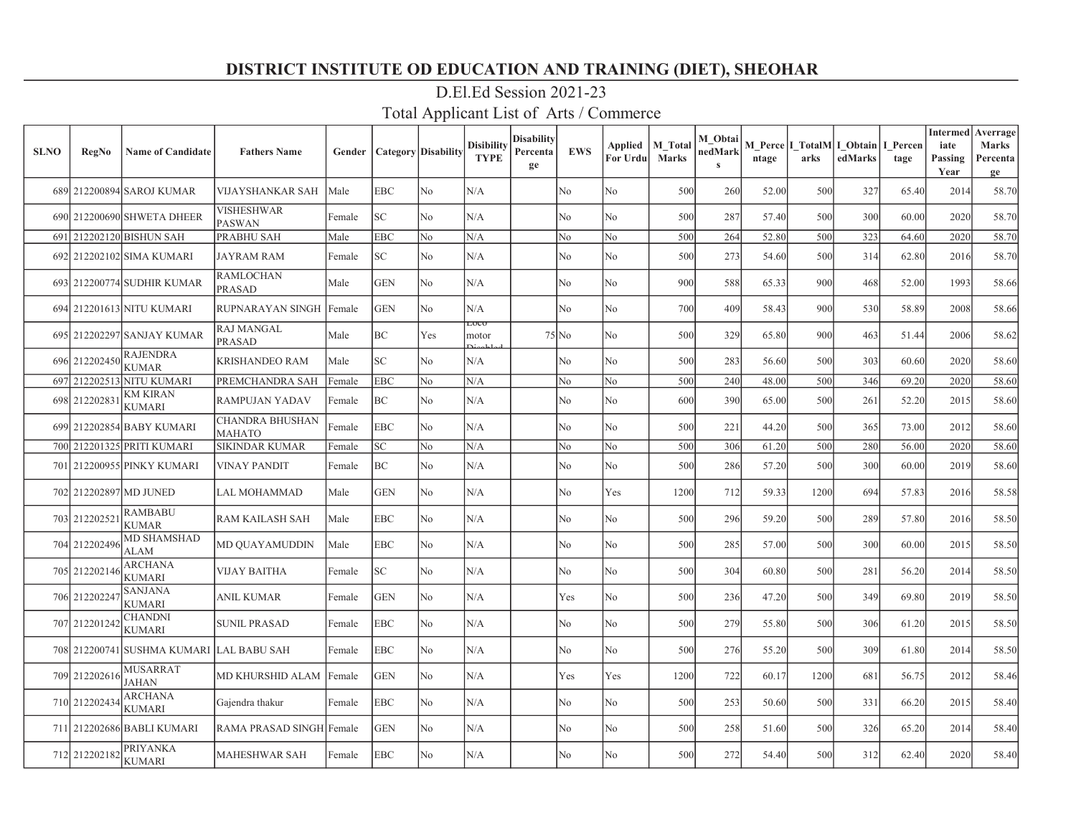| <b>SLNO</b> | <b>RegNo</b>  | <b>Name of Candidate</b>                 | <b>Fathers Name</b>                | Gender | <b>Category Disability</b> |                | Disibility<br><b>TYPE</b> | Disability<br>Percenta<br>ge | <b>EWS</b> | <b>Applied</b><br>For Urdul | M Total<br><b>Marks</b> | M Obtai<br>nedMark<br>$\mathbf{s}$ | ntage | M Perce   I TotalM   I Obtain<br>arks | edMarks | I Percen<br>tage | <b>Intermed</b><br>iate<br>Passing<br>Year | Averrage<br><b>Marks</b><br>Percenta<br>ge |
|-------------|---------------|------------------------------------------|------------------------------------|--------|----------------------------|----------------|---------------------------|------------------------------|------------|-----------------------------|-------------------------|------------------------------------|-------|---------------------------------------|---------|------------------|--------------------------------------------|--------------------------------------------|
|             |               | 689 212200894 SAROJ KUMAR                | VIJAYSHANKAR SAH                   | Male   | <b>EBC</b>                 | No             | N/A                       |                              | No         | No                          | 500                     | 260                                | 52.00 | 500                                   | 327     | 65.40            | 2014                                       | 58.70                                      |
|             | 690 212200690 | <b>SHWETA DHEER</b>                      | VISHESHWAR<br><b>PASWAN</b>        | Female | SC <sub>1</sub>            | No             | N/A                       |                              | No         | No                          | 500                     | 287                                | 57.40 | 500                                   | 300     | 60.00            | 2020                                       | 58.70                                      |
| 691         |               | 212202120 BISHUN SAH                     | PRABHU SAH                         | Male   | <b>EBC</b>                 | No             | N/A                       |                              | No         | No                          | 500                     | 264                                | 52.80 | 500                                   | 323     | 64.60            | 2020                                       | 58.70                                      |
|             |               | 692 212202102 SIMA KUMARI                | JAYRAM RAM                         | Female | SC                         | No             | N/A                       |                              | No         | No                          | 500                     | 273                                | 54.60 | 500                                   | 314     | 62.80            | 2016                                       | 58.70                                      |
|             |               | 693 212200774 SUDHIR KUMAR               | <b>RAMLOCHAN</b><br><b>PRASAD</b>  | Male   | <b>GEN</b>                 | No             | N/A                       |                              | No         | No                          | 900                     | 588                                | 65.33 | 900                                   | 468     | 52.00            | 1993                                       | 58.66                                      |
|             |               | 694 212201613 NITU KUMARI                | RUPNARAYAN SINGH                   | Female | GEN                        | No             | N/A                       |                              | No         | No                          | 700                     | 409                                | 58.43 | 900                                   | 530     | 58.89            | 2008                                       | 58.66                                      |
|             |               | 695 212202297 SANJAY KUMAR               | <b>RAJ MANGAL</b><br><b>PRASAD</b> | Male   | BC                         | Yes            | LOCO<br>motor             |                              | $75$ No    | No                          | 500                     | 329                                | 65.80 | 900                                   | 463     | 51.44            | 2006                                       | 58.62                                      |
|             | 696 212202450 | <b>RAJENDRA</b><br>KUMAR                 | KRISHANDEO RAM                     | Male   | SC                         | No             | N/A                       |                              | No         | No                          | 500                     | 283                                | 56.60 | 500                                   | 303     | 60.60            | 2020                                       | 58.60                                      |
| 697         |               | 212202513 NITU KUMARI                    | PREMCHANDRA SAH                    | Female | EBC                        | No             | N/A                       |                              | No         | No                          | 500                     | 240                                | 48.00 | 500                                   | 346     | 69.20            | 2020                                       | 58.60                                      |
|             | 698 21220283  | KM KIRAN<br>KUMARI                       | <b>RAMPUJAN YADAV</b>              | Female | BC                         | No             | N/A                       |                              | No         | No                          | 600                     | 390                                | 65.00 | 500                                   | 261     | 52.20            | 2015                                       | 58.60                                      |
|             |               | 699 212202854 BABY KUMARI                | <b>CHANDRA BHUSHAN</b><br>МАНАТО   | Female | <b>EBC</b>                 | No             | N/A                       |                              | No         | No                          | 500                     | 221                                | 44.20 | 500                                   | 365     | 73.00            | 2012                                       | 58.60                                      |
|             |               | 700 212201325 PRITI KUMARI               | <b>SIKINDAR KUMAR</b>              | Female | SC <sub>1</sub>            | No             | N/A                       |                              | No         | No                          | 500                     | 306                                | 61.20 | 500                                   | 280     | 56.00            | 2020                                       | 58.60                                      |
| 701         |               | 212200955 PINKY KUMARI                   | <b>VINAY PANDIT</b>                | Female | BC                         | No             | N/A                       |                              | No         | No                          | 500                     | 286                                | 57.20 | 500                                   | 300     | 60.00            | 2019                                       | 58.60                                      |
|             |               | 702 212202897 MD JUNED                   | LAL MOHAMMAD                       | Male   | <b>GEN</b>                 | No             | N/A                       |                              | No         | Yes                         | 1200                    | 712                                | 59.33 | 1200                                  | 694     | 57.83            | 2016                                       | 58.58                                      |
| 703         | 21220252      | <b>RAMBABU</b><br><b>KUMAR</b>           | <b>RAM KAILASH SAH</b>             | Male   | <b>EBC</b>                 | No             | N/A                       |                              | No         | No                          | 500                     | 296                                | 59.20 | 500                                   | 289     | 57.80            | 2016                                       | 58.50                                      |
|             | 704 212202496 | <b>MD SHAMSHAD</b><br>ALAM               | MD OUAYAMUDDIN                     | Male   | <b>EBC</b>                 | No             | N/A                       |                              | No         | No                          | 500                     | 285                                | 57.00 | 500                                   | 300     | 60.00            | 2015                                       | 58.50                                      |
|             | 705 21220214  | ARCHANA<br><b>KUMARI</b>                 | VIJAY BAITHA                       | Female | SC                         | No             | N/A                       |                              | No         | No                          | 500                     | 304                                | 60.80 | 500                                   | 281     | 56.20            | 2014                                       | 58.50                                      |
|             | 706 212202247 | SANJANA<br>KUMARI                        | ANIL KUMAR                         | Female | <b>GEN</b>                 | N <sub>o</sub> | N/A                       |                              | Yes        | No                          | 500                     | 236                                | 47.20 | 500                                   | 349     | 69.80            | 2019                                       | 58.50                                      |
|             | 707 212201242 | CHANDNI<br>KUMARI                        | <b>SUNIL PRASAD</b>                | Female | <b>EBC</b>                 | No             | N/A                       |                              | No         | No                          | 500                     | 279                                | 55.80 | 500                                   | 306     | 61.20            | 2015                                       | 58.50                                      |
|             |               | 708 212200741 SUSHMA KUMARI LAL BABU SAH |                                    | Female | EBC                        | No             | N/A                       |                              | No         | No                          | 500                     | 276                                | 55.20 | 500                                   | 309     | 61.80            | 2014                                       | 58.50                                      |
|             | 709 21220261  | MUSARRAT<br><b>AHAN</b>                  | MD KHURSHID ALAM                   | Female | <b>GEN</b>                 | N <sub>o</sub> | N/A                       |                              | Yes        | Yes                         | 1200                    | 722                                | 60.17 | 1200                                  | 681     | 56.75            | 2012                                       | 58.46                                      |
|             | 710 212202434 | ARCHANA<br>KUMARI                        | Gajendra thakur                    | Female | <b>EBC</b>                 | No             | N/A                       |                              | No         | No                          | 500                     | 253                                | 50.60 | 500                                   | 331     | 66.20            | 2015                                       | 58.40                                      |
|             |               | 711 212202686 BABLI KUMARI               | RAMA PRASAD SINGH Female           |        | GEN                        | No             | N/A                       |                              | No         | No                          | 500                     | 258                                | 51.60 | 500                                   | 326     | 65.20            | 2014                                       | 58.40                                      |
|             | 712 212202182 | PRIYANKA<br><b>KUMARI</b>                | MAHESHWAR SAH                      | Female | <b>EBC</b>                 | No             | N/A                       |                              | No         | No                          | 500                     | 272                                | 54.40 | 500                                   | 312     | 62.40            | 2020                                       | 58.40                                      |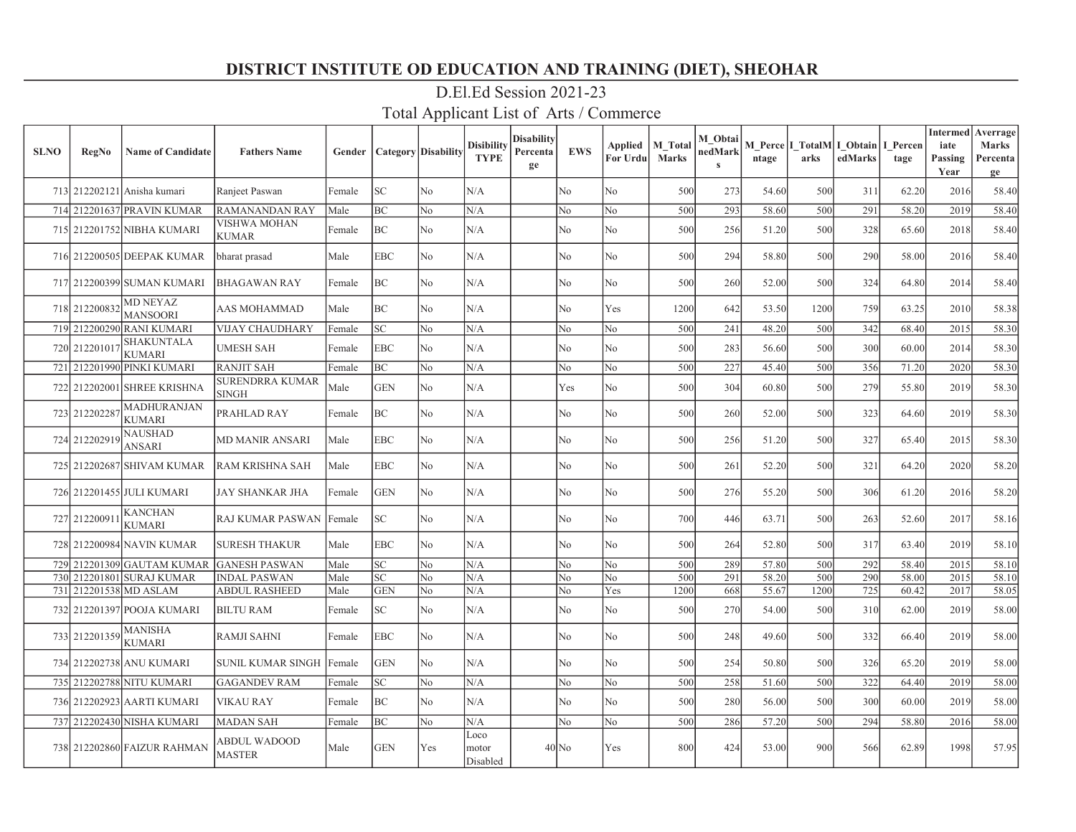| <b>SLNO</b> | <b>RegNo</b>          | <b>Name of Candidate</b>            | <b>Fathers Name</b>                  | Gender | <b>Category</b> Disability |                | <b>Disibility</b><br><b>TYPE</b> | Disabilitv<br>Percenta<br>ge | <b>EWS</b>     | Applied<br>For Urdu | M_Total<br><b>Marks</b> | M Obtai<br>nedMark<br>$\mathbf{s}$ | ntage | arks | M Perce   I TotalM   I Obtain  <br>edMarks | I Percen<br>tage | <b>Intermed</b><br>iate<br>Passing<br>Year | Averrage<br>Marks<br>Percenta<br>ge |
|-------------|-----------------------|-------------------------------------|--------------------------------------|--------|----------------------------|----------------|----------------------------------|------------------------------|----------------|---------------------|-------------------------|------------------------------------|-------|------|--------------------------------------------|------------------|--------------------------------------------|-------------------------------------|
|             |                       | 713 212202121 Anisha kumari         | Ranjeet Paswan                       | Female | SC                         | No             | N/A                              |                              | No             | No                  | 500                     | 273                                | 54.60 | 500  | 311                                        | 62.20            | 2016                                       | 58.40                               |
|             |                       | 714 212201637 PRAVIN KUMAR          | <b>RAMANANDAN RAY</b>                | Male   | ВC                         | No             | N/A                              |                              | No             | No                  | 500                     | 293                                | 58.60 | 500  | 291                                        | 58.20            | 2019                                       | 58.40                               |
|             |                       | 715 212201752 NIBHA KUMARI          | VISHWA MOHAN<br><b>KUMAR</b>         | Female | BС                         | N <sub>o</sub> | N/A                              |                              | No             | No                  | 500                     | 256                                | 51.20 | 500  | 328                                        | 65.60            | 2018                                       | 58.40                               |
|             |                       | 716 212200505 DEEPAK KUMAR          | bharat prasad                        | Male   | <b>EBC</b>                 | N <sub>o</sub> | N/A                              |                              | N <sub>o</sub> | No                  | 500                     | 294                                | 58.80 | 500  | 290                                        | 58.00            | 2016                                       | 58.40                               |
|             |                       | 717 212200399 SUMAN KUMARI          | BHAGAWAN RAY                         | Female | BC                         | No             | N/A                              |                              | No             | No                  | 500                     | 260                                | 52.00 | 500  | 324                                        | 64.80            | 2014                                       | 58.40                               |
|             | 718 212200832         | <b>MD NEYAZ</b><br><b>MANSOORI</b>  | AAS MOHAMMAD                         | Male   | ВC                         | No             | N/A                              |                              | No             | Yes                 | 1200                    | 642                                | 53.50 | 1200 | 759                                        | 63.25            | 2010                                       | 58.38                               |
|             |                       | 719 212200290 RANI KUMARI           | VIJAY CHAUDHARY                      | Female | SC                         | No             | N/A                              |                              | No             | No                  | 500                     | 241                                | 48.20 | 500  | 342                                        | 68.40            | 2015                                       | 58.30                               |
|             | 720 212201017         | <b>SHAKUNTALA</b><br><b>KUMARI</b>  | <b>UMESH SAH</b>                     | Female | <b>EBC</b>                 | N <sub>o</sub> | N/A                              |                              | No             | No                  | 500                     | 283                                | 56.60 | 500  | 300                                        | 60.00            | 2014                                       | 58.30                               |
|             |                       | 721 212201990 PINKI KUMARI          | <b>RANJIT SAH</b>                    | Female | ВC                         | No             | N/A                              |                              | No             | No                  | 500                     | 227                                | 45.40 | 500  | 356                                        | 71.20            | 2020                                       | 58.30                               |
|             |                       | 722 212202001 SHREE KRISHNA         | SURENDRRA KUMAR<br>SINGH             | Male   | <b>GEN</b>                 | N <sub>o</sub> | N/A                              |                              | Yes            | No                  | 500                     | 304                                | 60.80 | 500  | 279                                        | 55.80            | 2019                                       | 58.30                               |
|             | 723 212202287         | <b>MADHURANJAN</b><br><b>KUMARI</b> | PRAHLAD RAY                          | Female | BС                         | No             | N/A                              |                              | N <sub>o</sub> | No                  | 500                     | 260                                | 52.00 | 500  | 323                                        | 64.60            | 2019                                       | 58.30                               |
|             | 724 212202919         | <b>NAUSHAD</b><br><b>ANSARI</b>     | <b>MD MANIR ANSARI</b>               | Male   | EBC                        | No             | N/A                              |                              | No             | No                  | 500                     | 256                                | 51.20 | 500  | 327                                        | 65.40            | 2015                                       | 58.30                               |
|             |                       | 725 212202687 SHIVAM KUMAR          | RAM KRISHNA SAH                      | Male   | <b>EBC</b>                 | No             | N/A                              |                              | No             | No                  | 500                     | 261                                | 52.20 | 500  | 321                                        | 64.20            | 2020                                       | 58.20                               |
|             |                       | 726 212201455 JULI KUMARI           | <b>JAY SHANKAR JHA</b>               | Female | <b>GEN</b>                 | N <sub>o</sub> | N/A                              |                              | No             | No                  | 500                     | 276                                | 55.20 | 500  | 306                                        | 61.20            | 2016                                       | 58.20                               |
|             | 727 21220091          | <b>KANCHAN</b><br><b>KUMARI</b>     | <b>RAJ KUMAR PASWAN</b>              | Female | SC.                        | No             | N/A                              |                              | N <sub>o</sub> | No                  | 700                     | 446                                | 63.71 | 500  | 263                                        | 52.60            | 2017                                       | 58.16                               |
|             |                       | 728 212200984 NAVIN KUMAR           | <b>SURESH THAKUR</b>                 | Male   | EBC                        | N <sub>o</sub> | N/A                              |                              | No             | No                  | 500                     | 264                                | 52.80 | 500  | 317                                        | 63.40            | 2019                                       | 58.10                               |
|             |                       | 729 212201309 GAUTAM KUMAR          | <b>GANESH PASWAN</b>                 | Male   | SC                         | No             | N/A                              |                              | No             | No                  | 500                     | 289                                | 57.80 | 500  | 292                                        | 58.40            | 2015                                       | 58.10                               |
|             |                       | 730 212201801 SURAJ KUMAR           | <b>INDAL PASWAN</b>                  | Male   | SC                         | No             | N/A                              |                              | No             | No                  | 500                     | 291                                | 58.20 | 500  | 290                                        | 58.00            | 2015                                       | 58.10                               |
|             |                       | 731 212201538 MD ASLAM              | <b>ABDUL RASHEED</b>                 | Male   | <b>GEN</b>                 | No             | N/A                              |                              | No             | Yes                 | 1200                    | 668                                | 55.67 | 1200 | 725                                        | 60.42            | 2017                                       | 58.05                               |
|             |                       | 732 212201397 POOJA KUMARI          | <b>BILTU RAM</b>                     | Female | SC                         | No             | N/A                              |                              | No             | No                  | 500                     | 270                                | 54.00 | 500  | 310                                        | 62.00            | 2019                                       | 58.00                               |
|             | 733 212201359 MANISHA | <b>KUMARI</b>                       | <b>RAMJI SAHNI</b>                   | Female | <b>EBC</b>                 | No             | N/A                              |                              | N <sub>o</sub> | No                  | 500                     | 248                                | 49.60 | 500  | 332                                        | 66.40            | 2019                                       | 58.00                               |
|             |                       | 734 212202738 ANU KUMARI            | <b>SUNIL KUMAR SINGH</b>             | Female | <b>GEN</b>                 | N <sub>o</sub> | N/A                              |                              | No             | No                  | 500                     | 254                                | 50.80 | 500  | 326                                        | 65.20            | 2019                                       | 58.00                               |
|             |                       | 735 212202788 NITU KUMARI           | <b>GAGANDEV RAM</b>                  | Female | SC                         | No             | N/A                              |                              | No             | No                  | 500                     | 258                                | 51.60 | 500  | 322                                        | 64.40            | 2019                                       | 58.00                               |
|             |                       | 736 212202923 AARTI KUMARI          | <b>VIKAU RAY</b>                     | Female | BC                         | No             | N/A                              |                              | No             | No                  | 500                     | 280                                | 56.00 | 500  | 300                                        | 60.00            | 2019                                       | 58.00                               |
|             |                       | 737 212202430 NISHA KUMARI          | <b>MADAN SAH</b>                     | Female | BС                         | No             | N/A                              |                              | No             | No                  | 500                     | 286                                | 57.20 | 500  | 294                                        | 58.80            | 2016                                       | 58.00                               |
|             |                       | 738 212202860 FAIZUR RAHMAN         | <b>ABDUL WADOOD</b><br><b>MASTER</b> | Male   | <b>GEN</b>                 | Yes            | Loco<br>motor<br>Disabled        |                              | $40$ No        | Yes                 | 800                     | 424                                | 53.00 | 900  | 566                                        | 62.89            | 1998                                       | 57.95                               |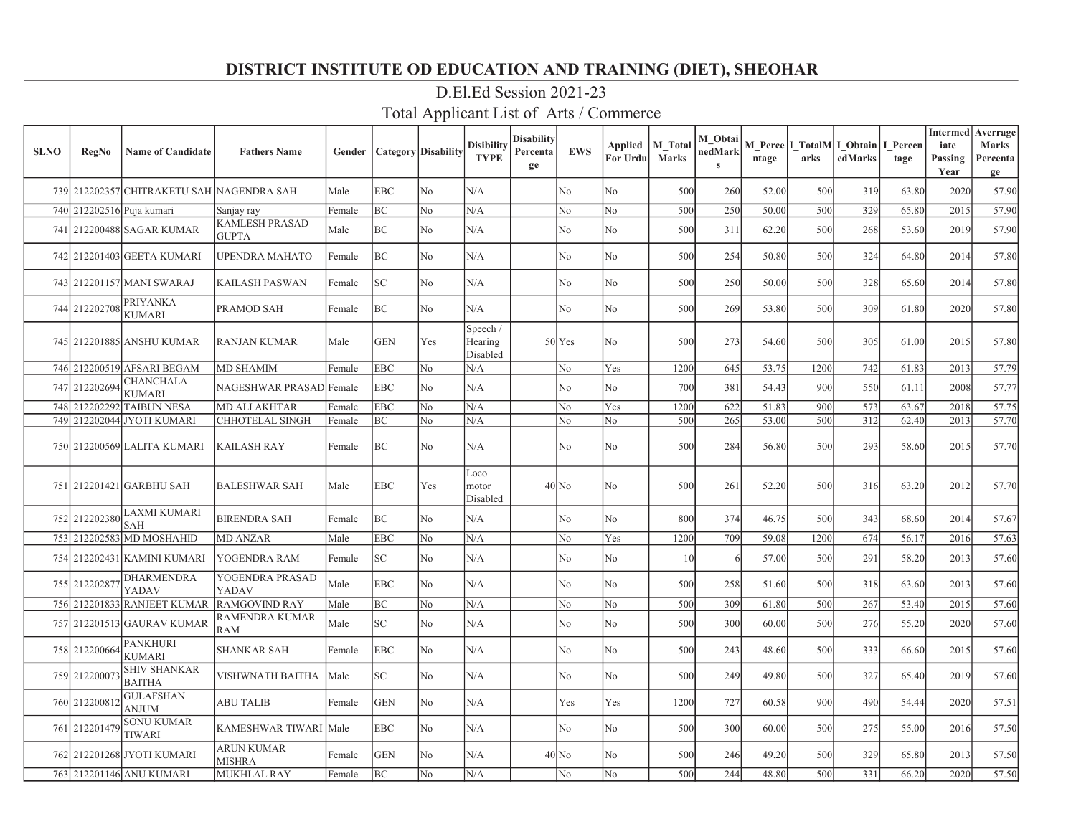| <b>SLNO</b> | <b>RegNo</b>              | <b>Name of Candidate</b>             | <b>Fathers Name</b>                   | Gender |                             | <b>Category</b> Disability | <b>Disibility</b><br><b>TYPE</b> | <b>Disability</b><br>Percenta<br>ge | <b>EWS</b>     | Applied<br>For Urdu | <b>M</b> Total<br><b>Marks</b> | M Obtai<br>nedMark<br>$\mathbf{s}$ | ntage | arks | M Perce   I TotalM   I Obtain  <br>edMarks | I Percen<br>tage | <b>Intermed</b><br>iate<br>Passing<br>Year | Averrage<br><b>Marks</b><br>Percenta<br>ge |
|-------------|---------------------------|--------------------------------------|---------------------------------------|--------|-----------------------------|----------------------------|----------------------------------|-------------------------------------|----------------|---------------------|--------------------------------|------------------------------------|-------|------|--------------------------------------------|------------------|--------------------------------------------|--------------------------------------------|
|             |                           | 739 212202357 CHITRAKETU SAH         | <b>NAGENDRA SAH</b>                   | Male   | <b>EBC</b>                  | No                         | N/A                              |                                     | No             | No                  | 500                            | 260                                | 52.00 | 500  | 319                                        | 63.80            | 2020                                       | 57.90                                      |
|             | 740 212202516 Puja kumari |                                      | Sanjay ray                            | Female | BС                          | N <sub>o</sub>             | N/A                              |                                     | No             | N <sub>o</sub>      | 500                            | 250                                | 50.00 | 500  | 329                                        | 65.80            | 2015                                       | 57.90                                      |
|             |                           | 741 212200488 SAGAR KUMAR            | <b>KAMLESH PRASAD</b><br><b>GUPTA</b> | Male   | ВC                          | N <sub>o</sub>             | N/A                              |                                     | No             | N <sub>o</sub>      | 500                            | 311                                | 62.20 | 500  | 268                                        | 53.60            | 2019                                       | 57.90                                      |
|             |                           | 742 212201403 GEETA KUMARI           | <b>UPENDRA MAHATO</b>                 | Female | ВC                          | No                         | N/A                              |                                     | No             | No                  | 500                            | 254                                | 50.80 | 500  | 324                                        | 64.80            | 2014                                       | 57.80                                      |
|             |                           | 743 212201157 MANI SWARAJ            | <b>KAILASH PASWAN</b>                 | Female | SC                          | No                         | N/A                              |                                     | No             | No                  | 500                            | 250                                | 50.00 | 500  | 328                                        | 65.60            | 2014                                       | 57.80                                      |
|             | 744 212202708             | <b>PRIYANKA</b><br><b>KUMARI</b>     | PRAMOD SAH                            | Female | ВC                          | No                         | N/A                              |                                     | No             | No                  | 500                            | 269                                | 53.80 | 500  | 309                                        | 61.80            | 2020                                       | 57.80                                      |
|             |                           | 745 212201885 ANSHU KUMAR            | <b>RANJAN KUMAR</b>                   | Male   | <b>GEN</b>                  | Yes                        | Speech /<br>Hearing<br>Disabled  |                                     | $50$ Yes       | No                  | 500                            | 273                                | 54.60 | 500  | 305                                        | 61.00            | 2015                                       | 57.80                                      |
|             |                           | 746 212200519 AFSARI BEGAM           | <b>MD SHAMIM</b>                      | Female | <b>EBC</b>                  | N <sub>o</sub>             | N/A                              |                                     | No             | Yes                 | 1200                           | 645                                | 53.75 | 1200 | 742                                        | 61.83            | 2013                                       | 57.79                                      |
|             | 747 212202694             | <b>CHANCHALA</b><br><b>KUMARI</b>    | NAGESHWAR PRASAD Female               |        | <b>EBC</b>                  | N <sub>o</sub>             | N/A                              |                                     | No             | No                  | 700                            | 381                                | 54.43 | 900  | 550                                        | 61.11            | 2008                                       | 57.77                                      |
| 748         |                           | 212202292 TAIBUN NESA                | <b>MD ALI AKHTAR</b>                  | Female | EBC                         | No                         | N/A                              |                                     | No             | Yes                 | 1200                           | 622                                | 51.83 | 900  | 573                                        | 63.67            | 2018                                       | 57.75                                      |
|             |                           | 749 212202044 JYOTI KUMARI           | CHHOTELAL SINGH                       | Female | ВC                          | No                         | N/A                              |                                     | No             | No                  | 500                            | 265                                | 53.00 | 500  | 312                                        | 62.40            | 2013                                       | 57.70                                      |
|             |                           | 750 212200569 LALITA KUMARI          | KAILASH RAY                           | Female | ВC                          | No                         | N/A                              |                                     | No             | No                  | 500                            | 284                                | 56.80 | 500  | 293                                        | 58.60            | 2015                                       | 57.70                                      |
|             |                           | 751 212201421 GARBHU SAH             | <b>BALESHWAR SAH</b>                  | Male   | <b>EBC</b>                  | Yes                        | Loco<br>motor<br>Disabled        |                                     | $40$ No        | No                  | 500                            | 261                                | 52.20 | 500  | 316                                        | 63.20            | 2012                                       | 57.70                                      |
|             | 752 212202380             | <b>LAXMI KUMARI</b><br><b>SAH</b>    | <b>BIRENDRA SAH</b>                   | Female | BC                          | N <sub>o</sub>             | N/A                              |                                     | No             | No                  | 800                            | 374                                | 46.75 | 500  | 343                                        | 68.60            | 2014                                       | 57.67                                      |
|             |                           | 753 212202583 MD MOSHAHID            | <b>MD ANZAR</b>                       | Male   | <b>EBC</b>                  | No                         | N/A                              |                                     | No             | Yes                 | 1200                           | 709                                | 59.08 | 1200 | 674                                        | 56.17            | 2016                                       | 57.63                                      |
|             |                           | 754 212202431 KAMINI KUMARI          | YOGENDRA RAM                          | Female | SC                          | No                         | N/A                              |                                     | No             | No                  | 10 <sup>1</sup>                |                                    | 57.00 | 500  | 291                                        | 58.20            | 2013                                       | 57.60                                      |
|             | 755 21220287              | <b>DHARMENDRA</b><br>YADAV           | YOGENDRA PRASAD<br>YADAV              | Male   | EBC                         | N <sub>o</sub>             | N/A                              |                                     | No             | No                  | 500                            | 258                                | 51.60 | 500  | 318                                        | 63.60            | 2013                                       | 57.60                                      |
|             |                           | 756 212201833 RANJEET KUMAR          | <b>RAMGOVIND RAY</b>                  | Male   | BС                          | No                         | N/A                              |                                     | No             | No                  | 500                            | 309                                | 61.80 | 500  | 267                                        | 53.40            | 2015                                       | 57.60                                      |
|             |                           | 757 212201513 GAURAV KUMAR           | RAMENDRA KUMAR<br>RAM                 | Male   | SC                          | No                         | N/A                              |                                     | No             | No                  | 500                            | 300                                | 60.00 | 500  | 276                                        | 55.20            | 2020                                       | 57.60                                      |
|             | 758 212200664             | <b>PANKHURI</b><br><b>KUMARI</b>     | <b>SHANKAR SAH</b>                    | Female | EBC                         | N <sub>o</sub>             | N/A                              |                                     | N <sub>o</sub> | No                  | 500                            | 243                                | 48.60 | 500  | 333                                        | 66.60            | 2015                                       | 57.60                                      |
|             | 759 21220007              | <b>SHIV SHANKAR</b><br><b>BAITHA</b> | VISHWNATH BAITHA                      | Male   | $\protect\operatorname{SC}$ | N <sub>o</sub>             | N/A                              |                                     | No             | No                  | 500                            | 249                                | 49.80 | 500  | 327                                        | 65.40            | 2019                                       | 57.60                                      |
|             | 760 212200812             | <b>GULAFSHAN</b><br>ANJUM            | ABU TALIB                             | Female | <b>GEN</b>                  | No                         | N/A                              |                                     | Yes            | Yes                 | 1200                           | 727                                | 60.58 | 900  | 490                                        | 54.44            | 2020                                       | 57.51                                      |
|             | 761 212201479             | <b>SONU KUMAR</b><br>TIWARI          | KAMESHWAR TIWARI                      | Male   | EBC                         | No                         | N/A                              |                                     | No             | No                  | 500                            | 300                                | 60.00 | 500  | 275                                        | 55.00            | 2016                                       | 57.50                                      |
|             |                           | 762 212201268 JYOTI KUMARI           | <b>ARUN KUMAR</b><br>MISHRA           | Female | <b>GEN</b>                  | No                         | N/A                              |                                     | $40$ No        | No                  | 500                            | 246                                | 49.20 | 500  | 329                                        | 65.80            | 2013                                       | 57.50                                      |
|             |                           | 763 212201146 ANU KUMARI             | <b>MUKHLAL RAY</b>                    | Female | ВC                          | No                         | N/A                              |                                     | No             | No                  | 500                            | 244                                | 48.80 | 500  | 331                                        | 66.20            | 2020                                       | 57.50                                      |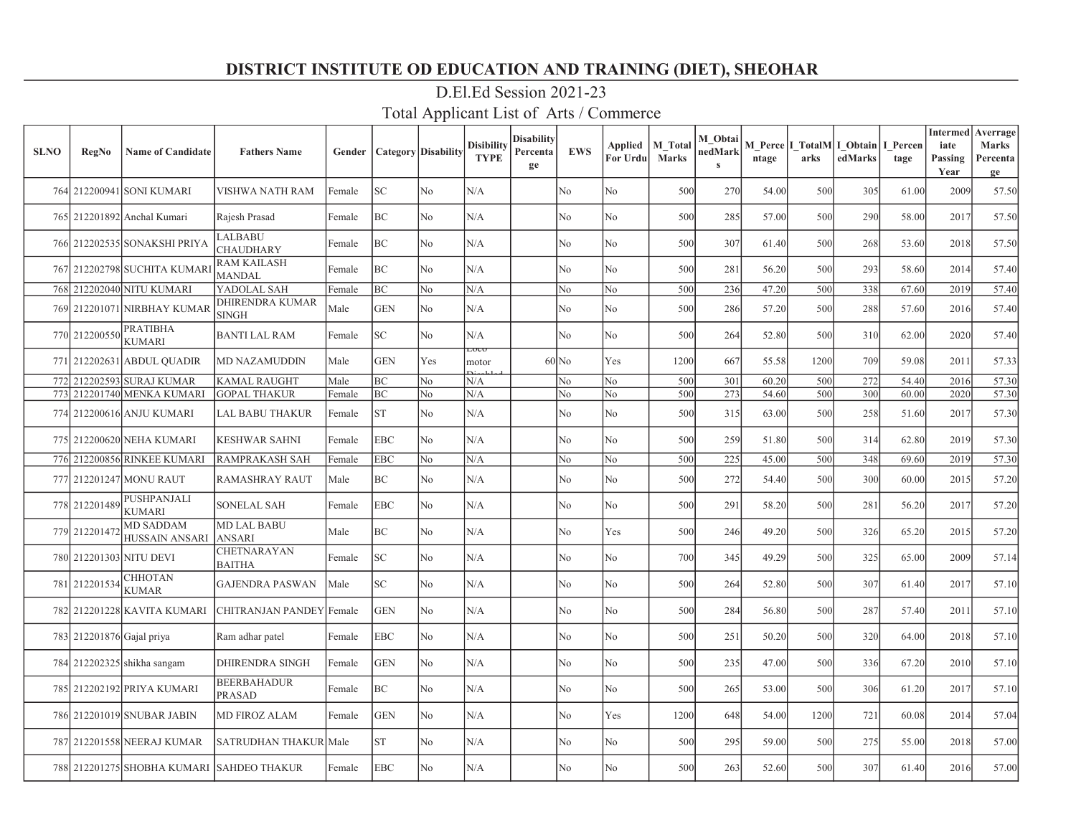| <b>SLNO</b> | <b>RegNo</b>              | <b>Name of Candidate</b>                  | <b>Fathers Name</b>                    | Gender |            | <b>Category</b> Disability | <b>Disibility</b><br><b>TYPE</b> | <b>Disability</b><br>Percenta<br>ge | <b>EWS</b>     | Applied<br>For Urdu | <b>M</b> Total<br>Marks | M Obtai<br>nedMark<br>$\bf{s}$ | ntage | arks | M Perce   I TotalM   I Obtain  <br>edMarks | I Percen<br>tage | <b>Intermed</b><br>iate<br>Passing<br>Year | Averrage<br><b>Marks</b><br>Percenta<br>ge |
|-------------|---------------------------|-------------------------------------------|----------------------------------------|--------|------------|----------------------------|----------------------------------|-------------------------------------|----------------|---------------------|-------------------------|--------------------------------|-------|------|--------------------------------------------|------------------|--------------------------------------------|--------------------------------------------|
|             |                           | 764 212200941 SONI KUMARI                 | VISHWA NATH RAM                        | Female | <b>SC</b>  | No                         | N/A                              |                                     | N <sub>o</sub> | No                  | 500                     | 270                            | 54.00 | 500  | 305                                        | 61.00            | 2009                                       | 57.50                                      |
|             |                           | 765 212201892 Anchal Kumari               | Rajesh Prasad                          | Female | BC         | No                         | N/A                              |                                     | N <sub>o</sub> | No                  | 500                     | 285                            | 57.00 | 500  | 290                                        | 58.00            | 2017                                       | 57.50                                      |
|             |                           | 766 212202535 SONAKSHI PRIYA              | <b>LALBABU</b><br><b>CHAUDHARY</b>     | Female | <b>BC</b>  | No                         | N/A                              |                                     | No.            | No                  | 500                     | 307                            | 61.40 | 500  | 268                                        | 53.60            | 2018                                       | 57.50                                      |
|             |                           | 767 212202798 SUCHITA KUMARI              | <b>RAM KAILASH</b><br><b>MANDAL</b>    | Female | BC         | No                         | N/A                              |                                     | No             | No                  | 500                     | 281                            | 56.20 | 500  | 293                                        | 58.60            | 2014                                       | 57.40                                      |
|             |                           | 768 212202040 NITU KUMARI                 | YADOLAL SAH                            | Female | BC         | No                         | N/A                              |                                     | N <sub>o</sub> | N <sub>o</sub>      | 500                     | 236                            | 47.20 | 500  | 338                                        | 67.60            | 2019                                       | 57.40                                      |
|             |                           | 769 212201071 NIRBHAY KUMAR               | <b>DHIRENDRA KUMAR</b><br><b>SINGH</b> | Male   | <b>GEN</b> | No                         | N/A                              |                                     | No             | No                  | 500                     | 286                            | 57.20 | 500  | 288                                        | 57.60            | 2016                                       | 57.40                                      |
|             | 770 212200550             | PRATIBHA<br><b>KUMARI</b>                 | <b>BANTI LAL RAM</b>                   | Female | <b>SC</b>  | No.                        | N/A                              |                                     | No             | No                  | 500                     | 264                            | 52.80 | 500  | 310                                        | 62.00            | 2020                                       | 57.40                                      |
|             |                           | 771 212202631 ABDUL QUADIR                | <b>MD NAZAMUDDIN</b>                   | Male   | <b>GEN</b> | Yes                        | LUCU<br>motor                    |                                     | $60$ No        | Yes                 | 1200                    | 667                            | 55.58 | 1200 | 709                                        | 59.08            | 2011                                       | 57.33                                      |
|             |                           | 772 212202593 SURAJ KUMAR                 | <b>KAMAL RAUGHT</b>                    | Male   | BC         | No                         | N/A                              |                                     | No             | No                  | 500                     | 301                            | 60.20 | 500  | 272                                        | 54.40            | 2016                                       | 57.30                                      |
|             |                           | 773 212201740 MENKA KUMARI                | <b>GOPAL THAKUR</b>                    | Female | BC         | No                         | N/A                              |                                     | No             | No                  | 500                     | 273                            | 54.60 | 500  | 300                                        | 60.00            | 2020                                       | 57.30                                      |
|             |                           | 774 212200616 ANJU KUMARI                 | <b>LAL BABU THAKUR</b>                 | Female | <b>ST</b>  | No                         | N/A                              |                                     | No             | No                  | 500                     | 315                            | 63.00 | 500  | 258                                        | 51.60            | 2017                                       | 57.30                                      |
|             |                           | 775 212200620 NEHA KUMARI                 | <b>KESHWAR SAHNI</b>                   | Female | <b>EBC</b> | No                         | N/A                              |                                     | No             | No                  | 500                     | 259                            | 51.80 | 500  | 314                                        | 62.80            | 2019                                       | 57.30                                      |
|             |                           | 776 212200856 RINKEE KUMARI               | <b>RAMPRAKASH SAH</b>                  | Female | <b>EBC</b> | No                         | N/A                              |                                     | No             | No                  | 500                     | 225                            | 45.00 | 500  | 348                                        | 69.60            | 2019                                       | 57.30                                      |
|             |                           | 777 212201247 MONU RAUT                   | <b>RAMASHRAY RAUT</b>                  | Male   | BC         | No                         | N/A                              |                                     | No             | No                  | 500                     | 272                            | 54.40 | 500  | 300                                        | 60.00            | 2015                                       | 57.20                                      |
|             | 778 212201489             | PUSHPANJALI<br><b>KUMARI</b>              | <b>SONELAL SAH</b>                     | Female | <b>EBC</b> | No                         | N/A                              |                                     | No             | No                  | 500                     | 291                            | 58.20 | 500  | 281                                        | 56.20            | 2017                                       | 57.20                                      |
|             | 779 212201472             | <b>MD SADDAM</b><br><b>HUSSAIN ANSARI</b> | <b>MD LAL BABU</b><br><b>ANSARI</b>    | Male   | BC         | No.                        | N/A                              |                                     | No             | Yes                 | 500                     | 246                            | 49.20 | 500  | 326                                        | 65.20            | 2015                                       | 57.20                                      |
|             |                           | 780 212201303 NITU DEVI                   | <b>CHETNARAYAN</b><br><b>BAITHA</b>    | Female | <b>SC</b>  | No                         | N/A                              |                                     | No             | No                  | 700                     | 345                            | 49.29 | 500  | 325                                        | 65.00            | 2009                                       | 57.14                                      |
|             | 781 212201534             | CHHOTAN<br><b>KUMAR</b>                   | <b>GAJENDRA PASWAN</b>                 | Male   | <b>SC</b>  | No                         | N/A                              |                                     | No             | No                  | 500                     | 264                            | 52.80 | 500  | 307                                        | 61.40            | 2017                                       | 57.10                                      |
|             |                           | 782 212201228 KAVITA KUMARI               | CHITRANJAN PANDEY Female               |        | <b>GEN</b> | No                         | N/A                              |                                     | No             | No                  | 500                     | 284                            | 56.80 | 500  | 287                                        | 57.40            | 2011                                       | 57.10                                      |
|             | 783 212201876 Gajal priya |                                           | Ram adhar patel                        | Female | <b>EBC</b> | No                         | N/A                              |                                     | No             | No                  | 500                     | 251                            | 50.20 | 500  | 320                                        | 64.00            | 2018                                       | 57.10                                      |
|             |                           | 784 212202325 shikha sangam               | <b>DHIRENDRA SINGH</b>                 | Female | <b>GEN</b> | No.                        | N/A                              |                                     | No             | No                  | 500                     | 235                            | 47.00 | 500  | 336                                        | 67.20            | 2010                                       | 57.10                                      |
|             |                           | 785 212202192 PRIYA KUMARI                | <b>BEERBAHADUR</b><br><b>PRASAD</b>    | Female | BC         | No.                        | N/A                              |                                     | No             | No                  | 500                     | 265                            | 53.00 | 500  | 306                                        | 61.20            | 2017                                       | 57.10                                      |
|             |                           | 786 212201019 SNUBAR JABIN                | <b>MD FIROZ ALAM</b>                   | Female | <b>GEN</b> | No                         | N/A                              |                                     | No             | Yes                 | 1200                    | 648                            | 54.00 | 1200 | 721                                        | 60.08            | 2014                                       | 57.04                                      |
|             |                           | 787 212201558 NEERAJ KUMAR                | <b>SATRUDHAN THAKUR Male</b>           |        | <b>ST</b>  | No                         | N/A                              |                                     | No             | No                  | 500                     | 295                            | 59.00 | 500  | 275                                        | 55.00            | 2018                                       | 57.00                                      |
|             |                           | 788 212201275 SHOBHA KUMARI SAHDEO THAKUR |                                        | Female | <b>EBC</b> | N <sub>0</sub>             | N/A                              |                                     | N <sub>o</sub> | No                  | 500                     | 263                            | 52.60 | 500  | 307                                        | 61.40            | 2016                                       | 57.00                                      |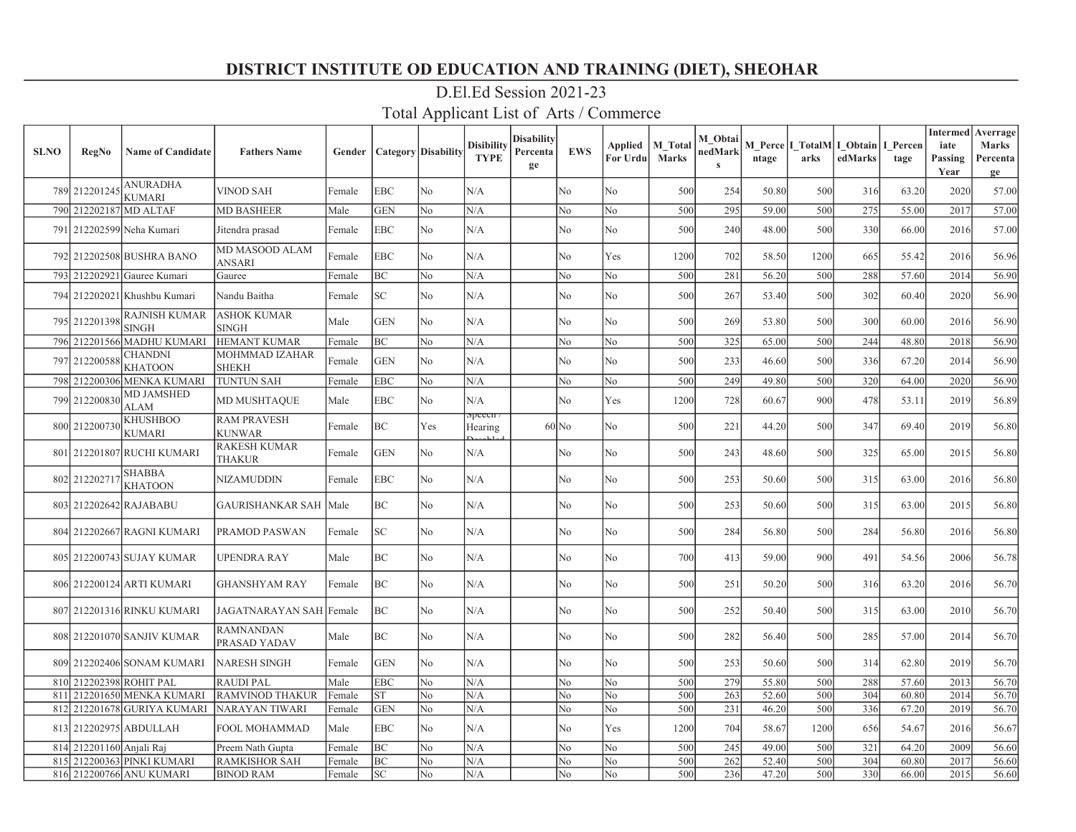| <b>SLNO</b> | <b>RegNo</b>             | <b>Name of Candidate</b>                           | <b>Fathers Name</b>                          | Gender |                 | <b>Category</b> Disability | <b>Disibility</b><br><b>TYPE</b> | Disability<br>Percenta<br>ge | <b>EWS</b>     | Applied<br>For Urdu | <b>M</b> Total<br><b>Marks</b> | M Obtai<br>nedMark<br>$\bf{s}$ | ntage          | arks       | M Perce I TotalM I Obtain<br>edMarks | I Percen<br>tage | iate<br>Passing<br>Year | <b>Intermed</b> Averrage<br><b>Marks</b><br>Percenta<br>ge |
|-------------|--------------------------|----------------------------------------------------|----------------------------------------------|--------|-----------------|----------------------------|----------------------------------|------------------------------|----------------|---------------------|--------------------------------|--------------------------------|----------------|------------|--------------------------------------|------------------|-------------------------|------------------------------------------------------------|
|             | 789 212201245            | <b>ANURADHA</b><br><b>KUMARI</b>                   | <b>VINOD SAH</b>                             | Female | <b>EBC</b>      | N <sub>o</sub>             | N/A                              |                              | No             | No                  | 500                            | 254                            | 50.80          | 500        | 316                                  | 63.20            | 2020                    | 57.00                                                      |
|             |                          | 790 212202187 MD ALTAF                             | <b>MD BASHEER</b>                            | Male   | <b>GEN</b>      | No                         | N/A                              |                              | No             | No                  | 500                            | 295                            | 59.00          | 500        | 275                                  | 55.00            | 2017                    | 57.00                                                      |
|             |                          | 791 212202599 Neha Kumari                          | Jitendra prasad                              | Female | <b>EBC</b>      | No                         | N/A                              |                              | No             | No                  | 500                            | 240                            | 48.00          | 500        | 330                                  | 66.00            | 2016                    | 57.00                                                      |
|             |                          | 792 212202508 BUSHRA BANO                          | MD MASOOD ALAM<br><b>ANSARI</b>              | Female | <b>EBC</b>      | No                         | N/A                              |                              | No             | Yes                 | 1200                           | 702                            | 58.50          | 1200       | 665                                  | 55.42            | 2016                    | 56.96                                                      |
|             |                          | 793 212202921 Gauree Kumari                        | Gauree                                       | Female | BC              | No                         | N/A                              |                              | No             | No                  | 500                            | 281                            | 56.20          | 500        | 288                                  | 57.60            | 2014                    | 56.90                                                      |
|             |                          | 794 212202021 Khushbu Kumari                       | Nandu Baitha                                 | Female | SC              | No                         | N/A                              |                              | No             | No                  | 500                            | 267                            | 53.40          | 500        | 302                                  | 60.40            | 2020                    | 56.90                                                      |
|             | 795 212201398            | <b>RAJNISH KUMAR</b><br><b>SINGH</b>               | <b>ASHOK KUMAR</b><br>$\operatorname{SINGH}$ | Male   | <b>GEN</b>      | No                         | N/A                              |                              | No             | No                  | 500                            | 269                            | 53.80          | 500        | 300                                  | 60.00            | 2016                    | 56.90                                                      |
|             |                          | 796 212201566 MADHU KUMARI                         | <b>HEMANT KUMAR</b>                          | Female | ВC              | No                         | N/A                              |                              | No             | No                  | 500                            | 325                            | 65.00          | 500        | 244                                  | 48.80            | 2018                    | 56.90                                                      |
|             | 797 212200588            | <b>CHANDNI</b><br><b>KHATOON</b>                   | <b>MOHMMAD IZAHAR</b><br><b>SHEKH</b>        | Female | <b>GEN</b>      | No                         | N/A                              |                              | No             | No                  | 500                            | 233                            | 46.60          | 500        | 336                                  | 67.20            | 2014                    | 56.90                                                      |
|             |                          | 798 212200306 MENKA KUMARI                         | TUNTUN SAH                                   | Female | <b>EBC</b>      | N <sub>o</sub>             | N/A                              |                              | No             | No                  | 500                            | 249                            | 49.80          | 500        | 320                                  | 64.00            | 2020                    | 56.90                                                      |
|             | 799 212200830            | <b>MD JAMSHED</b><br><b>ALAM</b>                   | <b>MD MUSHTAQUE</b>                          | Male   | <b>EBC</b>      | No                         | N/A                              |                              | No             | Yes                 | 1200                           | 728                            | 60.67          | 900        | 478                                  | 53.11            | 2019                    | 56.89                                                      |
|             | 800 212200730            | <b>KHUSHBOO</b><br><b>KUMARI</b>                   | <b>RAM PRAVESH</b><br><b>KUNWAR</b>          | Female | BC              | Yes                        | <del>эрссен</del><br>Hearing     |                              | $60$ No        | No                  | 500                            | 221                            | 44.20          | 500        | 347                                  | 69.40            | 2019                    | 56.80                                                      |
|             |                          | 801 212201807 RUCHI KUMARI                         | <b>RAKESH KUMAR</b><br>THAKUR                | Female | <b>GEN</b>      | No                         | N/A                              |                              | No             | No                  | 500                            | 243                            | 48.60          | 500        | 325                                  | 65.00            | 2015                    | 56.80                                                      |
|             | 802 212202717            | <b>SHABBA</b><br><b>KHATOON</b>                    | <b>NIZAMUDDIN</b>                            | Female | <b>EBC</b>      | No                         | N/A                              |                              | No             | No                  | 500                            | 253                            | 50.60          | 500        | 315                                  | 63.00            | 2016                    | 56.80                                                      |
|             |                          | 803 212202642 RAJABABU                             | <b>GAURISHANKAR SAH</b>                      | Male   | <b>BC</b>       | No                         | N/A                              |                              | No             | No                  | 500                            | 253                            | 50.60          | 500        | 315                                  | 63.00            | 2015                    | 56.80                                                      |
|             |                          | 804 212202667 RAGNI KUMARI                         | PRAMOD PASWAN                                | Female | SC              | No                         | N/A                              |                              | No             | No                  | 500                            | 284                            | 56.80          | 500        | 284                                  | 56.80            | 2016                    | 56.80                                                      |
|             |                          | 805 212200743 SUJAY KUMAR                          | <b>UPENDRA RAY</b>                           | Male   | ВC              | No                         | N/A                              |                              | No             | No                  | 700                            | 413                            | 59.00          | 900        | 491                                  | 54.56            | 2006                    | 56.78                                                      |
|             |                          | 806 212200124 ARTI KUMARI                          | GHANSHYAM RAY                                | Female | BC              | N <sub>o</sub>             | N/A                              |                              | No             | No                  | 500                            | 251                            | 50.20          | 500        | 316                                  | 63.20            | 2016                    | 56.70                                                      |
|             |                          | 807 212201316 RINKU KUMARI                         | JAGATNARAYAN SAH Female                      |        | BC              | No                         | N/A                              |                              | No             | No                  | 500                            | 252                            | 50.40          | 500        | 315                                  | 63.00            | 2010                    | 56.70                                                      |
|             |                          | 808 212201070 SANJIV KUMAR                         | <b>RAMNANDAN</b><br>PRASAD YADAV             | Male   | BC              | N <sub>o</sub>             | N/A                              |                              | No             | No                  | 500                            | 282                            | 56.40          | 500        | 285                                  | 57.00            | 2014                    | 56.70                                                      |
|             |                          | 809 212202406 SONAM KUMARI                         | <b>NARESH SINGH</b>                          | Female | <b>GEN</b>      | No                         | N/A                              |                              | No             | No                  | 500                            | 253                            | 50.60          | 500        | 314                                  | 62.80            | 2019                    | 56.70                                                      |
|             |                          | 810 212202398 ROHIT PAL                            | <b>RAUDI PAL</b>                             | Male   | <b>EBC</b>      | N <sub>o</sub>             | N/A                              |                              | N <sub>o</sub> | N <sub>o</sub>      | 500                            | 279                            | 55.80          | 500        | 288                                  | 57.60            | 2013                    | 56.70                                                      |
| 811         |                          | 212201650 MENKA KUMARI                             | <b>RAMVINOD THAKUR</b>                       | Female | <b>ST</b>       | No                         | N/A                              |                              | No             | N <sub>o</sub>      | 500                            | 263                            | 52.60          | 500        | 304                                  | 60.80            | 2014                    | 56.70                                                      |
| 812         |                          | 212201678 GURIYA KUMARI                            | <b>NARAYAN TIWARI</b>                        | Female | <b>GEN</b>      | No                         | N/A                              |                              | No             | No                  | 500                            | 231                            | 46.20          | 500        | 336                                  | 67.20            | 2019                    | 56.70                                                      |
|             |                          | 813 212202975 ABDULLAH                             | FOOL MOHAMMAD                                | Male   | EBC             | No                         | N/A                              |                              | No             | Yes                 | 1200                           | 704                            | 58.67          | 1200       | 656                                  | 54.67            | 2016                    | 56.67                                                      |
|             | 814 212201160 Anjali Raj |                                                    | Preem Nath Gupta                             | Female | BC              | No                         | N/A                              |                              | No             | No                  | 500                            | 245                            | 49.00          | 500        | 321                                  | 64.20            | 2009                    | 56.60                                                      |
| 815         |                          | 212200363 PINKI KUMARI<br>816 212200766 ANU KUMARI | <b>RAMKISHOR SAH</b><br><b>BINOD RAM</b>     | Female | BC<br><b>SC</b> | No<br>No                   | N/A<br>N/A                       |                              | No<br>No       | No<br>No            | 500<br>500                     | 262<br>236                     | 52.40<br>47.20 | 500<br>500 | 304<br>330                           | 60.80<br>66.00   | 2017<br>2015            | 56.60<br>56.60                                             |
|             |                          |                                                    |                                              | Female |                 |                            |                                  |                              |                |                     |                                |                                |                |            |                                      |                  |                         |                                                            |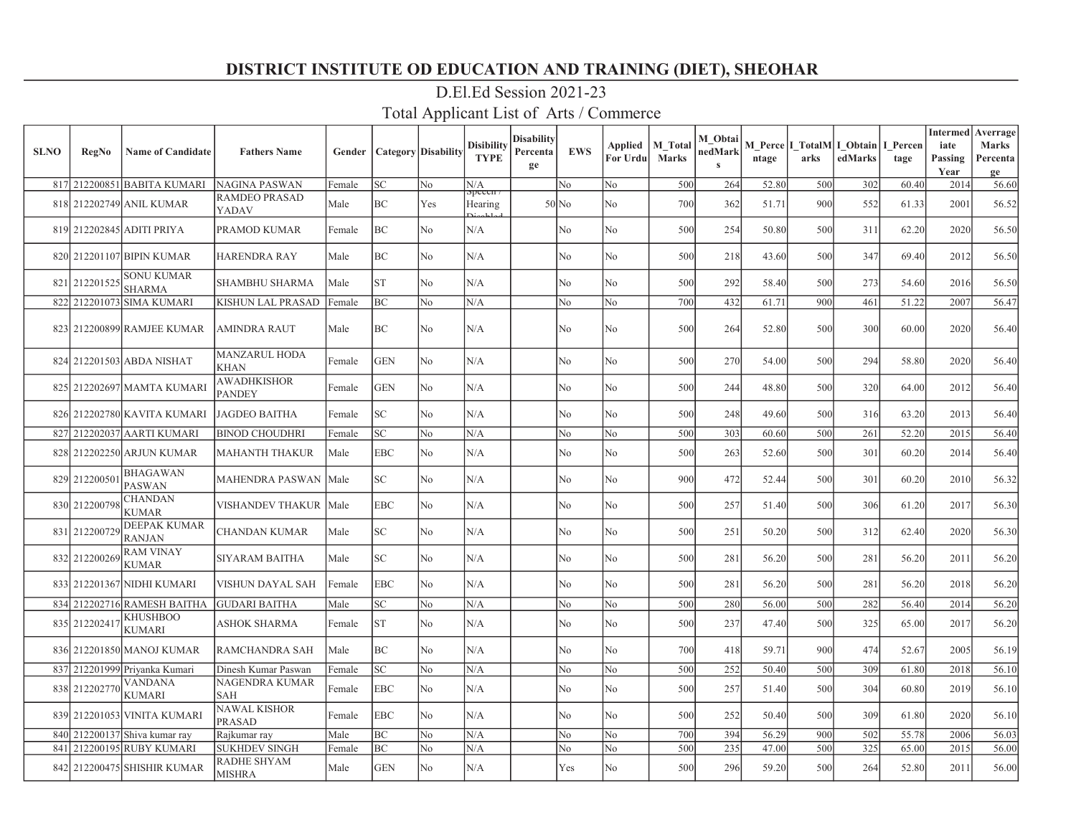| <b>SLNO</b> | RegNo         | <b>Name of Candidate</b>             | <b>Fathers Name</b>                 | Gender |            | <b>Category Disability</b> | <b>Disibility</b><br><b>TYPE</b> | Disability<br>Percenta<br>ge | <b>EWS</b>     | Applied<br>For Urdu | <b>M</b> Total<br><b>Marks</b> | M Obtai<br>nedMark<br>$\mathbf{s}$ | ntage | arks | M Perce   I TotalM   I Obtain  <br>edMarks | I Percen<br>tage | <b>Intermed</b><br>iate<br>Passing<br>Year | Averrage<br><b>Marks</b><br>Percenta<br>ge |
|-------------|---------------|--------------------------------------|-------------------------------------|--------|------------|----------------------------|----------------------------------|------------------------------|----------------|---------------------|--------------------------------|------------------------------------|-------|------|--------------------------------------------|------------------|--------------------------------------------|--------------------------------------------|
|             |               | 817 212200851 BABITA KUMARI          | NAGINA PASWAN                       | Female | SC         | N <sub>o</sub>             | N/A<br>эрсссп                    |                              | No             | No                  | 500                            | 264                                | 52.80 | 500  | 302                                        | 60.40            | 2014                                       | 56.60                                      |
|             |               | 818 212202749 ANIL KUMAR             | <b>RAMDEO PRASAD</b><br>YADAV       | Male   | BC         | Yes                        | Hearing                          |                              | $50$ No        | No                  | 700                            | 362                                | 51.71 | 900  | 552                                        | 61.33            | 2001                                       | 56.52                                      |
|             |               | 819 212202845 ADITI PRIYA            | PRAMOD KUMAR                        | Female | BC         | No                         | N/A                              |                              | No             | No                  | 500                            | 254                                | 50.80 | 500  | 311                                        | 62.20            | 2020                                       | 56.50                                      |
|             |               | 820 212201107 BIPIN KUMAR            | <b>HARENDRA RAY</b>                 | Male   | BC         | No                         | N/A                              |                              | N <sub>o</sub> | No                  | 500                            | 218                                | 43.60 | 500  | 347                                        | 69.40            | 2012                                       | 56.50                                      |
|             | 821 212201525 | <b>SONU KUMAR</b><br><b>SHARMA</b>   | <b>SHAMBHU SHARMA</b>               | Male   | <b>ST</b>  | N <sub>o</sub>             | N/A                              |                              | No             | No                  | 500                            | 292                                | 58.40 | 500  | 273                                        | 54.60            | 2016                                       | 56.50                                      |
|             |               | 822 212201073 SIMA KUMARI            | <b>KISHUN LAL PRASAD</b>            | Female | <b>BC</b>  | No                         | N/A                              |                              | No             | No.                 | 700                            | 432                                | 61.71 | 900  | 461                                        | 51.22            | 2007                                       | 56.47                                      |
|             |               | 823 212200899 RAMJEE KUMAR           | <b>AMINDRA RAUT</b>                 | Male   | ВC         | No                         | N/A                              |                              | No             | No                  | 500                            | 264                                | 52.80 | 500  | 300                                        | 60.00            | 2020                                       | 56.40                                      |
|             |               | 824 212201503 ABDA NISHAT            | <b>MANZARUL HODA</b><br>KHAN        | Female | GEN        | No                         | N/A                              |                              | No             | No                  | 500                            | 270                                | 54.00 | 500  | 294                                        | 58.80            | 2020                                       | 56.40                                      |
|             |               | 825 212202697 MAMTA KUMARI           | AWADHKISHOR<br><b>PANDEY</b>        | Female | <b>GEN</b> | No                         | N/A                              |                              | No             | No                  | 500                            | 244                                | 48.80 | 500  | 320                                        | 64.00            | 2012                                       | 56.40                                      |
|             |               | 826 212202780 KAVITA KUMARI          | <b>JAGDEO BAITHA</b>                | Female | SC         | No                         | N/A                              |                              | No             | No                  | 500                            | 248                                | 49.60 | 500  | 316                                        | 63.20            | 2013                                       | 56.40                                      |
|             |               | 827 212202037 AARTI KUMARI           | <b>BINOD CHOUDHRI</b>               | Female | SC         | No                         | N/A                              |                              | No             | No                  | 500                            | 303                                | 60.60 | 500  | 261                                        | 52.20            | 2015                                       | 56.40                                      |
|             |               | 828 212202250 ARJUN KUMAR            | MAHANTH THAKUR                      | Male   | EBC        | N <sub>o</sub>             | N/A                              |                              | No             | No                  | 500                            | 263                                | 52.60 | 500  | 301                                        | 60.20            | 2014                                       | 56.40                                      |
|             | 829 212200501 | <b>BHAGAWAN</b><br><b>PASWAN</b>     | MAHENDRA PASWAN                     | Male   | SC.        | N <sub>0</sub>             | N/A                              |                              | N <sub>o</sub> | No                  | 900                            | 472                                | 52.44 | 500  | 301                                        | 60.20            | 2010                                       | 56.32                                      |
|             | 830 212200798 | <b>CHANDAN</b><br><b>KUMAR</b>       | VISHANDEV THAKUR                    | Male   | EBC        | N <sub>o</sub>             | N/A                              |                              | No             | No                  | 500                            | 257                                | 51.40 | 500  | 306                                        | 61.20            | 2017                                       | 56.30                                      |
|             | 831 212200729 | <b>DEEPAK KUMAR</b><br><b>RANJAN</b> | CHANDAN KUMAR                       | Male   | SC.        | N <sub>o</sub>             | N/A                              |                              | N <sub>o</sub> | No                  | 500                            | 251                                | 50.20 | 500  | 312                                        | 62.40            | 2020                                       | 56.30                                      |
|             | 832 212200269 | <b>RAM VINAY</b><br><b>KUMAR</b>     | SIYARAM BAITHA                      | Male   | SC         | N <sub>o</sub>             | N/A                              |                              | No             | No                  | 500                            | 281                                | 56.20 | 500  | 281                                        | 56.20            | 2011                                       | 56.20                                      |
|             |               | 833 212201367 NIDHI KUMARI           | VISHUN DAYAL SAH                    | Female | EBC        | No                         | N/A                              |                              | No             | No                  | 500                            | 281                                | 56.20 | 500  | 281                                        | 56.20            | 2018                                       | 56.20                                      |
|             |               | 834 212202716 RAMESH BAITHA          | <b>GUDARI BAITHA</b>                | Male   | SC         | N <sub>o</sub>             | N/A                              |                              | No             | No                  | 500                            | 280                                | 56.00 | 500  | 282                                        | 56.40            | 2014                                       | 56.20                                      |
| 835         | 212202417     | <b>KHUSHBOO</b><br><b>KUMARI</b>     | <b>ASHOK SHARMA</b>                 | Female | <b>ST</b>  | N <sub>o</sub>             | N/A                              |                              | No             | No                  | 500                            | 237                                | 47.40 | 500  | 325                                        | 65.00            | 2017                                       | 56.20                                      |
|             |               | 836 212201850 MANOJ KUMAR            | <b>RAMCHANDRA SAH</b>               | Male   | ВC         | N <sub>o</sub>             | N/A                              |                              | No             | No                  | 700                            | 418                                | 59.71 | 900  | 474                                        | 52.67            | 2005                                       | 56.19                                      |
|             |               | 837 212201999 Priyanka Kumari        | Dinesh Kumar Paswan                 | Female | SC         | N <sub>o</sub>             | N/A                              |                              | No             | No                  | 500                            | 252                                | 50.40 | 500  | 309                                        | 61.80            | 2018                                       | 56.10                                      |
|             | 838 212202770 | <b>VANDANA</b><br><b>KUMARI</b>      | NAGENDRA KUMAR<br>SAH               | Female | EBC        | N <sub>o</sub>             | N/A                              |                              | No             | No                  | 500                            | 257                                | 51.40 | 500  | 304                                        | 60.80            | 2019                                       | 56.10                                      |
|             |               | 839 212201053 VINITA KUMARI          | NAWAL KISHOR<br>PRASAD              | Female | EBC        | No                         | N/A                              |                              | No             | No                  | 500                            | 252                                | 50.40 | 500  | 309                                        | 61.80            | 2020                                       | 56.10                                      |
|             |               | 840 212200137 Shiva kumar ray        | Rajkumar ray                        | Male   | ВC         | No                         | N/A                              |                              | No             | No                  | 700                            | 394                                | 56.29 | 900  | 502                                        | 55.78            | 2006                                       | 56.03                                      |
| 841         |               | 212200195 RUBY KUMARI                | <b>SUKHDEV SINGH</b>                | Female | ВC         | No                         | N/A                              |                              | No             | No                  | 500                            | 235                                | 47.00 | 500  | 325                                        | 65.00            | 2015                                       | 56.00                                      |
|             |               | 842 212200475 SHISHIR KUMAR          | <b>RADHE SHYAM</b><br><b>MISHRA</b> | Male   | <b>GEN</b> | N <sub>0</sub>             | N/A                              |                              | Yes            | N <sub>o</sub>      | 500                            | 296                                | 59.20 | 500  | 264                                        | 52.80            | 2011                                       | 56.00                                      |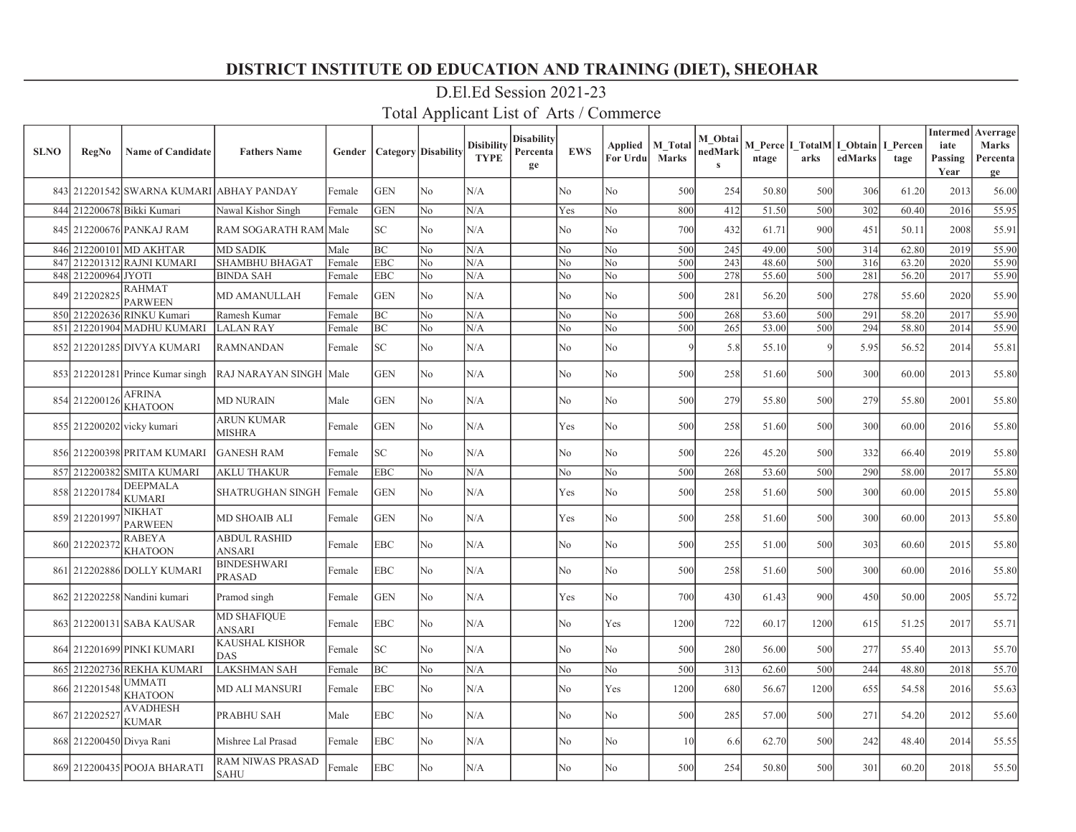| <b>SLNO</b> | <b>RegNo</b>             | <b>Name of Candidate</b>                 | <b>Fathers Name</b>             | Gender | <b>Category Disability</b> |                | <b>Disibility</b><br><b>TYPE</b> | <b>Disability</b><br>Percenta<br>ge | <b>EWS</b>     | Applied<br>For Urdu | <b>M</b> Total<br><b>Marks</b> | M Obtai<br>nedMark<br>$\mathbf{s}$ | ntage | arks | M Perce   I TotalM   I Obtain  <br>edMarks | I Percen<br>tage | <b>Intermed</b><br>iate<br>Passing<br>Year | Averrage<br><b>Marks</b><br>Percenta<br>ge |
|-------------|--------------------------|------------------------------------------|---------------------------------|--------|----------------------------|----------------|----------------------------------|-------------------------------------|----------------|---------------------|--------------------------------|------------------------------------|-------|------|--------------------------------------------|------------------|--------------------------------------------|--------------------------------------------|
|             |                          | 843 212201542 SWARNA KUMARI ABHAY PANDAY |                                 | Female | <b>GEN</b>                 | No             | N/A                              |                                     | No             | No                  | 500                            | 254                                | 50.80 | 500  | 306                                        | 61.20            | 2013                                       | 56.00                                      |
|             |                          | 844 212200678 Bikki Kumari               | Nawal Kishor Singh              | Female | <b>GEN</b>                 | N <sub>o</sub> | N/A                              |                                     | Yes            | No                  | 800                            | 412                                | 51.50 | 500  | 302                                        | 60.40            | 2016                                       | 55.95                                      |
|             |                          | 845 212200676 PANKAJ RAM                 | RAM SOGARATH RAM Male           |        | SC                         | N <sub>o</sub> | N/A                              |                                     | N <sub>o</sub> | No                  | 700                            | 432                                | 61.71 | 900  | 451                                        | 50.11            | 2008                                       | 55.91                                      |
|             |                          | 846 212200101 MD AKHTAR                  | <b>MD SADIK</b>                 | Male   | BС                         | N <sub>o</sub> | N/A                              |                                     | No             | N <sub>o</sub>      | 500                            | 245                                | 49.00 | 500  | 314                                        | 62.80            | 2019                                       | 55.90                                      |
| 847         |                          | 212201312 RAJNI KUMARI                   | <b>SHAMBHU BHAGAT</b>           | Female | <b>EBC</b>                 | No             | N/A                              |                                     | No             | No                  | 500                            | 243                                | 48.60 | 500  | 316                                        | 63.20            | 2020                                       | 55.90                                      |
| 848         | 212200964 JYOTI          |                                          | <b>BINDA SAH</b>                | Female | EBC                        | No             | N/A                              |                                     | No             | No                  | 500                            | 278                                | 55.60 | 500  | 281                                        | 56.20            | 2017                                       | 55.90                                      |
| 849         | 212202825                | <b>RAHMAT</b><br><b>PARWEEN</b>          | MD AMANULLAH                    | Female | <b>GEN</b>                 | N <sub>o</sub> | N/A                              |                                     | No             | No                  | 500                            | 281                                | 56.20 | 500  | 278                                        | 55.60            | 2020                                       | 55.90                                      |
|             |                          | 850 212202636 RINKU Kumari               | Ramesh Kumar                    | Female | BС                         | No             | N/A                              |                                     | No             | No                  | 500                            | 268                                | 53.60 | 500  | 291                                        | 58.20            | 2017                                       | 55.90                                      |
| 851         |                          | 212201904 MADHU KUMARI                   | <b>LALAN RAY</b>                | Female | BC                         | No             | N/A                              |                                     | No             | No                  | 500                            | 265                                | 53.00 | 500  | 294                                        | 58.80            | 2014                                       | 55.90                                      |
|             |                          | 852 212201285 DIVYA KUMARI               | <b>RAMNANDAN</b>                | Female | SC                         | No             | N/A                              |                                     | No             | No                  | $\mathbf Q$                    | 5.8                                | 55.10 |      | 5.95                                       | 56.52            | 2014                                       | 55.81                                      |
|             |                          | 853 212201281 Prince Kumar singh         | RAJ NARAYAN SINGH               | Male   | <b>GEN</b>                 | N <sub>o</sub> | N/A                              |                                     | No             | No                  | 500                            | 258                                | 51.60 | 500  | 300                                        | 60.00            | 2013                                       | 55.80                                      |
|             | 854 212200126            | <b>AFRINA</b><br><b>KHATOON</b>          | MD NURAIN                       | Male   | GEN                        | No             | N/A                              |                                     | No             | No                  | 500                            | 279                                | 55.80 | 500  | 279                                        | 55.80            | 2001                                       | 55.80                                      |
|             |                          | 855 212200202 vicky kumari               | ARUN KUMAR<br><b>MISHRA</b>     | Female | <b>GEN</b>                 | N <sub>o</sub> | N/A                              |                                     | Yes            | No                  | 500                            | 258                                | 51.60 | 500  | 300                                        | 60.00            | 2016                                       | 55.80                                      |
|             |                          | 856 212200398 PRITAM KUMARI              | <b>GANESH RAM</b>               | Female | SC.                        | N <sub>o</sub> | N/A                              |                                     | No             | No                  | 500                            | 226                                | 45.20 | 500  | 332                                        | 66.40            | 2019                                       | 55.80                                      |
|             |                          | 857 212200382 SMITA KUMARI               | AKLU THAKUR                     | Female | <b>EBC</b>                 | No             | N/A                              |                                     | No             | No                  | 500                            | 268                                | 53.60 | 500  | 290                                        | 58.00            | 2017                                       | 55.80                                      |
|             | 858 212201784            | <b>DEEPMALA</b><br><b>KUMARI</b>         | SHATRUGHAN SINGH                | Female | <b>GEN</b>                 | N <sub>o</sub> | N/A                              |                                     | Yes            | No                  | 500                            | 258                                | 51.60 | 500  | 300                                        | 60.00            | 2015                                       | 55.80                                      |
|             | 859 21220199             | <b>NIKHAT</b><br><b>PARWEEN</b>          | MD SHOAIB ALI                   | Female | <b>GEN</b>                 | No             | N/A                              |                                     | Yes            | No                  | 500                            | 258                                | 51.60 | 500  | 300                                        | 60.00            | 2013                                       | 55.80                                      |
|             | 860 21220237             | <b>RABEYA</b><br><b>KHATOON</b>          | <b>ABDUL RASHID</b><br>ANSARI   | Female | <b>EBC</b>                 | N <sub>o</sub> | N/A                              |                                     | N <sub>o</sub> | No                  | 500                            | 255                                | 51.00 | 500  | 303                                        | 60.60            | 2015                                       | 55.80                                      |
|             |                          | 861 212202886 DOLLY KUMARI               | <b>BINDESHWARI</b><br>PRASAD    | Female | EBC                        | N <sub>o</sub> | N/A                              |                                     | N <sub>o</sub> | No                  | 500                            | 258                                | 51.60 | 500  | 300                                        | 60.00            | 2016                                       | 55.80                                      |
|             |                          | 862 212202258 Nandini kumari             | Pramod singh                    | Female | <b>GEN</b>                 | N <sub>o</sub> | N/A                              |                                     | Yes            | No                  | 700                            | 430                                | 61.43 | 900  | 450                                        | 50.00            | 2005                                       | 55.72                                      |
|             |                          | 863 212200131 SABA KAUSAR                | <b>MD SHAFIQUE</b><br>ANSARI    | Female | EBC                        | No             | N/A                              |                                     | No             | Yes                 | 1200                           | 722                                | 60.17 | 1200 | 615                                        | 51.25            | 2017                                       | 55.71                                      |
|             |                          | 864 212201699 PINKI KUMARI               | KAUSHAL KISHOR<br>DAS           | Female | SC                         | No             | N/A                              |                                     | No             | No                  | 500                            | 280                                | 56.00 | 500  | 277                                        | 55.40            | 2013                                       | 55.70                                      |
|             |                          | 865 212202736 REKHA KUMARI               | <b>LAKSHMAN SAH</b>             | Female | BС                         | N <sub>o</sub> | N/A                              |                                     | No             | No                  | 500                            | 313                                | 62.60 | 500  | 244                                        | 48.80            | 2018                                       | 55.70                                      |
|             | 866 212201548            | <b>UMMATI</b><br><b>KHATOON</b>          | MD ALI MANSURI                  | Female | EBC                        | N <sub>o</sub> | N/A                              |                                     | No             | Yes                 | 1200                           | 680                                | 56.67 | 1200 | 655                                        | 54.58            | 2016                                       | 55.63                                      |
|             | 867 212202527            | <b>AVADHESH</b><br><b>KUMAR</b>          | PRABHU SAH                      | Male   | EBC                        | N <sub>o</sub> | N/A                              |                                     | No             | No                  | 500                            | 285                                | 57.00 | 500  | 271                                        | 54.20            | 2012                                       | 55.60                                      |
|             | 868 212200450 Divya Rani |                                          | Mishree Lal Prasad              | Female | EBC                        | No             | N/A                              |                                     | No             | No                  | 10                             | 6.6                                | 62.70 | 500  | 242                                        | 48.40            | 2014                                       | 55.55                                      |
|             |                          | 869 212200435 POOJA BHARATI              | RAM NIWAS PRASAD<br><b>SAHU</b> | Female | EBC                        | N <sub>o</sub> | N/A                              |                                     | No             | No                  | 500                            | 254                                | 50.80 | 500  | 301                                        | 60.20            | 2018                                       | 55.50                                      |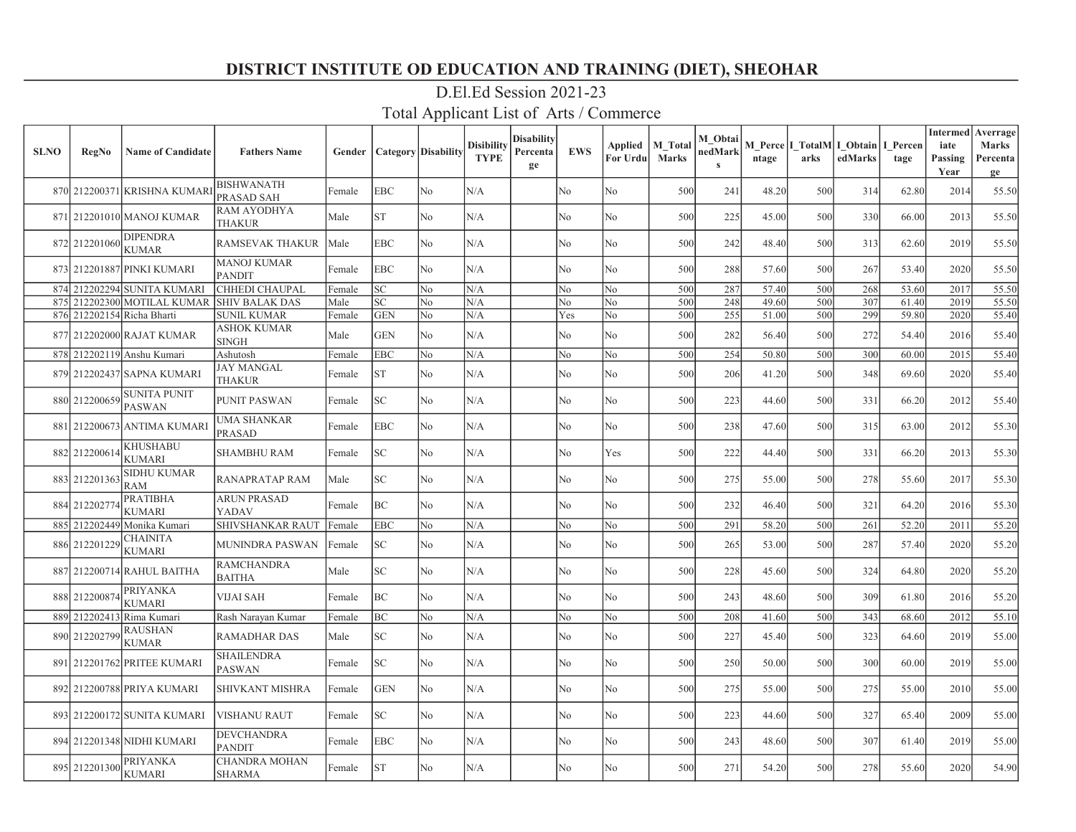| <b>SLNO</b> | <b>RegNo</b>  | <b>Name of Candidate</b>             | <b>Fathers Name</b>                 | Gender |            | <b>Category</b> Disability | <b>Disibility</b><br><b>TYPE</b> | Disability<br>Percenta<br>ge | <b>EWS</b>     | Applied<br>For Urdu | <b>M</b> Total<br><b>Marks</b> | M Obtai<br>nedMark<br>$\mathbf{s}$ | ntage | arks | M Perce   I TotalM   I Obtain  <br>edMarks | I Percen<br>tage | <b>Intermed</b><br>iate<br>Passing<br>Year | Averrage<br><b>Marks</b><br>Percenta<br>ge |
|-------------|---------------|--------------------------------------|-------------------------------------|--------|------------|----------------------------|----------------------------------|------------------------------|----------------|---------------------|--------------------------------|------------------------------------|-------|------|--------------------------------------------|------------------|--------------------------------------------|--------------------------------------------|
|             |               | 870 212200371 KRISHNA KUMAR          | <b>BISHWANATH</b><br>PRASAD SAH     | Female | EBC        | No                         | N/A                              |                              | No             | No                  | 500                            | 241                                | 48.20 | 500  | 314                                        | 62.80            | 2014                                       | 55.50                                      |
|             |               | 871 212201010 MANOJ KUMAR            | <b>RAM AYODHYA</b><br>THAKUR        | Male   | ST         | No                         | N/A                              |                              | No             | No                  | 500                            | 225                                | 45.00 | 500  | 330                                        | 66.00            | 2013                                       | 55.50                                      |
|             | 872 212201060 | <b>DIPENDRA</b><br><b>KUMAR</b>      | <b>RAMSEVAK THAKUR</b>              | Male   | <b>EBC</b> | No                         | N/A                              |                              | No             | No                  | 500                            | 242                                | 48.40 | 500  | 313                                        | 62.60            | 2019                                       | 55.50                                      |
|             |               | 873 212201887 PINKI KUMARI           | <b>MANOJ KUMAR</b><br><b>PANDIT</b> | Female | <b>EBC</b> | N <sub>o</sub>             | N/A                              |                              | N <sub>o</sub> | No                  | 500                            | 288                                | 57.60 | 500  | 267                                        | 53.40            | 2020                                       | 55.50                                      |
|             |               | 874 212202294 SUNITA KUMARI          | <b>CHHEDI CHAUPAL</b>               | Female | SC         | N <sub>o</sub>             | N/A                              |                              | No             | No                  | 500                            | 287                                | 57.40 | 500  | 268                                        | 53.60            | 2017                                       | 55.50                                      |
| 875         |               | 212202300 MOTILAL KUMAR              | <b>SHIV BALAK DAS</b>               | Male   | SC         | N <sub>o</sub>             | N/A                              |                              | No             | N <sub>o</sub>      | 500                            | 248                                | 49.60 | 500  | 307                                        | 61.40            | 2019                                       | 55.50                                      |
|             |               | 876 212202154 Richa Bharti           | <b>SUNIL KUMAR</b>                  | Female | <b>GEN</b> | No                         | N/A                              |                              | Yes            | No                  | 500                            | 255                                | 51.00 | 500  | 299                                        | 59.80            | 2020                                       | 55.40                                      |
|             |               | 877 212202000 RAJAT KUMAR            | ASHOK KUMAR<br><b>SINGH</b>         | Male   | <b>GEN</b> | No                         | N/A                              |                              | No             | No                  | 500                            | 282                                | 56.40 | 500  | 272                                        | 54.40            | 2016                                       | 55.40                                      |
|             |               | 878 212202119 Anshu Kumari           | Ashutosh                            | Female | EBC        | No                         | N/A                              |                              | No             | No                  | 500                            | 254                                | 50.80 | 500  | 300                                        | 60.00            | 2015                                       | 55.40                                      |
|             |               | 879 212202437 SAPNA KUMARI           | JAY MANGAL<br>THAKUR                | Female | ST         | No                         | N/A                              |                              | No             | No                  | 500                            | 206                                | 41.20 | 500  | 348                                        | 69.60            | 2020                                       | 55.40                                      |
|             | 880 212200659 | <b>SUNITA PUNIT</b><br><b>PASWAN</b> | PUNIT PASWAN                        | Female | SC         | No                         | N/A                              |                              | No             | No                  | 500                            | 223                                | 44.60 | 500  | 331                                        | 66.20            | 2012                                       | 55.40                                      |
|             |               | 881 212200673 ANTIMA KUMARI          | UMA SHANKAR<br>PRASAD               | Female | EBC        | N <sub>o</sub>             | N/A                              |                              | No             | No                  | 500                            | 238                                | 47.60 | 500  | 315                                        | 63.00            | 2012                                       | 55.30                                      |
|             | 882 212200614 | <b>KHUSHABU</b><br><b>KUMARI</b>     | SHAMBHU RAM                         | Female | SC.        | N <sub>o</sub>             | N/A                              |                              | N <sub>o</sub> | Yes                 | 500                            | 222                                | 44.40 | 500  | 331                                        | 66.20            | 2013                                       | 55.30                                      |
|             | 883 212201363 | <b>SIDHU KUMAR</b><br><b>RAM</b>     | <b>RANAPRATAP RAM</b>               | Male   | SC.        | N <sub>o</sub>             | N/A                              |                              | No             | No                  | 500                            | 275                                | 55.00 | 500  | 278                                        | 55.60            | 2017                                       | 55.30                                      |
|             | 884 212202774 | <b>PRATIBHA</b><br><b>KUMARI</b>     | <b>ARUN PRASAD</b><br>YADAV         | Female | BС         | N <sub>o</sub>             | N/A                              |                              | No             | No                  | 500                            | 232                                | 46.40 | 500  | 321                                        | 64.20            | 2016                                       | 55.30                                      |
|             |               | 885 212202449 Monika Kumari          | SHIVSHANKAR RAUT                    | Female | <b>EBC</b> | No                         | N/A                              |                              | No             | No                  | 500                            | 291                                | 58.20 | 500  | 261                                        | 52.20            | 2011                                       | 55.20                                      |
|             | 886 212201229 | <b>CHAINITA</b><br><b>KUMARI</b>     | <b>MUNINDRA PASWAN</b>              | Female | SC         | No                         | N/A                              |                              | No             | No                  | 500                            | 265                                | 53.00 | 500  | 287                                        | 57.40            | 2020                                       | 55.20                                      |
|             |               | 887 212200714 RAHUL BAITHA           | <b>RAMCHANDRA</b><br><b>BAITHA</b>  | Male   | SC         | No                         | N/A                              |                              | No             | No                  | 500                            | 228                                | 45.60 | 500  | 324                                        | 64.80            | 2020                                       | 55.20                                      |
|             | 888 212200874 | <b>PRIYANKA</b><br><b>KUMARI</b>     | VIJAI SAH                           | Female | ВC         | No                         | N/A                              |                              | No             | No                  | 500                            | 243                                | 48.60 | 500  | 309                                        | 61.80            | 2016                                       | 55.20                                      |
|             |               | 889 212202413 Rima Kumari            | Rash Narayan Kumar                  | Female | <b>BC</b>  | N <sub>o</sub>             | N/A                              |                              | No             | No                  | 500                            | 208                                | 41.60 | 500  | 343                                        | 68.60            | 2012                                       | 55.10                                      |
|             | 890 212202799 | <b>RAUSHAN</b><br><b>KUMAR</b>       | <b>RAMADHAR DAS</b>                 | Male   | SC         | N <sub>o</sub>             | N/A                              |                              | No             | No                  | 500                            | 227                                | 45.40 | 500  | 323                                        | 64.60            | 2019                                       | 55.00                                      |
|             |               | 891 212201762 PRITEE KUMARI          | SHAILENDRA<br>PASWAN                | Female | SC         | No                         | N/A                              |                              | No             | No                  | 500                            | 250                                | 50.00 | 500  | 300                                        | 60.00            | 2019                                       | 55.00                                      |
|             |               | 892 212200788 PRIYA KUMARI           | <b>SHIVKANT MISHRA</b>              | Female | <b>GEN</b> | No.                        | N/A                              |                              | No             | No                  | 500                            | 275                                | 55.00 | 500  | 275                                        | 55.00            | 2010                                       | 55.00                                      |
|             |               | 893 212200172 SUNITA KUMARI          | VISHANU RAUT                        | Female | SC         | N <sub>o</sub>             | N/A                              |                              | No             | No                  | 500                            | 223                                | 44.60 | 500  | 327                                        | 65.40            | 2009                                       | 55.00                                      |
|             |               | 894 212201348 NIDHI KUMARI           | DEVCHANDRA<br><b>PANDIT</b>         | Female | <b>EBC</b> | No                         | N/A                              |                              | No             | No                  | 500                            | 243                                | 48.60 | 500  | 307                                        | 61.40            | 2019                                       | 55.00                                      |
|             | 895 212201300 | <b>PRIYANKA</b><br><b>KUMARI</b>     | CHANDRA MOHAN<br><b>SHARMA</b>      | Female | <b>ST</b>  | N <sub>o</sub>             | N/A                              |                              | N <sub>o</sub> | No                  | 500                            | 271                                | 54.20 | 500  | 278                                        | 55.60            | 2020                                       | 54.90                                      |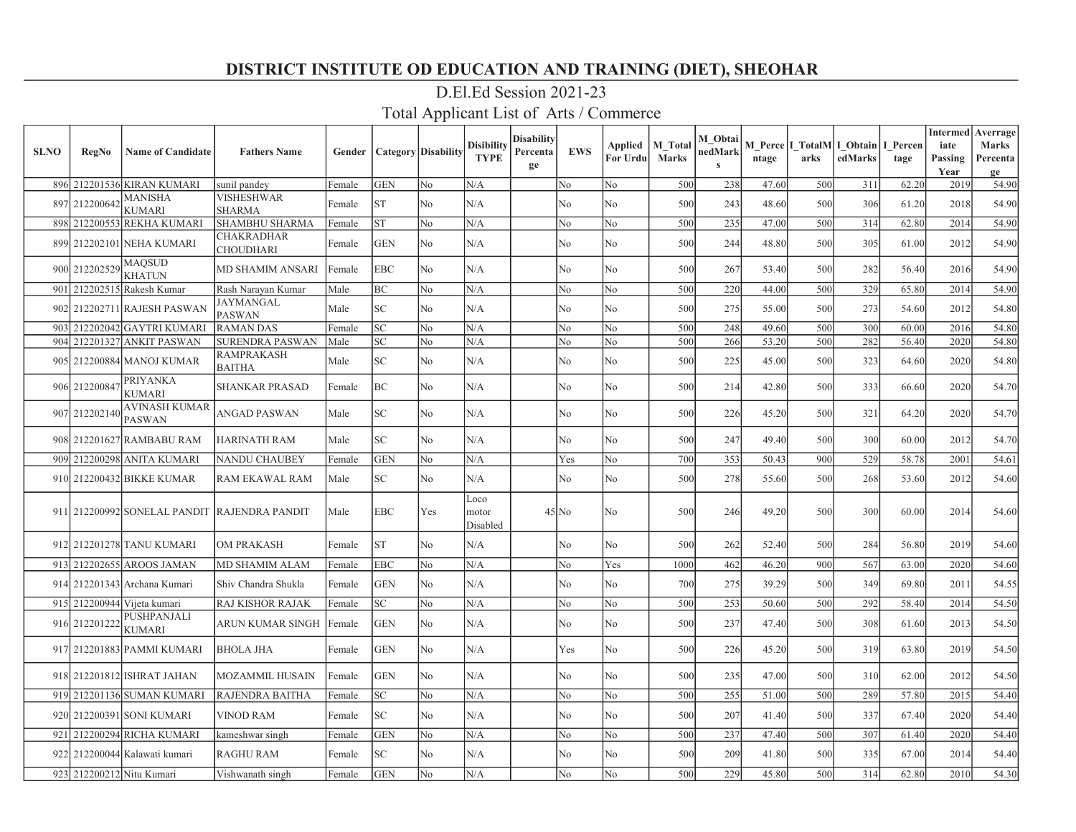| <b>SLNO</b> | <b>RegNo</b>                                | <b>Name of Candidate</b>              | <b>Fathers Name</b>                          | Gender |            | <b>Category Disability</b> | <b>Disibility</b><br><b>TYPE</b> | Disabilitv<br>Percenta<br>ge | <b>EWS</b>     | Applied<br>For Urdu | <b>M</b> Total<br><b>Marks</b> | M Obtai<br>nedMark<br>$\mathbf{s}$ | ntage | arks | M Perce   I TotalM   I Obtain  <br>edMarks | I Percen<br>tage | <b>Intermed</b><br>iate<br>Passing<br>Year | Averrage<br><b>Marks</b><br>Percenta<br>ge |
|-------------|---------------------------------------------|---------------------------------------|----------------------------------------------|--------|------------|----------------------------|----------------------------------|------------------------------|----------------|---------------------|--------------------------------|------------------------------------|-------|------|--------------------------------------------|------------------|--------------------------------------------|--------------------------------------------|
|             |                                             | 896 212201536 KIRAN KUMARI            | sunil pandey                                 | Female | <b>GEN</b> | No                         | N/A                              |                              | No             | No                  | 500                            | 238                                | 47.60 | 500  | 311                                        | 62.20            | 2019                                       | 54.90                                      |
| 897         | 212200642                                   | <b>MANISHA</b><br><b>KUMARI</b>       | VISHESHWAR<br><b>SHARMA</b>                  | Female | <b>ST</b>  | N <sub>o</sub>             | N/A                              |                              | No             | No                  | 500                            | 243                                | 48.60 | 500  | 306                                        | 61.20            | 2018                                       | 54.90                                      |
| 898         |                                             | 212200553 REKHA KUMARI                | SHAMBHU SHARMA                               | Female | <b>ST</b>  | N <sub>o</sub>             | N/A                              |                              | No             | No                  | 500                            | 235                                | 47.00 | 500  | 314                                        | 62.80            | 2014                                       | 54.90                                      |
|             |                                             | 899 212202101 NEHA KUMARI             | <b>CHAKRADHAR</b><br><b>CHOUDHARI</b>        | Female | <b>GEN</b> | N <sub>o</sub>             | N/A                              |                              | N <sub>o</sub> | No                  | 500                            | 244                                | 48.80 | 500  | 305                                        | 61.00            | 2012                                       | 54.90                                      |
|             | $900\boxed{212202529} \sqrt{\text{MAQSUD}}$ | <b>KHATUN</b>                         | <b>MD SHAMIM ANSARI</b>                      | Female | <b>EBC</b> | N <sub>o</sub>             | N/A                              |                              | N <sub>o</sub> | N <sub>o</sub>      | 500                            | 267                                | 53.40 | 500  | 282                                        | 56.40            | 2016                                       | 54.90                                      |
|             |                                             | 901 212202515 Rakesh Kumar            | Rash Narayan Kumar                           | Male   | BС         | N <sub>o</sub>             | N/A                              |                              | No             | N <sub>o</sub>      | 500                            | 220                                | 44.00 | 500  | 329                                        | 65.80            | 2014                                       | 54.90                                      |
|             |                                             | 902 212202711 RAJESH PASWAN           | JAYMANGAL<br><b>PASWAN</b>                   | Male   | SC         | No                         | N/A                              |                              | No             | No                  | 500                            | 275                                | 55.00 | 500  | 273                                        | 54.60            | 2012                                       | 54.80                                      |
| 903         |                                             | 212202042 GAYTRI KUMARI               | <b>RAMAN DAS</b>                             | Female | SC         | No                         | N/A                              |                              | No             | No                  | 500                            | 248                                | 49.60 | 500  | 300                                        | 60.00            | 2016                                       | 54.80                                      |
| 904         |                                             | 212201327 ANKIT PASWAN                | <b>SURENDRA PASWAN</b>                       | Male   | SC         | No                         | N/A                              |                              | No             | No                  | 500                            | 266                                | 53.20 | 500  | 282                                        | 56.40            | 2020                                       | 54.80                                      |
|             |                                             | 905 212200884 MANOJ KUMAR             | <b>RAMPRAKASH</b><br><b>BAITHA</b>           | Male   | SC         | N <sub>o</sub>             | N/A                              |                              | No             | No                  | 500                            | 225                                | 45.00 | 500  | 323                                        | 64.60            | 2020                                       | 54.80                                      |
|             | 906 212200847                               | <b>PRIYANKA</b><br><b>KUMARI</b>      | <b>SHANKAR PRASAD</b>                        | Female | BC         | N <sub>o</sub>             | N/A                              |                              | No             | No                  | 500                            | 214                                | 42.80 | 500  | 333                                        | 66.60            | 2020                                       | 54.70                                      |
|             | 907 212202140                               | <b>AVINASH KUMAR</b><br><b>PASWAN</b> | ANGAD PASWAN                                 | Male   | SC         | N <sub>o</sub>             | N/A                              |                              | No             | No                  | 500                            | 226                                | 45.20 | 500  | 321                                        | 64.20            | 2020                                       | 54.70                                      |
|             |                                             | 908 212201627 RAMBABU RAM             | <b>HARINATH RAM</b>                          | Male   | SC         | N <sub>o</sub>             | N/A                              |                              | No             | No                  | 500                            | 247                                | 49.40 | 500  | 300                                        | 60.00            | 2012                                       | 54.70                                      |
|             |                                             | 909 212200298 ANITA KUMARI            | <b>NANDU CHAUBEY</b>                         | Female | <b>GEN</b> | No                         | N/A                              |                              | Yes            | No                  | 700                            | 353                                | 50.43 | 900  | 529                                        | 58.78            | 2001                                       | 54.61                                      |
|             |                                             | 910 212200432 BIKKE KUMAR             | RAM EKAWAL RAM                               | Male   | SC         | No                         | N/A                              |                              | No             | No                  | 500                            | 278                                | 55.60 | 500  | 268                                        | 53.60            | 2012                                       | 54.60                                      |
|             |                                             |                                       | 911 212200992 SONELAL PANDIT RAJENDRA PANDIT | Male   | <b>EBC</b> | Yes                        | Loco<br>motor<br>Disabled        |                              | $45$ No        | No                  | 500                            | 246                                | 49.20 | 500  | 300                                        | 60.00            | 2014                                       | 54.60                                      |
|             |                                             | 912 212201278 TANU KUMARI             | <b>OM PRAKASH</b>                            | Female | ST         | N <sub>o</sub>             | N/A                              |                              | N <sub>o</sub> | No                  | 500                            | 262                                | 52.40 | 500  | 284                                        | 56.80            | 2019                                       | 54.60                                      |
|             |                                             | 913 212202655 AROOS JAMAN             | <b>MD SHAMIM ALAM</b>                        | Female | <b>EBC</b> | No                         | N/A                              |                              | No             | Yes                 | 1000                           | 462                                | 46.20 | 900  | 567                                        | 63.00            | 2020                                       | 54.60                                      |
|             |                                             | 914 212201343 Archana Kumari          | Shiv Chandra Shukla                          | Female | <b>GEN</b> | No                         | N/A                              |                              | No             | No                  | 700                            | 275                                | 39.29 | 500  | 349                                        | 69.80            | 2011                                       | 54.55                                      |
|             |                                             | 915 212200944 Vijeta kumari           | <b>RAJ KISHOR RAJAK</b>                      | Female | SC         | No                         | N/A                              |                              | No             | No                  | 500                            | 253                                | 50.60 | 500  | 292                                        | 58.40            | 2014                                       | 54.50                                      |
|             | 916 212201222                               | PUSHPANJALI<br><b>KUMARI</b>          | ARUN KUMAR SINGH                             | Female | <b>GEN</b> | No                         | N/A                              |                              | No             | No                  | 500                            | 237                                | 47.40 | 500  | 308                                        | 61.60            | 2013                                       | 54.50                                      |
|             |                                             | 917 212201883 PAMMI KUMARI            | <b>BHOLA JHA</b>                             | Female | <b>GEN</b> | No                         | N/A                              |                              | Yes            | No                  | 500                            | 226                                | 45.20 | 500  | 319                                        | 63.80            | 2019                                       | 54.50                                      |
|             |                                             | 918 212201812 ISHRAT JAHAN            | <b>MOZAMMIL HUSAIN</b>                       | Female | <b>GEN</b> | No                         | N/A                              |                              | No             | No                  | 500                            | 235                                | 47.00 | 500  | 310                                        | 62.00            | 2012                                       | 54.50                                      |
|             |                                             | 919 212201136 SUMAN KUMARI            | <b>RAJENDRA BAITHA</b>                       | Female | SC         | No                         | N/A                              |                              | No             | No                  | 500                            | 255                                | 51.00 | 500  | 289                                        | 57.80            | 2015                                       | 54.40                                      |
|             |                                             | 920 212200391 SONI KUMARI             | <b>VINOD RAM</b>                             | Female | SC         | No                         | N/A                              |                              | No             | No                  | 500                            | 207                                | 41.40 | 500  | 337                                        | 67.40            | 2020                                       | 54.40                                      |
| 921         |                                             | 212200294 RICHA KUMARI                | kameshwar singh                              | Female | <b>GEN</b> | No                         | N/A                              |                              | No             | No                  | 500                            | 237                                | 47.40 | 500  | 307                                        | 61.40            | 2020                                       | 54.40                                      |
|             |                                             | 922 212200044 Kalawati kumari         | <b>RAGHU RAM</b>                             | Female | SC         | No                         | N/A                              |                              | No             | No                  | 500                            | 209                                | 41.80 | 500  | 335                                        | 67.00            | 2014                                       | 54.40                                      |
|             |                                             | 923 212200212 Nitu Kumari             | Vishwanath singh                             | Female | <b>GEN</b> | No                         | N/A                              |                              | No             | No                  | 500                            | 229                                | 45.80 | 500  | 314                                        | 62.80            | 2010                                       | 54.30                                      |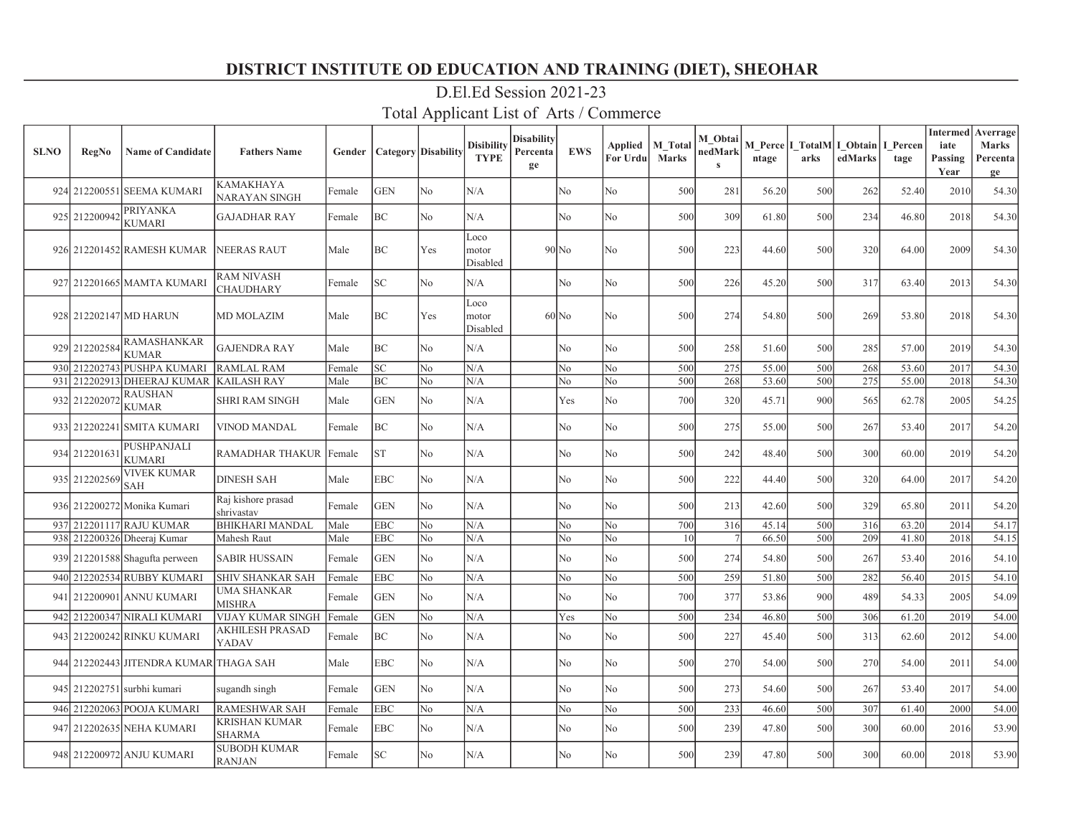| <b>SLNO</b> | <b>RegNo</b>  | <b>Name of Candidate</b>               | <b>Fathers Name</b>                  | Gender | Category   Disability |                | <b>Disibility</b><br><b>TYPE</b> | <b>Disability</b><br>Percenta<br>ge | <b>EWS</b> | Applied<br>For Urdu | M Total<br><b>Marks</b> | M Obtai<br>nedMark<br>$\mathbf{s}$ | ntage | M Perce I TotalM I Obtain<br>arks | edMarks | I Percen<br>tage | <b>Intermed</b> Averrage<br>iate<br>Passing<br>Year | <b>Marks</b><br>Percenta<br>ge |
|-------------|---------------|----------------------------------------|--------------------------------------|--------|-----------------------|----------------|----------------------------------|-------------------------------------|------------|---------------------|-------------------------|------------------------------------|-------|-----------------------------------|---------|------------------|-----------------------------------------------------|--------------------------------|
|             |               | 924 212200551 SEEMA KUMARI             | <b>KAMAKHAYA</b><br>NARAYAN SINGH    | Female | <b>GEN</b>            | N <sub>o</sub> | N/A                              |                                     | No         | No                  | 500                     | 281                                | 56.20 | 500                               | 262     | 52.40            | 2010                                                | 54.30                          |
|             | 925 212200942 | <b>PRIYANKA</b><br><b>KUMARI</b>       | <b>GAJADHAR RAY</b>                  | Female | BC                    | No.            | N/A                              |                                     | No         | No                  | 500                     | 309                                | 61.80 | 500                               | 234     | 46.80            | 2018                                                | 54.30                          |
|             |               | 926 212201452 RAMESH KUMAR             | <b>NEERAS RAUT</b>                   | Male   | BC                    | Yes            | Loco<br>motor<br>Disabled        |                                     | $90$ No    | No                  | 500                     | 223                                | 44.60 | 500                               | 320     | 64.00            | 2009                                                | 54.30                          |
|             |               | 927 212201665 MAMTA KUMARI             | RAM NIVASH<br>CHAUDHARY              | Female | SC.                   | No             | N/A                              |                                     | No         | N <sub>o</sub>      | 500                     | 226                                | 45.20 | 500                               | 317     | 63.40            | 2013                                                | 54.30                          |
|             |               | 928 212202147 MD HARUN                 | <b>MD MOLAZIM</b>                    | Male   | BC                    | Yes            | Loco<br>motor<br>Disabled        |                                     | $60$ No    | No                  | 500                     | 274                                | 54.80 | 500                               | 269     | 53.80            | 2018                                                | 54.30                          |
|             | 929 212202584 | <b>RAMASHANKAR</b><br><b>KUMAR</b>     | <b>GAJENDRA RAY</b>                  | Male   | BC                    | No             | N/A                              |                                     | No         | N <sub>o</sub>      | 500                     | 258                                | 51.60 | 500                               | 285     | 57.00            | 2019                                                | 54.30                          |
|             |               | 930 212202743 PUSHPA KUMARI            | <b>RAMLAL RAM</b>                    | Female | lsc.                  | No             | N/A                              |                                     | No         | No                  | 500                     | 275                                | 55.00 | 500                               | 268     | 53.60            | 2017                                                | 54.30                          |
| 931         |               | 212202913 DHEERAJ KUMAR                | <b>KAILASH RAY</b>                   | Male   | BC                    | N <sub>o</sub> | N/A                              |                                     | No         | N <sub>o</sub>      | 500                     | 268                                | 53.60 | 500                               | 275     | 55.00            | 2018                                                | 54.30                          |
|             | 932 21220207  | RAUSHAN<br><b>KUMAR</b>                | <b>SHRI RAM SINGH</b>                | Male   | <b>GEN</b>            | No             | N/A                              |                                     | Yes        | N <sub>o</sub>      | 700                     | 320                                | 45.71 | 900                               | 565     | 62.78            | 2005                                                | 54.25                          |
|             |               | 933 212202241 SMITA KUMARI             | <b>VINOD MANDAL</b>                  | Female | BC                    | No             | N/A                              |                                     | No         | No                  | 500                     | 275                                | 55.00 | 500                               | 267     | 53.40            | 2017                                                | 54.20                          |
|             | 934 21220163  | PUSHPANJALI<br>KUMARI                  | <b>RAMADHAR THAKUR</b>               | Female | lst                   | No             | N/A                              |                                     | No         | No                  | 500                     | 242                                | 48.40 | 500                               | 300     | 60.00            | 2019                                                | 54.20                          |
|             | 935 212202569 | VIVEK KUMAR<br>SAH                     | <b>DINESH SAH</b>                    | Male   | <b>EBC</b>            | No             | N/A                              |                                     | No         | No                  | 500                     | 222                                | 44.40 | 500                               | 320     | 64.00            | 2017                                                | 54.20                          |
|             |               | 936 212200272 Monika Kumari            | Raj kishore prasad<br>shrivastav     | Female | <b>GEN</b>            | No             | N/A                              |                                     | No         | No                  | 500                     | 213                                | 42.60 | 500                               | 329     | 65.80            | 2011                                                | 54.20                          |
|             |               | 937 212201117 RAJU KUMAR               | <b>BHIKHARI MANDAL</b>               | Male   | EBC                   | No             | N/A                              |                                     | No         | No                  | 700                     | 316                                | 45.14 | 500                               | 316     | 63.20            | 2014                                                | 54.17                          |
|             |               | 938 212200326 Dheeraj Kumar            | Mahesh Raut                          | Male   | EBC                   | No             | N/A                              |                                     | No         | N <sub>o</sub>      | 10                      |                                    | 66.50 | 500                               | 209     | 41.80            | 2018                                                | 54.15                          |
|             |               | 939 212201588 Shagufta perween         | <b>SABIR HUSSAIN</b>                 | Female | <b>GEN</b>            | No             | N/A                              |                                     | No         | N <sub>o</sub>      | 500                     | 274                                | 54.80 | 500                               | 267     | 53.40            | 2016                                                | 54.10                          |
|             |               | 940 212202534 RUBBY KUMARI             | SHIV SHANKAR SAH                     | Female | <b>EBC</b>            | No             | N/A                              |                                     | No         | No                  | 500                     | 259                                | 51.80 | 500                               | 282     | 56.40            | 2015                                                | 54.10                          |
|             |               | 941 212200901 ANNU KUMARI              | UMA SHANKAR<br>MISHRA                | Female | <b>GEN</b>            | No             | N/A                              |                                     | No         | No                  | 700                     | 377                                | 53.86 | 900                               | 489     | 54.33            | 2005                                                | 54.09                          |
|             |               | 942 212200347 NIRALI KUMARI            | VIJAY KUMAR SINGH                    | Female | <b>GEN</b>            | No             | N/A                              |                                     | Yes        | No                  | 500                     | 234                                | 46.80 | 500                               | 306     | 61.20            | 2019                                                | 54.00                          |
|             |               | 943 212200242 RINKU KUMARI             | AKHILESH PRASAD<br>YADAV             | Female | BC                    | No             | N/A                              |                                     | No         | No                  | 500                     | 227                                | 45.40 | 500                               | 313     | 62.60            | 2012                                                | 54.00                          |
|             |               | 944 212202443 JITENDRA KUMAR THAGA SAH |                                      | Male   | <b>EBC</b>            | No             | N/A                              |                                     | No         | No                  | 500                     | 270                                | 54.00 | 500                               | 270     | 54.00            | 2011                                                | 54.00                          |
|             |               | 945 212202751 surbhi kumari            | sugandh singh                        | Female | <b>GEN</b>            | No             | N/A                              |                                     | No         | No                  | 500                     | 273                                | 54.60 | 500                               | 267     | 53.40            | 2017                                                | 54.00                          |
|             |               | 946 212202063 POOJA KUMARI             | <b>RAMESHWAR SAH</b>                 | Female | EBC                   | No.            | N/A                              |                                     | No         | No                  | 500                     | 233                                | 46.60 | 500                               | 307     | 61.40            | 2000                                                | 54.00                          |
| 947         |               | 212202635 NEHA KUMARI                  | KRISHAN KUMAR<br><b>SHARMA</b>       | Female | EBC                   | No.            | N/A                              |                                     | No         | N <sub>o</sub>      | 500                     | 239                                | 47.80 | 500                               | 300     | 60.00            | 2016                                                | 53.90                          |
|             |               | 948 212200972 ANJU KUMARI              | <b>SUBODH KUMAR</b><br><b>RANJAN</b> | Female | <b>SC</b>             | No             | N/A                              |                                     | No         | No                  | 500                     | 239                                | 47.80 | 500                               | 300     | 60.00            | 2018                                                | 53.90                          |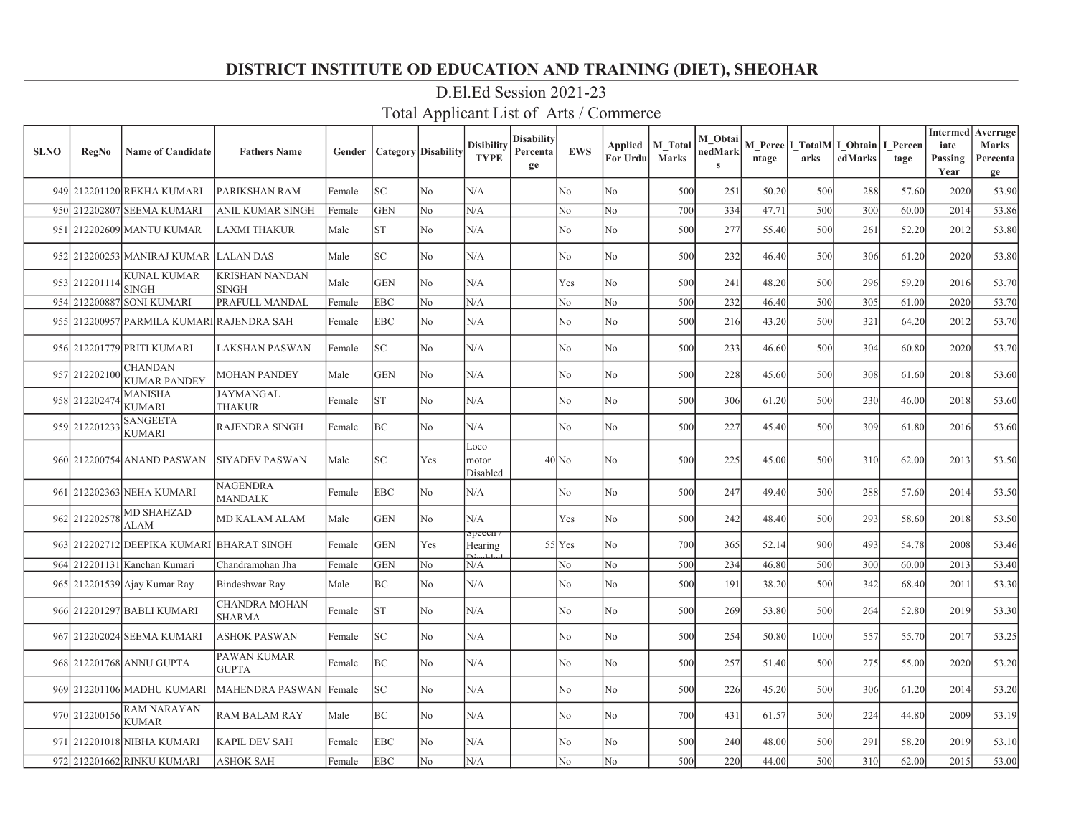| <b>SLNO</b> | <b>RegNo</b>  | <b>Name of Candidate</b>                  | <b>Fathers Name</b>            | Gender | <b>Category</b> Disability |                | <b>Disibility</b><br><b>TYPE</b> | Disabilitv<br>Percenta<br>ge | <b>EWS</b>     | Applied<br>For Urdu | M Total<br><b>Marks</b> | M Obtai<br>nedMark<br>$\mathbf{s}$ | ntage | arks | M Perce I TotalM I Obtain<br>edMarks | I Percen<br>tage | <b>Intermed</b><br>iate<br>Passing<br>Year | Averrage<br><b>Marks</b><br>Percenta<br>ge |
|-------------|---------------|-------------------------------------------|--------------------------------|--------|----------------------------|----------------|----------------------------------|------------------------------|----------------|---------------------|-------------------------|------------------------------------|-------|------|--------------------------------------|------------------|--------------------------------------------|--------------------------------------------|
|             |               | 949 212201120 REKHA KUMARI                | PARIKSHAN RAM                  | Female | SC                         | N <sub>o</sub> | N/A                              |                              | N <sub>o</sub> | N <sub>o</sub>      | 500                     | 251                                | 50.20 | 500  | 288                                  | 57.60            | 2020                                       | 53.90                                      |
|             |               | 950 212202807 SEEMA KUMARI                | ANIL KUMAR SINGH               | Female | <b>GEN</b>                 | N <sub>o</sub> | N/A                              |                              | No             | No.                 | 700                     | 334                                | 47.71 | 500  | 300                                  | 60.00            | 2014                                       | 53.86                                      |
|             |               | 951 212202609 MANTU KUMAR                 | LAXMI THAKUR                   | Male   | <b>ST</b>                  | No             | N/A                              |                              | No             | No                  | 500                     | 277                                | 55.40 | 500  | 261                                  | 52.20            | 2012                                       | 53.80                                      |
|             |               | 952 212200253 MANIRAJ KUMAR               | <b>LALAN DAS</b>               | Male   | SC                         | No             | N/A                              |                              | No             | No                  | 500                     | 232                                | 46.40 | 500  | 306                                  | 61.20            | 2020                                       | 53.80                                      |
|             | 953 212201114 | <b>KUNAL KUMAR</b><br><b>SINGH</b>        | KRISHAN NANDAN<br><b>SINGH</b> | Male   | <b>GEN</b>                 | No             | N/A                              |                              | Yes            | No                  | 500                     | 241                                | 48.20 | 500  | 296                                  | 59.20            | 2016                                       | 53.70                                      |
|             |               | 954 212200887 SONI KUMARI                 | PRAFULL MANDAL                 | Female | EBC                        | No             | N/A                              |                              | No             | No                  | 500                     | 232                                | 46.40 | 500  | 305                                  | 61.00            | 2020                                       | 53.70                                      |
|             |               | 955 212200957 PARMILA KUMARI RAJENDRA SAH |                                | Female | EBC                        | No             | N/A                              |                              | No             | No                  | 500                     | 216                                | 43.20 | 500  | 321                                  | 64.20            | 2012                                       | 53.70                                      |
|             |               | 956 212201779 PRITI KUMARI                | <b>LAKSHAN PASWAN</b>          | Female | SC                         | No             | N/A                              |                              | No             | No                  | 500                     | 233                                | 46.60 | 500  | 304                                  | 60.80            | 2020                                       | 53.70                                      |
|             | 957 212202100 | <b>CHANDAN</b><br><b>KUMAR PANDEY</b>     | <b>MOHAN PANDEY</b>            | Male   | <b>GEN</b>                 | No             | N/A                              |                              | No             | No                  | 500                     | 228                                | 45.60 | 500  | 308                                  | 61.60            | 2018                                       | 53.60                                      |
|             | 958 212202474 | <b>MANISHA</b><br><b>KUMARI</b>           | JAYMANGAL<br>THAKUR            | Female | <b>ST</b>                  | N <sub>o</sub> | N/A                              |                              | No             | No                  | 500                     | 306                                | 61.20 | 500  | 230                                  | 46.00            | 2018                                       | 53.60                                      |
|             | 959 212201233 | <b>SANGEETA</b><br><b>KUMARI</b>          | <b>RAJENDRA SINGH</b>          | Female | BC                         | No             | N/A                              |                              | No             | No                  | 500                     | 227                                | 45.40 | 500  | 309                                  | 61.80            | 2016                                       | 53.60                                      |
|             |               | 960 212200754 ANAND PASWAN                | <b>SIYADEV PASWAN</b>          | Male   | SC                         | Yes            | Loco<br>motor<br>Disabled        |                              | $40$ No        | No                  | 500                     | 225                                | 45.00 | 500  | 310                                  | 62.00            | 2013                                       | 53.50                                      |
|             |               | 961 212202363 NEHA KUMARI                 | <b>NAGENDRA</b><br>MANDALK     | Female | EBC                        | No             | N/A                              |                              | No             | No                  | 500                     | 247                                | 49.40 | 500  | 288                                  | 57.60            | 2014                                       | 53.50                                      |
|             | 962 212202578 | <b>MD SHAHZAD</b><br><b>ALAM</b>          | <b>MD KALAM ALAM</b>           | Male   | <b>GEN</b>                 | No             | N/A                              |                              | Yes            | No                  | 500                     | 242                                | 48.40 | 500  | 293                                  | 58.60            | 2018                                       | 53.50                                      |
|             |               | 963 212202712 DEEPIKA KUMARI              | <b>BHARAT SINGH</b>            | Female | <b>GEN</b>                 | Yes            | <del>specen</del> 7<br>Hearing   |                              | $55$ Yes       | No                  | 700                     | 365                                | 52.14 | 900  | 493                                  | 54.78            | 2008                                       | 53.46                                      |
|             |               | 964 212201131 Kanchan Kumari              | Chandramohan Jha               | Female | <b>GEN</b>                 | No             | N/A                              |                              | No             | No                  | 500                     | 234                                | 46.80 | 500  | 300                                  | 60.00            | 2013                                       | 53.40                                      |
|             |               | 965 212201539 Ajay Kumar Ray              | Bindeshwar Ray                 | Male   | BC                         | No             | N/A                              |                              | No             | No                  | 500                     | 191                                | 38.20 | 500  | 342                                  | 68.40            | 2011                                       | 53.30                                      |
|             |               | 966 212201297 BABLI KUMARI                | CHANDRA MOHAN<br><b>SHARMA</b> | Female | <b>ST</b>                  | N <sub>o</sub> | N/A                              |                              | No             | No                  | 500                     | 269                                | 53.80 | 500  | 264                                  | 52.80            | 2019                                       | 53.30                                      |
|             |               | 967 212202024 SEEMA KUMARI                | <b>ASHOK PASWAN</b>            | Female | SC.                        | N <sub>o</sub> | N/A                              |                              | No             | No                  | 500                     | 254                                | 50.80 | 1000 | 557                                  | 55.70            | 2017                                       | 53.25                                      |
|             |               | 968 212201768 ANNU GUPTA                  | PAWAN KUMAR<br>GUPTA           | Female | ВC                         | No             | N/A                              |                              | No             | No                  | 500                     | 257                                | 51.40 | 500  | 275                                  | 55.00            | 2020                                       | 53.20                                      |
|             |               | 969 212201106 MADHU KUMARI                | MAHENDRA PASWAN                | Female | SC                         | No             | N/A                              |                              | No             | No                  | 500                     | 226                                | 45.20 | 500  | 306                                  | 61.20            | 2014                                       | 53.20                                      |
|             | 970 212200156 | <b>RAM NARAYAN</b><br><b>KUMAR</b>        | RAM BALAM RAY                  | Male   | ВC                         | No             | N/A                              |                              | No             | No                  | 700                     | 431                                | 61.57 | 500  | 224                                  | 44.80            | 2009                                       | 53.19                                      |
|             |               | 971 212201018 NIBHA KUMARI                | KAPIL DEV SAH                  | Female | EBC                        | No             | N/A                              |                              | No             | No                  | 500                     | 240                                | 48.00 | 500  | 291                                  | 58.20            | 2019                                       | 53.10                                      |
|             |               | 972 212201662 RINKU KUMARI                | <b>ASHOK SAH</b>               | Female | EBC                        | No             | N/A                              |                              | No             | No                  | 500                     | 220                                | 44.00 | 500  | 310                                  | 62.00            | 2015                                       | 53.00                                      |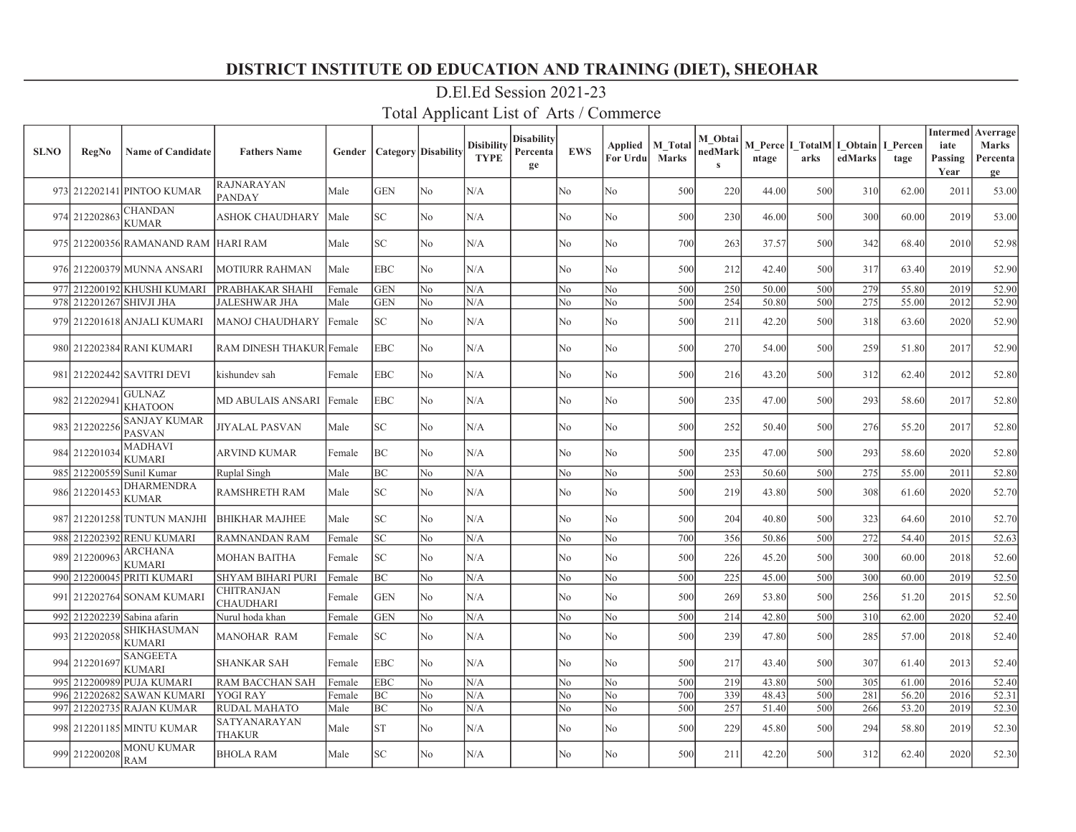| <b>SLNO</b> | RegNo         | <b>Name of Candidate</b>             | <b>Fathers Name</b>                | Gender |            | <b>Category</b> Disability | <b>Disibility</b><br><b>TYPE</b> | <b>Disability</b><br>Percenta<br>ge | <b>EWS</b>     | Applied<br>For Urdu | M Total<br><b>Marks</b> | M Obtai<br>nedMark<br>$\mathbf{s}$ | ntage | arks | M Perce   I TotalM   I_Obtain<br>edMarks | I Percen<br>tage | <b>Intermed</b> Averrage<br>iate<br>Passing<br>Year | <b>Marks</b><br>Percenta<br>ge |
|-------------|---------------|--------------------------------------|------------------------------------|--------|------------|----------------------------|----------------------------------|-------------------------------------|----------------|---------------------|-------------------------|------------------------------------|-------|------|------------------------------------------|------------------|-----------------------------------------------------|--------------------------------|
|             |               | 973 212202141 PINTOO KUMAR           | <b>RAJNARAYAN</b><br><b>PANDAY</b> | Male   | <b>GEN</b> | N <sub>o</sub>             | N/A                              |                                     | No             | No                  | 500                     | 220                                | 44.00 | 500  | 310                                      | 62.00            | 2011                                                | 53.00                          |
|             | 974 212202863 | <b>CHANDAN</b><br><b>KUMAR</b>       | <b>ASHOK CHAUDHARY</b>             | Male   | SC         | N <sub>o</sub>             | N/A                              |                                     | No             | No                  | 500                     | 230                                | 46.00 | 500  | 300                                      | 60.00            | 2019                                                | 53.00                          |
|             |               | 975 212200356 RAMANAND RAM HARI RAM  |                                    | Male   | SC         | No                         | N/A                              |                                     | No             | No                  | 700                     | 263                                | 37.57 | 500  | 342                                      | 68.40            | 2010                                                | 52.98                          |
|             |               | 976 212200379 MUNNA ANSARI           | <b>MOTIURR RAHMAN</b>              | Male   | EBC        | No                         | N/A                              |                                     | No             | No                  | 500                     | 212                                | 42.40 | 500  | 317                                      | 63.40            | 2019                                                | 52.90                          |
|             |               | 977 212200192 KHUSHI KUMARI          | PRABHAKAR SHAHI                    | Female | <b>GEN</b> | No                         | N/A                              |                                     | No             | No                  | 500                     | 250                                | 50.00 | 500  | 279                                      | 55.80            | 2019                                                | 52.90                          |
|             |               | 978 212201267 SHIVJI JHA             | <b>JALESHWAR JHA</b>               | Male   | <b>GEN</b> | No                         | N/A                              |                                     | No             | No                  | 500                     | 254                                | 50.80 | 500  | 275                                      | 55.00            | 2012                                                | 52.90                          |
|             |               | 979 212201618 ANJALI KUMARI          | <b>MANOJ CHAUDHARY</b>             | Female | SC         | No                         | N/A                              |                                     | No             | No                  | 500                     | 211                                | 42.20 | 500  | 318                                      | 63.60            | 2020                                                | 52.90                          |
|             |               | 980 212202384 RANI KUMARI            | RAM DINESH THAKUR Female           |        | <b>EBC</b> | No                         | N/A                              |                                     | No             | No                  | 500                     | 270                                | 54.00 | 500  | 259                                      | 51.80            | 2017                                                | 52.90                          |
|             |               | 981 212202442 SAVITRI DEVI           | kishundev sah                      | Female | EBC        | No                         | N/A                              |                                     | No             | No                  | 500                     | 216                                | 43.20 | 500  | 312                                      | 62.40            | 2012                                                | 52.80                          |
|             | 982 212202941 | <b>GULNAZ</b><br><b>KHATOON</b>      | <b>MD ABULAIS ANSARI</b>           | Female | <b>EBC</b> | No                         | N/A                              |                                     | N <sub>o</sub> | No                  | 500                     | 235                                | 47.00 | 500  | 293                                      | 58.60            | 2017                                                | 52.80                          |
|             | 983 212202256 | <b>SANJAY KUMAR</b><br><b>PASVAN</b> | JIYALAL PASVAN                     | Male   | SC         | No                         | N/A                              |                                     | No             | No                  | 500                     | 252                                | 50.40 | 500  | 276                                      | 55.20            | 2017                                                | 52.80                          |
|             | 984 212201034 | <b>MADHAVI</b><br><b>KUMARI</b>      | ARVIND KUMAR                       | Female | BC         | N <sub>o</sub>             | N/A                              |                                     | No             | No                  | 500                     | 235                                | 47.00 | 500  | 293                                      | 58.60            | 2020                                                | 52.80                          |
| 985         |               | 212200559 Sunil Kumar                | Ruplal Singh                       | Male   | BC         | N <sub>o</sub>             | N/A                              |                                     | No             | No                  | 500                     | 253                                | 50.60 | 500  | 275                                      | 55.00            | 2011                                                | 52.80                          |
| 986         | 212201453     | <b>DHARMENDRA</b><br><b>KUMAR</b>    | <b>RAMSHRETH RAM</b>               | Male   | SC         | No                         | N/A                              |                                     | No             | No                  | 500                     | 219                                | 43.80 | 500  | 308                                      | 61.60            | 2020                                                | 52.70                          |
|             |               | 987 212201258 TUNTUN MANJHI          | <b>BHIKHAR MAJHEE</b>              | Male   | SC         | N <sub>o</sub>             | N/A                              |                                     | No             | No                  | 500                     | 204                                | 40.80 | 500  | 323                                      | 64.60            | 2010                                                | 52.70                          |
|             |               | 988 212202392 RENU KUMARI            | <b>RAMNANDAN RAM</b>               | Female | SC         | No                         | N/A                              |                                     | No             | No                  | 700                     | 356                                | 50.86 | 500  | 272                                      | 54.40            | 2015                                                | 52.63                          |
| 989         | 212200963     | <b>ARCHANA</b><br><b>KUMARI</b>      | <b>MOHAN BAITHA</b>                | Female | SC         | No                         | N/A                              |                                     | No             | No                  | 500                     | 226                                | 45.20 | 500  | 300                                      | 60.00            | 2018                                                | 52.60                          |
| 990         |               | 212200045 PRITI KUMARI               | <b>SHYAM BIHARI PURI</b>           | Female | BC         | No                         | N/A                              |                                     | No             | No                  | 500                     | 225                                | 45.00 | 500  | 300                                      | 60.00            | 2019                                                | 52.50                          |
| 991         |               | 212202764  SONAM KUMARI              | CHITRANJAN<br><b>CHAUDHARI</b>     | Female | <b>GEN</b> | No                         | N/A                              |                                     | No             | No                  | 500                     | 269                                | 53.80 | 500  | 256                                      | 51.20            | 2015                                                | 52.50                          |
|             |               | 992 212202239 Sabina afarin          | Nurul hoda khan                    | Female | <b>GEN</b> | No                         | N/A                              |                                     | No             | No                  | 500                     | 214                                | 42.80 | 500  | 310                                      | 62.00            | 2020                                                | 52.40                          |
|             | 993 212202058 | <b>SHIKHASUMAN</b><br><b>KUMARI</b>  | <b>MANOHAR RAM</b>                 | Female | SC.        | N <sub>o</sub>             | N/A                              |                                     | No             | N <sub>o</sub>      | 500                     | 239                                | 47.80 | 500  | 285                                      | 57.00            | 2018                                                | 52.40                          |
|             | 994 212201697 | <b>SANGEETA</b><br><b>KUMARI</b>     | <b>SHANKAR SAH</b>                 | Female | <b>EBC</b> | N <sub>o</sub>             | N/A                              |                                     | No             | N <sub>o</sub>      | 500                     | 217                                | 43.40 | 500  | 307                                      | 61.40            | 2013                                                | 52.40                          |
| 995         |               | 212200989 PUJA KUMARI                | <b>RAM BACCHAN SAH</b>             | Female | <b>EBC</b> | No                         | N/A                              |                                     | No             | N <sub>o</sub>      | 500                     | 219                                | 43.80 | 500  | 305                                      | 61.00            | 2016                                                | 52.40                          |
| 996         |               | 212202682 SAWAN KUMARI               | <b>YOGI RAY</b>                    | Female | BC         | N <sub>o</sub>             | N/A                              |                                     | No             | N <sub>o</sub>      | 700                     | 339                                | 48.43 | 500  | 281                                      | 56.20            | 2016                                                | 52.31                          |
| 997         |               | 212202735 RAJAN KUMAR                | <b>RUDAL MAHATO</b>                | Male   | BC         | No                         | N/A                              |                                     | No             | No.                 | 500                     | 257                                | 51.40 | 500  | 266                                      | 53.20            | 2019                                                | 52.30                          |
|             |               | 998 212201185 MINTU KUMAR            | SATYANARAYAN<br><b>THAKUR</b>      | Male   | <b>ST</b>  | N <sub>o</sub>             | N/A                              |                                     | No             | No                  | 500                     | 229                                | 45.80 | 500  | 294                                      | 58.80            | 2019                                                | 52.30                          |
|             | 999 212200208 | <b>MONU KUMAR</b><br><b>RAM</b>      | <b>BHOLA RAM</b>                   | Male   | SC         | N <sub>o</sub>             | N/A                              |                                     | No             | No                  | 500                     | 211                                | 42.20 | 500  | 312                                      | 62.40            | 2020                                                | 52.30                          |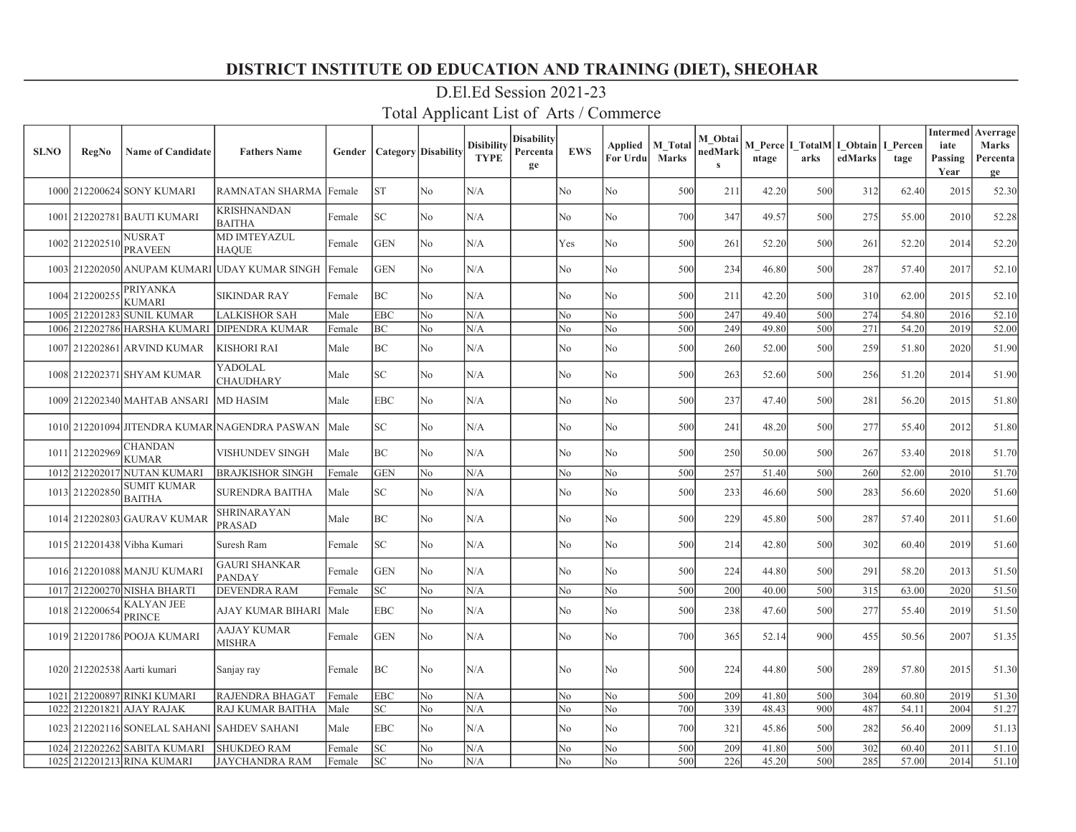| <b>SLNO</b> | <b>RegNo</b>   | <b>Name of Candidate</b>            | <b>Fathers Name</b>                           | Gender | Category   Disability |                | <b>Disibility</b><br><b>TYPE</b> | Disability<br>Percenta<br>ge | <b>EWS</b>     | Applied<br>For Urdu | M Total<br><b>Marks</b> | M Obtai<br>nedMark<br>$\mathbf{s}$ | ntage | arks | M Perce   I TotalM   I Obtain  <br>edMarks | I Percen<br>tage | <b>Intermed</b> Averrage<br>iate<br>Passing<br>Year | Marks<br>Percenta<br>ge |
|-------------|----------------|-------------------------------------|-----------------------------------------------|--------|-----------------------|----------------|----------------------------------|------------------------------|----------------|---------------------|-------------------------|------------------------------------|-------|------|--------------------------------------------|------------------|-----------------------------------------------------|-------------------------|
|             |                | 1000 212200624 SONY KUMARI          | RAMNATAN SHARMA                               | Female | <b>ST</b>             | No             | N/A                              |                              | N <sub>o</sub> | No                  | 500                     | 211                                | 42.20 | 500  | 312                                        | 62.40            | 2015                                                | 52.30                   |
|             |                | 1001 212202781 BAUTI KUMARI         | <b>KRISHNANDAN</b><br><b>BAITHA</b>           | Female | SC                    | No             | N/A                              |                              | No             | No                  | 700                     | 347                                | 49.57 | 500  | 275                                        | 55.00            | 2010                                                | 52.28                   |
|             | 1002 212202510 | NUSRAT<br><b>PRAVEEN</b>            | MD IMTEYAZUL<br><b>HAQUE</b>                  | Female | <b>GEN</b>            | N <sub>o</sub> | N/A                              |                              | Yes            | No                  | 500                     | 261                                | 52.20 | 500  | 261                                        | 52.20            | 2014                                                | 52.20                   |
|             | 1003 212202050 |                                     | ANUPAM KUMARI UDAY KUMAR SINGH                | Female | <b>GEN</b>            | N <sub>o</sub> | N/A                              |                              | No             | No                  | 500                     | 234                                | 46.80 | 500  | 287                                        | 57.40            | 2017                                                | 52.10                   |
|             | 1004 212200255 | <b>PRIYANKA</b><br><b>KUMARI</b>    | <b>SIKINDAR RAY</b>                           | Female | BC                    | No             | N/A                              |                              | No             | No                  | 500                     | 211                                | 42.20 | 500  | 310                                        | 62.00            | 2015                                                | 52.10                   |
| 1005        | 212201283      | <b>SUNIL KUMAR</b>                  | <b>LALKISHOR SAH</b>                          | Male   | EBC                   | No             | N/A                              |                              | No             | No                  | 500                     | 247                                | 49.40 | 500  | 274                                        | 54.80            | 2016                                                | 52.10                   |
|             |                | 1006 212202786 HARSHA KUMARI        | <b>DIPENDRA KUMAR</b>                         | Female | BC                    | No             | N/A                              |                              | No             | No                  | 500                     | 249                                | 49.80 | 500  | 271                                        | 54.20            | 2019                                                | 52.00                   |
|             |                | 1007 212202861 ARVIND KUMAR         | <b>KISHORI RAI</b>                            | Male   | BC                    | No             | N/A                              |                              | No             | No                  | 500                     | 260                                | 52.00 | 500  | 259                                        | 51.80            | 2020                                                | 51.90                   |
|             |                | 1008 212202371 SHYAM KUMAR          | YADOLAL<br><b>CHAUDHARY</b>                   | Male   | SC                    | No             | N/A                              |                              | No             | No                  | 500                     | 263                                | 52.60 | 500  | 256                                        | 51.20            | 2014                                                | 51.90                   |
|             |                | 1009 212202340 MAHTAB ANSARI        | <b>MD HASIM</b>                               | Male   | <b>EBC</b>            | No             | N/A                              |                              | No             | No                  | 500                     | 237                                | 47.40 | 500  | 281                                        | 56.20            | 2015                                                | 51.80                   |
|             |                |                                     | 1010 212201094 JITENDRA KUMAR NAGENDRA PASWAN | Male   | SC                    | No             | N/A                              |                              | No             | No                  | 500                     | 241                                | 48.20 | 500  | 277                                        | 55.40            | 2012                                                | 51.80                   |
|             | 1011 212202969 | <b>CHANDAN</b><br><b>KUMAR</b>      | VISHUNDEV SINGH                               | Male   | BC                    | No             | N/A                              |                              | No             | No                  | 500                     | 250                                | 50.00 | 500  | 267                                        | 53.40            | 2018                                                | 51.70                   |
|             | 1012 212202017 | <b>NUTAN KUMARI</b>                 | <b>BRAJKISHOR SINGH</b>                       | Female | <b>GEN</b>            | No             | N/A                              |                              | No             | No                  | 500                     | 257                                | 51.40 | 500  | 260                                        | 52.00            | 2010                                                | 51.70                   |
|             | 1013 212202850 | <b>SUMIT KUMAR</b><br><b>BAITHA</b> | <b>SURENDRA BAITHA</b>                        | Male   | SC                    | No             | N/A                              |                              | No             | No                  | 500                     | 233                                | 46.60 | 500  | 283                                        | 56.60            | 2020                                                | 51.60                   |
|             |                | 1014 212202803 GAURAV KUMAR         | <b>SHRINARAYAN</b><br>PRASAD                  | Male   | BC                    | No             | N/A                              |                              | No             | No                  | 500                     | 229                                | 45.80 | 500  | 287                                        | 57.40            | 2011                                                | 51.60                   |
|             |                | 1015 212201438 Vibha Kumari         | Suresh Ram                                    | Female | SC                    | No             | N/A                              |                              | No             | No                  | 500                     | 214                                | 42.80 | 500  | 302                                        | 60.40            | 2019                                                | 51.60                   |
|             |                | 1016 212201088 MANJU KUMARI         | <b>GAURI SHANKAR</b><br><b>PANDAY</b>         | Female | <b>GEN</b>            | No             | N/A                              |                              | No             | No                  | 500                     | 224                                | 44.80 | 500  | 291                                        | 58.20            | 2013                                                | 51.50                   |
|             | 1017 212200270 | NISHA BHARTI                        | <b>DEVENDRA RAM</b>                           | Female | <b>SC</b>             | N <sub>o</sub> | N/A                              |                              | No             | No                  | 500                     | 200                                | 40.00 | 500  | 315                                        | 63.00            | 2020                                                | 51.50                   |
|             | 1018 212200654 | KALYAN JEE<br>PRINCE                | AJAY KUMAR BIHARI                             | Male   | EBC                   | No             | N/A                              |                              | No             | No                  | 500                     | 238                                | 47.60 | 500  | 277                                        | 55.40            | 2019                                                | 51.50                   |
|             |                | 1019 212201786 POOJA KUMARI         | <b>AAJAY KUMAR</b><br><b>MISHRA</b>           | Female | <b>GEN</b>            | No             | N/A                              |                              | No             | No                  | 700                     | 365                                | 52.14 | 900  | 455                                        | 50.56            | 2007                                                | 51.35                   |
|             |                | 1020 212202538 Aarti kumari         | Sanjay ray                                    | Female | BC                    | No             | N/A                              |                              | No.            | No                  | 500                     | 224                                | 44.80 | 500  | 289                                        | 57.80            | 2015                                                | 51.30                   |
| 1021        |                | 212200897 RINKI KUMARI              | <b>RAJENDRA BHAGAT</b>                        | Female | EBC                   | No             | N/A                              |                              | No             | No                  | 500                     | 209                                | 41.80 | 500  | 304                                        | 60.80            | 2019                                                | 51.30                   |
|             |                | 1022 212201821 AJAY RAJAK           | RAJ KUMAR BAITHA                              | Male   | SC                    | No             | N/A                              |                              | No             | No                  | 700                     | 339                                | 48.43 | 900  | 487                                        | 54.11            | 2004                                                | 51.27                   |
|             |                | 1023 212202116 SONELAL SAHANI       | <b>SAHDEV SAHANI</b>                          | Male   | <b>EBC</b>            | No             | N/A                              |                              | No             | No                  | 700                     | 321                                | 45.86 | 500  | 282                                        | 56.40            | 2009                                                | 51.13                   |
|             |                | 1024 212202262 SABITA KUMARI        | <b>SHUKDEO RAM</b>                            | Female | <b>SC</b>             | No             | N/A                              |                              | No             | No                  | 500                     | 209                                | 41.80 | 500  | 302                                        | 60.40            | 2011                                                | 51.10                   |
|             |                | 1025 212201213 RINA KUMARI          | <b>JAYCHANDRA RAM</b>                         | Female | SC.                   | No             | N/A                              |                              | No             | No                  | 500                     | 226                                | 45.20 | 500  | 285                                        | 57.00            | 2014                                                | 51.10                   |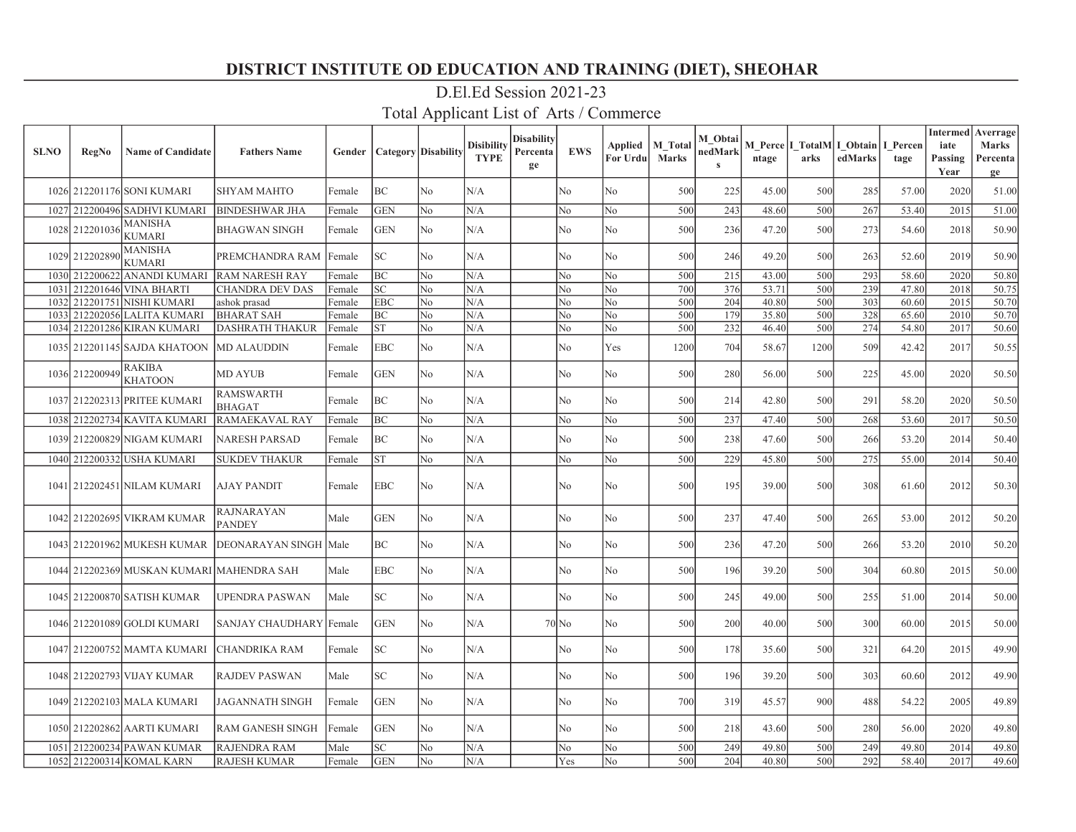| <b>SLNO</b> | <b>RegNo</b>   | <b>Name of Candidate</b>                  | <b>Fathers Name</b>                |        | <b>Gender   Category   Disability</b> |                | <b>Disibility</b><br><b>TYPE</b> | <b>Disability</b><br>Percenta<br>ge | <b>EWS</b> | Applied<br>For Urdu | <b>M</b> Total<br><b>Marks</b> | M Obtai<br>nedMark<br>$\bf s$ | ntage | M Perce I TotalM I Obtain<br>arks | edMarks | I Percen<br>tage | iate<br>Passing<br>Year | <b>Intermed</b> Averrage<br><b>Marks</b><br>Percenta<br>ge |
|-------------|----------------|-------------------------------------------|------------------------------------|--------|---------------------------------------|----------------|----------------------------------|-------------------------------------|------------|---------------------|--------------------------------|-------------------------------|-------|-----------------------------------|---------|------------------|-------------------------|------------------------------------------------------------|
|             |                | 1026 212201176 SONI KUMARI                | <b>SHYAM MAHTO</b>                 | Female | BC                                    | No             | N/A                              |                                     | No         | No                  | 500                            | 225                           | 45.00 | 500                               | 285     | 57.00            | 2020                    | 51.00                                                      |
|             |                | 1027 212200496 SADHVI KUMARI              | <b>BINDESHWAR JHA</b>              | Female | <b>GEN</b>                            | N <sub>o</sub> | N/A                              |                                     | No         | No                  | 500                            | 243                           | 48.60 | 500                               | 267     | 53.40            | 2015                    | 51.00                                                      |
|             | 1028 212201036 | MANISHA<br><b>KUMARI</b>                  | <b>BHAGWAN SINGH</b>               | Female | <b>GEN</b>                            | No             | N/A                              |                                     | No         | N <sub>o</sub>      | 500                            | 236                           | 47.20 | 500                               | 273     | 54.60            | 2018                    | 50.90                                                      |
|             | 1029 212202890 | MANISHA<br><b>KUMARI</b>                  | PREMCHANDRA RAM                    | Female | lsc                                   | No             | N/A                              |                                     | No         | No                  | 500                            | 246                           | 49.20 | 500                               | 263     | 52.60            | 2019                    | 50.90                                                      |
|             |                | 1030 212200622 ANANDI KUMARI              | <b>RAM NARESH RAY</b>              | Female | lвc                                   | No             | N/A                              |                                     | No         | No                  | 500                            | 215                           | 43.00 | 500                               | 293     | 58.60            | 2020                    | 50.80                                                      |
| 1031        |                | 212201646 VINA BHARTI                     | CHANDRA DEV DAS                    | Female | SC                                    | No             | N/A                              |                                     | No         | No                  | 700                            | 376                           | 53.71 | 500                               | 239     | 47.80            | 2018                    | 50.75                                                      |
|             |                | 1032 212201751 NISHI KUMARI               | ashok prasad                       | Female | <b>EBC</b>                            | No             | N/A                              |                                     | No         | No                  | 500                            | 204                           | 40.80 | 500                               | 303     | 60.60            | 2015                    | 50.70                                                      |
|             |                | 1033 212202056 LALITA KUMARI              | <b>BHARAT SAH</b>                  | Female | BC                                    | No             | N/A                              |                                     | No         | No                  | 500                            | 179                           | 35.80 | 500                               | 328     | 65.60            | 2010                    | 50.70                                                      |
|             |                | 1034 212201286 KIRAN KUMARI               | <b>DASHRATH THAKUR</b>             | Female | <b>ST</b>                             | No             | N/A                              |                                     | No         | No                  | 500                            | 232                           | 46.40 | 500                               | 274     | 54.80            | 2017                    | 50.60                                                      |
|             |                | 1035 212201145 SAJDA KHATOON              | <b>MD ALAUDDIN</b>                 | Female | <b>EBC</b>                            | No             | N/A                              |                                     | No         | Yes                 | 1200                           | 704                           | 58.67 | 1200                              | 509     | 42.42            | 2017                    | 50.55                                                      |
|             | 1036 212200949 | <b>RAKIBA</b><br><b>KHATOON</b>           | <b>MD AYUB</b>                     | Female | <b>GEN</b>                            | No             | N/A                              |                                     | No         | No                  | 500                            | 280                           | 56.00 | 500                               | 225     | 45.00            | 2020                    | 50.50                                                      |
|             |                | 1037 212202313 PRITEE KUMARI              | <b>RAMSWARTH</b><br><b>BHAGAT</b>  | Female | BC                                    | No             | N/A                              |                                     | No         | No                  | 500                            | 214                           | 42.80 | 500                               | 291     | 58.20            | 2020                    | 50.50                                                      |
|             |                | 1038 212202734 KAVITA KUMARI              | RAMAEKAVAL RAY                     | Female | BC                                    | No             | N/A                              |                                     | No         | No                  | 500                            | 237                           | 47.40 | 500                               | 268     | 53.60            | 2017                    | 50.50                                                      |
|             |                | 1039 212200829 NIGAM KUMARI               | <b>NARESH PARSAD</b>               | Female | BC                                    | No             | N/A                              |                                     | No         | No                  | 500                            | 238                           | 47.60 | 500                               | 266     | 53.20            | 2014                    | 50.40                                                      |
|             |                | 1040 212200332 USHA KUMARI                | <b>SUKDEV THAKUR</b>               | Female | <b>ST</b>                             | N <sub>o</sub> | N/A                              |                                     | No         | No                  | 500                            | 229                           | 45.80 | 500                               | 275     | 55.00            | 2014                    | 50.40                                                      |
|             |                | 1041 212202451 NILAM KUMARI               | <b>AJAY PANDIT</b>                 | Female | EBC                                   | No             | N/A                              |                                     | No         | No                  | 500                            | 195                           | 39.00 | 500                               | 308     | 61.60            | 2012                    | 50.30                                                      |
|             |                | 1042 212202695 VIKRAM KUMAR               | <b>RAJNARAYAN</b><br><b>PANDEY</b> | Male   | <b>GEN</b>                            | No             | N/A                              |                                     | No         | No                  | 500                            | 237                           | 47.40 | 500                               | 265     | 53.00            | 2012                    | 50.20                                                      |
|             |                | 1043 212201962 MUKESH KUMAR               | DEONARAYAN SINGH Male              |        | <b>BC</b>                             | No             | N/A                              |                                     | No         | No                  | 500                            | 236                           | 47.20 | 500                               | 266     | 53.20            | 2010                    | 50.20                                                      |
|             |                | 1044 212202369 MUSKAN KUMARI MAHENDRA SAH |                                    | Male   | EBC                                   | No             | N/A                              |                                     | No         | N <sub>o</sub>      | 500                            | 196                           | 39.20 | 500                               | 304     | 60.80            | 2015                    | 50.00                                                      |
|             |                | 1045 212200870 SATISH KUMAR               | UPENDRA PASWAN                     | Male   | SC.                                   | No             | N/A                              |                                     | No         | No                  | 500                            | 245                           | 49.00 | 500                               | 255     | 51.00            | 2014                    | 50.00                                                      |
|             |                | 1046 212201089 GOLDI KUMARI               | <b>SANJAY CHAUDHARY</b>            | Female | <b>GEN</b>                            | No             | N/A                              |                                     | $70$ No    | No                  | 500                            | 200                           | 40.00 | 500                               | 300     | 60.00            | 2015                    | 50.00                                                      |
|             |                | 1047 212200752 MAMTA KUMARI               | <b>CHANDRIKA RAM</b>               | Female | SC.                                   | No             | N/A                              |                                     | No         | No                  | 500                            | 178                           | 35.60 | 500                               | 321     | 64.20            | 2015                    | 49.90                                                      |
|             |                | 1048 212202793 VIJAY KUMAR                | <b>RAJDEV PASWAN</b>               | Male   | SC.                                   | No             | N/A                              |                                     | No         | No                  | 500                            | 196                           | 39.20 | 500                               | 303     | 60.60            | 2012                    | 49.90                                                      |
|             |                | 1049 212202103 MALA KUMARI                | JAGANNATH SINGH                    | Female | <b>GEN</b>                            | No             | N/A                              |                                     | No         | No                  | 700                            | 319                           | 45.57 | 900                               | 488     | 54.22            | 2005                    | 49.89                                                      |
|             |                | 1050 212202862 AARTI KUMARI               | <b>RAM GANESH SINGH</b>            | Female | <b>GEN</b>                            | No             | N/A                              |                                     | No         | No                  | 500                            | 218                           | 43.60 | 500                               | 280     | 56.00            | 2020                    | 49.80                                                      |
|             |                | 1051 212200234 PAWAN KUMAR                | <b>RAJENDRA RAM</b>                | Male   | lsc                                   | No             | N/A                              |                                     | No         | No                  | 500                            | 249                           | 49.80 | 500                               | 249     | 49.80            | 2014                    | 49.80                                                      |
|             |                | 1052 212200314 KOMAL KARN                 | <b>RAJESH KUMAR</b>                | Female | <b>GEN</b>                            | No             | N/A                              |                                     | Yes        | No                  | 500                            | 204                           | 40.80 | 500                               | 292     | 58.40            | 2017                    | 49.60                                                      |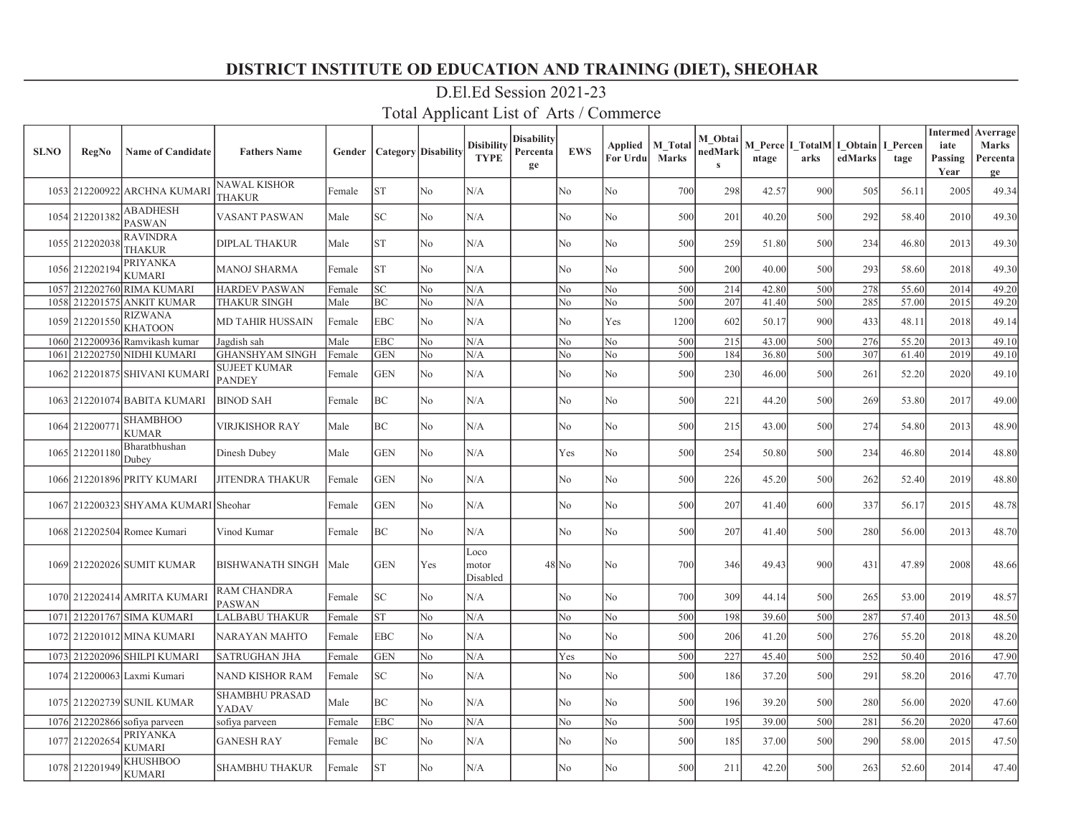| <b>SLNO</b> | <b>RegNo</b>   | <b>Name of Candidate</b>         | <b>Fathers Name</b>                  |        | <b>Gender   Category   Disability</b> |                | <b>Disibility</b><br><b>TYPE</b> | <b>Disability</b><br>Percenta<br>ge | <b>EWS</b> | Applied<br>For Urdu | <b>M</b> Total<br><b>Marks</b> | M Obtai<br>nedMark<br>$\bf s$ | ntage | M Perce I TotalM I Obtain<br>arks | edMarks | I Percen<br>tage | iate<br>Passing<br>Year | <b>Intermed</b> Averrage<br><b>Marks</b><br>Percenta<br>ge |
|-------------|----------------|----------------------------------|--------------------------------------|--------|---------------------------------------|----------------|----------------------------------|-------------------------------------|------------|---------------------|--------------------------------|-------------------------------|-------|-----------------------------------|---------|------------------|-------------------------|------------------------------------------------------------|
|             |                | 1053 212200922 ARCHNA KUMARI     | NAWAL KISHOR<br>THAKUR               | Female | <b>ST</b>                             | No             | N/A                              |                                     | No         | No                  | 700                            | 298                           | 42.57 | 900                               | 505     | 56.11            | 2005                    | 49.34                                                      |
|             | 1054 212201382 | <b>ABADHESH</b><br><b>PASWAN</b> | <b>VASANT PASWAN</b>                 | Male   | SC                                    | No             | N/A                              |                                     | No         | N <sub>o</sub>      | 500                            | 201                           | 40.20 | 500                               | 292     | 58.40            | 2010                    | 49.30                                                      |
|             | 1055 21220203  | <b>RAVINDRA</b><br>THAKUR        | <b>DIPLAL THAKUR</b>                 | Male   | <b>ST</b>                             | No             | N/A                              |                                     | No         | No                  | 500                            | 259                           | 51.80 | 500                               | 234     | 46.80            | 2013                    | 49.30                                                      |
|             | 1056 212202194 | PRIYANKA<br><b>KUMARI</b>        | MANOJ SHARMA                         | Female | <b>ST</b>                             | No             | N/A                              |                                     | No         | No                  | 500                            | 200                           | 40.00 | 500                               | 293     | 58.60            | 2018                    | 49.30                                                      |
| 1057        | 212202760      | <b>RIMA KUMARI</b>               | <b>HARDEV PASWAN</b>                 | Female | SC                                    | No             | N/A                              |                                     | No         | No                  | 500                            | 214                           | 42.80 | 500                               | 278     | 55.60            | 2014                    | 49.20                                                      |
|             |                | 1058 212201575 ANKIT KUMAR       | <b>THAKUR SINGH</b>                  | Male   | BC                                    | No             | N/A                              |                                     | No         | No                  | 500                            | 207                           | 41.40 | 500                               | 285     | 57.00            | 2015                    | 49.20                                                      |
|             | 1059 212201550 | <b>RIZWANA</b><br><b>KHATOON</b> | <b>MD TAHIR HUSSAIN</b>              | Female | EBC                                   | No             | N/A                              |                                     | No         | Yes                 | 1200                           | 602                           | 50.17 | 900                               | 433     | 48.11            | 2018                    | 49.14                                                      |
|             |                | 1060 212200936 Ramvikash kumar   | Jagdish sah                          | Male   | EBC                                   | N <sub>o</sub> | N/A                              |                                     | No         | No                  | 500                            | 215                           | 43.00 | 500                               | 276     | 55.20            | 2013                    | 49.10                                                      |
|             |                | 1061 212202750 NIDHI KUMARI      | <b>GHANSHYAM SINGH</b>               | Female | <b>GEN</b>                            | N <sub>o</sub> | N/A                              |                                     | No         | No                  | 500                            | 184                           | 36.80 | 500                               | 307     | 61.40            | 2019                    | 49.10                                                      |
|             |                | 1062 212201875 SHIVANI KUMARI    | <b>SUJEET KUMAR</b><br><b>PANDEY</b> | Female | <b>GEN</b>                            | No             | N/A                              |                                     | No         | No                  | 500                            | 230                           | 46.00 | 500                               | 261     | 52.20            | 2020                    | 49.10                                                      |
|             |                | 1063 212201074 BABITA KUMARI     | <b>BINOD SAH</b>                     | Female | ВC                                    | No             | N/A                              |                                     | No         | No                  | 500                            | 221                           | 44.20 | 500                               | 269     | 53.80            | 2017                    | 49.00                                                      |
|             | 1064 21220077  | <b>SHAMBHOO</b><br><b>KUMAR</b>  | <b>VIRJKISHOR RAY</b>                | Male   | BC                                    | No             | N/A                              |                                     | No         | No                  | 500                            | 215                           | 43.00 | 500                               | 274     | 54.80            | 2013                    | 48.90                                                      |
|             | 1065 212201180 | Bharatbhushan<br>Dubey           | Dinesh Dubey                         | Male   | <b>GEN</b>                            | No             | N/A                              |                                     | Yes        | No                  | 500                            | 254                           | 50.80 | 500                               | 234     | 46.80            | 2014                    | 48.80                                                      |
|             |                | 1066 212201896 PRITY KUMARI      | JITENDRA THAKUR                      | Female | <b>GEN</b>                            | No             | N/A                              |                                     | No         | No                  | 500                            | 226                           | 45.20 | 500                               | 262     | 52.40            | 2019                    | 48.80                                                      |
|             |                | 1067 212200323 SHYAMA KUMARI     | l Sheohar                            | Female | <b>GEN</b>                            | No             | N/A                              |                                     | No         | No                  | 500                            | 207                           | 41.40 | 600                               | 337     | 56.17            | 2015                    | 48.78                                                      |
|             |                | 1068 212202504 Romee Kumari      | Vinod Kumar                          | Female | BC                                    | No             | N/A                              |                                     | No         | No                  | 500                            | 207                           | 41.40 | 500                               | 280     | 56.00            | 2013                    | 48.70                                                      |
|             |                | 1069 212202026 SUMIT KUMAR       | BISHWANATH SINGH                     | Male   | <b>GEN</b>                            | Yes            | Loco<br>motor<br>Disabled        |                                     | 48 No      | No                  | 700                            | 346                           | 49.43 | 900                               | 431     | 47.89            | 2008                    | 48.66                                                      |
|             |                | 1070 212202414 AMRITA KUMARI     | RAM CHANDRA<br><b>PASWAN</b>         | Female | lsc                                   | No             | N/A                              |                                     | No         | No                  | 700                            | 309                           | 44.14 | 500                               | 265     | 53.00            | 2019                    | 48.57                                                      |
|             |                | 1071 212201767 SIMA KUMARI       | LALBABU THAKUR                       | Female | <b>ST</b>                             | No             | N/A                              |                                     | No         | No                  | 500                            | 198                           | 39.60 | 500                               | 287     | 57.40            | 2013                    | 48.50                                                      |
|             |                | 1072 212201012 MINA KUMARI       | NARAYAN MAHTO                        | Female | <b>EBC</b>                            | No             | N/A                              |                                     | No         | No                  | 500                            | 206                           | 41.20 | 500                               | 276     | 55.20            | 2018                    | 48.20                                                      |
|             |                | 1073 212202096 SHILPI KUMARI     | <b>SATRUGHAN JHA</b>                 | Female | <b>GEN</b>                            | No             | N/A                              |                                     | Yes        | No                  | 500                            | 227                           | 45.40 | 500                               | 252     | 50.40            | 2016                    | 47.90                                                      |
|             |                | 1074 212200063 Laxmi Kumari      | <b>NAND KISHOR RAM</b>               | Female | lsc:                                  | No             | N/A                              |                                     | No         | N <sub>o</sub>      | 500                            | 186                           | 37.20 | 500                               | 291     | 58.20            | 2016                    | 47.70                                                      |
|             |                | 1075 212202739 SUNIL KUMAR       | <b>SHAMBHU PRASAD</b><br>YADAV       | Male   | BC                                    | No             | N/A                              |                                     | No         | No                  | 500                            | 196                           | 39.20 | 500                               | 280     | 56.00            | 2020                    | 47.60                                                      |
|             | 1076 212202866 | sofiya parveen                   | sofiya parveen                       | Female | EBC                                   | N <sub>o</sub> | N/A                              |                                     | No         | No                  | 500                            | 195                           | 39.00 | 500                               | 281     | 56.20            | 2020                    | 47.60                                                      |
|             | 1077 212202654 | PRIYANKA<br>KUMARI               | <b>GANESH RAY</b>                    | Female | BC                                    | No             | N/A                              |                                     | No         | No                  | 500                            | 185                           | 37.00 | 500                               | 290     | 58.00            | 2015                    | 47.50                                                      |
|             | 1078 212201949 | KHUSHBOO<br><b>KUMARI</b>        | <b>SHAMBHU THAKUR</b>                | Female | lst                                   | No             | N/A                              |                                     | No         | No                  | 500                            | 211                           | 42.20 | 500                               | 263     | 52.60            | 2014                    | 47.40                                                      |